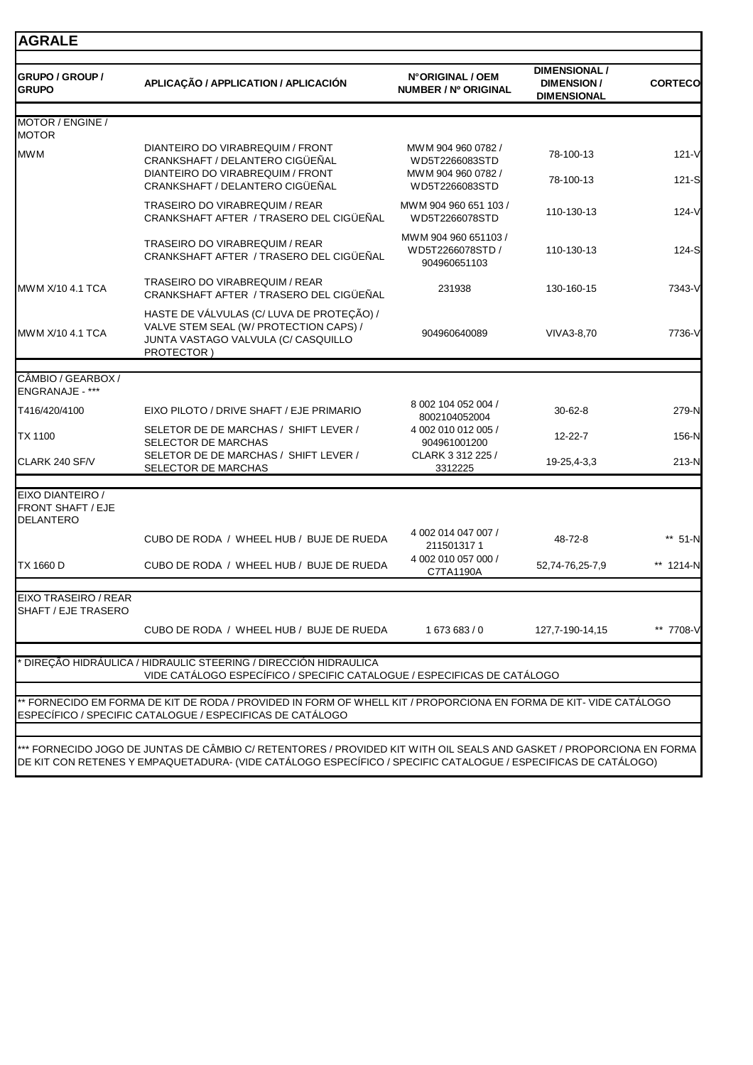| <b>GRUPO / GROUP /</b><br><b>GRUPO</b>       | APLICAÇÃO / APPLICATION / APLICACIÓN                                                                                                      | N°ORIGINAL / OEM<br><b>NUMBER / Nº ORIGINAL</b>            | <b>DIMENSIONAL /</b><br><b>DIMENSION/</b><br><b>DIMENSIONAL</b> | <b>CORTECO</b>       |
|----------------------------------------------|-------------------------------------------------------------------------------------------------------------------------------------------|------------------------------------------------------------|-----------------------------------------------------------------|----------------------|
| MOTOR / ENGINE /                             |                                                                                                                                           |                                                            |                                                                 |                      |
| <b>MOTOR</b>                                 |                                                                                                                                           |                                                            |                                                                 |                      |
| <b>MWM</b>                                   | DIANTEIRO DO VIRABREQUIM / FRONT<br>CRANKSHAFT / DELANTERO CIGÜEÑAL<br>DIANTEIRO DO VIRABREQUIM / FRONT                                   | MWM 904 960 0782 /<br>WD5T2266083STD<br>MWM 904 960 0782 / | 78-100-13<br>78-100-13                                          | $121 - V$<br>$121-S$ |
|                                              | CRANKSHAFT / DELANTERO CIGÜEÑAL                                                                                                           | WD5T2266083STD                                             |                                                                 |                      |
|                                              | <b>TRASEIRO DO VIRABREQUIM / REAR</b><br>CRANKSHAFT AFTER / TRASERO DEL CIGÜEÑAL                                                          | MWM 904 960 651 103 /<br>WD5T2266078STD                    | 110-130-13                                                      | $124 - V$            |
|                                              | TRASEIRO DO VIRABREQUIM / REAR<br>CRANKSHAFT AFTER / TRASERO DEL CIGÜEÑAL                                                                 | MWM 904 960 651103 /<br>WD5T2266078STD /<br>904960651103   | 110-130-13                                                      | 124-S                |
| MWM X/10 4.1 TCA                             | TRASEIRO DO VIRABREQUIM / REAR<br>CRANKSHAFT AFTER / TRASERO DEL CIGÜEÑAL                                                                 | 231938                                                     | 130-160-15                                                      | 7343-V               |
| MWM X/10 4.1 TCA                             | HASTE DE VÁLVULAS (C/ LUVA DE PROTEÇÃO) /<br>VALVE STEM SEAL (W/ PROTECTION CAPS) /<br>JUNTA VASTAGO VALVULA (C/ CASQUILLO<br>PROTECTOR)  | 904960640089                                               | VIVA3-8,70                                                      | 7736-V               |
|                                              |                                                                                                                                           |                                                            |                                                                 |                      |
| CÂMBIO / GEARBOX /<br><b>ENGRANAJE - ***</b> |                                                                                                                                           |                                                            |                                                                 |                      |
| T416/420/4100                                | EIXO PILOTO / DRIVE SHAFT / EJE PRIMARIO                                                                                                  | 8 002 104 052 004 /<br>8002104052004                       | $30 - 62 - 8$                                                   | 279-N                |
| <b>TX 1100</b>                               | SELETOR DE DE MARCHAS / SHIFT LEVER /<br>SELECTOR DE MARCHAS                                                                              | 4 002 010 012 005 /<br>904961001200                        | 12-22-7                                                         | 156-N                |
| CLARK 240 SF/V                               | SELETOR DE DE MARCHAS / SHIFT LEVER /<br>SELECTOR DE MARCHAS                                                                              | CLARK 3 312 225 /<br>3312225                               | 19-25,4-3,3                                                     | 213-N                |
| EIXO DIANTEIRO /<br><b>FRONT SHAFT / EJE</b> |                                                                                                                                           |                                                            |                                                                 |                      |
| <b>DELANTERO</b>                             | CUBO DE RODA / WHEEL HUB / BUJE DE RUEDA                                                                                                  | 4 002 014 047 007 /<br>2115013171                          | 48-72-8                                                         | ** 51-N              |
| TX 1660 D                                    | CUBO DE RODA / WHEEL HUB / BUJE DE RUEDA                                                                                                  | 4 002 010 057 000 /<br>C7TA1190A                           | 52,74-76,25-7,9                                                 | ** 1214-N            |
|                                              |                                                                                                                                           |                                                            |                                                                 |                      |
| EIXO TRASEIRO / REAR<br>SHAFT / EJE TRASERO  |                                                                                                                                           |                                                            |                                                                 |                      |
|                                              | CUBO DE RODA / WHEEL HUB / BUJE DE RUEDA                                                                                                  | 1673683/0                                                  | 127,7-190-14,15                                                 | ** 7708-V            |
|                                              | DIREÇÃO HIDRÁULICA / HIDRAULIC STEERING / DIRECCIÓN HIDRAULICA<br>VIDE CATÁLOGO ESPECÍFICO / SPECIFIC CATALOGUE / ESPECIFICAS DE CATÁLOGO |                                                            |                                                                 |                      |
|                                              | ** FORNECIDO EM FORMA DE KIT DE RODA / PROVIDED IN FORM OF WHELL KIT / PROPORCIONA EN FORMA DE KIT- VIDE CATÁLOGO                         |                                                            |                                                                 |                      |
|                                              | ESPECÍFICO / SPECIFIC CATALOGUE / ESPECIFICAS DE CATÁLOGO                                                                                 |                                                            |                                                                 |                      |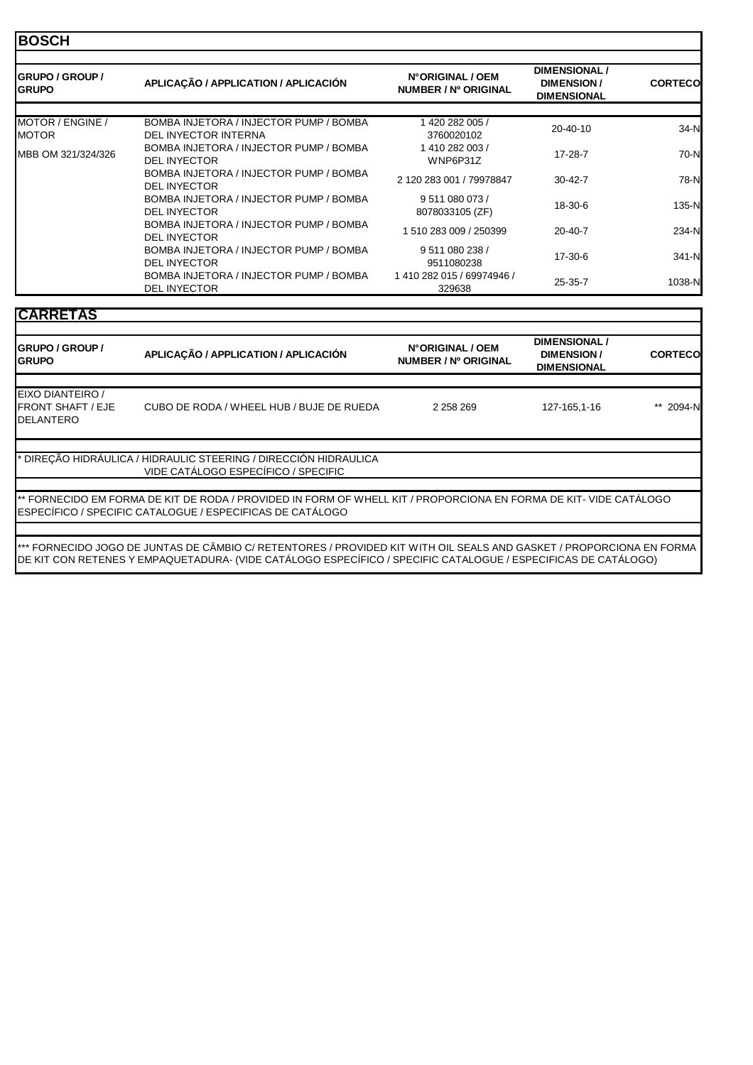## **BOSCH**

| <b>IGRUPO / GROUP /</b><br><b>I</b> GRUPO | APLICAÇÃO / APPLICATION / APLICACIÓN                           | N°ORIGINAL / OEM<br>NUMBER / Nº ORIGINAL | <b>DIMENSIONAL /</b><br>DIMENSION/<br><b>DIMENSIONAL</b> | <b>CORTECO</b> |
|-------------------------------------------|----------------------------------------------------------------|------------------------------------------|----------------------------------------------------------|----------------|
|                                           |                                                                |                                          |                                                          |                |
| MOTOR / ENGINE /<br><b>MOTOR</b>          | BOMBA INJETORA / INJECTOR PUMP / BOMBA<br>DEL INYECTOR INTERNA | 1420 282 005 /<br>3760020102             | 20-40-10                                                 | $34-N$         |
| MBB OM 321/324/326                        | BOMBA INJETORA / INJECTOR PUMP / BOMBA<br><b>DEL INYECTOR</b>  | 1410282003/<br>WNP6P31Z                  | $17 - 28 - 7$                                            | 70-N           |
|                                           | BOMBA INJETORA / INJECTOR PUMP / BOMBA<br><b>DEL INYECTOR</b>  | 2 120 283 001 / 79978847                 | $30 - 42 - 7$                                            | 78-N           |
|                                           | BOMBA INJETORA / INJECTOR PUMP / BOMBA<br><b>DEL INYECTOR</b>  | 9 511 080 073 /<br>8078033105 (ZF)       | 18-30-6                                                  | 135-N          |
|                                           | BOMBA INJETORA / INJECTOR PUMP / BOMBA<br><b>DEL INYECTOR</b>  | 1 510 283 009 / 250399                   | $20 - 40 - 7$                                            | 234-N          |
|                                           | BOMBA INJETORA / INJECTOR PUMP / BOMBA<br><b>DEL INYECTOR</b>  | 9 511 080 238 /<br>9511080238            | 17-30-6                                                  | 341-N          |
|                                           | BOMBA INJETORA / INJECTOR PUMP / BOMBA<br><b>DEL INYECTOR</b>  | 1410 282 015 / 69974946 /<br>329638      | $25 - 35 - 7$                                            | 1038-N         |

# **CARRETAS**

| 2 2 5 8 2 6 9<br>127-165,1-16                                                                                     | ** 2094-N                                                                                                            |
|-------------------------------------------------------------------------------------------------------------------|----------------------------------------------------------------------------------------------------------------------|
|                                                                                                                   |                                                                                                                      |
| ** FORNECIDO EM FORMA DE KIT DE RODA / PROVIDED IN FORM OF WHELL KIT / PROPORCIONA EN FORMA DE KIT- VIDE CATÀLOGO |                                                                                                                      |
|                                                                                                                   | *** FORNECIDO JOGO DE JUNTAS DE CÂMBIO C/ RETENTORES / PROVIDED KIT WITH OIL SEALS AND GASKET / PROPORCIONA EN FORMA |

\*\*\* FORNECIDO JOGO DE JUNTAS DE CÂMBIO C/ RETENTORES / PROVIDED KIT WITH OIL SEALS AND GASKET / PROPORCIONA EN FORMA DE KIT CON RETENES Y EMPAQUETADURA- (VIDE CATÁLOGO ESPECÍFICO / SPECIFIC CATALOGUE / ESPECIFICAS DE CATÁLOGO)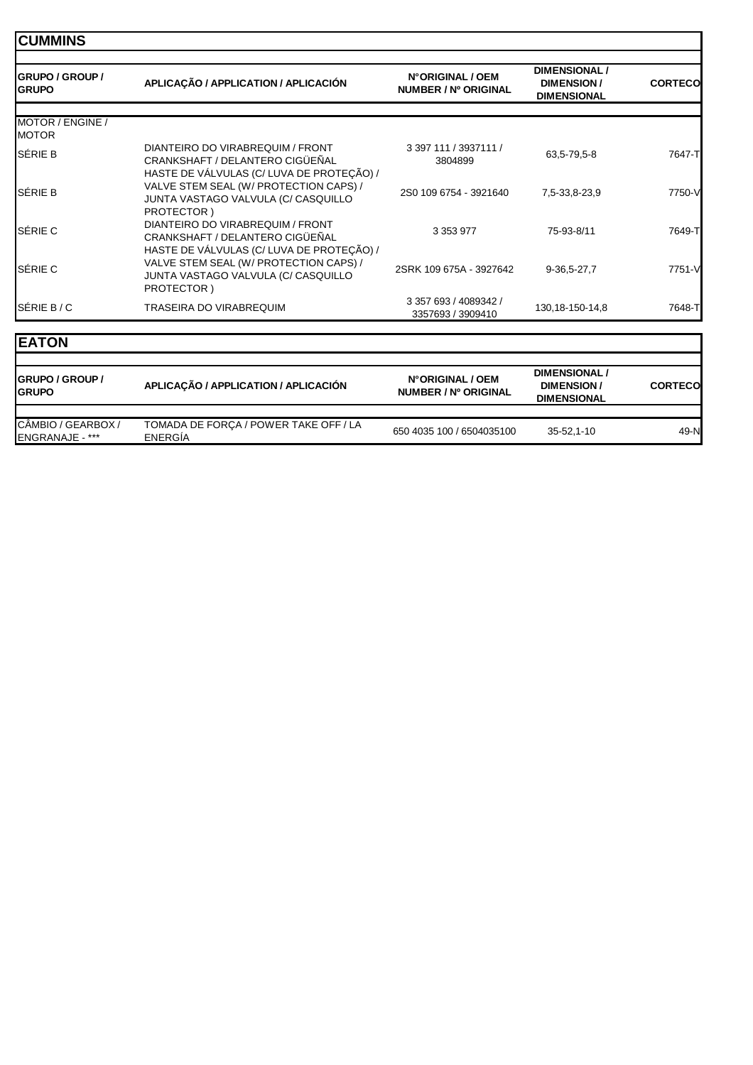| <b>CUMMINS</b>                          |                                                                                                                                          |                                            |                                                                 |                |
|-----------------------------------------|------------------------------------------------------------------------------------------------------------------------------------------|--------------------------------------------|-----------------------------------------------------------------|----------------|
| <b>IGRUPO / GROUP /</b><br><b>GRUPO</b> | APLICAÇÃO / APPLICATION / APLICACIÓN                                                                                                     | N°ORIGINAL / OEM<br>NUMBER / Nº ORIGINAL   | <b>DIMENSIONAL /</b><br><b>DIMENSION/</b><br><b>DIMENSIONAL</b> | <b>CORTECO</b> |
| MOTOR / ENGINE /<br><b>MOTOR</b>        |                                                                                                                                          |                                            |                                                                 |                |
| SÉRIE B                                 | DIANTEIRO DO VIRABREQUIM / FRONT<br>CRANKSHAFT / DELANTERO CIGÜEÑAL                                                                      | 3 397 111 / 3937111 /<br>3804899           | 63,5-79,5-8                                                     | 7647-T         |
| <b>SÉRIE B</b>                          | HASTE DE VÁLVULAS (C/ LUVA DE PROTEÇÃO) /<br>VALVE STEM SEAL (W/ PROTECTION CAPS) /<br>JUNTA VASTAGO VALVULA (C/ CASQUILLO               | 2S0 109 6754 - 3921640                     | 7,5-33,8-23,9                                                   | 7750-V         |
| SÉRIE C                                 | PROTECTOR)<br>DIANTEIRO DO VIRABREQUIM / FRONT<br>CRANKSHAFT / DELANTERO CIGÜEÑAL                                                        | 3 3 5 3 9 7 7                              | 75-93-8/11                                                      | 7649-T         |
| <b>SÉRIE C</b>                          | HASTE DE VÁLVULAS (C/ LUVA DE PROTEÇÃO) /<br>VALVE STEM SEAL (W/ PROTECTION CAPS) /<br>JUNTA VASTAGO VALVULA (C/ CASQUILLO<br>PROTECTOR) | 2SRK 109 675A - 3927642                    | 9-36,5-27,7                                                     | 7751-V         |
| SÉRIE B/C                               | TRASEIRA DO VIRABREQUIM                                                                                                                  | 3 357 693 / 4089342 /<br>3357693 / 3909410 | 130, 18-150-14, 8                                               | 7648-T         |
| <b>EATON</b>                            |                                                                                                                                          |                                            |                                                                 |                |
| $0.01100$ $0.0010$                      |                                                                                                                                          | NGADIAINTAL LAPM                           | <b>DIMENSIONAL</b> /                                            |                |

| <b>IGRUPO / GROUP /</b><br><b>IGRUPO</b>     | APLICAÇÃO / APPLICATION / APLICACIÓN             | N°ORIGINAL / OEM<br>NUMBER / Nº ORIGINAL | <b>DIMENSIONAL</b><br><b>DIMENSION/</b><br><b>DIMENSIONAL</b> | <b>CORTECO</b> |
|----------------------------------------------|--------------------------------------------------|------------------------------------------|---------------------------------------------------------------|----------------|
|                                              |                                                  |                                          |                                                               |                |
| CÂMBIO / GEARBOX /<br><b>ENGRANAJE - ***</b> | TOMADA DE FORCA / POWER TAKE OFF / LA<br>ENERGIA | 650 4035 100 / 6504035100                | 35-52.1-10                                                    | 49-N           |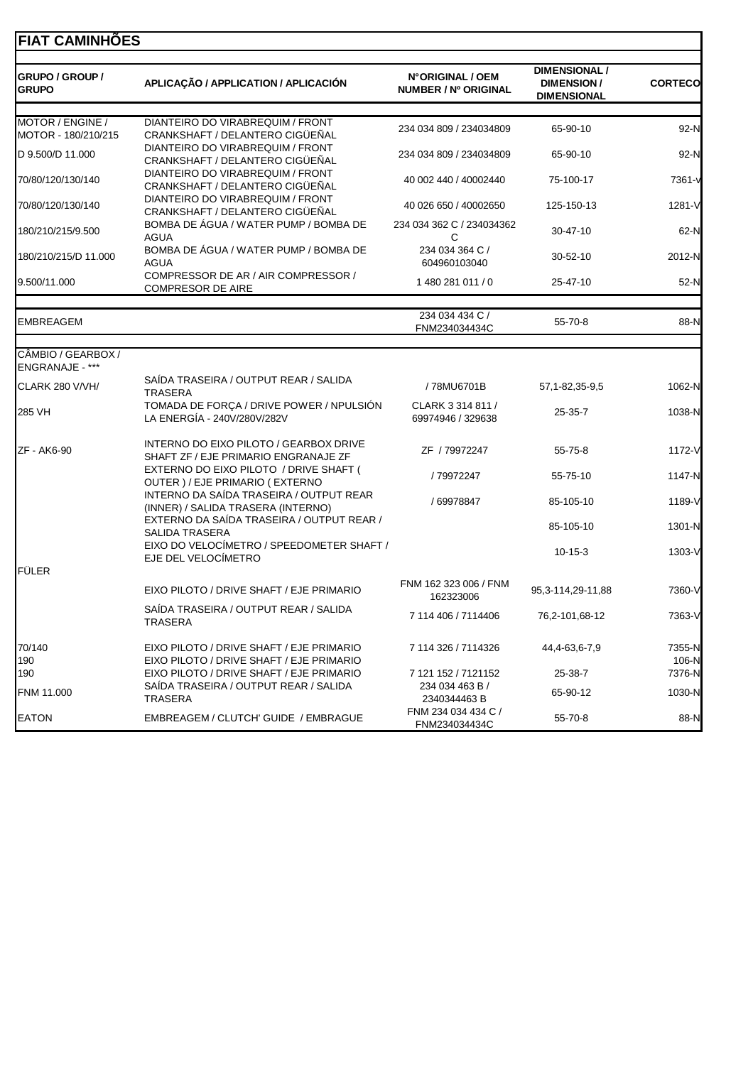# **FIAT CAMINHÕES**

| GRUPO / GROUP /<br><b>GRUPO</b>         | APLICAÇÃO / APPLICATION / APLICACIÓN                                                 | N°ORIGINAL / OEM<br>NUMBER / Nº ORIGINAL | <b>DIMENSIONAL /</b><br><b>DIMENSION/</b><br><b>DIMENSIONAL</b> | <b>CORTECO</b>  |
|-----------------------------------------|--------------------------------------------------------------------------------------|------------------------------------------|-----------------------------------------------------------------|-----------------|
|                                         |                                                                                      |                                          |                                                                 |                 |
| MOTOR / ENGINE /<br>MOTOR - 180/210/215 | DIANTEIRO DO VIRABREQUIM / FRONT<br>CRANKSHAFT / DELANTERO CIGÜEÑAL                  | 234 034 809 / 234034809                  | 65-90-10                                                        | 92-N            |
| D 9.500/D 11.000                        | DIANTEIRO DO VIRABREQUIM / FRONT<br>CRANKSHAFT / DELANTERO CIGÜEÑAL                  | 234 034 809 / 234034809                  | 65-90-10                                                        | 92-N            |
| 70/80/120/130/140                       | DIANTEIRO DO VIRABREQUIM / FRONT<br>CRANKSHAFT / DELANTERO CIGÜEÑAL                  | 40 002 440 / 40002440                    | 75-100-17                                                       | 7361-v          |
| 70/80/120/130/140                       | DIANTEIRO DO VIRABREQUIM / FRONT<br>CRANKSHAFT / DELANTERO CIGÜEÑAL                  | 40 026 650 / 40002650                    | 125-150-13                                                      | 1281-V          |
| 180/210/215/9.500                       | BOMBA DE ÁGUA / WATER PUMP / BOMBA DE<br><b>AGUA</b>                                 | 234 034 362 C / 234034362<br>C           | 30-47-10                                                        | 62-N            |
| 180/210/215/D 11.000                    | BOMBA DE ÁGUA / WATER PUMP / BOMBA DE<br><b>AGUA</b>                                 | 234 034 364 C /<br>604960103040          | 30-52-10                                                        | 2012-N          |
| 9.500/11.000                            | COMPRESSOR DE AR / AIR COMPRESSOR /<br><b>COMPRESOR DE AIRE</b>                      | 1 480 281 011 / 0                        | 25-47-10                                                        | 52-N            |
|                                         |                                                                                      | 234 034 434 C /                          |                                                                 |                 |
| <b>EMBREAGEM</b>                        |                                                                                      | FNM234034434C                            | 55-70-8                                                         | 88-N            |
| CÂMBIO / GEARBOX /<br>ENGRANAJE - ***   |                                                                                      |                                          |                                                                 |                 |
| CLARK 280 V/VH/                         | SAÍDA TRASEIRA / OUTPUT REAR / SALIDA<br><b>TRASERA</b>                              | /78MU6701B                               | 57, 1-82, 35-9, 5                                               | 1062-N          |
| 285 VH                                  | TOMADA DE FORÇA / DRIVE POWER / NPULSIÓN<br>LA ENERGÍA - 240V/280V/282V              | CLARK 3 314 811 /<br>69974946 / 329638   | $25 - 35 - 7$                                                   | 1038-N          |
| ZF - AK6-90                             | INTERNO DO EIXO PILOTO / GEARBOX DRIVE<br>SHAFT ZF / EJE PRIMARIO ENGRANAJE ZF       | ZF / 79972247                            | 55-75-8                                                         | 1172-V          |
|                                         | EXTERNO DO EIXO PILOTO / DRIVE SHAFT (<br>OUTER ) / EJE PRIMARIO ( EXTERNO           | /79972247                                | 55-75-10                                                        | 1147-N          |
|                                         | INTERNO DA SAÍDA TRASEIRA / OUTPUT REAR<br>(INNER) / SALIDA TRASERA (INTERNO)        | / 69978847                               | 85-105-10                                                       | 1189-V          |
|                                         | EXTERNO DA SAÍDA TRASEIRA / OUTPUT REAR /<br>SALIDA TRASERA                          |                                          | 85-105-10                                                       | 1301-N          |
|                                         | EIXO DO VELOCÍMETRO / SPEEDOMETER SHAFT /<br>EJE DEL VELOCÍMETRO                     |                                          | $10-15-3$                                                       | 1303-V          |
| <b>FÜLER</b>                            |                                                                                      |                                          |                                                                 |                 |
|                                         | EIXO PILOTO / DRIVE SHAFT / EJE PRIMARIO                                             | FNM 162 323 006 / FNM<br>162323006       | 95, 3-114, 29-11, 88                                            | 7360-V          |
|                                         | SAÍDA TRASEIRA / OUTPUT REAR / SALIDA<br>TRASERA                                     | 7 114 406 / 7114406                      | 76,2-101,68-12                                                  | 7363-V          |
| 70/140<br>190                           | EIXO PILOTO / DRIVE SHAFT / EJE PRIMARIO<br>EIXO PILOTO / DRIVE SHAFT / EJE PRIMARIO | 7 114 326 / 7114326                      | 44,4-63,6-7,9                                                   | 7355-N<br>106-N |
| 190                                     | EIXO PILOTO / DRIVE SHAFT / EJE PRIMARIO                                             | 7 121 152 / 7121152                      | 25-38-7                                                         | 7376-N          |
| FNM 11.000                              | SAIDA TRASEIRA / OUTPUT REAR / SALIDA<br>TRASERA                                     | 234 034 463 B /<br>2340344463 B          | 65-90-12                                                        | $1030-N$        |
| <b>EATON</b>                            | EMBREAGEM / CLUTCH' GUIDE / EMBRAGUE                                                 | FNM 234 034 434 C /<br>FNM234034434C     | 55-70-8                                                         | 88-N            |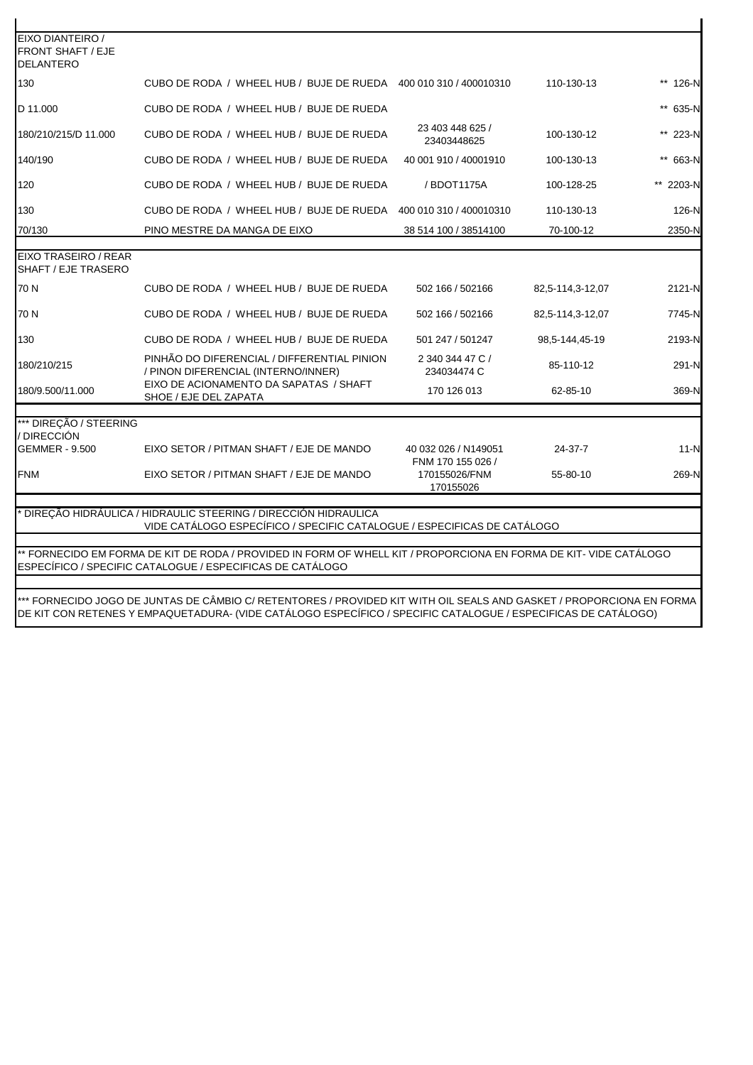| EIXO DIANTEIRO /                             |                                                                                                                   |                                           |                  |           |
|----------------------------------------------|-------------------------------------------------------------------------------------------------------------------|-------------------------------------------|------------------|-----------|
| <b>FRONT SHAFT / EJE</b><br><b>DELANTERO</b> |                                                                                                                   |                                           |                  |           |
| 130                                          | CUBO DE RODA / WHEEL HUB / BUJE DE RUEDA 400 010 310 / 400010310                                                  |                                           | 110-130-13       | ** 126-N  |
| D 11.000                                     | CUBO DE RODA / WHEEL HUB / BUJE DE RUEDA                                                                          |                                           |                  | ** 635-N  |
| 180/210/215/D 11.000                         | CUBO DE RODA / WHEEL HUB / BUJE DE RUEDA                                                                          | 23 403 448 625 /<br>23403448625           | 100-130-12       | ** 223-N  |
| 140/190                                      | CUBO DE RODA / WHEEL HUB / BUJE DE RUEDA                                                                          | 40 001 910 / 40001910                     | 100-130-13       | ** 663-N  |
| 120                                          | CUBO DE RODA / WHEEL HUB / BUJE DE RUEDA                                                                          | / BDOT1175A                               | 100-128-25       | ** 2203-N |
| 130                                          | CUBO DE RODA / WHEEL HUB / BUJE DE RUEDA                                                                          | 400 010 310 / 400010310                   | 110-130-13       | 126-N     |
| 70/130                                       | PINO MESTRE DA MANGA DE EIXO                                                                                      | 38 514 100 / 38514100                     | 70-100-12        | 2350-N    |
| EIXO TRASEIRO / REAR                         |                                                                                                                   |                                           |                  |           |
| <b>SHAFT / EJE TRASERO</b>                   |                                                                                                                   |                                           |                  |           |
| 70 N                                         | CUBO DE RODA / WHEEL HUB / BUJE DE RUEDA                                                                          | 502 166 / 502166                          | 82,5-114,3-12,07 | 2121-N    |
| 70 N                                         | CUBO DE RODA / WHEEL HUB / BUJE DE RUEDA                                                                          | 502 166 / 502166                          | 82,5-114,3-12,07 | 7745-N    |
| 130                                          | CUBO DE RODA / WHEEL HUB / BUJE DE RUEDA                                                                          | 501 247 / 501247                          | 98.5-144.45-19   | 2193-N    |
| 180/210/215                                  | PINHÃO DO DIFERENCIAL / DIFFERENTIAL PINION<br>/ PINON DIFERENCIAL (INTERNO/INNER)                                | 2 340 344 47 C /<br>234034474 C           | 85-110-12        | 291-N     |
| 180/9.500/11.000                             | EIXO DE ACIONAMENTO DA SAPATAS / SHAFT<br>SHOE / EJE DEL ZAPATA                                                   | 170 126 013                               | 62-85-10         | 369-N     |
| *** DIREÇÃO / STEERING                       |                                                                                                                   |                                           |                  |           |
| / DIRECCIÓN                                  |                                                                                                                   |                                           |                  |           |
| <b>GEMMER - 9.500</b>                        | EIXO SETOR / PITMAN SHAFT / EJE DE MANDO                                                                          | 40 032 026 / N149051<br>FNM 170 155 026 / | 24-37-7          | $11-N$    |
| <b>FNM</b>                                   | EIXO SETOR / PITMAN SHAFT / EJE DE MANDO                                                                          | 170155026/FNM<br>170155026                | 55-80-10         | 269-N     |
|                                              | * DIREÇÃO HIDRÁULICA / HIDRAULIC STEERING / DIRECCIÓN HIDRAULICA                                                  |                                           |                  |           |
|                                              | VIDE CATÁLOGO ESPECÍFICO / SPECIFIC CATALOGUE / ESPECIFICAS DE CATÁLOGO                                           |                                           |                  |           |
|                                              | ** FORNECIDO EM FORMA DE KIT DE RODA / PROVIDED IN FORM OF WHELL KIT / PROPORCIONA EN FORMA DE KIT- VIDE CATÁLOGO |                                           |                  |           |
|                                              | ESPECÍFICO / SPECIFIC CATALOGUE / ESPECIFICAS DE CATÁLOGO                                                         |                                           |                  |           |
|                                              |                                                                                                                   |                                           |                  |           |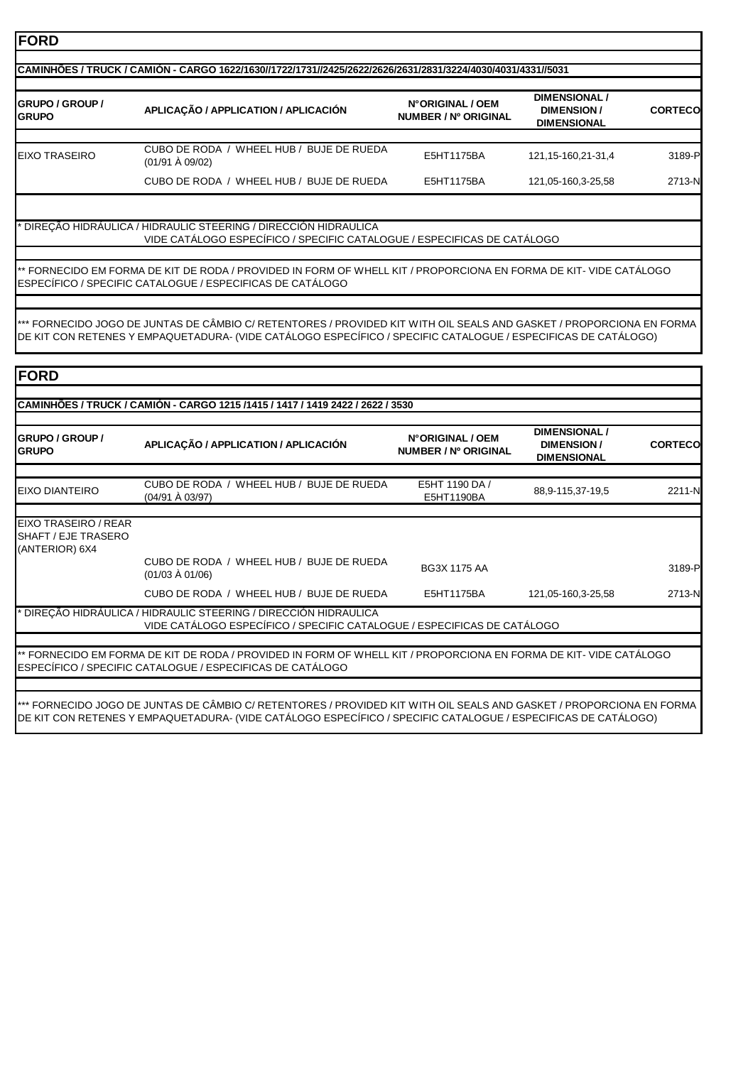| <b>IGRUPO / GROUP /</b><br><b>GRUPO</b> | APLICAÇÃO / APPLICATION / APLICACIÓN                                      | N°ORIGINAL / OEM<br>NUMBER / Nº ORIGINAL | <b>DIMENSIONAL</b><br><b>DIMENSION/</b><br><b>DIMENSIONAL</b> | <b>CORTECO</b> |
|-----------------------------------------|---------------------------------------------------------------------------|------------------------------------------|---------------------------------------------------------------|----------------|
|                                         |                                                                           |                                          |                                                               |                |
| EIXO TRASEIRO                           | WHEEL HUB / BUJE DE RUEDA<br>CUBO DE RODA /<br>$(01/91 \text{ Å } 09/02)$ | E5HT1175BA                               | 121.15-160.21-31.4                                            | 3189-P         |
|                                         | CUBO DE RODA / WHEEL HUB / BUJE DE RUEDA                                  | E5HT1175BA                               | 121,05-160,3-25,58                                            | 2713-N         |

VIDE CATÁLOGO ESPECÍFICO / SPECIFIC CATALOGUE / ESPECIFICAS DE CATÁLOGO \* DIREÇÃO HIDRÁULICA / HIDRAULIC STEERING / DIRECCIÓN HIDRAULICA

\*\* FORNECIDO EM FORMA DE KIT DE RODA / PROVIDED IN FORM OF WHELL KIT / PROPORCIONA EN FORMA DE KIT- VIDE CATÁLOGO ESPECÍFICO / SPECIFIC CATALOGUE / ESPECIFICAS DE CATÁLOGO

\*\*\* FORNECIDO JOGO DE JUNTAS DE CÂMBIO C/ RETENTORES / PROVIDED KIT WITH OIL SEALS AND GASKET / PROPORCIONA EN FORMA DE KIT CON RETENES Y EMPAQUETADURA- (VIDE CATÁLOGO ESPECÍFICO / SPECIFIC CATALOGUE / ESPECIFICAS DE CATÁLOGO)

| <b>FORD</b><br><b>GRUPO / GROUP /</b><br><b>GRUPO</b>         | CAMINHÕES / TRUCK / CAMIÓN - CARGO 1215 /1415 / 1417 / 1419 2422 / 2622 / 3530<br>APLICAÇÃO / APPLICATION / APLICACIÓN                                                         | N°ORIGINAL / OEM<br>NUMBER / Nº ORIGINAL | <b>DIMENSIONAL /</b><br><b>DIMENSION/</b> | <b>CORTECO</b> |
|---------------------------------------------------------------|--------------------------------------------------------------------------------------------------------------------------------------------------------------------------------|------------------------------------------|-------------------------------------------|----------------|
|                                                               |                                                                                                                                                                                |                                          | <b>DIMENSIONAL</b>                        |                |
| <b>EIXO DIANTEIRO</b>                                         | CUBO DE RODA / WHEEL HUB / BUJE DE RUEDA<br>(04/91 À 03/97)                                                                                                                    | E5HT 1190 DA /<br>E5HT1190BA             | 88,9-115,37-19,5                          | 2211-N         |
| EIXO TRASEIRO / REAR<br>SHAFT / EJE TRASERO<br>(ANTERIOR) 6X4 |                                                                                                                                                                                |                                          |                                           |                |
|                                                               | CUBO DE RODA / WHEEL HUB / BUJE DE RUEDA<br>$(01/03 \text{ Å } 01/06)$                                                                                                         | <b>BG3X 1175 AA</b>                      |                                           | 3189-P         |
|                                                               | CUBO DE RODA / WHEEL HUB / BUJE DE RUEDA                                                                                                                                       | E5HT1175BA                               | 121,05-160,3-25,58                        | 2713-N         |
|                                                               | DIREÇÃO HIDRÁULICA / HIDRAULIC STEERING / DIRECCIÓN HIDRAULICA<br>VIDE CATÁLOGO ESPECÍFICO / SPECIFIC CATALOGUE / ESPECIFICAS DE CATÁLOGO                                      |                                          |                                           |                |
|                                                               |                                                                                                                                                                                |                                          |                                           |                |
|                                                               | ** FORNECIDO EM FORMA DE KIT DE RODA / PROVIDED IN FORM OF WHELL KIT / PROPORCIONA EN FORMA DE KIT- VIDE CATÁLOGO<br>ESPECÍFICO / SPECIFIC CATALOGUE / ESPECIFICAS DE CATÁLOGO |                                          |                                           |                |
|                                                               |                                                                                                                                                                                |                                          |                                           |                |
|                                                               | *** FORNECIDO JOGO DE JUNTAS DE CÂMBIO C/ RETENTORES / PROVIDED KIT WITH OIL SEALS AND GASKET / PROPORCIONA EN FORMA                                                           |                                          |                                           |                |

\*\*\* FORNECIDO JOGO DE JUNTAS DE CÂMBIO C/ RETENTORES / PROVIDED KIT WITH OIL SEALS AND GASKET / PROPORCIONA EN FORMA DE KIT CON RETENES Y EMPAQUETADURA- (VIDE CATÁLOGO ESPECÍFICO / SPECIFIC CATALOGUE / ESPECIFICAS DE CATÁLOGO)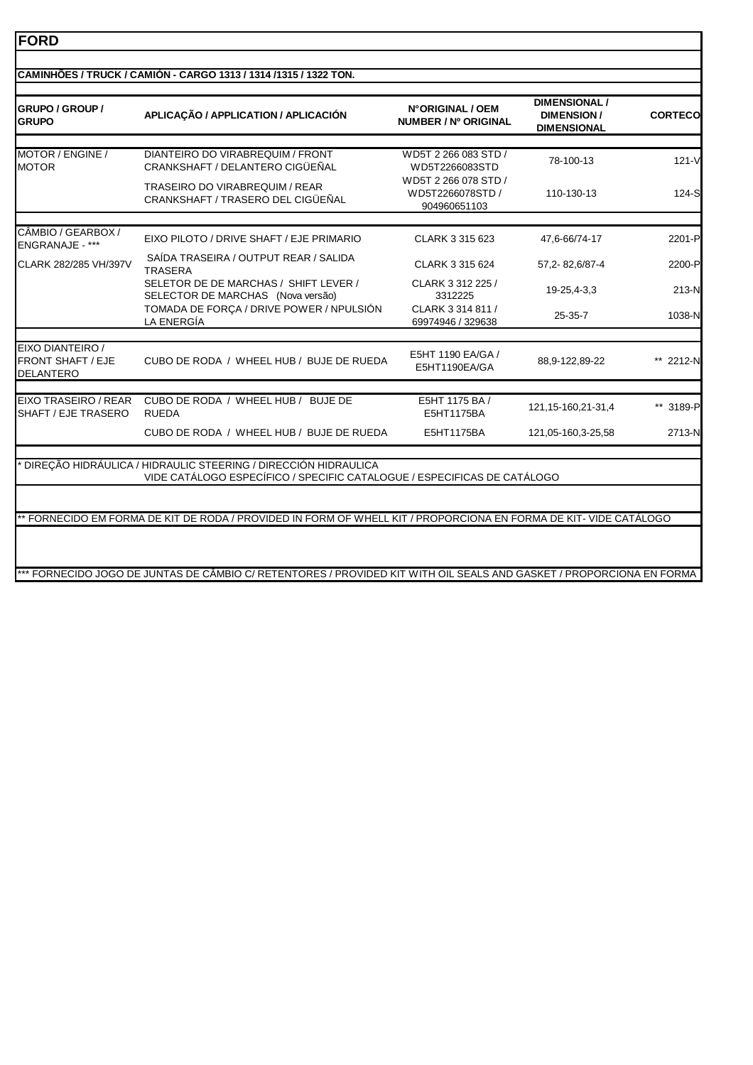| <b>GRUPO / GROUP /</b><br>GRUPO                           | APLICAÇÃO / APPLICATION / APLICACIÓN                                                                                                                                                                                                                          | N°ORIGINAL / OEM<br>NUMBER / Nº ORIGINAL                 | <b>DIMENSIONAL /</b><br><b>DIMENSION/</b><br><b>DIMENSIONAL</b> | <b>CORTECO</b> |
|-----------------------------------------------------------|---------------------------------------------------------------------------------------------------------------------------------------------------------------------------------------------------------------------------------------------------------------|----------------------------------------------------------|-----------------------------------------------------------------|----------------|
| MOTOR / ENGINE /<br><b>MOTOR</b>                          | DIANTEIRO DO VIRABREQUIM / FRONT<br>CRANKSHAFT / DELANTERO CIGÜEÑAL                                                                                                                                                                                           | WD5T 2 266 083 STD /<br>WD5T2266083STD                   | 78-100-13                                                       | $121 - V$      |
|                                                           | TRASEIRO DO VIRABREQUIM / REAR<br>CRANKSHAFT / TRASERO DEL CIGÜEÑAL                                                                                                                                                                                           | WD5T 2 266 078 STD /<br>WD5T2266078STD /<br>904960651103 | 110-130-13                                                      | $124-S$        |
|                                                           |                                                                                                                                                                                                                                                               |                                                          |                                                                 |                |
| CÂMBIO / GEARBOX /<br>ENGRANAJE - ***                     | EIXO PILOTO / DRIVE SHAFT / EJE PRIMARIO                                                                                                                                                                                                                      | CLARK 3 315 623                                          | 47,6-66/74-17                                                   | 2201-P         |
| CLARK 282/285 VH/397V                                     | SAÍDA TRASEIRA / OUTPUT REAR / SALIDA<br><b>TRASERA</b>                                                                                                                                                                                                       | CLARK 3 315 624                                          | 57,2-82,6/87-4                                                  | 2200-P         |
|                                                           | SELETOR DE DE MARCHAS / SHIFT LEVER /<br>SELECTOR DE MARCHAS (Nova versão)                                                                                                                                                                                    | CLARK 3 312 225 /<br>3312225                             | 19-25,4-3,3                                                     | 213-N          |
|                                                           | TOMADA DE FORÇA / DRIVE POWER / NPULSIÓN<br>LA ENERGÍA                                                                                                                                                                                                        | CLARK 3 314 811 /<br>69974946 / 329638                   | $25 - 35 - 7$                                                   | 1038-N         |
| EIXO DIANTEIRO /<br><b>FRONT SHAFT / EJE</b><br>DELANTERO | CUBO DE RODA / WHEEL HUB / BUJE DE RUEDA                                                                                                                                                                                                                      | E5HT 1190 EA/GA /<br>E5HT1190EA/GA                       | 88,9-122,89-22                                                  | ** 2212-N      |
| EIXO TRASEIRO / REAR<br>SHAFT / EJE TRASERO               | CUBO DE RODA / WHEEL HUB / BUJE DE<br><b>RUEDA</b>                                                                                                                                                                                                            | E5HT 1175 BA /<br>E5HT1175BA                             | 121, 15-160, 21-31, 4                                           | ** 3189-P      |
|                                                           | CUBO DE RODA / WHEEL HUB / BUJE DE RUEDA                                                                                                                                                                                                                      | E5HT1175BA                                               | 121,05-160,3-25,58                                              | 2713-N         |
|                                                           | DIREÇÃO HIDRÁULICA / HIDRAULIC STEERING / DIRECCIÓN HIDRAULICA<br>VIDE CATÁLOGO ESPECÍFICO / SPECIFIC CATALOGUE / ESPECIFICAS DE CATÁLOGO<br>* FORNECIDO EM FORMA DE KIT DE RODA / PROVIDED IN FORM OF WHELL KIT / PROPORCIONA EN FORMA DE KIT- VIDE CATÁLOGO |                                                          |                                                                 |                |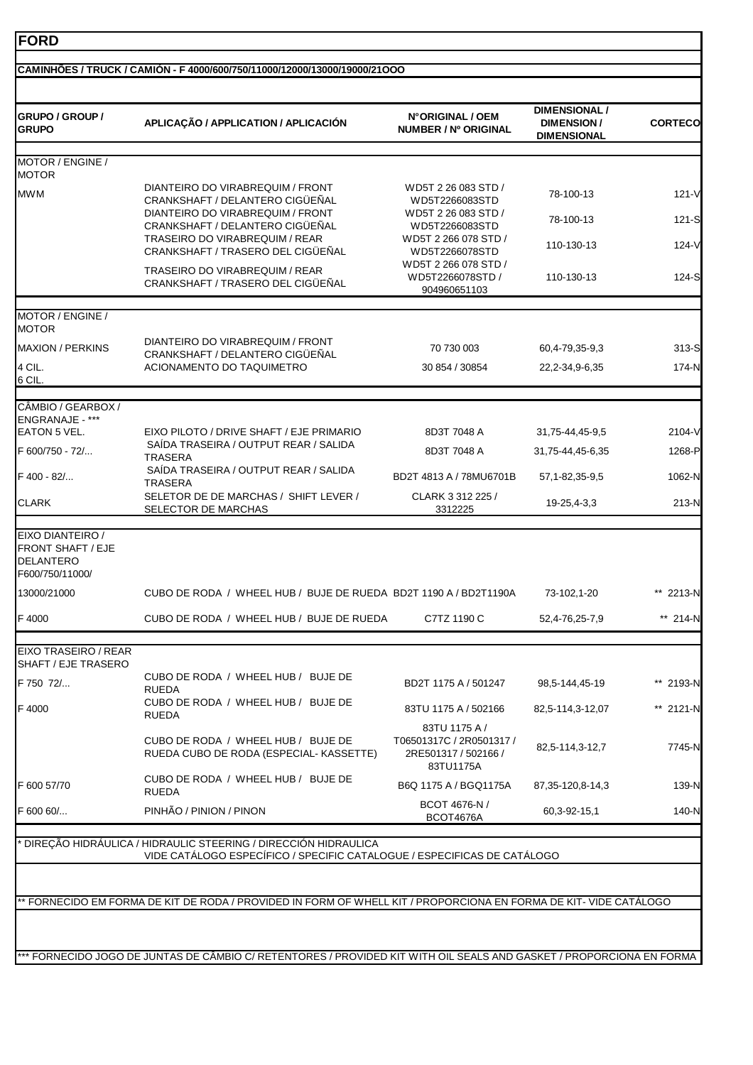| GRUPO / GROUP /<br><b>GRUPO</b>                                                     | APLICAÇÃO / APPLICATION / APLICACIÓN                                                                                                      | N°ORIGINAL / OEM<br>NUMBER / Nº ORIGINAL                                       | <b>DIMENSIONAL /</b><br><b>DIMENSION/</b><br><b>DIMENSIONAL</b> | <b>CORTECO</b> |
|-------------------------------------------------------------------------------------|-------------------------------------------------------------------------------------------------------------------------------------------|--------------------------------------------------------------------------------|-----------------------------------------------------------------|----------------|
| MOTOR / ENGINE /<br><b>MOTOR</b>                                                    |                                                                                                                                           |                                                                                |                                                                 |                |
| <b>MWM</b>                                                                          | DIANTEIRO DO VIRABREQUIM / FRONT<br>CRANKSHAFT / DELANTERO CIGÜEÑAL                                                                       | WD5T 2 26 083 STD /<br>WD5T2266083STD                                          | 78-100-13                                                       | $121 - V$      |
|                                                                                     | DIANTEIRO DO VIRABREQUIM / FRONT<br>CRANKSHAFT / DELANTERO CIGÜEÑAL<br>TRASEIRO DO VIRABREQUIM / REAR                                     | WD5T 2 26 083 STD /<br>WD5T2266083STD<br>WD5T 2 266 078 STD /                  | 78-100-13<br>110-130-13                                         | 121-S<br>124-V |
|                                                                                     | <b>CRANKSHAFT / TRASERO DEL CIGUENAL</b><br>TRASEIRO DO VIRABREQUIM / REAR<br><b>CRANKSHAFT / TRASERO DEL CIGUENAL</b>                    | WD5T2266078STD<br>WD5T 2 266 078 STD /<br>WD5T2266078STD /                     | 110-130-13                                                      | 124-S          |
|                                                                                     |                                                                                                                                           | 904960651103                                                                   |                                                                 |                |
| MOTOR / ENGINE /<br><b>MOTOR</b>                                                    |                                                                                                                                           |                                                                                |                                                                 |                |
| <b>MAXION / PERKINS</b>                                                             | DIANTEIRO DO VIRABREQUIM / FRONT<br>CRANKSHAFT / DELANTERO CIGÜEÑAL                                                                       | 70 730 003                                                                     | 60,4-79,35-9,3                                                  | 313-S          |
| 4 CIL.<br>6 CIL.                                                                    | ACIONAMENTO DO TAQUIMETRO                                                                                                                 | 30 854 / 30854                                                                 | 22, 2-34, 9-6, 35                                               | 174-N          |
| CÂMBIO / GEARBOX /                                                                  |                                                                                                                                           |                                                                                |                                                                 |                |
| ENGRANAJE - ***<br><b>EATON 5 VEL.</b>                                              | EIXO PILOTO / DRIVE SHAFT / EJE PRIMARIO                                                                                                  | 8D3T 7048 A                                                                    | 31,75-44,45-9,5                                                 | 2104-V         |
| F 600/750 - 72/                                                                     | SAÍDA TRASEIRA / OUTPUT REAR / SALIDA<br><b>TRASERA</b>                                                                                   | 8D3T 7048 A                                                                    | 31,75-44,45-6,35                                                | 1268-P         |
| F 400 - 82/                                                                         | SAÍDA TRASEIRA / OUTPUT REAR / SALIDA<br><b>TRASERA</b>                                                                                   | BD2T 4813 A / 78MU6701B                                                        | 57, 1-82, 35-9, 5                                               | 1062-N         |
| <b>CLARK</b>                                                                        | SELETOR DE DE MARCHAS / SHIFT LEVER /<br>SELECTOR DE MARCHAS                                                                              | CLARK 3 312 225 /<br>3312225                                                   | 19-25,4-3,3                                                     | 213-N          |
| EIXO DIANTEIRO /<br><b>FRONT SHAFT / EJE</b><br><b>DELANTERO</b><br>F600/750/11000/ |                                                                                                                                           |                                                                                |                                                                 |                |
| 13000/21000                                                                         | CUBO DE RODA / WHEEL HUB / BUJE DE RUEDA BD2T 1190 A / BD2T1190A                                                                          |                                                                                | 73-102,1-20                                                     | ** 2213-N      |
| F 4000                                                                              | CUBO DE RODA / WHEEL HUB / BUJE DE RUEDA                                                                                                  | C7TZ 1190 C                                                                    | 52,4-76,25-7,9                                                  | ** 214-N       |
| EIXO TRASEIRO / REAR                                                                |                                                                                                                                           |                                                                                |                                                                 |                |
| SHAFT / EJE TRASERO<br>F 750 72/                                                    | CUBO DE RODA / WHEEL HUB / BUJE DE<br><b>RUEDA</b>                                                                                        | BD2T 1175 A / 501247                                                           | 98,5-144,45-19                                                  | ** 2193-N      |
| F4000                                                                               | CUBO DE RODA / WHEEL HUB / BUJE DE<br><b>RUEDA</b>                                                                                        | 83TU 1175 A / 502166                                                           | 82,5-114,3-12,07                                                | ** 2121-N      |
|                                                                                     | CUBO DE RODA / WHEEL HUB / BUJE DE<br>RUEDA CUBO DE RODA (ESPECIAL- KASSETTE)                                                             | 83TU 1175 A /<br>T06501317C / 2R0501317 /<br>2RE501317 / 502166 /<br>83TU1175A | 82,5-114,3-12,7                                                 | 7745-N         |
| F 600 57/70                                                                         | CUBO DE RODA / WHEEL HUB / BUJE DE<br><b>RUEDA</b>                                                                                        | B6Q 1175 A / BGQ1175A                                                          | 87, 35-120, 8-14, 3                                             | 139-N          |
| F 600 60/                                                                           | PINHÃO / PINION / PINON                                                                                                                   | BCOT 4676-N /<br><b>BCOT4676A</b>                                              | 60,3-92-15,1                                                    | 140-N          |
|                                                                                     | DIREÇÃO HIDRÁULICA / HIDRAULIC STEERING / DIRECCIÓN HIDRAULICA<br>VIDE CATÁLOGO ESPECÍFICO / SPECIFIC CATALOGUE / ESPECIFICAS DE CATÁLOGO |                                                                                |                                                                 |                |
|                                                                                     |                                                                                                                                           |                                                                                |                                                                 |                |
|                                                                                     | * FORNECIDO EM FORMA DE KIT DE RODA / PROVIDED IN FORM OF WHELL KIT / PROPORCIONA EN FORMA DE KIT- VIDE CATALOGO                          |                                                                                |                                                                 |                |

٦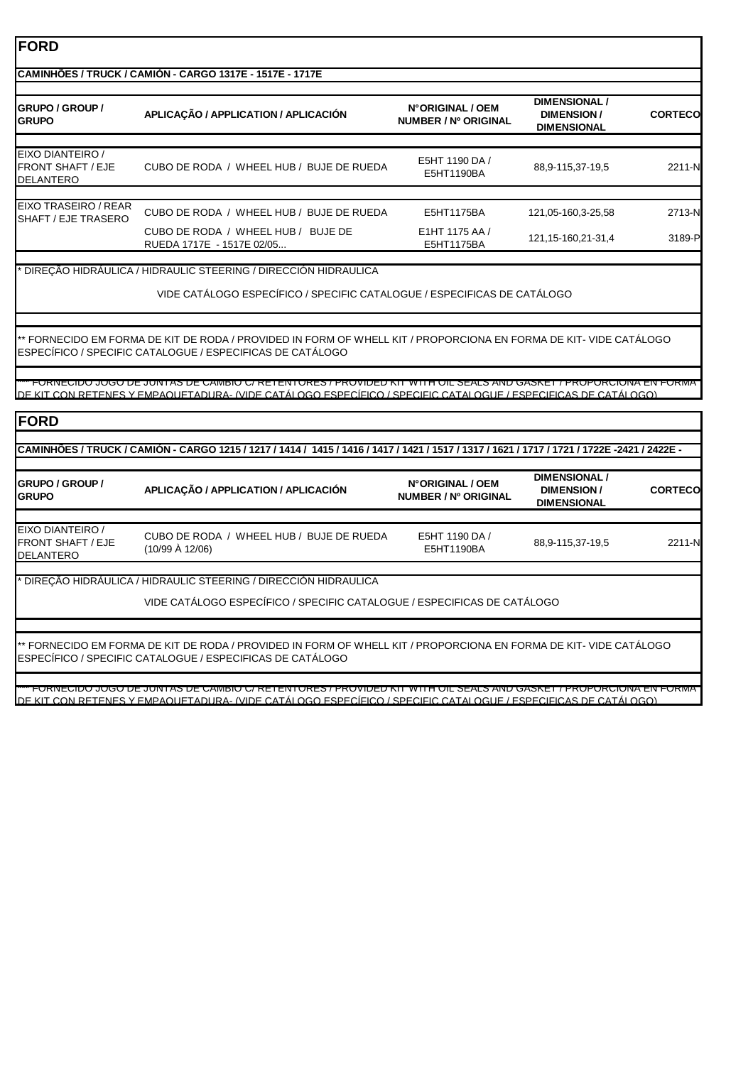#### **CAMINHÕES / TRUCK / CAMIÓN - CARGO 1317E - 1517E - 1717E**

| <b>IGRUPO / GROUP /</b><br><b>GRUPO</b>            | APLICAÇÃO / APPLICATION / APLICACIÓN                                     | N°ORIGINAL / OEM<br>NUMBER / Nº ORIGINAL | <b>DIMENSIONAL /</b><br>DIMENSION/<br><b>DIMENSIONAL</b> | <b>CORTECO</b> |
|----------------------------------------------------|--------------------------------------------------------------------------|------------------------------------------|----------------------------------------------------------|----------------|
|                                                    |                                                                          |                                          |                                                          |                |
| EIXO DIANTEIRO /<br>FRONT SHAFT / EJE<br>DELANTERO | WHEEL HUB /<br><b>BUJE DE RUEDA</b><br>CUBO DE RODA /                    | E5HT 1190 DA /<br>E5HT1190BA             | 88,9-115,37-19,5                                         | 2211-N         |
|                                                    |                                                                          |                                          |                                                          |                |
| EIXO TRASEIRO / REAR<br>ISHAFT / EJE TRASERO       | CUBO DE RODA / WHEEL HUB / BUJE DE RUEDA                                 | E5HT1175BA                               | 121.05-160.3-25.58                                       | 2713-N         |
|                                                    | WHEEL HUB<br><b>BUJE DE</b><br>CUBO DE RODA<br>RUEDA 1717E - 1517E 02/05 | E1HT 1175 AA /<br>E5HT1175BA             | 121, 15-160, 21-31, 4                                    | 3189-P         |

#### \* DIREÇÃO HIDRÁULICA / HIDRAULIC STEERING / DIRECCIÓN HIDRAULICA

#### VIDE CATÁLOGO ESPECÍFICO / SPECIFIC CATALOGUE / ESPECIFICAS DE CATÁLOGO

\*\* FORNECIDO EM FORMA DE KIT DE RODA / PROVIDED IN FORM OF WHELL KIT / PROPORCIONA EN FORMA DE KIT- VIDE CATÁLOGO ESPECÍFICO / SPECIFIC CATALOGUE / ESPECIFICAS DE CATÁLOGO

\*\*\* FORNECIDO JOGO DE JUNTAS DE CÂMBIO C/ RETENTORES / PROVIDED KIT WITH OIL SEALS AND GASKET / PROPORCIONA EN FORMA DE KIT CON RETENES Y EMPAQUETADURA- (VIDE CATÁLOGO ESPECÍFICO / SPECIFIC CATALOGUE / ESPECIFICAS DE CATÁLOGO)

#### **FORD**

#### **CAMINHÕES / TRUCK / CAMIÓN - CARGO 1215 / 1217 / 1414 / 1415 / 1416 / 1417 / 1421 / 1517 / 1317 / 1621 / 1717 / 1721 / 1722E -2421 / 2422E -**

| <b>IGRUPO / GROUP /</b><br><b>GRUPO</b>            | APLICAÇÃO / APPLICATION / APLICACIÓN                                   | N°ORIGINAL / OEM<br>NUMBER / Nº ORIGINAL | <b>DIMENSIONAL /</b><br>DIMENSION/<br><b>DIMENSIONAL</b> | <b>CORTECO</b> |
|----------------------------------------------------|------------------------------------------------------------------------|------------------------------------------|----------------------------------------------------------|----------------|
|                                                    |                                                                        |                                          |                                                          |                |
| EIXO DIANTEIRO /<br>FRONT SHAFT / EJE<br>DELANTERO | CUBO DE RODA / WHEEL HUB / BUJE DE RUEDA<br>$(10/99 \text{ Å } 12/06)$ | E5HT 1190 DA /<br>E5HT1190BA             | 88,9-115,37-19,5                                         | 2211-N         |
|                                                    |                                                                        |                                          |                                                          |                |

\* DIREÇÃO HIDRÁULICA / HIDRAULIC STEERING / DIRECCIÓN HIDRAULICA

VIDE CATÁLOGO ESPECÍFICO / SPECIFIC CATALOGUE / ESPECIFICAS DE CATÁLOGO

\*\* FORNECIDO EM FORMA DE KIT DE RODA / PROVIDED IN FORM OF WHELL KIT / PROPORCIONA EN FORMA DE KIT- VIDE CATÁLOGO ESPECÍFICO / SPECIFIC CATALOGUE / ESPECIFICAS DE CATÁLOGO

\*\*\* FORNECIDO JOGO DE JUNTAS DE CÂMBIO C/ RETENTORES / PROVIDED KIT WITH OIL SEALS AND GASKET / PROPORCIONA EN FORMA DE KIT CON RETENES Y EMPAQUETADURA- (VIDE CATÁLOGO ESPECÍFICO / SPECIFIC CATALOGUE / ESPECIFICAS DE CATÁLOGO)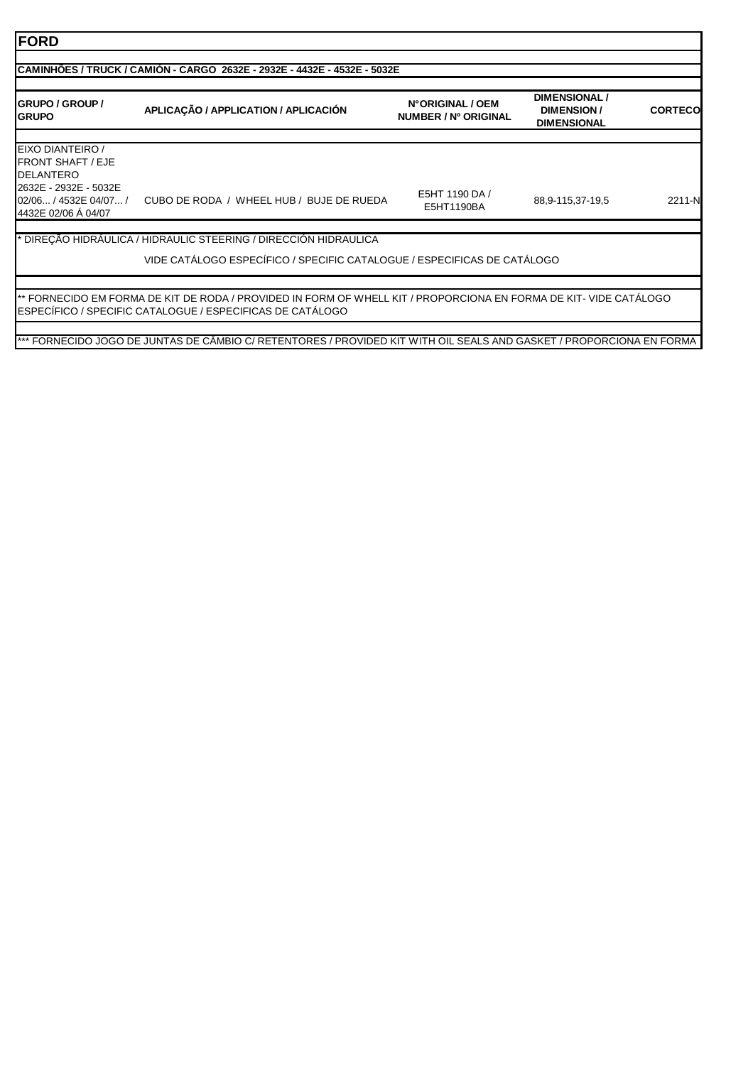| <b>GRUPO / GROUP /</b><br><b>GRUPO</b>                                | APLICAÇÃO / APPLICATION / APLICACIÓN                                    | N°ORIGINAL / OEM<br>NUMBER / Nº ORIGINAL | DIMENSIONAL /<br><b>DIMENSION/</b><br><b>DIMENSIONAL</b> | <b>CORTECO</b> |
|-----------------------------------------------------------------------|-------------------------------------------------------------------------|------------------------------------------|----------------------------------------------------------|----------------|
| EIXO DIANTEIRO /<br><b>FRONT SHAFT / EJE</b><br><b>DELANTERO</b>      |                                                                         |                                          |                                                          |                |
| 2632E - 2932E - 5032E<br>02/06 / 4532E 04/07 /<br>4432E 02/06 Á 04/07 | CUBO DE RODA / WHEEL HUB / BUJE DE RUEDA                                | E5HT 1190 DA /<br>E5HT1190BA             | 88,9-115,37-19,5                                         | 2211-N         |
|                                                                       | DIREÇÃO HIDRÁULICA / HIDRAULIC STEERING / DIRECCIÓN HIDRAULICA          |                                          |                                                          |                |
|                                                                       | VIDE CATÁLOGO ESPECÍFICO / SPECIFIC CATALOGUE / ESPECIFICAS DE CATÁLOGO |                                          |                                                          |                |

٦

ESPECÍFICO / SPECIFIC CATALOGUE / ESPECIFICAS DE CATÁLOGO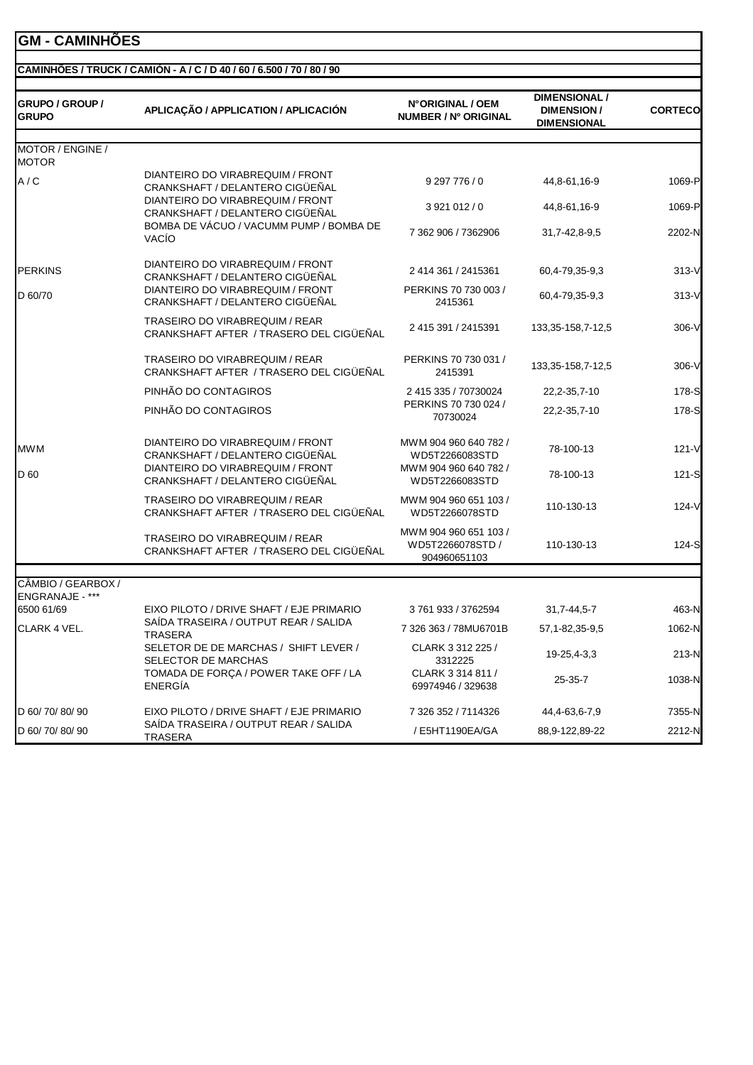## **GM - CAMINHÕES**

#### **CAMINHÕES / TRUCK / CAMIÓN - A / C / D 40 / 60 / 6.500 / 70 / 80 / 90**

| <b>GRUPO / GROUP /</b><br><b>GRUPO</b> | APLICAÇÃO / APPLICATION / APLICACIÓN                                      | N°ORIGINAL / OEM<br>NUMBER / Nº ORIGINAL                  | <b>DIMENSIONAL /</b><br><b>DIMENSION/</b><br><b>DIMENSIONAL</b> | <b>CORTECO</b> |
|----------------------------------------|---------------------------------------------------------------------------|-----------------------------------------------------------|-----------------------------------------------------------------|----------------|
| MOTOR / ENGINE /<br><b>MOTOR</b>       |                                                                           |                                                           |                                                                 |                |
| A / C                                  | DIANTEIRO DO VIRABREQUIM / FRONT<br>CRANKSHAFT / DELANTERO CIGÜEÑAL       | 9 297 776 / 0                                             | 44,8-61,16-9                                                    | 1069-P         |
|                                        | DIANTEIRO DO VIRABREQUIM / FRONT<br>CRANKSHAFT / DELANTERO CIGÜEÑAL       | 3921012/0                                                 | 44,8-61,16-9                                                    | 1069-P         |
|                                        | BOMBA DE VÁCUO / VACUMM PUMP / BOMBA DE<br><b>VACÍO</b>                   | 7 362 906 / 7362906                                       | 31,7-42,8-9,5                                                   | 2202-N         |
| <b>PERKINS</b>                         | DIANTEIRO DO VIRABREQUIM / FRONT<br>CRANKSHAFT / DELANTERO CIGÜEÑAL       | 2 414 361 / 2415361                                       | 60,4-79,35-9,3                                                  | $313-V$        |
| D 60/70                                | DIANTEIRO DO VIRABREQUIM / FRONT<br>CRANKSHAFT / DELANTERO CIGÜEÑAL       | PERKINS 70 730 003 /<br>2415361                           | 60,4-79,35-9,3                                                  | $313-V$        |
|                                        | TRASEIRO DO VIRABREQUIM / REAR<br>CRANKSHAFT AFTER / TRASERO DEL CIGÜEÑAL | 2 415 391 / 2415391                                       | 133, 35 - 158, 7 - 12, 5                                        | $306-V$        |
|                                        | TRASEIRO DO VIRABREQUIM / REAR<br>CRANKSHAFT AFTER / TRASERO DEL CIGÜEÑAL | PERKINS 70 730 031 /<br>2415391                           | 133, 35-158, 7-12, 5                                            | $306-V$        |
|                                        | PINHÃO DO CONTAGIROS                                                      | 2 415 335 / 70730024                                      | 22,2-35,7-10                                                    | 178-S          |
|                                        | PINHÃO DO CONTAGIROS                                                      | PERKINS 70 730 024 /<br>70730024                          | 22,2-35,7-10                                                    | 178-S          |
| <b>MWM</b>                             | DIANTEIRO DO VIRABREQUIM / FRONT<br>CRANKSHAFT / DELANTERO CIGÜEÑAL       | MWM 904 960 640 782 /<br>WD5T2266083STD                   | 78-100-13                                                       | $121 - V$      |
| D 60                                   | DIANTEIRO DO VIRABREQUIM / FRONT<br>CRANKSHAFT / DELANTERO CIGÜEÑAL       | MWM 904 960 640 782 /<br>WD5T2266083STD                   | 78-100-13                                                       | 121-S          |
|                                        | TRASEIRO DO VIRABREQUIM / REAR<br>CRANKSHAFT AFTER / TRASERO DEL CIGÜEÑAL | MWM 904 960 651 103 /<br>WD5T2266078STD                   | 110-130-13                                                      | 124-V          |
|                                        | TRASEIRO DO VIRABREQUIM / REAR<br>CRANKSHAFT AFTER / TRASERO DEL CIGÜEÑAL | MWM 904 960 651 103 /<br>WD5T2266078STD /<br>904960651103 | 110-130-13                                                      | 124-S          |
| CÂMBIO / GEARBOX /                     |                                                                           |                                                           |                                                                 |                |
| ENGRANAJE - ***<br>6500 61/69          | EIXO PILOTO / DRIVE SHAFT / EJE PRIMARIO                                  | 3761933/3762594                                           | 31,7-44,5-7                                                     | 463-N          |
| CLARK 4 VEL.                           | SAÍDA TRASEIRA / OUTPUT REAR / SALIDA<br><b>TRASERA</b>                   | 7 326 363 / 78MU6701B                                     | 57, 1-82, 35-9, 5                                               | 1062-N         |
|                                        | SELETOR DE DE MARCHAS / SHIFT LEVER /<br>SELECTOR DE MARCHAS              | CLARK 3 312 225 /<br>3312225                              | 19-25,4-3,3                                                     | 213-N          |
|                                        | TOMADA DE FORÇA / POWER TAKE OFF / LA<br><b>ENERGIA</b>                   | CLARK 3 314 811 /<br>69974946 / 329638                    | 25-35-7                                                         | 1038-N         |
| D 60/ 70/ 80/ 90                       | EIXO PILOTO / DRIVE SHAFT / EJE PRIMARIO                                  | 7 326 352 / 7114326                                       | 44,4-63,6-7,9                                                   | 7355-N         |
| D 60/70/80/90                          | SAIDA TRASEIRA / OUTPUT REAR / SALIDA<br><b>TRASERA</b>                   | / E5HT1190EA/GA                                           | 88,9-122,89-22                                                  | 2212-N         |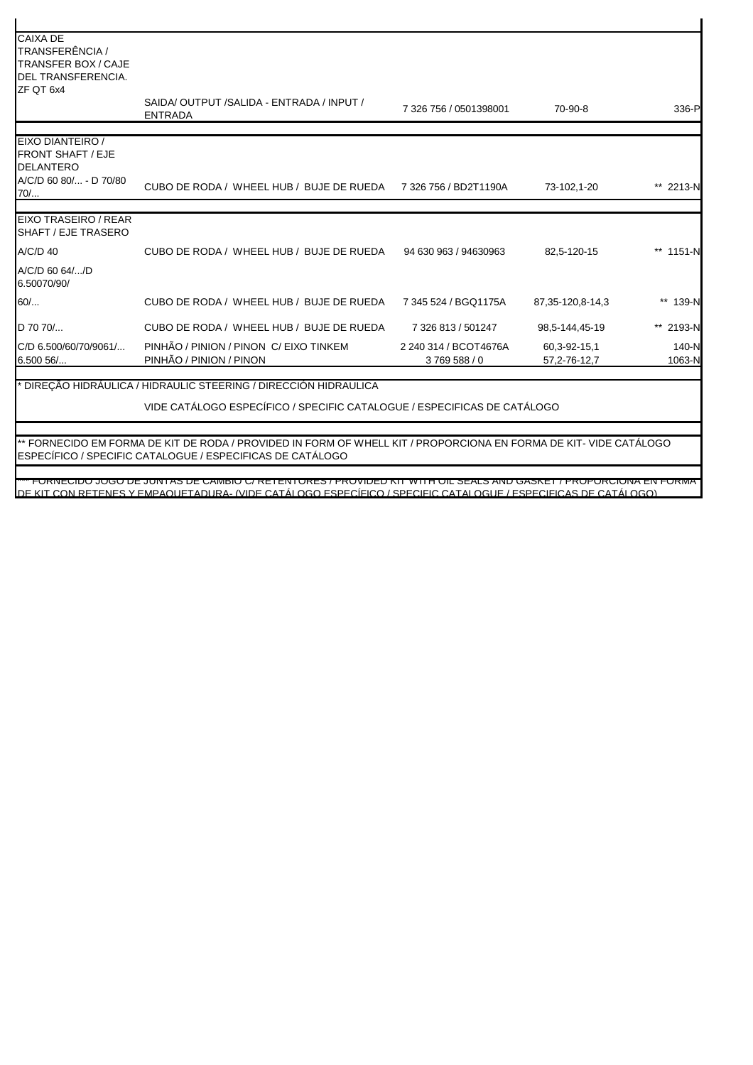| <b>CAIXA DE</b><br>TRANSFERÊNCIA /<br><b>TRANSFER BOX / CAJE</b><br>DEL TRANSFERENCIA.<br>ZF QT 6x4 |                                                                                                                   |                                    |                                |                 |
|-----------------------------------------------------------------------------------------------------|-------------------------------------------------------------------------------------------------------------------|------------------------------------|--------------------------------|-----------------|
|                                                                                                     | SAIDA/OUTPUT/SALIDA - ENTRADA / INPUT /<br><b>ENTRADA</b>                                                         | 7 326 756 / 0501398001             | 70-90-8                        | 336-P           |
| EIXO DIANTEIRO /<br><b>FRONT SHAFT / EJE</b><br><b>DELANTERO</b>                                    |                                                                                                                   |                                    |                                |                 |
| A/C/D 60 80/ - D 70/80<br>70/                                                                       | CUBO DE RODA / WHEEL HUB / BUJE DE RUEDA 7326 756 / BD2T1190A                                                     |                                    | 73-102,1-20                    | ** 2213-N       |
| EIXO TRASEIRO / REAR<br>SHAFT / EJE TRASERO                                                         |                                                                                                                   |                                    |                                |                 |
| A/C/D 40                                                                                            | CUBO DE RODA / WHEEL HUB / BUJE DE RUEDA                                                                          | 94 630 963 / 94630963              | 82,5-120-15                    | ** 1151-N       |
| A/C/D 60 64//D<br>6.50070/90/                                                                       |                                                                                                                   |                                    |                                |                 |
| 60/                                                                                                 | CUBO DE RODA / WHEEL HUB / BUJE DE RUEDA                                                                          | 7 345 524 / BGQ1175A               | 87, 35-120, 8-14, 3            | ** 139-N        |
| D 70 70/                                                                                            | CUBO DE RODA / WHEEL HUB / BUJE DE RUEDA                                                                          | 7 326 813 / 501247                 | 98,5-144,45-19                 | ** 2193-N       |
| C/D 6.500/60/70/9061/<br>$6.50056$                                                                  | PINHÃO / PINION / PINON C/ EIXO TINKEM<br>PINHÃO / PINION / PINON                                                 | 2 240 314 / BCOT4676A<br>3769588/0 | 60,3-92-15,1<br>57, 2-76-12, 7 | 140-N<br>1063-N |
|                                                                                                     | * DIREÇÃO HIDRÁULICA / HIDRAULIC STEERING / DIRECCIÓN HIDRAULICA                                                  |                                    |                                |                 |
|                                                                                                     | VIDE CATÁLOGO ESPECÍFICO / SPECIFIC CATALOGUE / ESPECIFICAS DE CATÁLOGO                                           |                                    |                                |                 |
|                                                                                                     | ** FORNECIDO EM FORMA DE KIT DE RODA / PROVIDED IN FORM OF WHELL KIT / PROPORCIONA EN FORMA DE KIT- VIDE CATÁLOGO |                                    |                                |                 |
|                                                                                                     | ESPECÍFICO / SPECIFIC CATALOGUE / ESPECIFICAS DE CATÁLOGO                                                         |                                    |                                |                 |

\*\*\* FORNECIDO JOGO DE JUNTAS DE CÂMBIO C/ RETENTORES / PROVIDED KIT WITH OIL SEALS AND GASKET / PROPORCIONA EN FORMA DE KIT CON RETENES Y EMPAQUETADURA- (VIDE CATÁLOGO ESPECÍFICO / SPECIFIC CATALOGUE / ESPECIFICAS DE CATÁLOGO)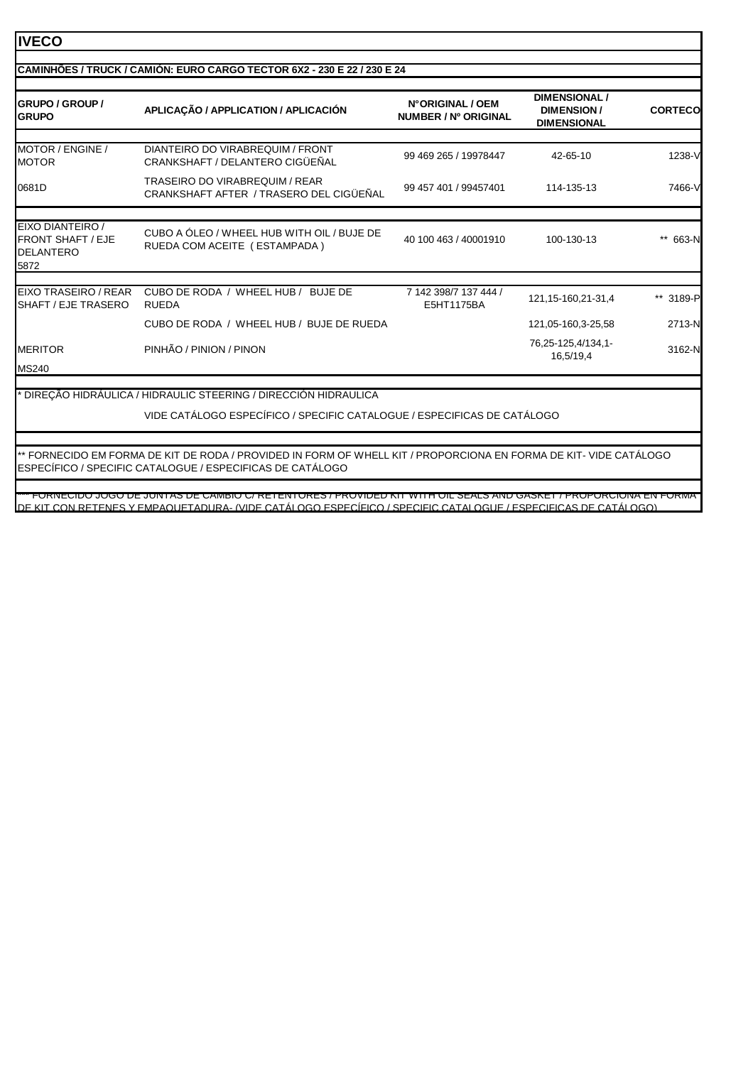#### **IVECO GRUPO / GROUP / GRUPO APLICAÇÃO / APPLICATION / APLICACIÓN N° ORIGINAL / OEM NUMBER / Nº ORIGINAL DIMENSIONAL / DIMENSION / DIMENSIONAL CORTECO** MOTOR / ENGINE / **MOTOR** DIANTEIRO DO VIRABREQUIM / FRONT DIANTEIRO DO VIRABREQUIM / FRONT<br>CRANKSHAFT / DELANTERO CIGÜEÑAL 699 469 265 / 19978447 42-65-10 1238-V 0681D TRASEIRO DO VIRABREQUIM / REAR CRANKSHAFT AFTER / TRASERO DEL CIGÜEÑAL 99 457 401 / 99457401 114-135-13 7466-V EIXO DIANTEIRO / FRONT SHAFT / EJE DELANTERO CUBO A ÓLEO / WHEEL HUB WITH OIL / BUJE DE COBO A OLEO / WHEEL HOB WITH OIL / BOJE DE 40 100 463 / 40001910 100-130-13 \*\* 663-N<br>RUEDA COM ACEITE (ESTAMPADA) 5872 EIXO TRASEIRO / REAR SHAFT / EJE TRASERO CUBO DE RODA / WHEEL HUB / BUJE DE RUEDA 7 142 398/7 137 444 / E5HT1175BA 121,15-160,21-31,4 \*\* 3189-P CUBO DE RODA / WHEEL HUB / BUJE DE RUEDA 121,05-160,3-25,58 2713-N 16,25-125,4/134,1-<br>MERITOR PINHÃO / PINION / PINON  $3162-N$ <br>16.5/19.4 3162-N MS240 VIDE CATÁLOGO ESPECÍFICO / SPECIFIC CATALOGUE / ESPECIFICAS DE CATÁLOGO \*\* FORNECIDO EM FORMA DE KIT DE RODA / PROVIDED IN FORM OF WHELL KIT / PROPORCIONA EN FORMA DE KIT- VIDE CATÁLOGO ESPECÍFICO / SPECIFIC CATALOGUE / ESPECIFICAS DE CATÁLOGO **CAMINHÕES / TRUCK / CAMIÓN: EURO CARGO TECTOR 6X2 - 230 E 22 / 230 E 24** \* DIREÇÃO HIDRÁULICA / HIDRAULIC STEERING / DIRECCIÓN HIDRAULICA

\*\*\* FORNECIDO JOGO DE JUNTAS DE CÂMBIO C/ RETENTORES / PROVIDED KIT WITH OIL SEALS AND GASKET / PROPORCIONA EN FORMA DE KIT CON RETENES Y EMPAQUETADURA- (VIDE CATÁLOGO ESPECÍFICO / SPECIFIC CATALOGUE / ESPECIFICAS DE CATÁLOGO)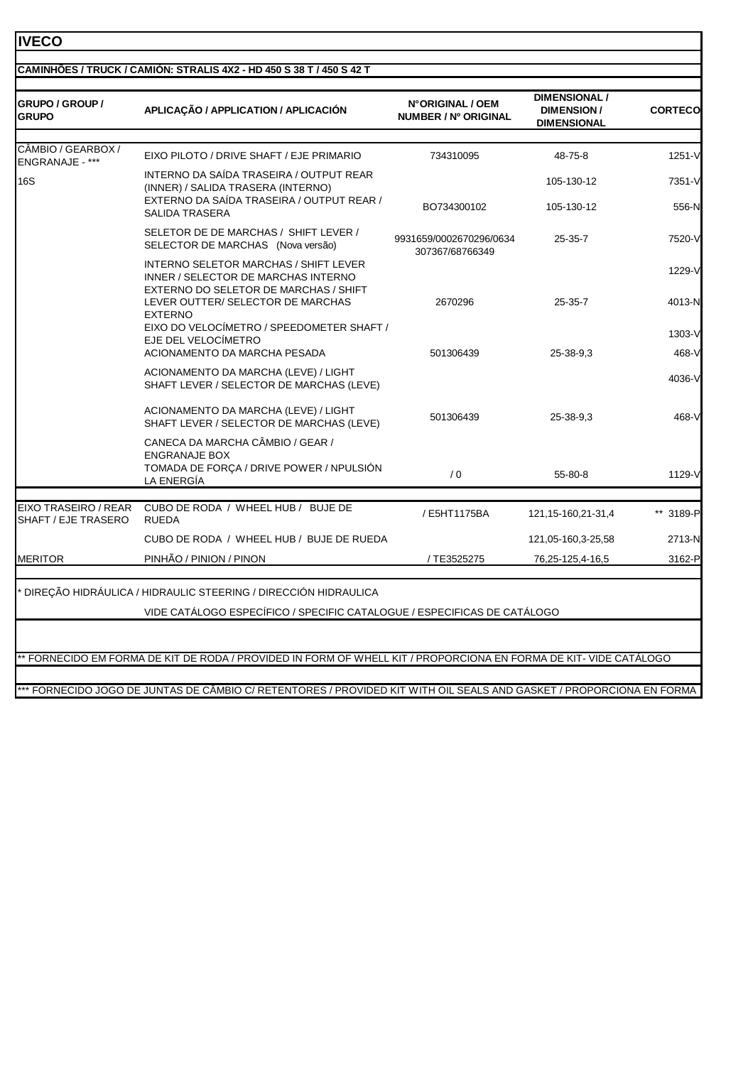#### **IVECO**

## **CAMINHÕES / TRUCK / CAMIÓN: STRALIS 4X2 - HD 450 S 38 T / 450 S 42 T**

| <b>GRUPO / GROUP /</b><br><b>GRUPO</b>      | APLICAÇÃO / APPLICATION / APLICACIÓN                                                                                       | N°ORIGINAL / OEM<br>NUMBER / Nº ORIGINAL   | <b>DIMENSIONAL /</b><br><b>DIMENSION/</b><br><b>DIMENSIONAL</b> | <b>CORTECO</b> |
|---------------------------------------------|----------------------------------------------------------------------------------------------------------------------------|--------------------------------------------|-----------------------------------------------------------------|----------------|
| CÂMBIO / GEARBOX /                          |                                                                                                                            |                                            |                                                                 |                |
| ENGRANAJE - ***                             | EIXO PILOTO / DRIVE SHAFT / EJE PRIMARIO                                                                                   | 734310095                                  | 48-75-8                                                         | 1251-V         |
| <b>16S</b>                                  | INTERNO DA SAÍDA TRASEIRA / OUTPUT REAR<br>(INNER) / SALIDA TRASERA (INTERNO)<br>EXTERNO DA SAÍDA TRASEIRA / OUTPUT REAR / |                                            | 105-130-12                                                      | 7351-V         |
|                                             | SALIDA TRASERA                                                                                                             | BO734300102                                | 105-130-12                                                      | 556-N          |
|                                             | SELETOR DE DE MARCHAS / SHIFT LEVER /<br>SELECTOR DE MARCHAS (Nova versão)                                                 | 9931659/0002670296/0634<br>307367/68766349 | $25 - 35 - 7$                                                   | 7520-V         |
|                                             | INTERNO SELETOR MARCHAS / SHIFT LEVER<br>INNER / SELECTOR DE MARCHAS INTERNO<br>EXTERNO DO SELETOR DE MARCHAS / SHIFT      |                                            |                                                                 | 1229-V         |
|                                             | LEVER OUTTER/ SELECTOR DE MARCHAS<br><b>EXTERNO</b>                                                                        | 2670296                                    | $25 - 35 - 7$                                                   | 4013-N         |
|                                             | EIXO DO VELOCÍMETRO / SPEEDOMETER SHAFT /<br>EJE DEL VELOCÍMETRO                                                           |                                            |                                                                 | 1303-V         |
|                                             | ACIONAMENTO DA MARCHA PESADA                                                                                               | 501306439                                  | 25-38-9.3                                                       | 468-V          |
|                                             | ACIONAMENTO DA MARCHA (LEVE) / LIGHT<br>SHAFT LEVER / SELECTOR DE MARCHAS (LEVE)                                           |                                            |                                                                 | 4036-V         |
|                                             | ACIONAMENTO DA MARCHA (LEVE) / LIGHT<br>SHAFT LEVER / SELECTOR DE MARCHAS (LEVE)                                           | 501306439                                  | 25-38-9.3                                                       | 468-V          |
|                                             | CANECA DA MARCHA CÂMBIO / GEAR /<br><b>ENGRANAJE BOX</b><br>TOMADA DE FORÇA / DRIVE POWER / NPULSIÓN<br>LA ENERGÍA         | /0                                         | 55-80-8                                                         | 1129-V         |
|                                             |                                                                                                                            |                                            |                                                                 |                |
| EIXO TRASEIRO / REAR<br>SHAFT / EJE TRASERO | CUBO DE RODA / WHEEL HUB / BUJE DE<br><b>RUEDA</b>                                                                         | / E5HT1175BA                               | 121, 15-160, 21-31, 4                                           | ** 3189-P      |
|                                             | CUBO DE RODA / WHEEL HUB / BUJE DE RUEDA                                                                                   |                                            | 121,05-160,3-25,58                                              | 2713-N         |
|                                             | PINHÃO / PINION / PINON                                                                                                    | / TE3525275                                | 76,25-125,4-16,5                                                | 3162-P         |

DIREÇÃO HIDRÁULICA / HIDRAULIC STEERING / DIRECCIÓN HIDRAULICA

VIDE CATÁLOGO ESPECÍFICO / SPECIFIC CATALOGUE / ESPECIFICAS DE CATÁLOGO

\*\* FORNECIDO EM FORMA DE KIT DE RODA / PROVIDED IN FORM OF WHELL KIT / PROPORCIONA EN FORMA DE KIT- VIDE CATÁLOGO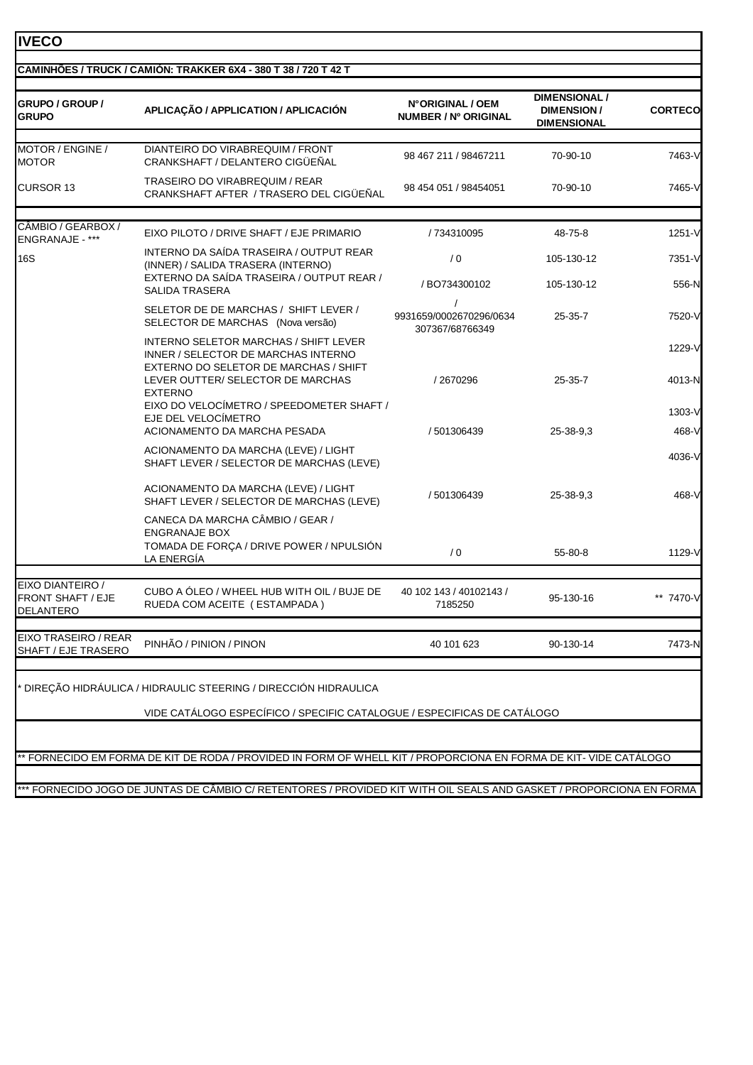|                                                           | CAMINHÕES / TRUCK / CAMIÓN: TRAKKER 6X4 - 380 T 38 / 720 T 42 T                                                              |                                                        |                                                                 |                 |
|-----------------------------------------------------------|------------------------------------------------------------------------------------------------------------------------------|--------------------------------------------------------|-----------------------------------------------------------------|-----------------|
| <b>GRUPO / GROUP /</b><br><b>GRUPO</b>                    | APLICAÇÃO / APPLICATION / APLICACIÓN                                                                                         | N°ORIGINAL / OEM<br><b>NUMBER / Nº ORIGINAL</b>        | <b>DIMENSIONAL /</b><br><b>DIMENSION/</b><br><b>DIMENSIONAL</b> | <b>CORTECO</b>  |
| MOTOR / ENGINE /                                          | DIANTEIRO DO VIRABREQUIM / FRONT                                                                                             |                                                        |                                                                 |                 |
| <b>MOTOR</b>                                              | CRANKSHAFT / DELANTERO CIGÜEÑAL                                                                                              | 98 467 211 / 98467211                                  | 70-90-10                                                        | 7463-V          |
| <b>CURSOR 13</b>                                          | TRASEIRO DO VIRABREQUIM / REAR<br>CRANKSHAFT AFTER / TRASERO DEL CIGÜEÑAL                                                    | 98 454 051 / 98454051                                  | 70-90-10                                                        | 7465-V          |
| CÂMBIO / GEARBOX /<br>ENGRANAJE - ***                     | EIXO PILOTO / DRIVE SHAFT / EJE PRIMARIO                                                                                     | / 734310095                                            | 48-75-8                                                         | 1251-V          |
| <b>16S</b>                                                | INTERNO DA SAÍDA TRASEIRA / OUTPUT REAR<br>(INNER) / SALIDA TRASERA (INTERNO)                                                | /0                                                     | 105-130-12                                                      | 7351-V          |
|                                                           | EXTERNO DA SAÍDA TRASEIRA / OUTPUT REAR /<br><b>SALIDA TRASERA</b>                                                           | / BO734300102                                          | 105-130-12                                                      | 556-N           |
|                                                           | SELETOR DE DE MARCHAS / SHIFT LEVER /<br>SELECTOR DE MARCHAS (Nova versão)                                                   | $\prime$<br>9931659/0002670296/0634<br>307367/68766349 | $25 - 35 - 7$                                                   | 7520-V          |
|                                                           | <b>INTERNO SELETOR MARCHAS / SHIFT LEVER</b><br>INNER / SELECTOR DE MARCHAS INTERNO<br>EXTERNO DO SELETOR DE MARCHAS / SHIFT |                                                        |                                                                 | 1229-V          |
|                                                           | LEVER OUTTER/ SELECTOR DE MARCHAS<br><b>EXTERNO</b><br>EIXO DO VELOCÍMETRO / SPEEDOMETER SHAFT /                             | /2670296                                               | 25-35-7                                                         | 4013-N          |
|                                                           | EJE DEL VELOCIMETRO                                                                                                          |                                                        |                                                                 | 1303-V          |
|                                                           | ACIONAMENTO DA MARCHA PESADA<br>ACIONAMENTO DA MARCHA (LEVE) / LIGHT<br>SHAFT LEVER / SELECTOR DE MARCHAS (LEVE)             | / 501306439                                            | 25-38-9.3                                                       | 468-V<br>4036-V |
|                                                           | ACIONAMENTO DA MARCHA (LEVE) / LIGHT<br>SHAFT LEVER / SELECTOR DE MARCHAS (LEVE)                                             | / 501306439                                            | 25-38-9.3                                                       | 468-V           |
|                                                           | CANECA DA MARCHA CÂMBIO / GEAR /<br><b>ENGRANAJE BOX</b>                                                                     |                                                        |                                                                 |                 |
|                                                           | TOMADA DE FORÇA / DRIVE POWER / NPULSIÓN<br>LA ENERGÍA                                                                       | $\sqrt{0}$                                             | 55-80-8                                                         | 1129-V          |
| EIXO DIANTEIRO /<br><b>FRONT SHAFT / EJE</b><br>DELANTERO | CUBO A ÓLEO / WHEEL HUB WITH OIL / BUJE DE<br>RUEDA COM ACEITE (ESTAMPADA)                                                   | 40 102 143 / 40102143 /<br>7185250                     | 95-130-16                                                       | 7470-V          |
| EIXO TRASEIRO / REAR<br>SHAFT / EJE TRASERO               | PINHÃO / PINION / PINON                                                                                                      | 40 101 623                                             | 90-130-14                                                       | 7473-N          |
|                                                           | DIREÇÃO HIDRÁULICA / HIDRAULIC STEERING / DIRECCIÓN HIDRAULICA                                                               |                                                        |                                                                 |                 |
|                                                           | VIDE CATÁLOGO ESPECÍFICO / SPECIFIC CATALOGUE / ESPECIFICAS DE CATÁLOGO                                                      |                                                        |                                                                 |                 |
|                                                           |                                                                                                                              |                                                        |                                                                 |                 |

٦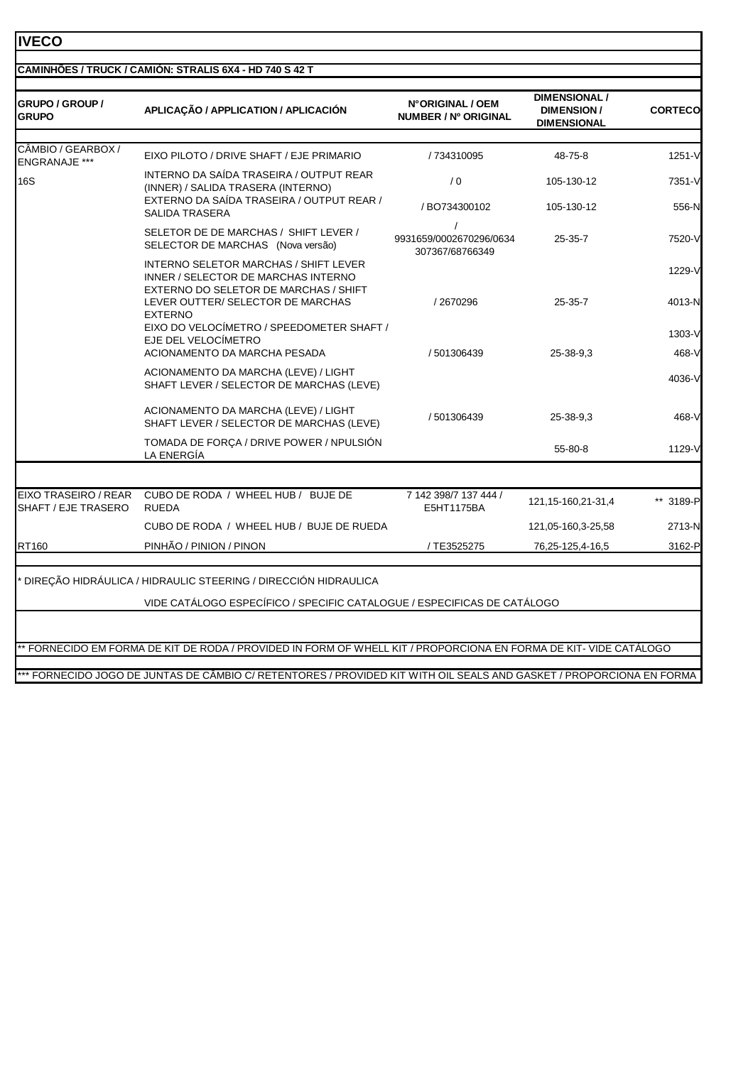# **IVECO**

| GRUPO / GROUP /<br><b>GRUPO</b>            | APLICAÇÃO / APPLICATION / APLICACIÓN                                                                                                                              | N°ORIGINAL / OEM<br><b>NUMBER / Nº ORIGINAL</b> | DIMENSIONAL /<br><b>DIMENSION/</b><br><b>DIMENSIONAL</b> | <b>CORTECO</b>   |
|--------------------------------------------|-------------------------------------------------------------------------------------------------------------------------------------------------------------------|-------------------------------------------------|----------------------------------------------------------|------------------|
| CÂMBIO / GEARBOX /<br><b>ENGRANAJE ***</b> | EIXO PILOTO / DRIVE SHAFT / EJE PRIMARIO                                                                                                                          | / 734310095                                     | 48-75-8                                                  | 1251-V           |
| <b>16S</b>                                 | INTERNO DA SAÍDA TRASEIRA / OUTPUT REAR<br>(INNER) / SALIDA TRASERA (INTERNO)                                                                                     | /0                                              | 105-130-12                                               | 7351-V           |
|                                            | EXTERNO DA SAÍDA TRASEIRA / OUTPUT REAR /<br><b>SALIDA TRASERA</b>                                                                                                | / BO734300102                                   | 105-130-12                                               | 556-N            |
|                                            | SELETOR DE DE MARCHAS / SHIFT LEVER /<br>SELECTOR DE MARCHAS (Nova versão)                                                                                        | 9931659/0002670296/0634<br>307367/68766349      | $25 - 35 - 7$                                            | 7520-VI          |
|                                            | <b>INTERNO SELETOR MARCHAS / SHIFT LEVER</b><br>INNER / SELECTOR DE MARCHAS INTERNO<br>EXTERNO DO SELETOR DE MARCHAS / SHIFT<br>LEVER OUTTER/ SELECTOR DE MARCHAS | /2670296                                        | $25 - 35 - 7$                                            | 1229-V<br>4013-N |
|                                            | <b>EXTERNO</b><br>EIXO DO VELOCÍMETRO / SPEEDOMETER SHAFT /<br>EJE DEL VELOCÍMETRO                                                                                |                                                 |                                                          | 1303-V           |
|                                            | ACIONAMENTO DA MARCHA PESADA<br>ACIONAMENTO DA MARCHA (LEVE) / LIGHT<br>SHAFT LEVER / SELECTOR DE MARCHAS (LEVE)                                                  | / 501306439                                     | 25-38-9.3                                                | 468-V<br>4036-V  |
|                                            | ACIONAMENTO DA MARCHA (LEVE) / LIGHT<br>SHAFT LEVER / SELECTOR DE MARCHAS (LEVE)                                                                                  | / 501306439                                     | 25-38-9.3                                                | 468-V            |
|                                            | TOMADA DE FORÇA / DRIVE POWER / NPULSIÓN<br>LA ENERGÍA                                                                                                            |                                                 | 55-80-8                                                  | 1129-V           |
| EIXO TRASEIRO / REAR                       | CUBO DE RODA / WHEEL HUB / BUJE DE                                                                                                                                | 7 142 398/7 137 444 /                           |                                                          |                  |
| SHAFT / EJE TRASERO                        | <b>RUEDA</b>                                                                                                                                                      | E5HT1175BA                                      | 121, 15-160, 21-31, 4                                    | ** 3189-P        |
|                                            | CUBO DE RODA / WHEEL HUB / BUJE DE RUEDA                                                                                                                          |                                                 | 121,05-160,3-25,58                                       | 2713-N           |
| RT160                                      | PINHÃO / PINION / PINON                                                                                                                                           | / TE3525275                                     | 76,25-125,4-16,5                                         | 3162-P           |
|                                            | DIREÇÃO HIDRÁULICA / HIDRAULIC STEERING / DIRECCIÓN HIDRAULICA                                                                                                    |                                                 |                                                          |                  |
|                                            | VIDE CATÁLOGO ESPECÍFICO / SPECIFIC CATALOGUE / ESPECIFICAS DE CATÁLOGO                                                                                           |                                                 |                                                          |                  |
|                                            |                                                                                                                                                                   |                                                 |                                                          |                  |
|                                            | ** FORNECIDO EM FORMA DE KIT DE RODA / PROVIDED IN FORM OF WHELL KIT / PROPORCIONA EN FORMA DE KIT- VIDE CATÁLOGO                                                 |                                                 |                                                          |                  |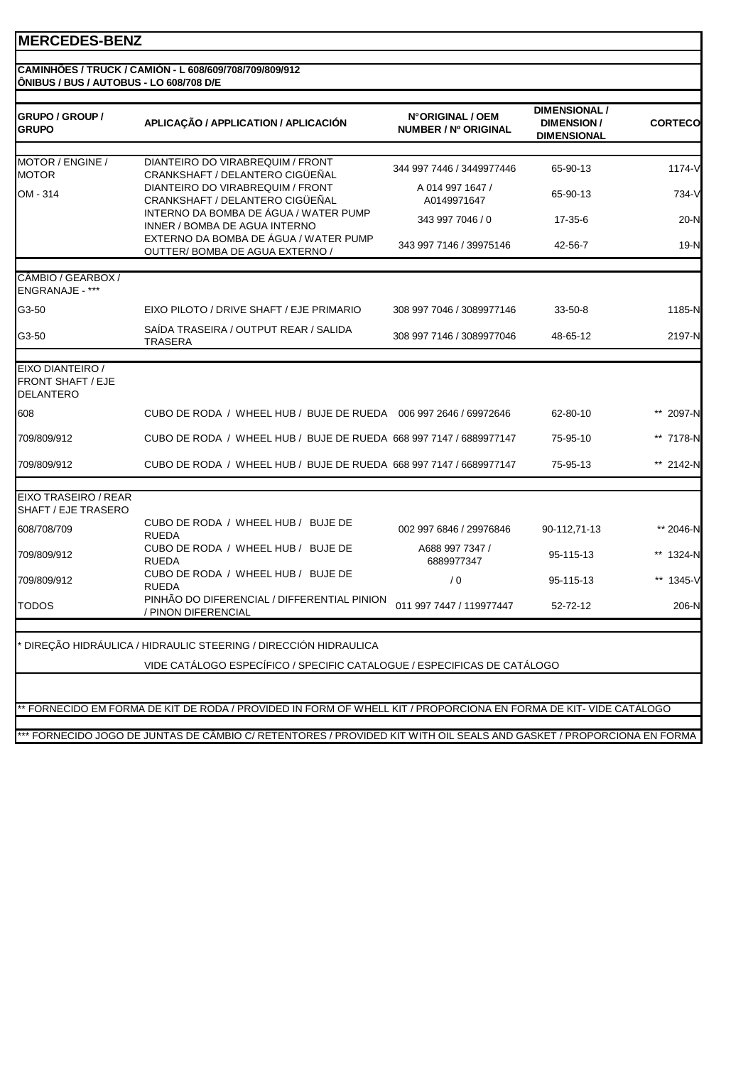#### **CAMINHÕES / TRUCK / CAMIÓN - L 608/609/708/709/809/912 ÔNIBUS / BUS / AUTOBUS - LO 608/708 D/E**

| <b>GRUPO / GROUP /</b><br><b>GRUPO</b>                    | APLICAÇÃO / APPLICATION / APLICACIÓN                                                                              | N°ORIGINAL / OEM<br>NUMBER / Nº ORIGINAL | <b>DIMENSIONAL /</b><br><b>DIMENSION/</b><br><b>DIMENSIONAL</b> | <b>CORTECO</b> |
|-----------------------------------------------------------|-------------------------------------------------------------------------------------------------------------------|------------------------------------------|-----------------------------------------------------------------|----------------|
| MOTOR / ENGINE /<br><b>MOTOR</b>                          | DIANTEIRO DO VIRABREQUIM / FRONT<br>CRANKSHAFT / DELANTERO CIGÜEÑAL                                               | 344 997 7446 / 3449977446                | 65-90-13                                                        | 1174-V         |
| OM - 314                                                  | DIANTEIRO DO VIRABREQUIM / FRONT<br>CRANKSHAFT / DELANTERO CIGÜEÑAL                                               | A 014 997 1647 /<br>A0149971647          | 65-90-13                                                        | 734-V          |
|                                                           | INTERNO DA BOMBA DE ÁGUA / WATER PUMP<br>INNER / BOMBA DE AGUA INTERNO                                            | 343 997 7046 / 0                         | 17-35-6                                                         | $20-N$         |
|                                                           | EXTERNO DA BOMBA DE ÁGUA / WATER PUMP<br>OUTTER/BOMBA DE AGUA EXTERNO /                                           | 343 997 7146 / 39975146                  | 42-56-7                                                         | $19-N$         |
| CÂMBIO / GEARBOX /<br><b>ENGRANAJE - ***</b>              |                                                                                                                   |                                          |                                                                 |                |
| G3-50                                                     | EIXO PILOTO / DRIVE SHAFT / EJE PRIMARIO                                                                          | 308 997 7046 / 3089977146                | $33 - 50 - 8$                                                   | 1185-N         |
| G3-50                                                     | SAÍDA TRASEIRA / OUTPUT REAR / SALIDA<br><b>TRASERA</b>                                                           | 308 997 7146 / 3089977046                | 48-65-12                                                        | 2197-N         |
| EIXO DIANTEIRO /<br>FRONT SHAFT / EJE<br><b>DELANTERO</b> |                                                                                                                   |                                          |                                                                 |                |
| 608                                                       | CUBO DE RODA / WHEEL HUB / BUJE DE RUEDA 006 997 2646 / 69972646                                                  |                                          | 62-80-10                                                        | 2097-N         |
| 709/809/912                                               | CUBO DE RODA / WHEEL HUB / BUJE DE RUEDA 668 997 7147 / 6889977147                                                |                                          | 75-95-10                                                        | ** 7178-N      |
| 709/809/912                                               | CUBO DE RODA / WHEEL HUB / BUJE DE RUEDA 668 997 7147 / 6689977147                                                |                                          | 75-95-13                                                        | ** 2142-N      |
| EIXO TRASEIRO / REAR<br>SHAFT / EJE TRASERO               |                                                                                                                   |                                          |                                                                 |                |
| 608/708/709                                               | CUBO DE RODA / WHEEL HUB / BUJE DE<br><b>RUEDA</b>                                                                | 002 997 6846 / 29976846                  | 90-112,71-13                                                    | ** 2046-N      |
| 709/809/912                                               | CUBO DE RODA / WHEEL HUB / BUJE DE<br><b>RUEDA</b>                                                                | A688 997 7347 /<br>6889977347            | 95-115-13                                                       | ** 1324-N      |
| 709/809/912                                               | CUBO DE RODA / WHEEL HUB / BUJE DE<br><b>RUEDA</b>                                                                | /0                                       | 95-115-13                                                       | ** 1345-V      |
| <b>TODOS</b>                                              | PINHÃO DO DIFERENCIAL / DIFFERENTIAL PINION<br>/ PINON DIFERENCIAL                                                | 011 997 7447 / 119977447                 | 52-72-12                                                        | 206-N          |
|                                                           | DIREÇÃO HIDRÁULICA / HIDRAULIC STEERING / DIRECCIÓN HIDRAULICA                                                    |                                          |                                                                 |                |
|                                                           | VIDE CATÁLOGO ESPECÍFICO / SPECIFIC CATALOGUE / ESPECIFICAS DE CATÁLOGO                                           |                                          |                                                                 |                |
|                                                           | ** FORNECIDO EM FORMA DE KIT DE RODA / PROVIDED IN FORM OF WHELL KIT / PROPORCIONA EN FORMA DE KIT- VIDE CATÁLOGO |                                          |                                                                 |                |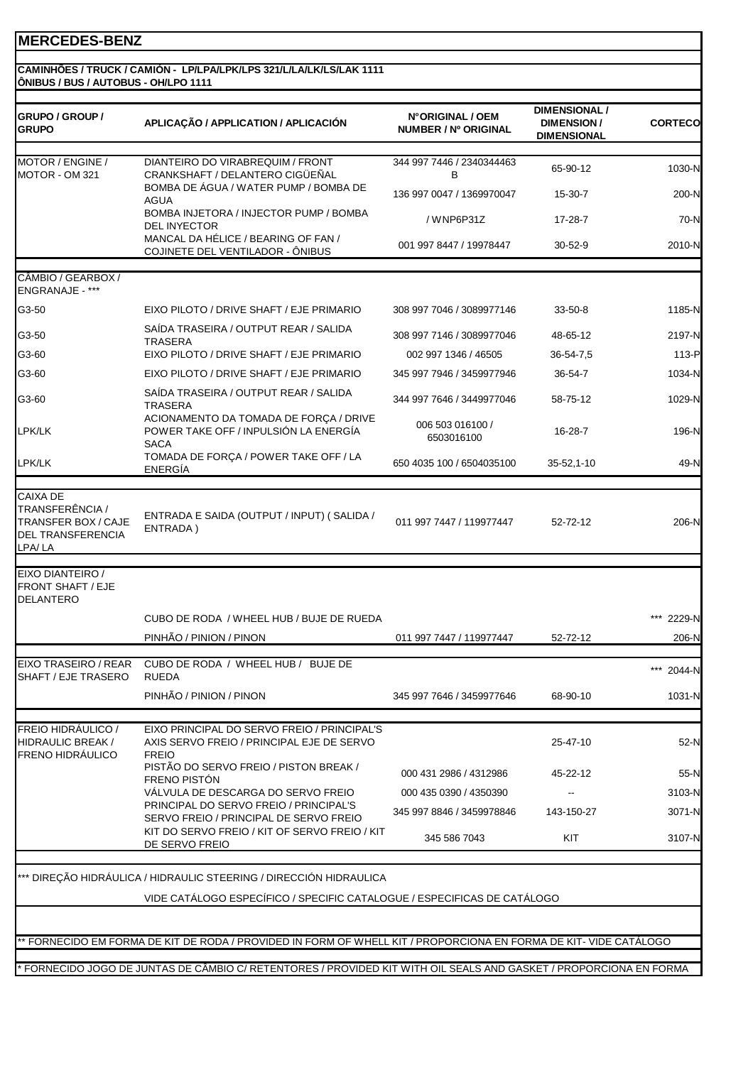#### **CAMINHÕES / TRUCK / CAMIÓN - LP/LPA/LPK/LPS 321/L/LA/LK/LS/LAK 1111 ÔNIBUS / BUS / AUTOBUS - OH/LPO 1111**

| <b>GRUPO / GROUP /</b><br><b>GRUPO</b>                                                                 | APLICAÇÃO / APPLICATION / APLICACIÓN                                                                               | N°ORIGINAL / OEM<br><b>NUMBER / Nº ORIGINAL</b> | <b>DIMENSIONAL /</b><br><b>DIMENSION/</b><br><b>DIMENSIONAL</b> | <b>CORTECO</b> |
|--------------------------------------------------------------------------------------------------------|--------------------------------------------------------------------------------------------------------------------|-------------------------------------------------|-----------------------------------------------------------------|----------------|
| MOTOR / ENGINE /                                                                                       | DIANTEIRO DO VIRABREQUIM / FRONT                                                                                   | 344 997 7446 / 2340344463                       | 65-90-12                                                        | 1030-N         |
| MOTOR - OM 321                                                                                         | CRANKSHAFT / DELANTERO CIGÜEÑAL<br>BOMBA DE ÁGUA / WATER PUMP / BOMBA DE                                           | B<br>136 997 0047 / 1369970047                  | 15-30-7                                                         |                |
|                                                                                                        | <b>AGUA</b><br>BOMBA INJETORA / INJECTOR PUMP / BOMBA                                                              |                                                 |                                                                 | 200-N          |
|                                                                                                        | <b>DEL INYECTOR</b>                                                                                                | / WNP6P31Z                                      | 17-28-7                                                         | 70-N           |
|                                                                                                        | MANCAL DA HÉLICE / BEARING OF FAN /<br>COJINETE DEL VENTILADOR - ÔNIBUS                                            | 001 997 8447 / 19978447                         | 30-52-9                                                         | 2010-N         |
| CÂMBIO / GEARBOX /<br>ENGRANAJE - ***                                                                  |                                                                                                                    |                                                 |                                                                 |                |
| G3-50                                                                                                  | EIXO PILOTO / DRIVE SHAFT / EJE PRIMARIO                                                                           | 308 997 7046 / 3089977146                       | $33 - 50 - 8$                                                   | 1185-N         |
| G3-50                                                                                                  | SAIDA TRASEIRA / OUTPUT REAR / SALIDA                                                                              | 308 997 7146 / 3089977046                       | 48-65-12                                                        | 2197-N         |
| G3-60                                                                                                  | <b>TRASERA</b><br>EIXO PILOTO / DRIVE SHAFT / EJE PRIMARIO                                                         | 002 997 1346 / 46505                            | 36-54-7,5                                                       | 113-P          |
| G3-60                                                                                                  | EIXO PILOTO / DRIVE SHAFT / EJE PRIMARIO                                                                           | 345 997 7946 / 3459977946                       | 36-54-7                                                         | 1034-N         |
|                                                                                                        | SAÍDA TRASEIRA / OUTPUT REAR / SALIDA                                                                              |                                                 |                                                                 |                |
| G3-60                                                                                                  | <b>TRASERA</b>                                                                                                     | 344 997 7646 / 3449977046                       | 58-75-12                                                        | 1029-N         |
| LPK/LK                                                                                                 | ACIONAMENTO DA TOMADA DE FORÇA / DRIVE<br>POWER TAKE OFF / INPULSIÓN LA ENERGÍA<br><b>SACA</b>                     | 006 503 016100 /<br>6503016100                  | 16-28-7                                                         | 196-N          |
| LPK/LK                                                                                                 | TOMADA DE FORÇA / POWER TAKE OFF / LA<br>ENERGÍA                                                                   | 650 4035 100 / 6504035100                       | 35-52,1-10                                                      | 49-N           |
|                                                                                                        |                                                                                                                    |                                                 |                                                                 |                |
| <b>CAIXA DE</b><br>TRANSFERÊNCIA /<br><b>TRANSFER BOX / CAJE</b><br><b>DEL TRANSFERENCIA</b><br>LPA/LA | ENTRADA E SAIDA (OUTPUT / INPUT) (SALIDA /<br>ENTRADA)                                                             | 011 997 7447 / 119977447                        | 52-72-12                                                        | 206-N          |
| EIXO DIANTEIRO /<br><b>FRONT SHAFT / EJE</b><br>DELANTERO                                              |                                                                                                                    |                                                 |                                                                 |                |
|                                                                                                        | CUBO DE RODA / WHEEL HUB / BUJE DE RUEDA                                                                           |                                                 |                                                                 | 2229-N         |
|                                                                                                        | PINHÃO / PINION / PINON                                                                                            | 011 997 7447 / 119977447                        | 52-72-12                                                        | 206-N          |
| EIXO TRASEIRO / REAR<br>SHAFT / EJE TRASERO                                                            | CUBO DE RODA / WHEEL HUB / BUJE DE<br><b>RUEDA</b>                                                                 |                                                 |                                                                 | *** 2044-N     |
|                                                                                                        | PINHÃO / PINION / PINON                                                                                            | 345 997 7646 / 3459977646                       | 68-90-10                                                        | 1031-N         |
| <b>FREIO HIDRÁULICO /</b><br><b>HIDRAULIC BREAK /</b><br><b>FRENO HIDRAULICO</b>                       | EIXO PRINCIPAL DO SERVO FREIO / PRINCIPAL'S<br>AXIS SERVO FREIO / PRINCIPAL EJE DE SERVO<br><b>FREIO</b>           |                                                 | 25-47-10                                                        | 52-N           |
|                                                                                                        | PISTÃO DO SERVO FREIO / PISTON BREAK /<br>FRENO PISTÓN                                                             | 000 431 2986 / 4312986                          | 45-22-12                                                        | 55-N           |
|                                                                                                        | VÁLVULA DE DESCARGA DO SERVO FREIO                                                                                 | 000 435 0390 / 4350390                          |                                                                 | 3103-N         |
|                                                                                                        | PRINCIPAL DO SERVO FREIO / PRINCIPAL'S<br>SERVO FREIO / PRINCIPAL DE SERVO FREIO                                   | 345 997 8846 / 3459978846                       | 143-150-27                                                      | 3071-N         |
|                                                                                                        | KIT DO SERVO FREIO / KIT OF SERVO FREIO / KIT<br>DE SERVO FREIO                                                    | 345 586 7043                                    | KIT                                                             | 3107-N         |
|                                                                                                        | *** DIREÇÃO HIDRÁULICA / HIDRAULIC STEERING / DIRECCIÓN HIDRAULICA                                                 |                                                 |                                                                 |                |
|                                                                                                        | VIDE CATÁLOGO ESPECÍFICO / SPECIFIC CATALOGUE / ESPECIFICAS DE CATÁLOGO                                            |                                                 |                                                                 |                |
|                                                                                                        |                                                                                                                    |                                                 |                                                                 |                |
|                                                                                                        | ** FORNECIDO EM FORMA DE KIT DE RODA / PROVIDED IN FORM OF WHELL KIT / PROPORCIONA EN FORMA DE KIT- VIDE CATÁLOGO  |                                                 |                                                                 |                |
|                                                                                                        | * FORNECIDO JOGO DE JUNTAS DE CÂMBIO C/ RETENTORES / PROVIDED KIT WITH OIL SEALS AND GASKET / PROPORCIONA EN FORMA |                                                 |                                                                 |                |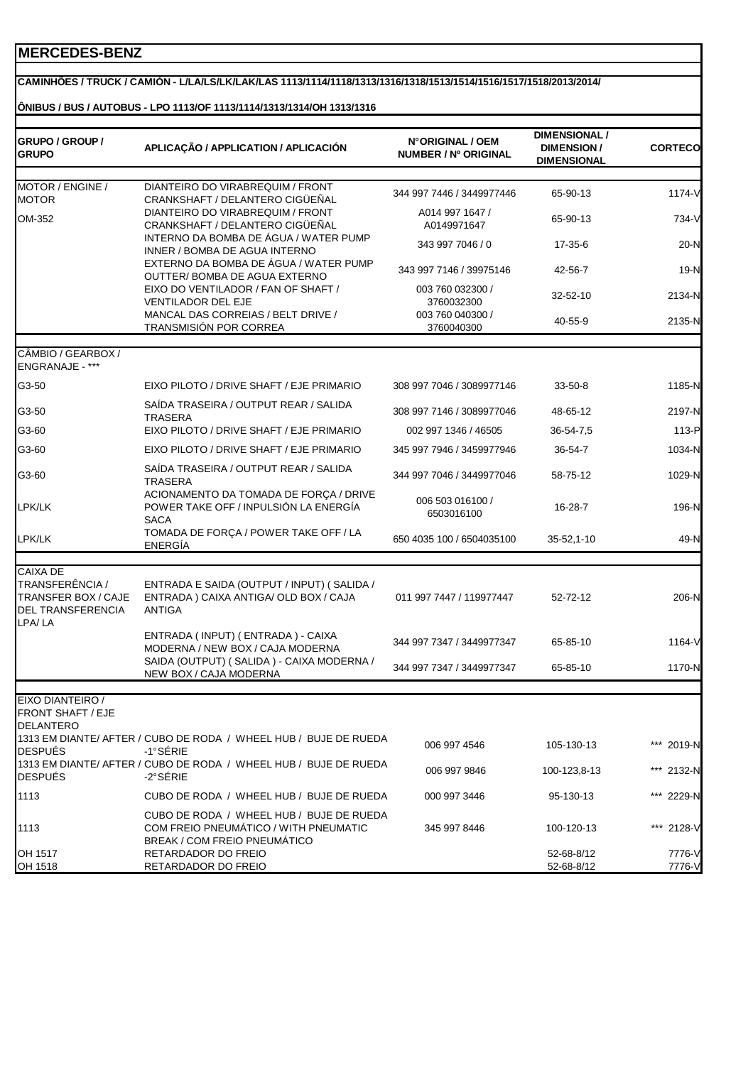#### **CAMINHÕES / TRUCK / CAMIÓN - L/LA/LS/LK/LAK/LAS 1113/1114/1118/1313/1316/1318/1513/1514/1516/1517/1518/2013/2014/**

#### **ÔNIBUS / BUS / AUTOBUS - LPO 1113/OF 1113/1114/1313/1314/OH 1313/1316**

| GRUPO / GROUP /<br><b>GRUPO</b>                                                     | APLICAÇÃO / APPLICATION / APLICACIÓN                                                                                     | N°ORIGINAL / OEM<br>NUMBER / Nº ORIGINAL | <b>DIMENSIONAL /</b><br><b>DIMENSION/</b><br><b>DIMENSIONAL</b> | <b>CORTECO</b>   |
|-------------------------------------------------------------------------------------|--------------------------------------------------------------------------------------------------------------------------|------------------------------------------|-----------------------------------------------------------------|------------------|
| MOTOR / ENGINE /                                                                    | DIANTEIRO DO VIRABREQUIM / FRONT                                                                                         |                                          |                                                                 |                  |
| <b>MOTOR</b>                                                                        | CRANKSHAFT / DELANTERO CIGÜEÑAL                                                                                          | 344 997 7446 / 3449977446                | 65-90-13                                                        | 1174-V           |
| OM-352                                                                              | DIANTEIRO DO VIRABREQUIM / FRONT<br>CRANKSHAFT / DELANTERO CIGÜEÑAL                                                      | A014 997 1647 /<br>A0149971647           | 65-90-13                                                        | 734-V            |
|                                                                                     | INTERNO DA BOMBA DE ÁGUA / WATER PUMP<br>INNER / BOMBA DE AGUA INTERNO                                                   | 343 997 7046 / 0                         | 17-35-6                                                         | 20-N             |
|                                                                                     | EXTERNO DA BOMBA DE ÁGUA / WATER PUMP<br>OUTTER/ BOMBA DE AGUA EXTERNO                                                   | 343 997 7146 / 39975146                  | 42-56-7                                                         | $19-N$           |
|                                                                                     | EIXO DO VENTILADOR / FAN OF SHAFT /<br>VENTILADOR DEL EJE                                                                | 003 760 032300 /<br>3760032300           | 32-52-10                                                        | 2134-N           |
|                                                                                     | MANCAL DAS CORREIAS / BELT DRIVE /<br>TRANSMISIÓN POR CORREA                                                             | 003 760 040300 /<br>3760040300           | 40-55-9                                                         | 2135-N           |
| CÂMBIO / GEARBOX /<br>ENGRANAJE - ***                                               |                                                                                                                          |                                          |                                                                 |                  |
| G3-50                                                                               | EIXO PILOTO / DRIVE SHAFT / EJE PRIMARIO                                                                                 | 308 997 7046 / 3089977146                | $33 - 50 - 8$                                                   | 1185-N           |
| G3-50                                                                               | SAÍDA TRASEIRA / OUTPUT REAR / SALIDA<br><b>TRASERA</b>                                                                  | 308 997 7146 / 3089977046                | 48-65-12                                                        | 2197-N           |
| G3-60                                                                               | EIXO PILOTO / DRIVE SHAFT / EJE PRIMARIO                                                                                 | 002 997 1346 / 46505                     | 36-54-7,5                                                       | 113-P            |
| G3-60                                                                               | EIXO PILOTO / DRIVE SHAFT / EJE PRIMARIO                                                                                 | 345 997 7946 / 3459977946                | 36-54-7                                                         | 1034-N           |
| G3-60                                                                               | SAÍDA TRASEIRA / OUTPUT REAR / SALIDA<br><b>TRASERA</b>                                                                  | 344 997 7046 / 3449977046                | 58-75-12                                                        | 1029-N           |
| LPK/LK                                                                              | ACIONAMENTO DA TOMADA DE FORÇA / DRIVE<br>POWER TAKE OFF / INPULSIÓN LA ENERGÍA<br><b>SACA</b>                           | 006 503 016100 /<br>6503016100           | 16-28-7                                                         | 196-N            |
| LPK/LK                                                                              | TOMADA DE FORÇA / POWER TAKE OFF / LA<br><b>ENERGÍA</b>                                                                  | 650 4035 100 / 6504035100                | 35-52,1-10                                                      | 49-N             |
| <b>CAIXA DE</b>                                                                     |                                                                                                                          |                                          |                                                                 |                  |
| TRANSFERÊNCIA /<br><b>TRANSFER BOX / CAJE</b><br><b>DEL TRANSFERENCIA</b><br>LPA/LA | ENTRADA E SAIDA (OUTPUT / INPUT) (SALIDA /<br>ENTRADA) CAIXA ANTIGA/ OLD BOX / CAJA<br><b>ANTIGA</b>                     | 011 997 7447 / 119977447                 | 52-72-12                                                        | 206-N            |
|                                                                                     | ENTRADA (INPUT) (ENTRADA) - CAIXA<br>MODERNA / NEW BOX / CAJA MODERNA                                                    | 344 997 7347 / 3449977347                | 65-85-10                                                        | 1164-V           |
|                                                                                     | SAIDA (OUTPUT) (SALIDA) - CAIXA MODERNA /<br>NEW BOX / CAJA MODERNA                                                      | 344 997 7347 / 3449977347                | 65-85-10                                                        | 1170-N           |
| EIXO DIANTEIRO /<br><b>FRONT SHAFT / EJE</b><br><b>DELANTERO</b>                    |                                                                                                                          |                                          |                                                                 |                  |
| DESPUÉS                                                                             | 1313 EM DIANTE/ AFTER / CUBO DE RODA / WHEEL HUB / BUJE DE RUEDA<br>$-1^{\circ}$ SÉRIE                                   | 006 997 4546                             | 105-130-13                                                      | ***<br>2019-N    |
| <b>DESPUÉS</b>                                                                      | 1313 EM DIANTE/ AFTER / CUBO DE RODA / WHEEL HUB / BUJE DE RUEDA<br>$-2^{\circ}$ SÉRIE                                   | 006 997 9846                             | 100-123,8-13                                                    | *** 2132-N       |
| 1113                                                                                | CUBO DE RODA / WHEEL HUB / BUJE DE RUEDA                                                                                 | 000 997 3446                             | 95-130-13                                                       | *** 2229-N       |
| 1113                                                                                | CUBO DE RODA / WHEEL HUB / BUJE DE RUEDA<br>COM FREIO PNEUMÁTICO / WITH PNEUMATIC<br><b>BREAK / COM FREIO PNEUMATICO</b> | 345 997 8446                             | 100-120-13                                                      | *** 2128-V       |
| OH 1517<br>OH 1518                                                                  | RETARDADOR DO FREIO<br>RETARDADOR DO FREIO                                                                               |                                          | 52-68-8/12<br>52-68-8/12                                        | 7776-V<br>7776-V |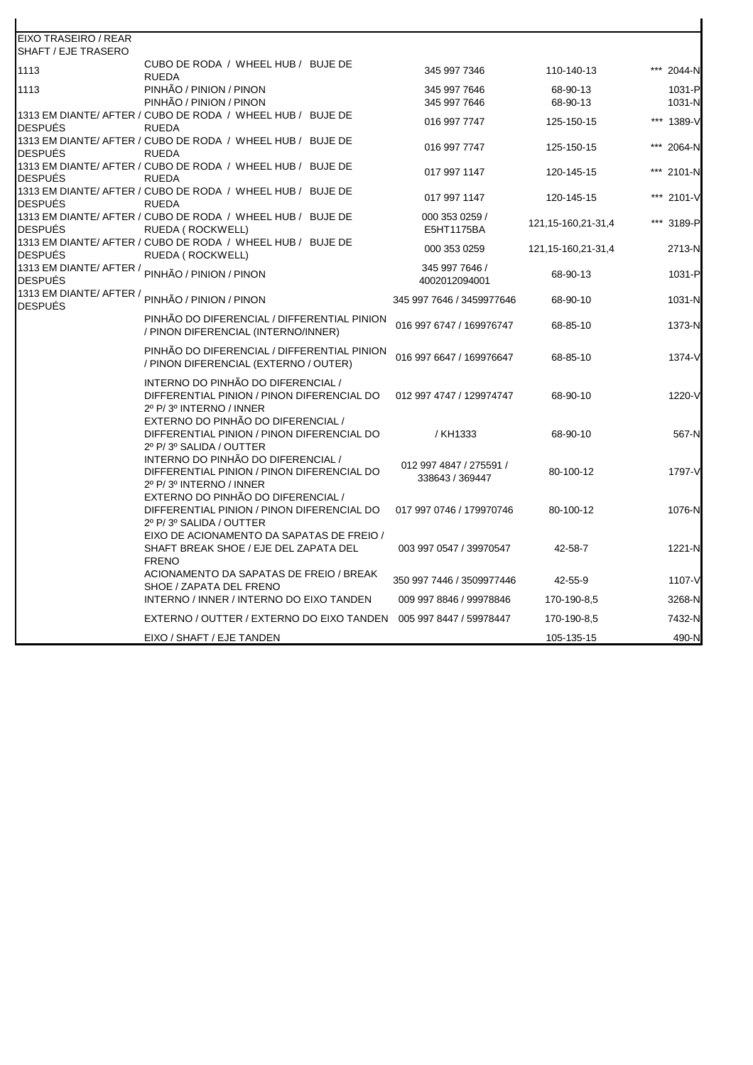| EIXO TRASEIRO / REAR |                                                                                                             |                                            |                       |                  |
|----------------------|-------------------------------------------------------------------------------------------------------------|--------------------------------------------|-----------------------|------------------|
| SHAFT / EJE TRASERO  |                                                                                                             |                                            |                       |                  |
| 1113                 | CUBO DE RODA / WHEEL HUB / BUJE DE<br><b>RUEDA</b>                                                          | 345 997 7346                               | 110-140-13            | 2044-N           |
| 1113                 | PINHÃO / PINION / PINON<br>PINHÃO / PINION / PINON                                                          | 345 997 7646<br>345 997 7646               | 68-90-13<br>68-90-13  | 1031-P<br>1031-N |
| DESPUÉS              | 1313 EM DIANTE/ AFTER / CUBO DE RODA / WHEEL HUB / BUJE DE<br><b>RUEDA</b>                                  | 016 997 7747                               | 125-150-15            | *** 1389-V       |
| <b>DESPUÉS</b>       | 1313 EM DIANTE/ AFTER / CUBO DE RODA / WHEEL HUB / BUJE DE<br><b>RUEDA</b>                                  | 016 997 7747                               | 125-150-15            | 2064-N           |
| <b>DESPUÉS</b>       | 1313 EM DIANTE/ AFTER / CUBO DE RODA / WHEEL HUB / BUJE DE<br><b>RUEDA</b>                                  | 017 997 1147                               | 120-145-15            | 2101-N           |
| <b>DESPUÉS</b>       | 1313 EM DIANTE/ AFTER / CUBO DE RODA / WHEEL HUB / BUJE DE<br><b>RUEDA</b>                                  | 017 997 1147                               | 120-145-15            | *** 2101-V       |
| <b>DESPUÉS</b>       | 1313 EM DIANTE/ AFTER / CUBO DE RODA / WHEEL HUB / BUJE DE<br>RUEDA (ROCKWELL)                              | 000 353 0259 /<br>E5HT1175BA               | 121, 15-160, 21-31, 4 | *** 3189-P       |
| DESPUÉS              | 1313 EM DIANTE/ AFTER / CUBO DE RODA / WHEEL HUB / BUJE DE<br>RUEDA (ROCKWELL)                              | 000 353 0259                               | 121, 15-160, 21-31, 4 | 2713-N           |
| <b>DESPUÉS</b>       | <br> 1313 EM DIANTE/ AFTER / <sub>PINHÃO</sub> / PINION / PINON                                             | 345 997 7646 /<br>4002012094001            | 68-90-13              | 1031-P           |
| <b>DESPUÉS</b>       | 1313 EM DIANTE/ AFTER / PINHÃO / PINION / PINON                                                             | 345 997 7646 / 3459977646                  | 68-90-10              | 1031-N           |
|                      | PINHÃO DO DIFERENCIAL / DIFFERENTIAL PINION<br>/ PINON DIFERENCIAL (INTERNO/INNER)                          | 016 997 6747 / 169976747                   | 68-85-10              | 1373-N           |
|                      | PINHÃO DO DIFERENCIAL / DIFFERENTIAL PINION<br>/ PINON DIFERENCIAL (EXTERNO / OUTER)                        | 016 997 6647 / 169976647                   | 68-85-10              | 1374-V           |
|                      | INTERNO DO PINHÃO DO DIFERENCIAL /<br>DIFFERENTIAL PINION / PINON DIFERENCIAL DO<br>2º P/3º INTERNO / INNER | 012 997 4747 / 129974747                   | 68-90-10              | 1220-V           |
|                      | EXTERNO DO PINHÃO DO DIFERENCIAL /<br>DIFFERENTIAL PINION / PINON DIFERENCIAL DO<br>2º P/3º SALIDA / OUTTER | /KH1333                                    | 68-90-10              | 567-N            |
|                      | INTERNO DO PINHÃO DO DIFERENCIAL /<br>DIFFERENTIAL PINION / PINON DIFERENCIAL DO<br>2º P/3º INTERNO / INNER | 012 997 4847 / 275591 /<br>338643 / 369447 | 80-100-12             | 1797-V           |
|                      | EXTERNO DO PINHÃO DO DIFERENCIAL /<br>DIFFERENTIAL PINION / PINON DIFERENCIAL DO<br>2º P/3º SALIDA / OUTTER | 017 997 0746 / 179970746                   | 80-100-12             | 1076-N           |
|                      | EIXO DE ACIONAMENTO DA SAPATAS DE FREIO /<br>SHAFT BREAK SHOE / EJE DEL ZAPATA DEL<br><b>FRENO</b>          | 003 997 0547 / 39970547                    | 42-58-7               | 1221-N           |
|                      | ACIONAMENTO DA SAPATAS DE FREIO / BREAK<br>SHOE / ZAPATA DEL FRENO                                          | 350 997 7446 / 3509977446                  | 42-55-9               | 1107-V           |
|                      | INTERNO / INNER / INTERNO DO EIXO TANDEN                                                                    | 009 997 8846 / 99978846                    | 170-190-8,5           | 3268-N           |
|                      | EXTERNO / OUTTER / EXTERNO DO EIXO TANDEN                                                                   | 005 997 8447 / 59978447                    | 170-190-8,5           | 7432-N           |
|                      | EIXO / SHAFT / EJE TANDEN                                                                                   |                                            | 105-135-15            | 490-N            |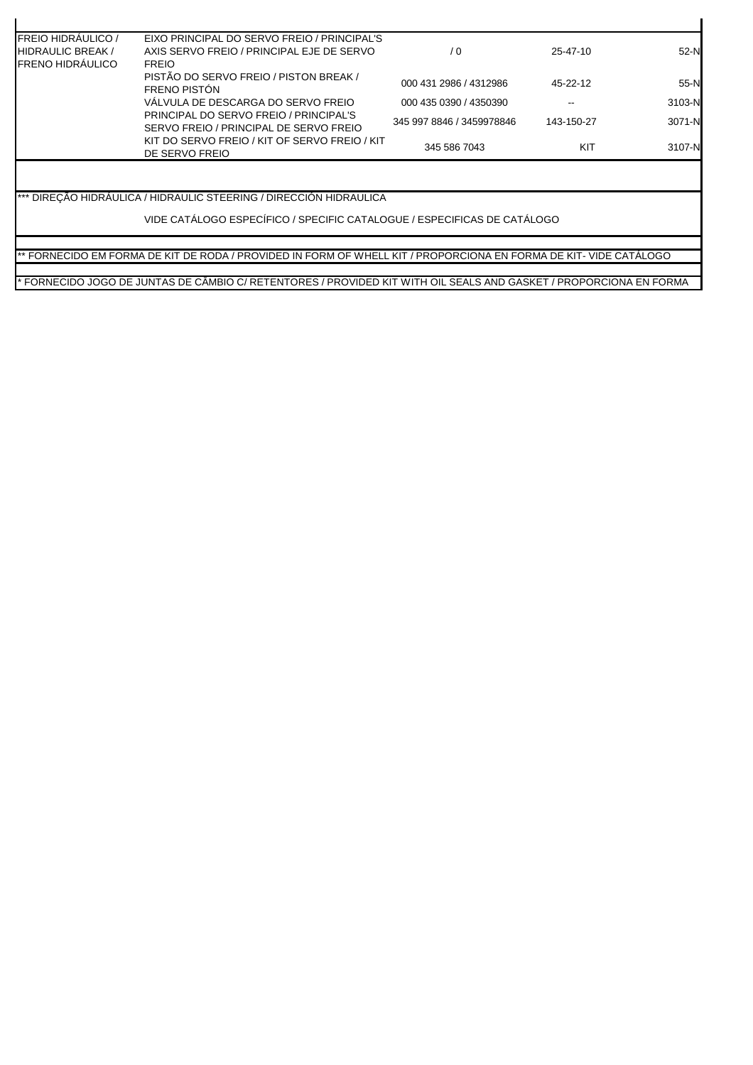| <b>FREIO HIDRAULICO /</b> | EIXO PRINCIPAL DO SERVO FREIO / PRINCIPAL'S                                      |                           |            |        |
|---------------------------|----------------------------------------------------------------------------------|---------------------------|------------|--------|
| <b>IHIDRAULIC BREAK/</b>  | AXIS SERVO FREIO / PRINCIPAL EJE DE SERVO                                        | $\sqrt{0}$                | 25-47-10   | $52-N$ |
| <b>FRENO HIDRÁULICO</b>   | <b>FREIO</b>                                                                     |                           |            |        |
|                           | PISTÃO DO SERVO FREIO / PISTON BREAK /<br>FRENO PISTÓN                           | 000 431 2986 / 4312986    | 45-22-12   | $55-N$ |
|                           | VÁLVULA DE DESCARGA DO SERVO FREIO                                               | 000 435 0390 / 4350390    |            | 3103-N |
|                           | PRINCIPAL DO SERVO FREIO / PRINCIPAL'S<br>SERVO FREIO / PRINCIPAL DE SERVO FREIO | 345 997 8846 / 3459978846 | 143-150-27 | 3071-N |
|                           | KIT DO SERVO FREIO / KIT OF SERVO FREIO / KIT<br>DE SERVO FREIO                  | 345 586 7043              | KIT        | 3107-N |

\*\*\* DIREÇÃO HIDRÁULICA / HIDRAULIC STEERING / DIRECCIÓN HIDRAULICA

VIDE CATÁLOGO ESPECÍFICO / SPECIFIC CATALOGUE / ESPECIFICAS DE CATÁLOGO

\*\* FORNECIDO EM FORMA DE KIT DE RODA / PROVIDED IN FORM OF WHELL KIT / PROPORCIONA EN FORMA DE KIT- VIDE CATÁLOGO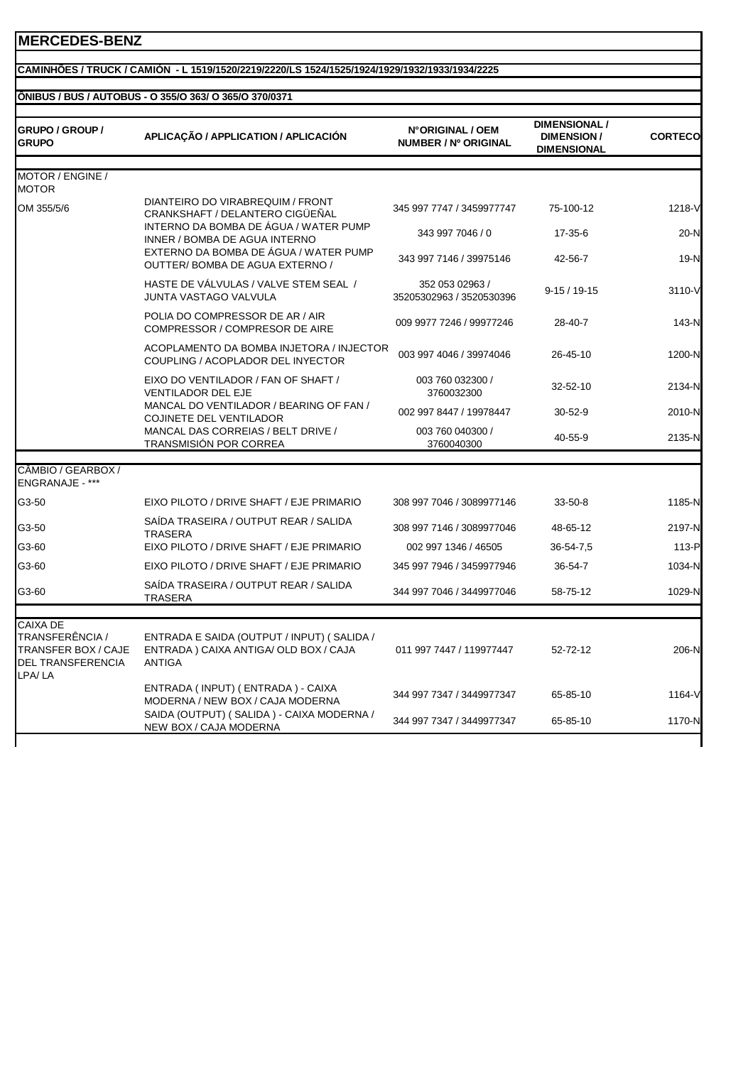#### **CAMINHÕES / TRUCK / CAMIÓN - L 1519/1520/2219/2220/LS 1524/1525/1924/1929/1932/1933/1934/2225**

## **ÔNIBUS / BUS / AUTOBUS - O 355/O 363/ O 365/O 370/0371**

| <b>GRUPO / GROUP /</b><br><b>GRUPO</b>                                              | APLICAÇÃO / APPLICATION / APLICACIÓN                                                                            | N°ORIGINAL / OEM<br><b>NUMBER / Nº ORIGINAL</b> | <b>DIMENSIONAL /</b><br><b>DIMENSION/</b><br><b>DIMENSIONAL</b> | <b>CORTECO</b> |
|-------------------------------------------------------------------------------------|-----------------------------------------------------------------------------------------------------------------|-------------------------------------------------|-----------------------------------------------------------------|----------------|
| MOTOR / ENGINE /<br><b>MOTOR</b>                                                    |                                                                                                                 |                                                 |                                                                 |                |
| OM 355/5/6                                                                          | DIANTEIRO DO VIRABREQUIM / FRONT<br>CRANKSHAFT / DELANTERO CIGÜEÑAL                                             | 345 997 7747 / 3459977747                       | 75-100-12                                                       | 1218-V         |
|                                                                                     | INTERNO DA BOMBA DE ÁGUA / WATER PUMP<br>INNER / BOMBA DE AGUA INTERNO<br>EXTERNO DA BOMBA DE ÁGUA / WATER PUMP | 343 997 7046 / 0                                | $17 - 35 - 6$                                                   | $20-N$         |
|                                                                                     | OUTTER/BOMBA DE AGUA EXTERNO /                                                                                  | 343 997 7146 / 39975146                         | 42-56-7                                                         | $19-N$         |
|                                                                                     | HASTE DE VÁLVULAS / VALVE STEM SEAL /<br>JUNTA VASTAGO VALVULA                                                  | 352 053 02963 /<br>35205302963 / 3520530396     | $9-15/19-15$                                                    | 3110-V         |
|                                                                                     | POLIA DO COMPRESSOR DE AR / AIR<br>COMPRESSOR / COMPRESOR DE AIRE                                               | 009 9977 7246 / 99977246                        | 28-40-7                                                         | 143-N          |
|                                                                                     | ACOPLAMENTO DA BOMBA INJETORA / INJECTOR<br>COUPLING / ACOPLADOR DEL INYECTOR                                   | 003 997 4046 / 39974046                         | 26-45-10                                                        | 1200-N         |
|                                                                                     | EIXO DO VENTILADOR / FAN OF SHAFT /<br><b>VENTILADOR DEL EJE</b>                                                | 003 760 032300 /<br>3760032300                  | 32-52-10                                                        | 2134-N         |
|                                                                                     | MANCAL DO VENTILADOR / BEARING OF FAN /<br><b>COJINETE DEL VENTILADOR</b>                                       | 002 997 8447 / 19978447                         | $30 - 52 - 9$                                                   | 2010-N         |
|                                                                                     | MANCAL DAS CORREIAS / BELT DRIVE /<br><b>TRANSMISIÓN POR CORREA</b>                                             | 003 760 040300 /<br>3760040300                  | 40-55-9                                                         | 2135-N         |
| CÂMBIO / GEARBOX /<br>ENGRANAJE - ***                                               |                                                                                                                 |                                                 |                                                                 |                |
| G3-50                                                                               | EIXO PILOTO / DRIVE SHAFT / EJE PRIMARIO                                                                        | 308 997 7046 / 3089977146                       | $33 - 50 - 8$                                                   | 1185-N         |
| G3-50                                                                               | SAÍDA TRASEIRA / OUTPUT REAR / SALIDA<br><b>TRASERA</b>                                                         | 308 997 7146 / 3089977046                       | 48-65-12                                                        | 2197-N         |
| G3-60                                                                               | EIXO PILOTO / DRIVE SHAFT / EJE PRIMARIO                                                                        | 002 997 1346 / 46505                            | 36-54-7,5                                                       | 113-P          |
| G3-60                                                                               | EIXO PILOTO / DRIVE SHAFT / EJE PRIMARIO                                                                        | 345 997 7946 / 3459977946                       | 36-54-7                                                         | 1034-N         |
| G3-60                                                                               | SAÍDA TRASEIRA / OUTPUT REAR / SALIDA<br>TRASERA                                                                | 344 997 7046 / 3449977046                       | 58-75-12                                                        | 1029-N         |
| <b>CAIXA DE</b>                                                                     |                                                                                                                 |                                                 |                                                                 |                |
| TRANSFERÊNCIA /<br><b>TRANSFER BOX / CAJE</b><br><b>DEL TRANSFERENCIA</b><br>LPA/LA | ENTRADA E SAIDA (OUTPUT / INPUT) (SALIDA /<br>ENTRADA) CAIXA ANTIGA/ OLD BOX / CAJA<br><b>ANTIGA</b>            | 011 997 7447 / 119977447                        | 52-72-12                                                        | 206-N          |
|                                                                                     | ENTRADA (INPUT) (ENTRADA) - CAIXA<br>MODERNA / NEW BOX / CAJA MODERNA                                           | 344 997 7347 / 3449977347                       | 65-85-10                                                        | 1164-V         |
|                                                                                     | SAIDA (OUTPUT) (SALIDA) - CAIXA MODERNA /<br>NEW BOX / CAJA MODERNA                                             | 344 997 7347 / 3449977347                       | 65-85-10                                                        | 1170-N         |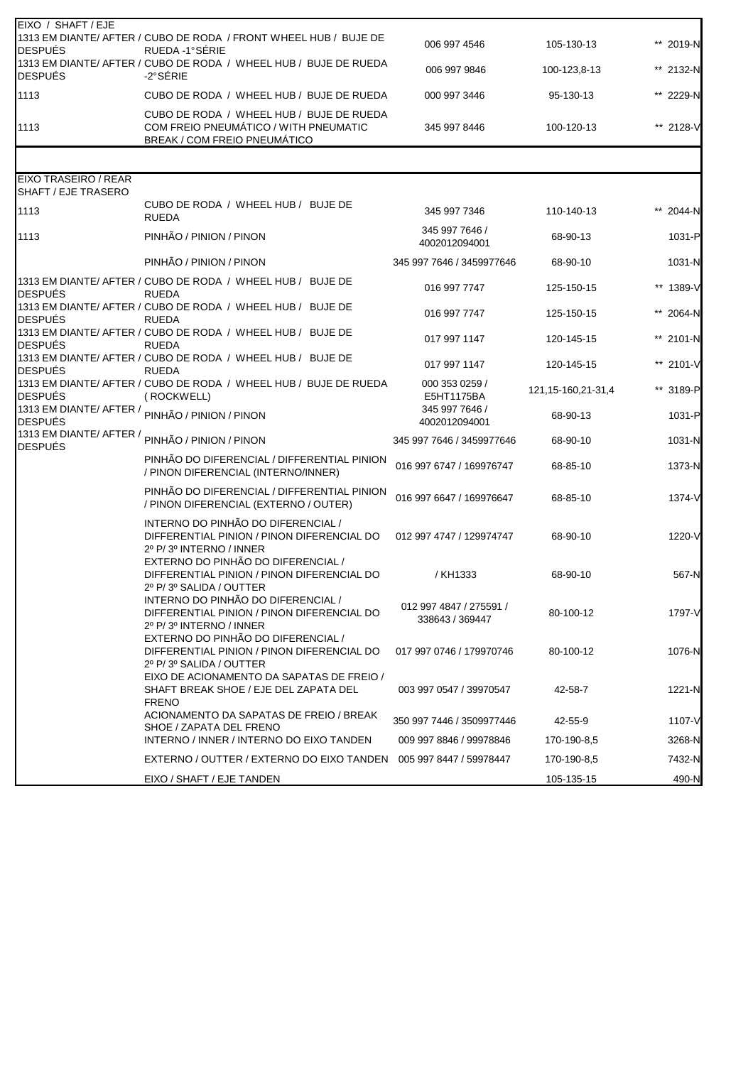| EIXO / SHAFT / EJE<br><b>DESPUÉS</b>               | 1313 EM DIANTE/ AFTER / CUBO DE RODA / FRONT WHEEL HUB / BUJE DE<br>RUEDA -1°SÉRIE                                                                | 006 997 4546                               | 105-130-13            | ** 2019-N  |
|----------------------------------------------------|---------------------------------------------------------------------------------------------------------------------------------------------------|--------------------------------------------|-----------------------|------------|
| <b>DESPUÉS</b>                                     | 1313 EM DIANTE/ AFTER / CUBO DE RODA / WHEEL HUB / BUJE DE RUEDA<br>-2°SÉRIE                                                                      | 006 997 9846                               | 100-123,8-13          | ** 2132-N  |
| 1113                                               | CUBO DE RODA / WHEEL HUB / BUJE DE RUEDA                                                                                                          | 000 997 3446                               | 95-130-13             | ** 2229-N  |
| 1113                                               | CUBO DE RODA / WHEEL HUB / BUJE DE RUEDA<br>COM FREIO PNEUMÁTICO / WITH PNEUMATIC<br><b>BREAK / COM FREIO PNEUMÁTICO</b>                          | 345 997 8446                               | 100-120-13            | ** 2128-V  |
|                                                    |                                                                                                                                                   |                                            |                       |            |
| <b>EIXO TRASEIRO / REAR</b><br>SHAFT / EJE TRASERO |                                                                                                                                                   |                                            |                       |            |
| 1113                                               | CUBO DE RODA / WHEEL HUB / BUJE DE<br><b>RUEDA</b>                                                                                                | 345 997 7346                               | 110-140-13            | 2044-N     |
| 1113                                               | PINHÃO / PINION / PINON                                                                                                                           | 345 997 7646 /<br>4002012094001            | 68-90-13              | 1031-P     |
|                                                    | PINHÃO / PINION / PINON                                                                                                                           | 345 997 7646 / 3459977646                  | 68-90-10              | $1031-N$   |
| <b>DESPUÉS</b>                                     | 1313 EM DIANTE/ AFTER / CUBO DE RODA / WHEEL HUB / BUJE DE<br><b>RUEDA</b>                                                                        | 016 997 7747                               | 125-150-15            | ** 1389-V  |
| <b>DESPUÉS</b>                                     | 1313 EM DIANTE/ AFTER / CUBO DE RODA / WHEEL HUB / BUJE DE<br><b>RUEDA</b>                                                                        | 016 997 7747                               | 125-150-15            | ** 2064-N  |
| <b>DESPUÉS</b>                                     | 1313 EM DIANTE/ AFTER / CUBO DE RODA / WHEEL HUB / BUJE DE<br><b>RUEDA</b>                                                                        | 017 997 1147                               | 120-145-15            | ** 2101-N  |
| <b>DESPUÉS</b>                                     | 1313 EM DIANTE/ AFTER / CUBO DE RODA / WHEEL HUB / BUJE DE<br><b>RUEDA</b>                                                                        | 017 997 1147                               | 120-145-15            | ** 2101-V  |
| <b>DESPUÉS</b>                                     | 1313 EM DIANTE/ AFTER / CUBO DE RODA / WHEEL HUB / BUJE DE RUEDA<br>(ROCKWELL)                                                                    | 000 353 0259 /<br>E5HT1175BA               | 121, 15-160, 21-31, 4 | ** 3189-P  |
| <b>DESPUÉS</b>                                     | 1313 EM DIANTE/ AFTER / <sub>PINHÃO</sub> / PINION / PINON                                                                                        | 345 997 7646 /<br>4002012094001            | 68-90-13              | 1031-P     |
| 1313 EM DIANTE/ AFTER /<br><b>DESPUÉS</b>          | PINHÃO / PINION / PINON                                                                                                                           | 345 997 7646 / 3459977646                  | 68-90-10              | $1031-N$   |
|                                                    | PINHÃO DO DIFERENCIAL / DIFFERENTIAL PINION<br>/ PINON DIFERENCIAL (INTERNO/INNER)                                                                | 016 997 6747 / 169976747                   | 68-85-10              | 1373-N     |
|                                                    | PINHÃO DO DIFERENCIAL / DIFFERENTIAL PINION<br>/ PINON DIFERENCIAL (EXTERNO / OUTER)                                                              | 016 997 6647 / 169976647                   | 68-85-10              | $1374 - V$ |
|                                                    | INTERNO DO PINHÃO DO DIFERENCIAL /<br>DIFFERENTIAL PINION / PINON DIFERENCIAL DO<br>2º P/3º INTERNO / INNER<br>EXTERNO DO PINHÃO DO DIFERENCIAL / | 012 997 4747 / 129974747                   | 68-90-10              | 1220-V     |
|                                                    | DIFFERENTIAL PINION / PINON DIFERENCIAL DO<br>2º P/3º SALIDA / OUTTER                                                                             | / KH1333                                   | 68-90-10              | 567-N      |
|                                                    | INTERNO DO PINHÃO DO DIFERENCIAL /<br>DIFFERENTIAL PINION / PINON DIFERENCIAL DO<br>2º P/3º INTERNO / INNER                                       | 012 997 4847 / 275591 /<br>338643 / 369447 | 80-100-12             | 1797-V     |
|                                                    | EXTERNO DO PINHÃO DO DIFERENCIAL /<br>DIFFERENTIAL PINION / PINON DIFERENCIAL DO<br>2º P/3º SALIDA / OUTTER                                       | 017 997 0746 / 179970746                   | 80-100-12             | 1076-N     |
|                                                    | EIXO DE ACIONAMENTO DA SAPATAS DE FREIO /<br>SHAFT BREAK SHOE / EJE DEL ZAPATA DEL<br><b>FRENO</b>                                                | 003 997 0547 / 39970547                    | 42-58-7               | 1221-N     |
|                                                    | ACIONAMENTO DA SAPATAS DE FREIO / BREAK<br>SHOE / ZAPATA DEL FRENO                                                                                | 350 997 7446 / 3509977446                  | 42-55-9               | $1107 - V$ |
|                                                    | INTERNO / INNER / INTERNO DO EIXO TANDEN                                                                                                          | 009 997 8846 / 99978846                    | 170-190-8,5           | 3268-N     |
|                                                    | EXTERNO / OUTTER / EXTERNO DO EIXO TANDEN                                                                                                         | 005 997 8447 / 59978447                    | 170-190-8,5           | 7432-N     |
|                                                    | EIXO / SHAFT / EJE TANDEN                                                                                                                         |                                            | 105-135-15            | 490-N      |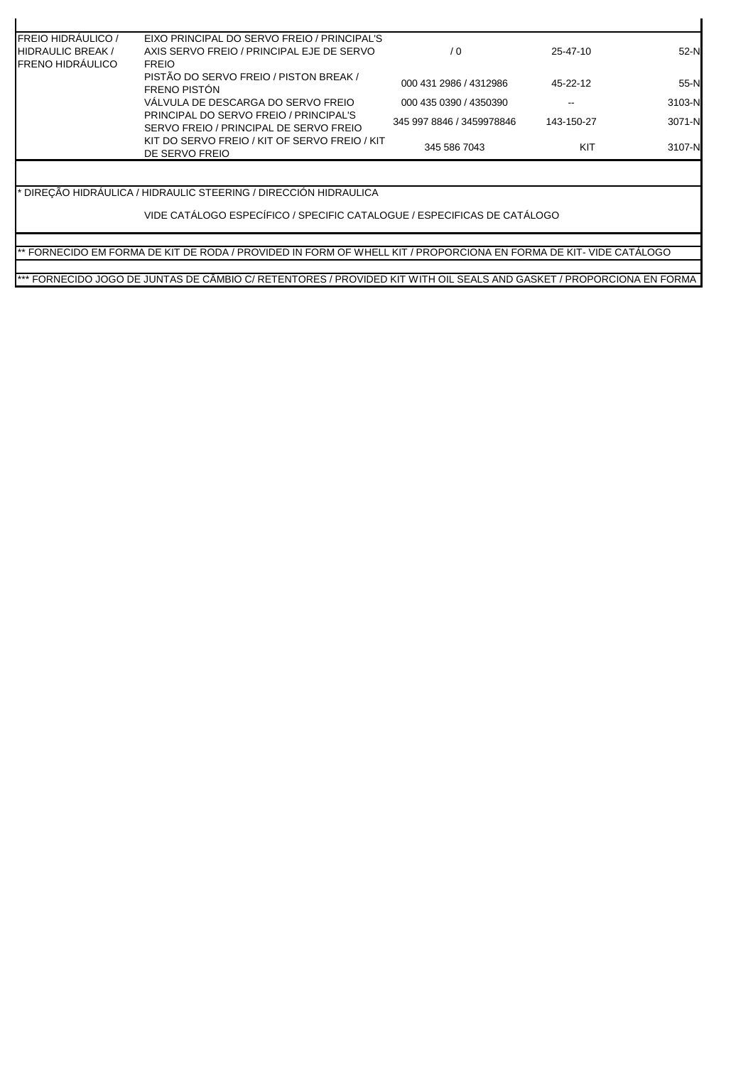| <b>FREIO HIDRÁULICO /</b><br><b>HIDRAULIC BREAK/</b><br><b>FRENO HIDRÁULICO</b> | EIXO PRINCIPAL DO SERVO FREIO / PRINCIPAL'S<br>AXIS SERVO FREIO / PRINCIPAL EJE DE SERVO<br><b>FREIO</b> | / 0                       | 25-47-10   | $52-N$ |
|---------------------------------------------------------------------------------|----------------------------------------------------------------------------------------------------------|---------------------------|------------|--------|
|                                                                                 | PISTÃO DO SERVO FREIO / PISTON BREAK /<br>FRENO PISTÓN                                                   | 000 431 2986 / 4312986    | 45-22-12   | $55-N$ |
|                                                                                 | VÁLVULA DE DESCARGA DO SERVO FREIO                                                                       | 000 435 0390 / 4350390    | --         | 3103-N |
|                                                                                 | PRINCIPAL DO SERVO FREIO / PRINCIPAL'S<br>SERVO FREIO / PRINCIPAL DE SERVO FREIO                         | 345 997 8846 / 3459978846 | 143-150-27 | 3071-N |
|                                                                                 | KIT DO SERVO FREIO / KIT OF SERVO FREIO / KIT<br>DE SERVO FREIO                                          | 345 586 7043              | KIT        | 3107-N |

\* DIREÇÃO HIDRÁULICA / HIDRAULIC STEERING / DIRECCIÓN HIDRAULICA

VIDE CATÁLOGO ESPECÍFICO / SPECIFIC CATALOGUE / ESPECIFICAS DE CATÁLOGO

\*\* FORNECIDO EM FORMA DE KIT DE RODA / PROVIDED IN FORM OF WHELL KIT / PROPORCIONA EN FORMA DE KIT- VIDE CATÁLOGO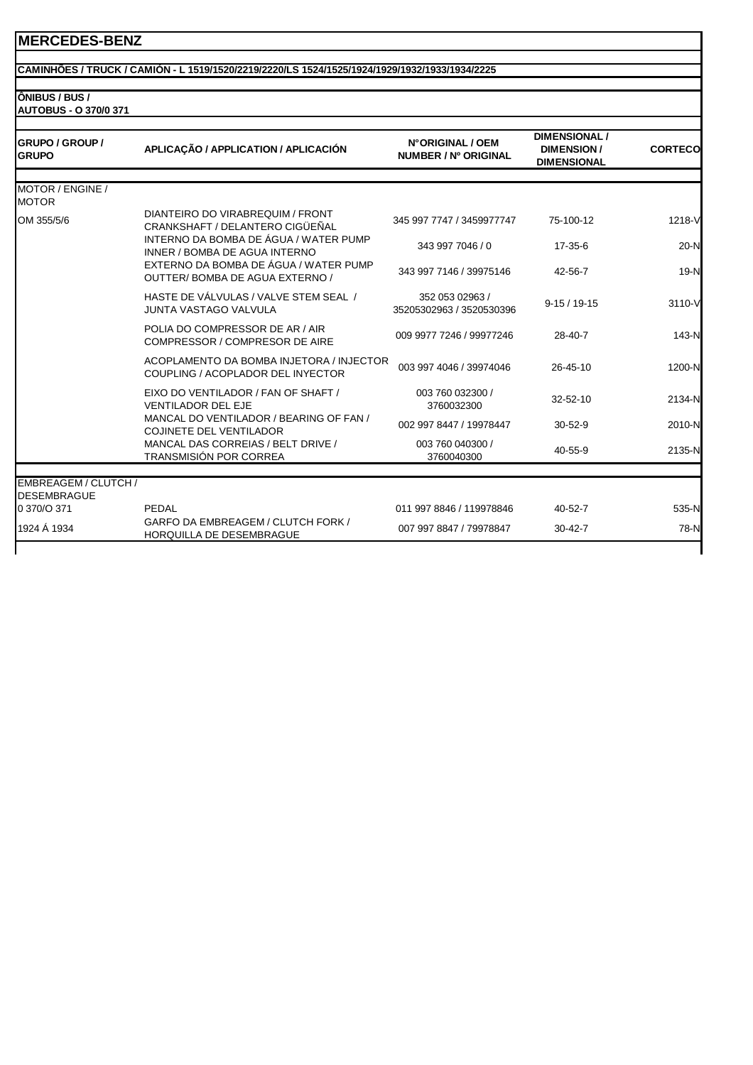#### **CAMINHÕES / TRUCK / CAMIÓN - L 1519/1520/2219/2220/LS 1524/1525/1924/1929/1932/1933/1934/2225**

**ÔNIBUS / BUS / AUTOBUS - O 370/0 371**

| <b>GRUPO / GROUP /</b><br><b>GRUPO</b>     | APLICAÇÃO / APPLICATION / APLICACIÓN                                          | N°ORIGINAL / OEM<br>NUMBER / Nº ORIGINAL    | <b>DIMENSIONAL /</b><br><b>DIMENSION/</b><br><b>DIMENSIONAL</b> | <b>CORTECO</b> |
|--------------------------------------------|-------------------------------------------------------------------------------|---------------------------------------------|-----------------------------------------------------------------|----------------|
| MOTOR / ENGINE /                           |                                                                               |                                             |                                                                 |                |
| <b>MOTOR</b>                               |                                                                               |                                             |                                                                 |                |
| OM 355/5/6                                 | DIANTEIRO DO VIRABREQUIM / FRONT<br>CRANKSHAFT / DELANTERO CIGÜEÑAL           | 345 997 7747 / 3459977747                   | 75-100-12                                                       | 1218-V         |
|                                            | INTERNO DA BOMBA DE ÁGUA / WATER PUMP<br>INNER / BOMBA DE AGUA INTERNO        | 343 997 7046 / 0                            | 17-35-6                                                         | $20-N$         |
|                                            | EXTERNO DA BOMBA DE ÁGUA / WATER PUMP<br>OUTTER/BOMBA DE AGUA EXTERNO /       | 343 997 7146 / 39975146                     | 42-56-7                                                         | 19-N           |
|                                            | HASTE DE VÁLVULAS / VALVE STEM SEAL /<br><b>JUNTA VASTAGO VALVULA</b>         | 352 053 02963 /<br>35205302963 / 3520530396 | $9-15/19-15$                                                    | 3110-V         |
|                                            | POLIA DO COMPRESSOR DE AR / AIR<br>COMPRESSOR / COMPRESOR DE AIRE             | 009 9977 7246 / 99977246                    | 28-40-7                                                         | 143-N          |
|                                            | ACOPLAMENTO DA BOMBA INJETORA / INJECTOR<br>COUPLING / ACOPLADOR DEL INYECTOR | 003 997 4046 / 39974046                     | 26-45-10                                                        | 1200-N         |
|                                            | EIXO DO VENTILADOR / FAN OF SHAFT /<br><b>VENTILADOR DEL EJE</b>              | 003 760 032300 /<br>3760032300              | 32-52-10                                                        | 2134-N         |
|                                            | MANCAL DO VENTILADOR / BEARING OF FAN /<br><b>COJINETE DEL VENTILADOR</b>     | 002 997 8447 / 19978447                     | $30 - 52 - 9$                                                   | 2010-N         |
|                                            | MANCAL DAS CORREIAS / BELT DRIVE /<br>TRANSMISIÓN POR CORREA                  | 003 760 040300 /<br>3760040300              | 40-55-9                                                         | 2135-N         |
|                                            |                                                                               |                                             |                                                                 |                |
| EMBREAGEM / CLUTCH /<br><b>DESEMBRAGUE</b> |                                                                               |                                             |                                                                 |                |
| 0 370/O 371                                | PEDAL                                                                         | 011 997 8846 / 119978846                    | $40 - 52 - 7$                                                   | 535-N          |
| 1924 Á 1934                                | GARFO DA EMBREAGEM / CLUTCH FORK /<br>HORQUILLA DE DESEMBRAGUE                | 007 997 8847 / 79978847                     | $30 - 42 - 7$                                                   | 78-N           |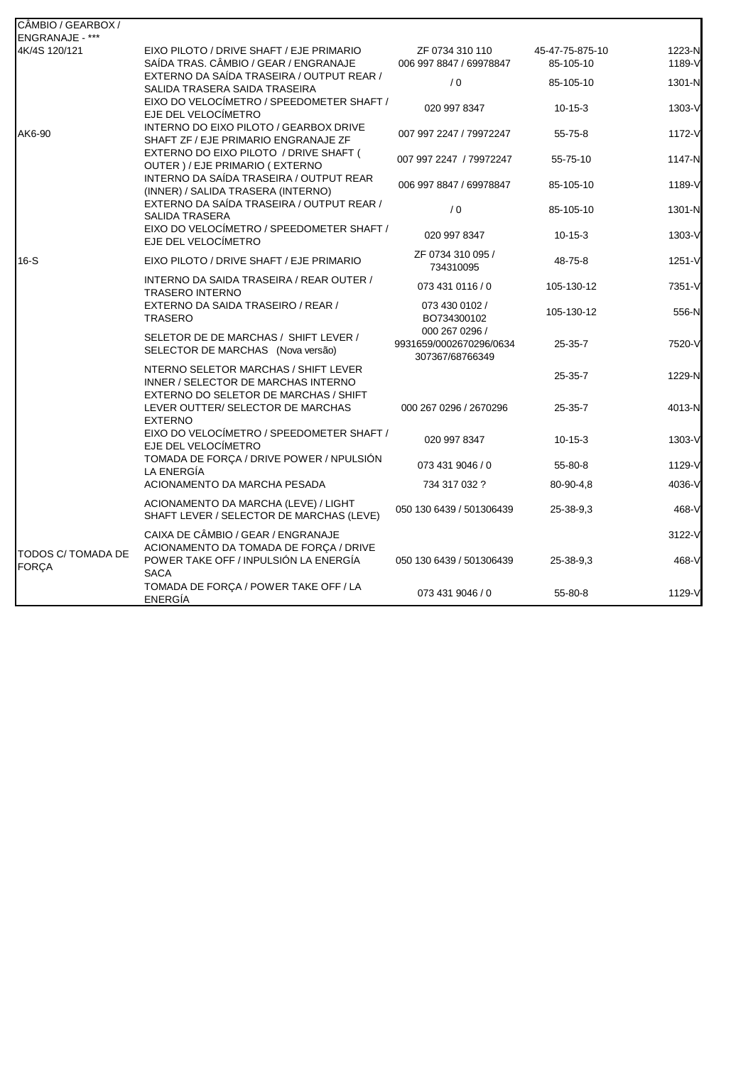| CÂMBIO / GEARBOX /                 |                                                                                              |                                                              |                              |                  |
|------------------------------------|----------------------------------------------------------------------------------------------|--------------------------------------------------------------|------------------------------|------------------|
| ENGRANAJE - ***                    |                                                                                              |                                                              |                              |                  |
| 4K/4S 120/121                      | EIXO PILOTO / DRIVE SHAFT / EJE PRIMARIO<br>SAÍDA TRAS. CÂMBIO / GEAR / ENGRANAJE            | ZF 0734 310 110<br>006 997 8847 / 69978847                   | 45-47-75-875-10<br>85-105-10 | 1223-N<br>1189-V |
|                                    | EXTERNO DA SAÍDA TRASEIRA / OUTPUT REAR /<br>SALIDA TRASERA SAIDA TRASEIRA                   | /0                                                           | 85-105-10                    | 1301-N           |
|                                    | EIXO DO VELOCÍMETRO / SPEEDOMETER SHAFT /<br>EJE DEL VELOCÍMETRO                             | 020 997 8347                                                 | $10 - 15 - 3$                | 1303-V           |
| AK6-90                             | INTERNO DO EIXO PILOTO / GEARBOX DRIVE<br>SHAFT ZF / EJE PRIMARIO ENGRANAJE ZF               | 007 997 2247 / 79972247                                      | $55 - 75 - 8$                | 1172-V           |
|                                    | EXTERNO DO EIXO PILOTO / DRIVE SHAFT (<br>OUTER ) / EJE PRIMARIO (EXTERNO                    | 007 997 2247 / 79972247                                      | 55-75-10                     | 1147-N           |
|                                    | INTERNO DA SAÍDA TRASEIRA / OUTPUT REAR<br>(INNER) / SALIDA TRASERA (INTERNO)                | 006 997 8847 / 69978847                                      | 85-105-10                    | 1189-V           |
|                                    | EXTERNO DA SAÍDA TRASEIRA / OUTPUT REAR /<br><b>SALIDA TRASERA</b>                           | /0                                                           | 85-105-10                    | 1301-N           |
|                                    | EIXO DO VELOCÍMETRO / SPEEDOMETER SHAFT /<br>EJE DEL VELOCÍMETRO                             | 020 997 8347                                                 | $10 - 15 - 3$                | 1303-V           |
| $16-S$                             | EIXO PILOTO / DRIVE SHAFT / EJE PRIMARIO                                                     | ZF 0734 310 095 /<br>734310095                               | 48-75-8                      | 1251-V           |
|                                    | INTERNO DA SAIDA TRASEIRA / REAR OUTER /<br><b>TRASERO INTERNO</b>                           | 073 431 0116 / 0                                             | 105-130-12                   | 7351-V           |
|                                    | EXTERNO DA SAIDA TRASEIRO / REAR /<br><b>TRASERO</b>                                         | 073 430 0102 /<br>BO734300102                                | 105-130-12                   | 556-N            |
|                                    | SELETOR DE DE MARCHAS / SHIFT LEVER /<br>SELECTOR DE MARCHAS (Nova versão)                   | 000 267 0296 /<br>9931659/0002670296/0634<br>307367/68766349 | $25-35-7$                    | 7520-V           |
|                                    | NTERNO SELETOR MARCHAS / SHIFT LEVER<br>INNER / SELECTOR DE MARCHAS INTERNO                  |                                                              | 25-35-7                      | 1229-N           |
|                                    | EXTERNO DO SELETOR DE MARCHAS / SHIFT<br>LEVER OUTTER/ SELECTOR DE MARCHAS<br><b>EXTERNO</b> | 000 267 0296 / 2670296                                       | 25-35-7                      | 4013-N           |
|                                    | EIXO DO VELOCÍMETRO / SPEEDOMETER SHAFT /<br>EJE DEL VELOCÍMETRO                             | 020 997 8347                                                 | $10-15-3$                    | 1303-V           |
|                                    | TOMADA DE FORÇA / DRIVE POWER / NPULSIÓN<br>LA ENERGÍA                                       | 073 431 9046 / 0                                             | 55-80-8                      | 1129-V           |
|                                    | ACIONAMENTO DA MARCHA PESADA                                                                 | 734 317 032 ?                                                | 80-90-4,8                    | 4036-V           |
|                                    | ACIONAMENTO DA MARCHA (LEVE) / LIGHT<br>SHAFT LEVER / SELECTOR DE MARCHAS (LEVE)             | 050 130 6439 / 501306439                                     | 25-38-9.3                    | 468-V            |
|                                    | CAIXA DE CÂMBIO / GEAR / ENGRANAJE<br>ACIONAMENTO DA TOMADA DE FORCA / DRIVE                 |                                                              |                              | 3122-V           |
| TODOS C/ TOMADA DE<br><b>FORÇA</b> | POWER TAKE OFF / INPULSIÓN LA ENERGÍA<br><b>SACA</b>                                         | 050 130 6439 / 501306439                                     | 25-38-9.3                    | 468-V            |
|                                    | TOMADA DE FORÇA / POWER TAKE OFF / LA<br><b>ENERGÍA</b>                                      | 073 431 9046 / 0                                             | 55-80-8                      | 1129-V           |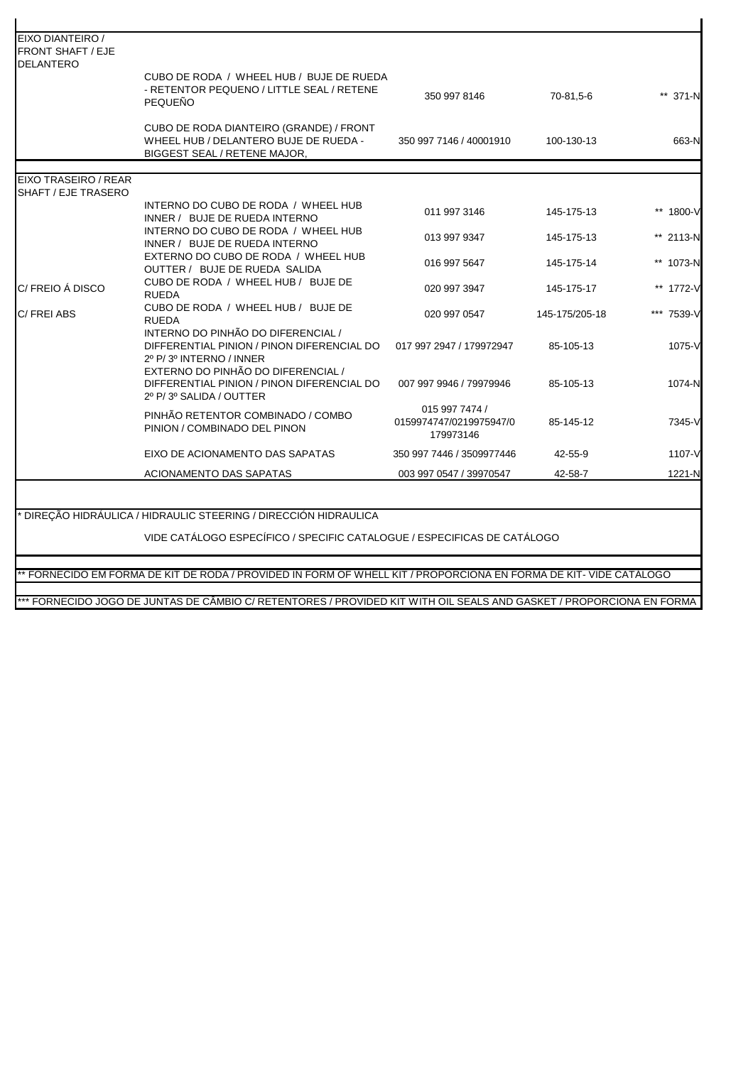| <b>FRONT SHAFT / EJE</b><br><b>DELANTERO</b> | CUBO DE RODA / WHEEL HUB / BUJE DE RUEDA                                                                                |                                                        |                |            |
|----------------------------------------------|-------------------------------------------------------------------------------------------------------------------------|--------------------------------------------------------|----------------|------------|
|                                              | - RETENTOR PEQUENO / LITTLE SEAL / RETENE<br><b>PEQUENO</b>                                                             | 350 997 8146                                           | 70-81,5-6      | ** 371-N   |
|                                              | CUBO DE RODA DIANTEIRO (GRANDE) / FRONT<br>WHEEL HUB / DELANTERO BUJE DE RUEDA -<br><b>BIGGEST SEAL / RETENE MAJOR.</b> | 350 997 7146 / 40001910                                | 100-130-13     | 663-N      |
| EIXO TRASEIRO / REAR                         |                                                                                                                         |                                                        |                |            |
| SHAFT / EJE TRASERO                          |                                                                                                                         |                                                        |                |            |
|                                              | INTERNO DO CUBO DE RODA / WHEEL HUB<br>INNER / BUJE DE RUEDA INTERNO                                                    | 011 997 3146                                           | 145-175-13     | ** 1800-V  |
|                                              | INTERNO DO CUBO DE RODA / WHEEL HUB<br>INNER / BUJE DE RUEDA INTERNO                                                    | 013 997 9347                                           | 145-175-13     | ** 2113-N  |
|                                              | EXTERNO DO CUBO DE RODA / WHEEL HUB<br>OUTTER / BUJE DE RUEDA SALIDA                                                    | 016 997 5647                                           | 145-175-14     | ** 1073-N  |
| C/FREIO Á DISCO                              | CUBO DE RODA / WHEEL HUB / BUJE DE<br><b>RUEDA</b>                                                                      | 020 997 3947                                           | 145-175-17     | ** 1772-V  |
| C/FREI ABS                                   | CUBO DE RODA / WHEEL HUB / BUJE DE<br><b>RUEDA</b>                                                                      | 020 997 0547                                           | 145-175/205-18 | *** 7539-V |
|                                              | INTERNO DO PINHÃO DO DIFERENCIAL /<br>DIFFERENTIAL PINION / PINON DIFERENCIAL DO<br>2º P/3º INTERNO / INNER             | 017 997 2947 / 179972947                               | 85-105-13      | 1075-V     |
|                                              | EXTERNO DO PINHÃO DO DIFERENCIAL /<br>DIFFERENTIAL PINION / PINON DIFERENCIAL DO<br>2º P/3º SALIDA / OUTTER             | 007 997 9946 / 79979946                                | 85-105-13      | 1074-N     |
|                                              | PINHÃO RETENTOR COMBINADO / COMBO<br>PINION / COMBINADO DEL PINON                                                       | 015 997 7474 /<br>0159974747/0219975947/0<br>179973146 | 85-145-12      | 7345-V     |
|                                              | EIXO DE ACIONAMENTO DAS SAPATAS                                                                                         | 350 997 7446 / 3509977446                              | 42-55-9        | 1107-V     |
|                                              |                                                                                                                         |                                                        | 42-58-7        | 1221-N     |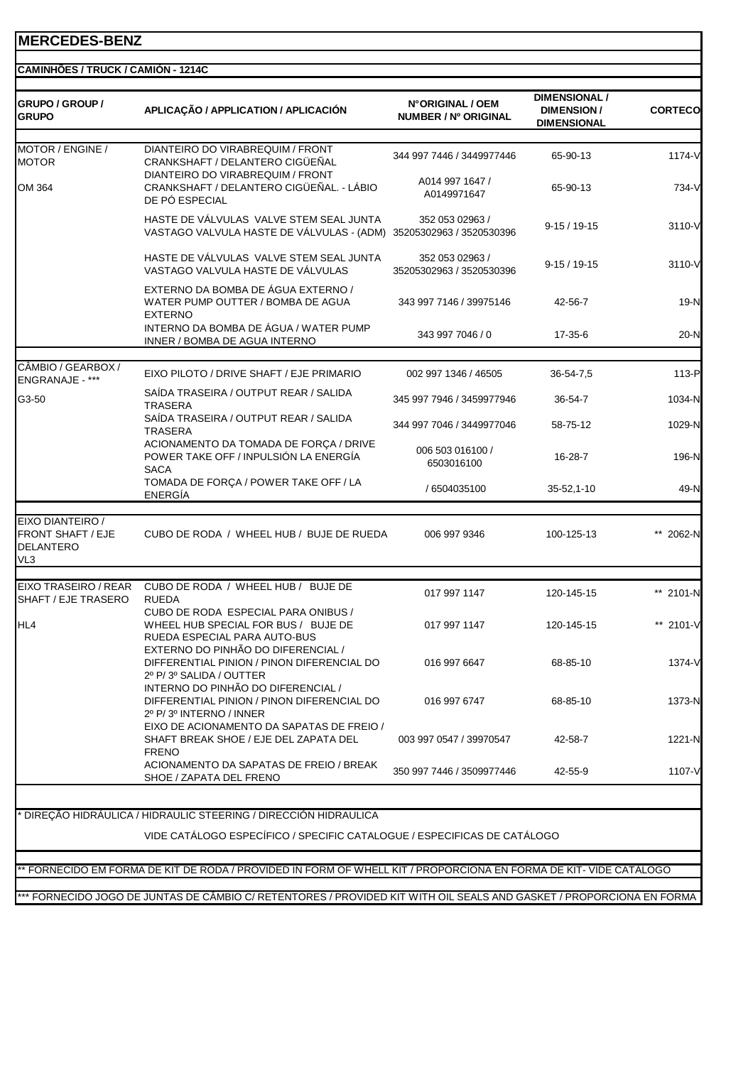| <b>GRUPO / GROUP /</b><br><b>GRUPO</b>                                              | APLICAÇÃO / APPLICATION / APLICACIÓN                                                                                                      | N°ORIGINAL / OEM<br>NUMBER / Nº ORIGINAL          | <b>DIMENSIONAL /</b><br><b>DIMENSION/</b><br><b>DIMENSIONAL</b> | <b>CORTECO</b>   |
|-------------------------------------------------------------------------------------|-------------------------------------------------------------------------------------------------------------------------------------------|---------------------------------------------------|-----------------------------------------------------------------|------------------|
| MOTOR / ENGINE /<br><b>MOTOR</b>                                                    | DIANTEIRO DO VIRABREQUIM / FRONT<br>CRANKSHAFT / DELANTERO CIGÜEÑAL<br>DIANTEIRO DO VIRABREQUIM / FRONT                                   | 344 997 7446 / 3449977446                         | 65-90-13                                                        | 1174-V           |
| OM 364                                                                              | CRANKSHAFT / DELANTERO CIGÜEÑAL. - LÁBIO<br>DE PÓ ESPECIAL                                                                                | A014 997 1647 /<br>A0149971647                    | 65-90-13                                                        | 734-V            |
|                                                                                     | HASTE DE VÁLVULAS VALVE STEM SEAL JUNTA<br>VASTAGO VALVULA HASTE DE VÁLVULAS - (ADM) 35205302963 / 3520530396                             | 352 053 02963 /                                   | $9-15/19-15$                                                    | 3110-V           |
|                                                                                     | HASTE DE VÁLVULAS VALVE STEM SEAL JUNTA<br>VASTAGO VALVULA HASTE DE VÁLVULAS                                                              | 352 053 02963 /<br>35205302963 / 3520530396       | $9-15/19-15$                                                    | 3110-V           |
|                                                                                     | EXTERNO DA BOMBA DE ÁGUA EXTERNO /<br>WATER PUMP OUTTER / BOMBA DE AGUA<br><b>EXTERNO</b>                                                 | 343 997 7146 / 39975146                           | 42-56-7                                                         | 19-N             |
|                                                                                     | INTERNO DA BOMBA DE ÁGUA / WATER PUMP<br>INNER / BOMBA DE AGUA INTERNO                                                                    | 343 997 7046 / 0                                  | 17-35-6                                                         | $20-N$           |
| CÂMBIO / GEARBOX /                                                                  |                                                                                                                                           |                                                   |                                                                 |                  |
| ENGRANAJE - ***<br>G3-50                                                            | EIXO PILOTO / DRIVE SHAFT / EJE PRIMARIO<br>SAÍDA TRASEIRA / OUTPUT REAR / SALIDA                                                         | 002 997 1346 / 46505<br>345 997 7946 / 3459977946 | 36-54-7,5<br>36-54-7                                            | 113-P            |
|                                                                                     | TRASERA<br>SAÍDA TRASEIRA / OUTPUT REAR / SALIDA                                                                                          | 344 997 7046 / 3449977046                         | 58-75-12                                                        | 1034-N<br>1029-N |
|                                                                                     | <b>TRASERA</b><br>ACIONAMENTO DA TOMADA DE FORÇA / DRIVE<br>POWER TAKE OFF / INPULSIÓN LA ENERGÍA<br><b>SACA</b>                          | 006 503 016100 /<br>6503016100                    | 16-28-7                                                         | 196-N            |
|                                                                                     | TOMADA DE FORÇA / POWER TAKE OFF / LA<br><b>ENERGÍA</b>                                                                                   | / 6504035100                                      | $35 - 52, 1 - 10$                                               | 49-N             |
| EIXO DIANTEIRO /<br><b>FRONT SHAFT / EJE</b><br><b>DELANTERO</b><br>VL <sub>3</sub> | CUBO DE RODA / WHEEL HUB / BUJE DE RUEDA                                                                                                  | 006 997 9346                                      | 100-125-13                                                      | ** 2062-N        |
| EIXO TRASEIRO / REAR<br>SHAFT / EJE TRASERO                                         | CUBO DE RODA / WHEEL HUB / BUJE DE<br><b>RUEDA</b>                                                                                        | 017 997 1147                                      | 120-145-15                                                      | ** 2101-N        |
| HL4                                                                                 | CUBO DE RODA ESPECIAL PARA ONIBUS /<br>WHEEL HUB SPECIAL FOR BUS / BUJE DE<br>RUEDA ESPECIAL PARA AUTO-BUS                                | 017 997 1147                                      | 120-145-15                                                      | ** 2101-V        |
|                                                                                     | EXTERNO DO PINHÃO DO DIFERENCIAL /<br>DIFFERENTIAL PINION / PINON DIFERENCIAL DO<br>2º P/3º SALIDA / OUTTER                               | 016 997 6647                                      | 68-85-10                                                        | 1374-V           |
|                                                                                     | INTERNO DO PINHÃO DO DIFERENCIAL /<br>DIFFERENTIAL PINION / PINON DIFERENCIAL DO<br>2º P/3º INTERNO / INNER                               | 016 997 6747                                      | 68-85-10                                                        | 1373-N           |
|                                                                                     | EIXO DE ACIONAMENTO DA SAPATAS DE FREIO /<br>SHAFT BREAK SHOE / EJE DEL ZAPATA DEL<br><b>FRENO</b>                                        | 003 997 0547 / 39970547                           | 42-58-7                                                         | 1221-N           |
|                                                                                     | ACIONAMENTO DA SAPATAS DE FREIO / BREAK<br>SHOE / ZAPATA DEL FRENO                                                                        | 350 997 7446 / 3509977446                         | 42-55-9                                                         | 1107-V           |
|                                                                                     |                                                                                                                                           |                                                   |                                                                 |                  |
|                                                                                     | DIREÇÃO HIDRÁULICA / HIDRAULIC STEERING / DIRECCIÓN HIDRAULICA<br>VIDE CATÁLOGO ESPECÍFICO / SPECIFIC CATALOGUE / ESPECIFICAS DE CATÁLOGO |                                                   |                                                                 |                  |
|                                                                                     |                                                                                                                                           |                                                   |                                                                 |                  |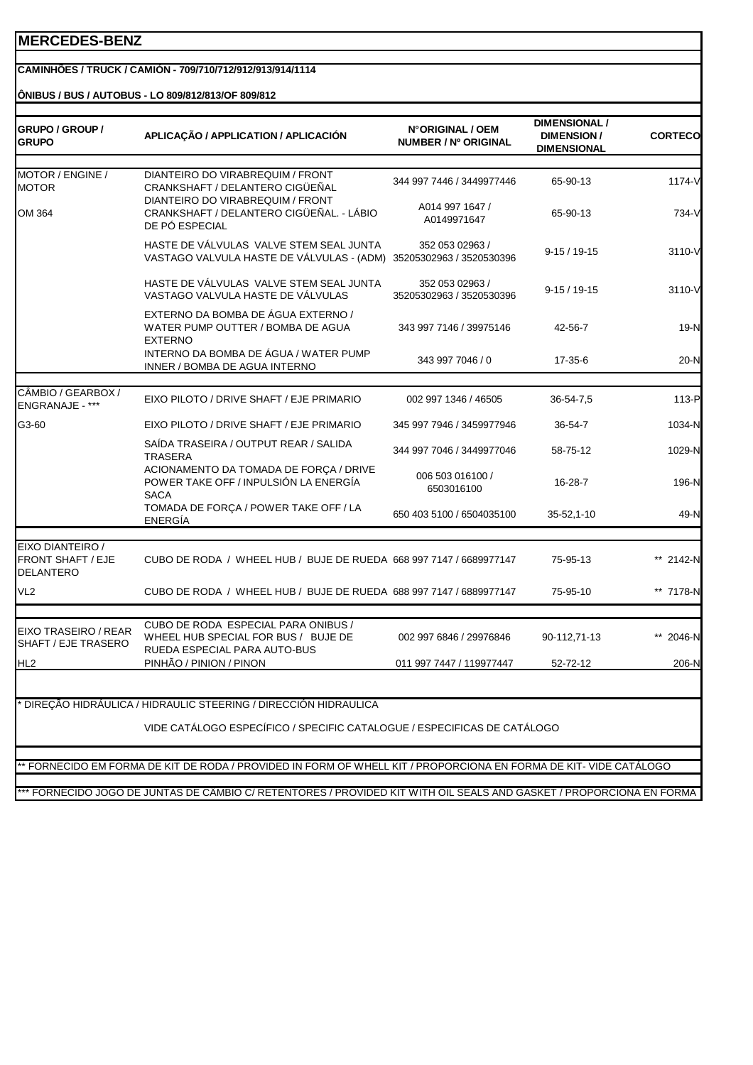#### **CAMINHÕES / TRUCK / CAMIÓN - 709/710/712/912/913/914/1114**

**ÔNIBUS / BUS / AUTOBUS - LO 809/812/813/OF 809/812**

| GRUPO / GROUP /<br><b>GRUPO</b>                    | APLICAÇÃO / APPLICATION / APLICACIÓN                                                                                 | N°ORIGINAL / OEM<br>NUMBER / Nº ORIGINAL    | <b>DIMENSIONAL /</b><br><b>DIMENSION/</b><br><b>DIMENSIONAL</b> | <b>CORTECO</b> |
|----------------------------------------------------|----------------------------------------------------------------------------------------------------------------------|---------------------------------------------|-----------------------------------------------------------------|----------------|
| MOTOR / ENGINE /<br><b>MOTOR</b>                   | DIANTEIRO DO VIRABREQUIM / FRONT<br>CRANKSHAFT / DELANTERO CIGÜEÑAL                                                  | 344 997 7446 / 3449977446                   | 65-90-13                                                        | 1174-V         |
| OM 364                                             | DIANTEIRO DO VIRABREQUIM / FRONT<br>CRANKSHAFT / DELANTERO CIGÜEÑAL. - LÁBIO<br>DE PÓ ESPECIAL                       | A014 997 1647 /<br>A0149971647              | 65-90-13                                                        | 734-V          |
|                                                    | HASTE DE VÁLVULAS VALVE STEM SEAL JUNTA<br>VASTAGO VALVULA HASTE DE VÁLVULAS - (ADM)                                 | 352 053 02963 /<br>35205302963 / 3520530396 | $9-15/19-15$                                                    | 3110-V         |
|                                                    | HASTE DE VÁLVULAS VALVE STEM SEAL JUNTA<br>VASTAGO VALVULA HASTE DE VÁLVULAS                                         | 352 053 02963 /<br>35205302963 / 3520530396 | $9-15/19-15$                                                    | 3110-V         |
|                                                    | EXTERNO DA BOMBA DE ÁGUA EXTERNO /<br>WATER PUMP OUTTER / BOMBA DE AGUA<br><b>EXTERNO</b>                            | 343 997 7146 / 39975146                     | 42-56-7                                                         | $19-N$         |
|                                                    | INTERNO DA BOMBA DE ÁGUA / WATER PUMP<br>INNER / BOMBA DE AGUA INTERNO                                               | 343 997 7046 / 0                            | 17-35-6                                                         | $20-N$         |
|                                                    |                                                                                                                      |                                             |                                                                 |                |
| CÂMBIO / GEARBOX /<br>ENGRANAJE - ***              | EIXO PILOTO / DRIVE SHAFT / EJE PRIMARIO                                                                             | 002 997 1346 / 46505                        | 36-54-7,5                                                       | 113-P          |
| G3-60                                              | EIXO PILOTO / DRIVE SHAFT / EJE PRIMARIO                                                                             | 345 997 7946 / 3459977946                   | 36-54-7                                                         | 1034-N         |
|                                                    | SAÍDA TRASEIRA / OUTPUT REAR / SALIDA<br><b>TRASERA</b>                                                              | 344 997 7046 / 3449977046                   | 58-75-12                                                        | 1029-N         |
|                                                    | ACIONAMENTO DA TOMADA DE FORÇA / DRIVE<br>POWER TAKE OFF / INPULSIÓN LA ENERGÍA<br><b>SACA</b>                       | 006 503 016100 /<br>6503016100              | 16-28-7                                                         | 196-N          |
|                                                    | TOMADA DE FORÇA / POWER TAKE OFF / LA<br><b>ENERGÍA</b>                                                              | 650 403 5100 / 6504035100                   | 35-52,1-10                                                      | 49-N           |
|                                                    |                                                                                                                      |                                             |                                                                 |                |
| EIXO DIANTEIRO /<br>FRONT SHAFT / EJE<br>DELANTERO | CUBO DE RODA / WHEEL HUB / BUJE DE RUEDA 668 997 7147 / 6689977147                                                   |                                             | 75-95-13                                                        | ** 2142-N      |
| VL <sub>2</sub>                                    | CUBO DE RODA / WHEEL HUB / BUJE DE RUEDA 688 997 7147 / 6889977147                                                   |                                             | 75-95-10                                                        | ** 7178-N      |
|                                                    |                                                                                                                      |                                             |                                                                 |                |
| EIXO TRASEIRO / REAR<br>SHAFT / EJE TRASERO        | CUBO DE RODA ESPECIAL PARA ONIBUS /<br>WHEEL HUB SPECIAL FOR BUS / BUJE DE<br>RUEDA ESPECIAL PARA AUTO-BUS           | 002 997 6846 / 29976846                     | 90-112,71-13                                                    | 2046-N         |
| HL <sub>2</sub>                                    | PINHÃO / PINION / PINON                                                                                              | 011 997 7447 / 119977447                    | 52-72-12                                                        | 206-N          |
|                                                    |                                                                                                                      |                                             |                                                                 |                |
|                                                    | * DIREÇÃO HIDRÁULICA / HIDRAULIC STEERING / DIRECCIÓN HIDRAULICA                                                     |                                             |                                                                 |                |
|                                                    | VIDE CATÁLOGO ESPECÍFICO / SPECIFIC CATALOGUE / ESPECIFICAS DE CATÁLOGO                                              |                                             |                                                                 |                |
|                                                    |                                                                                                                      |                                             |                                                                 |                |
|                                                    | ** FORNECIDO EM FORMA DE KIT DE RODA / PROVIDED IN FORM OF WHELL KIT / PROPORCIONA EN FORMA DE KIT- VIDE CATÁLOGO    |                                             |                                                                 |                |
|                                                    | *** FORNECIDO JOGO DE JUNTAS DE CÂMBIO C/ RETENTORES / PROVIDED KIT WITH OIL SEALS AND GASKET / PROPORCIONA EN FORMA |                                             |                                                                 |                |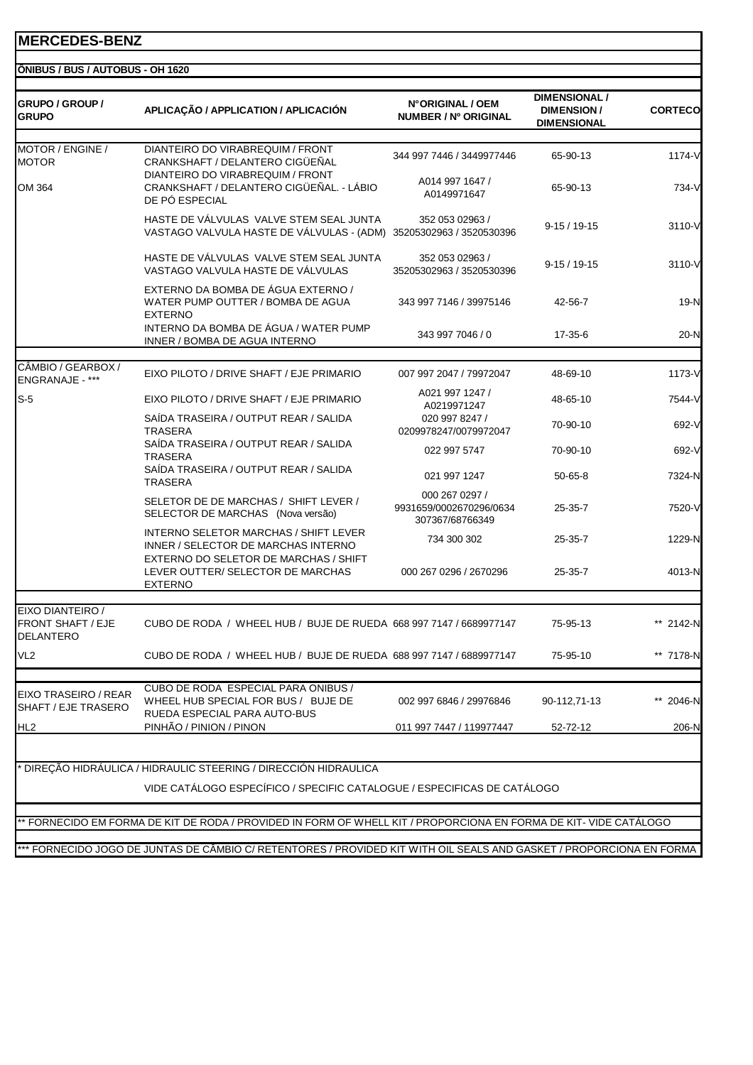|                                                                  | APLICAÇÃO / APPLICATION / APLICACIÓN                                                                          | N°ORIGINAL / OEM<br>NUMBER / Nº ORIGINAL                     | <b>DIMENSION/</b><br><b>DIMENSIONAL</b> | <b>CORTECO</b> |
|------------------------------------------------------------------|---------------------------------------------------------------------------------------------------------------|--------------------------------------------------------------|-----------------------------------------|----------------|
| MOTOR / ENGINE /<br><b>MOTOR</b>                                 | DIANTEIRO DO VIRABREQUIM / FRONT<br>CRANKSHAFT / DELANTERO CIGÜEÑAL                                           | 344 997 7446 / 3449977446                                    | 65-90-13                                | 1174-V         |
| OM 364                                                           | DIANTEIRO DO VIRABREQUIM / FRONT<br>CRANKSHAFT / DELANTERO CIGÜEÑAL. - LÁBIO<br>DE PÓ ESPECIAL                | A014 997 1647 /<br>A0149971647                               | 65-90-13                                | 734-V          |
|                                                                  | HASTE DE VÁLVULAS VALVE STEM SEAL JUNTA<br>VASTAGO VALVULA HASTE DE VÁLVULAS - (ADM)                          | 352 053 02963 /<br>35205302963 / 3520530396                  | $9-15/19-15$                            | 3110-V         |
|                                                                  | HASTE DE VÁLVULAS VALVE STEM SEAL JUNTA<br>VASTAGO VALVULA HASTE DE VÁLVULAS                                  | 352 053 02963 /<br>35205302963 / 3520530396                  | $9-15/19-15$                            | 3110-V         |
|                                                                  | EXTERNO DA BOMBA DE ÁGUA EXTERNO /<br>WATER PUMP OUTTER / BOMBA DE AGUA<br><b>EXTERNO</b>                     | 343 997 7146 / 39975146                                      | 42-56-7                                 | 19-N           |
|                                                                  | INTERNO DA BOMBA DE ÁGUA / WATER PUMP<br>INNER / BOMBA DE AGUA INTERNO                                        | 343 997 7046 / 0                                             | 17-35-6                                 | 20-N           |
| CÂMBIO / GEARBOX /                                               | EIXO PILOTO / DRIVE SHAFT / EJE PRIMARIO                                                                      | 007 997 2047 / 79972047                                      | 48-69-10                                | 1173-V         |
| <b>ENGRANAJE - ***</b>                                           |                                                                                                               | A021 997 1247 /                                              |                                         |                |
| $S-5$                                                            | EIXO PILOTO / DRIVE SHAFT / EJE PRIMARIO                                                                      | A0219971247                                                  | 48-65-10                                | 7544-V         |
|                                                                  | SAIDA TRASEIRA / OUTPUT REAR / SALIDA<br><b>TRASERA</b>                                                       | 020 997 8247 /<br>0209978247/0079972047                      | 70-90-10                                | 692-V          |
|                                                                  | SAÍDA TRASEIRA / OUTPUT REAR / SALIDA<br><b>TRASERA</b>                                                       | 022 997 5747                                                 | 70-90-10                                | 692-V          |
|                                                                  | SAÍDA TRASEIRA / OUTPUT REAR / SALIDA<br><b>TRASERA</b>                                                       | 021 997 1247                                                 | $50 - 65 - 8$                           | 7324-N         |
|                                                                  | SELETOR DE DE MARCHAS / SHIFT LEVER /<br>SELECTOR DE MARCHAS (Nova versão)                                    | 000 267 0297 /<br>9931659/0002670296/0634<br>307367/68766349 | 25-35-7                                 | 7520-V         |
|                                                                  | INTERNO SELETOR MARCHAS / SHIFT LEVER<br>INNER / SELECTOR DE MARCHAS INTERNO                                  | 734 300 302                                                  | 25-35-7                                 | 1229-N         |
|                                                                  | EXTERNO DO SELETOR DE MARCHAS / SHIFT<br>LEVER OUTTER/ SELECTOR DE MARCHAS<br><b>EXTERNO</b>                  | 000 267 0296 / 2670296                                       | $25 - 35 - 7$                           | 4013-N         |
| EIXO DIANTEIRO /<br><b>FRONT SHAFT / EJE</b><br><b>DELANTERO</b> | CUBO DE RODA / WHEEL HUB / BUJE DE RUEDA 668 997 7147 / 6689977147                                            |                                                              | 75-95-13                                | ** 2142-N      |
| VL <sub>2</sub>                                                  | CUBO DE RODA / WHEEL HUB / BUJE DE RUEDA 688 997 7147 / 6889977147                                            |                                                              | 75-95-10                                | ** 7178-N      |
|                                                                  | CUBO DE RODA ESPECIAL PARA ONIBUS /                                                                           |                                                              |                                         |                |
| EIXO TRASEIRO / REAR<br>SHAFT / EJE TRASERO                      | WHEEL HUB SPECIAL FOR BUS / BUJE DE<br>RUEDA ESPECIAL PARA AUTO-BUS                                           | 002 997 6846 / 29976846                                      | 90-112,71-13                            | ** 2046-N      |
| HL <sub>2</sub>                                                  | PINHÃO / PINION / PINON                                                                                       | 011 997 7447 / 119977447                                     | 52-72-12                                | 206-N          |
|                                                                  | <sup>.</sup> DIREÇÃO HIDRÁULICA / HIDRAULIC STEERING / DIRECCIÓN HIDRAULICA                                   |                                                              |                                         |                |
|                                                                  | VIDE CATÁLOGO ESPECÍFICO / SPECIFIC CATALOGUE / ESPECIFICAS DE CATÁLOGO                                       |                                                              |                                         |                |
|                                                                  |                                                                                                               |                                                              |                                         |                |
|                                                                  | FORNECIDO EM FORMA DE KIT DE RODA / PROVIDED IN FORM OF WHELL KIT / PROPORCIONA EN FORMA DE KIT-VIDE CATALOGO |                                                              |                                         |                |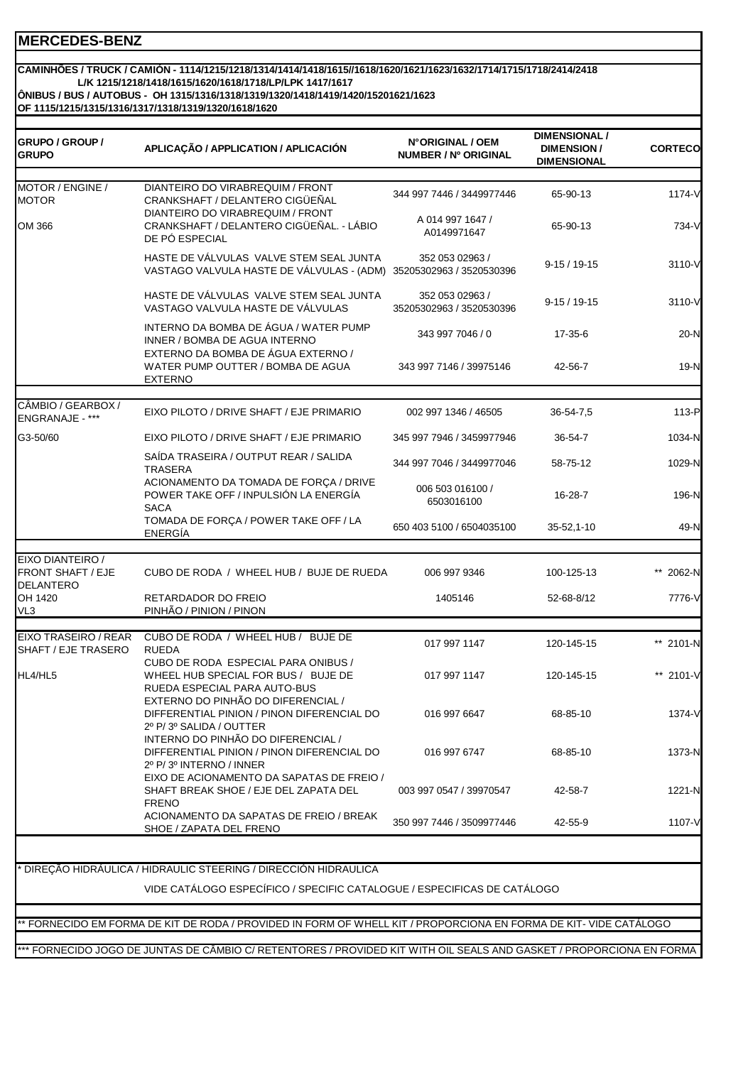#### **L/K 1215/1218/1418/1615/1620/1618/1718/LP/LPK 1417/1617 ÔNIBUS / BUS / AUTOBUS - OH 1315/1316/1318/1319/1320/1418/1419/1420/15201621/1623 CAMINHÕES / TRUCK / CAMIÓN - 1114/1215/1218/1314/1414/1418/1615//1618/1620/1621/1623/1632/1714/1715/1718/2414/2418**

**OF 1115/1215/1315/1316/1317/1318/1319/1320/1618/1620**

| GRUPO / GROUP /<br>GRUPO                     | APLICAÇÃO / APPLICATION / APLICACIÓN                                                                                              | N°ORIGINAL / OEM<br>NUMBER / Nº ORIGINAL                     | <b>DIMENSIONAL /</b><br><b>DIMENSION/</b><br><b>DIMENSIONAL</b> | <b>CORTECO</b>  |
|----------------------------------------------|-----------------------------------------------------------------------------------------------------------------------------------|--------------------------------------------------------------|-----------------------------------------------------------------|-----------------|
| MOTOR / ENGINE /                             | DIANTEIRO DO VIRABREQUIM / FRONT                                                                                                  |                                                              |                                                                 |                 |
| <b>MOTOR</b><br>OM 366                       | CRANKSHAFT / DELANTERO CIGÜEÑAL<br>DIANTEIRO DO VIRABREQUIM / FRONT<br>CRANKSHAFT / DELANTERO CIGÜEÑAL. - LÁBIO<br>DE PÓ ESPECIAL | 344 997 7446 / 3449977446<br>A 014 997 1647 /<br>A0149971647 | 65-90-13<br>65-90-13                                            | 1174-V<br>734-V |
|                                              | HASTE DE VÁLVULAS VALVE STEM SEAL JUNTA<br>VASTAGO VALVULA HASTE DE VÁLVULAS - (ADM) 35205302963 / 3520530396                     | 352 053 02963 /                                              | $9-15/19-15$                                                    | 3110-V          |
|                                              | HASTE DE VÁLVULAS VALVE STEM SEAL JUNTA<br>VASTAGO VALVULA HASTE DE VÁLVULAS                                                      | 352 053 02963 /<br>35205302963 / 3520530396                  | $9-15/19-15$                                                    | 3110-V          |
|                                              | INTERNO DA BOMBA DE ÁGUA / WATER PUMP<br>INNER / BOMBA DE AGUA INTERNO                                                            | 343 997 7046 / 0                                             | 17-35-6                                                         | $20-N$          |
|                                              | EXTERNO DA BOMBA DE ÁGUA EXTERNO /<br>WATER PUMP OUTTER / BOMBA DE AGUA<br><b>EXTERNO</b>                                         | 343 997 7146 / 39975146                                      | 42-56-7                                                         | $19-N$          |
| CÂMBIO / GEARBOX /                           |                                                                                                                                   |                                                              |                                                                 |                 |
| ENGRANAJE - ***                              | EIXO PILOTO / DRIVE SHAFT / EJE PRIMARIO                                                                                          | 002 997 1346 / 46505                                         | 36-54-7,5                                                       | 113-P           |
| G3-50/60                                     | EIXO PILOTO / DRIVE SHAFT / EJE PRIMARIO                                                                                          | 345 997 7946 / 3459977946                                    | 36-54-7                                                         | 1034-N          |
|                                              | SAÍDA TRASEIRA / OUTPUT REAR / SALIDA<br><b>TRASERA</b>                                                                           | 344 997 7046 / 3449977046                                    | 58-75-12                                                        | 1029-N          |
|                                              | ACIONAMENTO DA TOMADA DE FORÇA / DRIVE<br>POWER TAKE OFF / INPULSIÓN LA ENERGÍA<br><b>SACA</b>                                    | 006 503 016100 /<br>6503016100                               | 16-28-7                                                         | 196-N           |
|                                              | TOMADA DE FORÇA / POWER TAKE OFF / LA<br>ENERGÍA                                                                                  | 650 403 5100 / 6504035100                                    | 35-52,1-10                                                      | 49-N            |
| EIXO DIANTEIRO /                             |                                                                                                                                   |                                                              |                                                                 |                 |
| <b>FRONT SHAFT / EJE</b><br><b>DELANTERO</b> | CUBO DE RODA / WHEEL HUB / BUJE DE RUEDA                                                                                          | 006 997 9346                                                 | 100-125-13                                                      | 2062-N          |
| OH 1420<br>VL <sub>3</sub>                   | RETARDADOR DO FREIO<br>PINHÃO / PINION / PINON                                                                                    | 1405146                                                      | 52-68-8/12                                                      | 7776-V          |
| EIXO TRASEIRO / REAR                         | CUBO DE RODA / WHEEL HUB / BUJE DE                                                                                                |                                                              |                                                                 |                 |
| SHAFT / EJE TRASERO                          | <b>RUEDA</b>                                                                                                                      | 017 997 1147                                                 | 120-145-15                                                      | ** 2101-N       |
| HL4/HL5                                      | CUBO DE RODA ESPECIAL PARA ONIBUS /<br>WHEEL HUB SPECIAL FOR BUS / BUJE DE<br>RUEDA ESPECIAL PARA AUTO-BUS                        | 017 997 1147                                                 | 120-145-15                                                      | ** 2101-V       |
|                                              | EXTERNO DO PINHÃO DO DIFERENCIAL /<br>DIFFERENTIAL PINION / PINON DIFERENCIAL DO<br>2º P/3º SALIDA / OUTTER                       | 016 997 6647                                                 | 68-85-10                                                        | 1374-V          |
|                                              | INTERNO DO PINHÃO DO DIFERENCIAL /<br>DIFFERENTIAL PINION / PINON DIFERENCIAL DO<br>2º P/3º INTERNO / INNER                       | 016 997 6747                                                 | 68-85-10                                                        | 1373-N          |
|                                              | EIXO DE ACIONAMENTO DA SAPATAS DE FREIO /<br>SHAFT BREAK SHOE / EJE DEL ZAPATA DEL<br><b>FRENO</b>                                | 003 997 0547 / 39970547                                      | 42-58-7                                                         | 1221-N          |
|                                              | ACIONAMENTO DA SAPATAS DE FREIO / BREAK<br>SHOE / ZAPATA DEL FRENO                                                                | 350 997 7446 / 3509977446                                    | 42-55-9                                                         | 1107-V          |
|                                              | DIREÇÃO HIDRÁULICA / HIDRAULIC STEERING / DIRECCIÓN HIDRAULICA                                                                    |                                                              |                                                                 |                 |
|                                              | VIDE CATÁLOGO ESPECÍFICO / SPECIFIC CATALOGUE / ESPECIFICAS DE CATÁLOGO                                                           |                                                              |                                                                 |                 |
|                                              |                                                                                                                                   |                                                              |                                                                 |                 |
|                                              | ' FORNECIDO EM FORMA DE KIT DE RODA / PROVIDED IN FORM OF WHELL KIT / PROPORCIONA EN FORMA DE KIT- VIDE CATÁLOGO                  |                                                              |                                                                 |                 |
|                                              |                                                                                                                                   |                                                              |                                                                 |                 |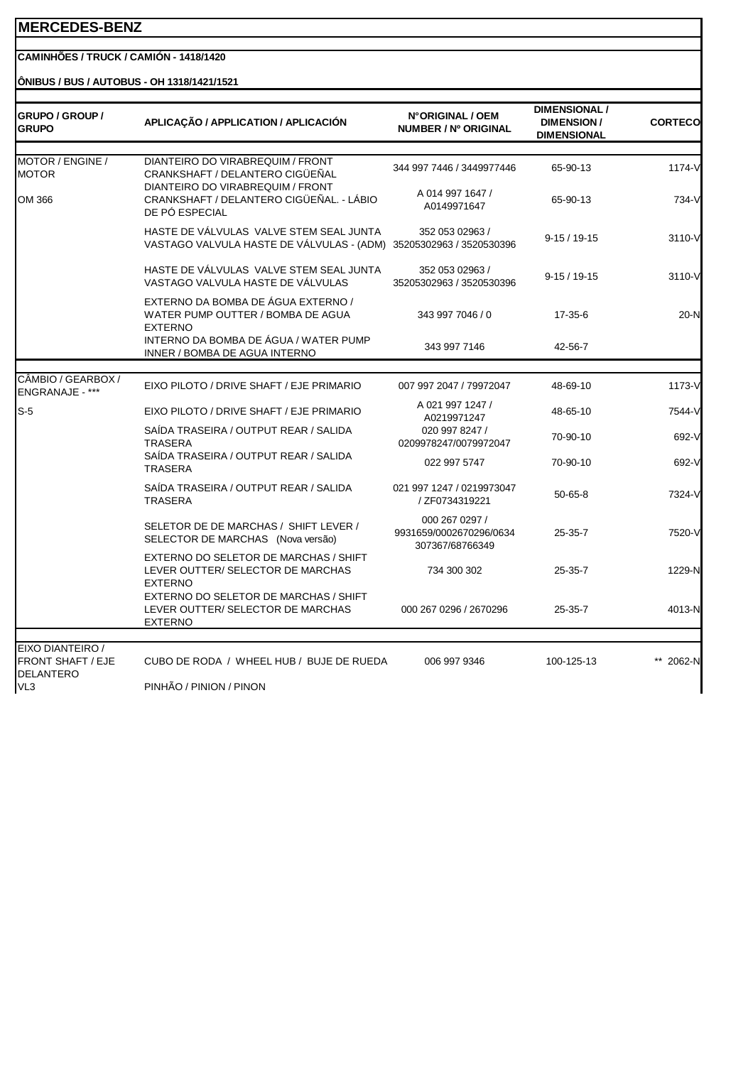#### **CAMINHÕES / TRUCK / CAMIÓN - 1418/1420**

#### **ÔNIBUS / BUS / AUTOBUS - OH 1318/1421/1521**

| <b>GRUPO / GROUP /</b><br><b>GRUPO</b>             | APLICAÇÃO / APPLICATION / APLICACIÓN                                                           | N°ORIGINAL / OEM<br>NUMBER / Nº ORIGINAL                     | <b>DIMENSIONAL /</b><br><b>DIMENSION/</b><br><b>DIMENSIONAL</b> | <b>CORTECO</b> |
|----------------------------------------------------|------------------------------------------------------------------------------------------------|--------------------------------------------------------------|-----------------------------------------------------------------|----------------|
| MOTOR / ENGINE /<br>MOTOR                          | DIANTEIRO DO VIRABREQUIM / FRONT<br>CRANKSHAFT / DELANTERO CIGÜEÑAL                            | 344 997 7446 / 3449977446                                    | 65-90-13                                                        | 1174-V         |
| OM 366                                             | DIANTEIRO DO VIRABREQUIM / FRONT<br>CRANKSHAFT / DELANTERO CIGÜEÑAL. - LÁBIO<br>DE PÓ ESPECIAL | A 014 997 1647 /<br>A0149971647                              | 65-90-13                                                        | 734-V          |
|                                                    | HASTE DE VÁLVULAS VALVE STEM SEAL JUNTA<br>VASTAGO VALVULA HASTE DE VÁLVULAS - (ADM)           | 352 053 02963 /<br>35205302963 / 3520530396                  | $9-15/19-15$                                                    | 3110-V         |
|                                                    | HASTE DE VÁLVULAS VALVE STEM SEAL JUNTA<br>VASTAGO VALVULA HASTE DE VÁLVULAS                   | 352 053 02963 /<br>35205302963 / 3520530396                  | $9-15/19-15$                                                    | 3110-V         |
|                                                    | EXTERNO DA BOMBA DE ÁGUA EXTERNO /<br>WATER PUMP OUTTER / BOMBA DE AGUA<br><b>EXTERNO</b>      | 343 997 7046 / 0                                             | 17-35-6                                                         | 20-N           |
|                                                    | INTERNO DA BOMBA DE ÁGUA / WATER PUMP<br>INNER / BOMBA DE AGUA INTERNO                         | 343 997 7146                                                 | 42-56-7                                                         |                |
|                                                    |                                                                                                |                                                              |                                                                 |                |
| CÂMBIO / GEARBOX /<br>ENGRANAJE - ***              | EIXO PILOTO / DRIVE SHAFT / EJE PRIMARIO                                                       | 007 997 2047 / 79972047                                      | 48-69-10                                                        | 1173-V         |
| $S-5$                                              | EIXO PILOTO / DRIVE SHAFT / EJE PRIMARIO                                                       | A 021 997 1247 /<br>A0219971247                              | 48-65-10                                                        | 7544-V         |
|                                                    | SAÍDA TRASEIRA / OUTPUT REAR / SALIDA<br><b>TRASERA</b>                                        | 020 997 8247 /<br>0209978247/0079972047                      | 70-90-10                                                        | 692-V          |
|                                                    | SAÍDA TRASEIRA / OUTPUT REAR / SALIDA<br><b>TRASERA</b>                                        | 022 997 5747                                                 | 70-90-10                                                        | 692-V          |
|                                                    | SAÍDA TRASEIRA / OUTPUT REAR / SALIDA<br><b>TRASERA</b>                                        | 021 997 1247 / 0219973047<br>/ ZF0734319221                  | $50 - 65 - 8$                                                   | 7324-V         |
|                                                    | SELETOR DE DE MARCHAS / SHIFT LEVER /<br>SELECTOR DE MARCHAS (Nova versão)                     | 000 267 0297 /<br>9931659/0002670296/0634<br>307367/68766349 | 25-35-7                                                         | 7520-V         |
|                                                    | EXTERNO DO SELETOR DE MARCHAS / SHIFT<br>LEVER OUTTER/ SELECTOR DE MARCHAS<br><b>EXTERNO</b>   | 734 300 302                                                  | 25-35-7                                                         | 1229-N         |
|                                                    | EXTERNO DO SELETOR DE MARCHAS / SHIFT<br>LEVER OUTTER/ SELECTOR DE MARCHAS<br><b>EXTERNO</b>   | 000 267 0296 / 2670296                                       | $25 - 35 - 7$                                                   | 4013-N         |
|                                                    |                                                                                                |                                                              |                                                                 |                |
| EIXO DIANTEIRO /<br>FRONT SHAFT / EJE<br>DELANTERO | CUBO DE RODA / WHEEL HUB / BUJE DE RUEDA                                                       | 006 997 9346                                                 | 100-125-13                                                      | ** 2062-N      |
| VL3                                                | PINHÃO / PINION / PINON                                                                        |                                                              |                                                                 |                |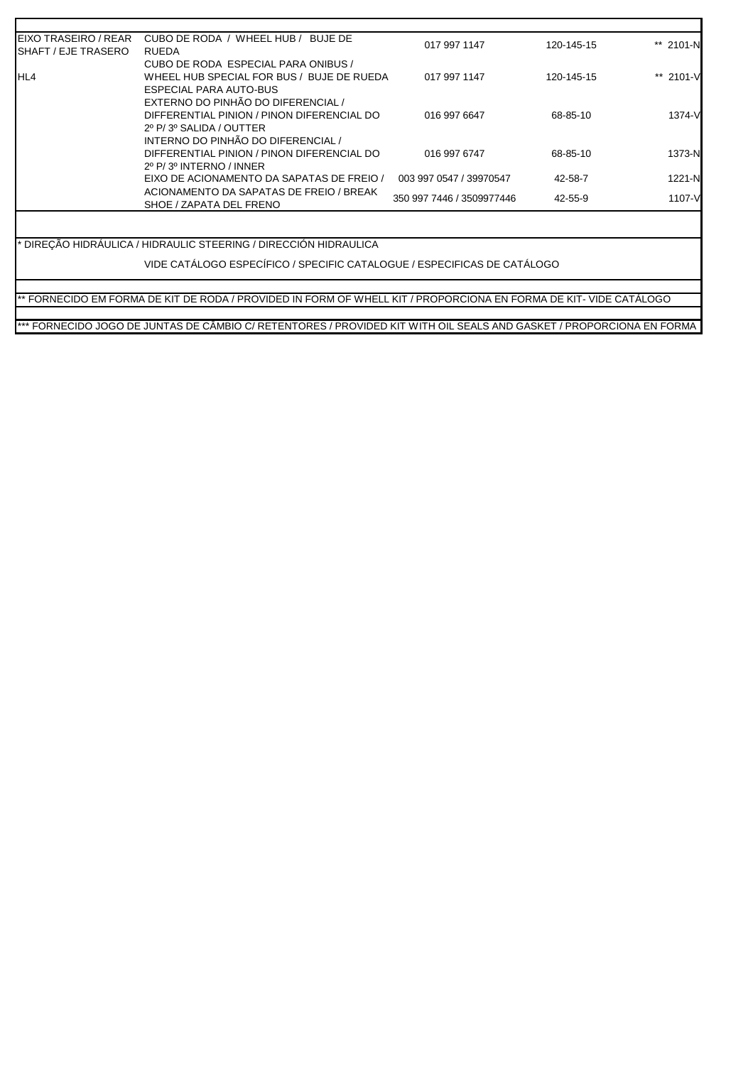| EIXO TRASEIRO / REAR<br>SHAFT / EJE TRASERO | CUBO DE RODA / WHEEL HUB / BUJE DE<br><b>RUEDA</b> | 017 997 1147              | 120-145-15 | ** 2101-N |
|---------------------------------------------|----------------------------------------------------|---------------------------|------------|-----------|
|                                             | CUBO DE RODA ESPECIAL PARA ONIBUS /                |                           |            |           |
| HL4                                         | WHEEL HUB SPECIAL FOR BUS / BUJE DE RUEDA          | 017 997 1147              | 120-145-15 | ** 2101-V |
|                                             | ESPECIAL PARA AUTO-BUS                             |                           |            |           |
|                                             | EXTERNO DO PINHÃO DO DIFERENCIAL /                 |                           |            |           |
|                                             | DIFFERENTIAL PINION / PINON DIFERENCIAL DO         | 016 997 6647              | 68-85-10   | 1374-V    |
|                                             | 2º P/3º SALIDA / OUTTER                            |                           |            |           |
|                                             | INTERNO DO PINHÃO DO DIFERENCIAL /                 |                           |            |           |
|                                             | DIFFERENTIAL PINION / PINON DIFERENCIAL DO         | 016 997 6747              | 68-85-10   | 1373-N    |
|                                             | 2º P/3º INTERNO / INNER                            |                           |            |           |
|                                             | EIXO DE ACIONAMENTO DA SAPATAS DE FREIO /          | 003 997 0547 / 39970547   | 42-58-7    | 1221-N    |
|                                             | ACIONAMENTO DA SAPATAS DE FREIO / BREAK            |                           |            |           |
|                                             | SHOE / ZAPATA DEL FRENO                            | 350 997 7446 / 3509977446 | 42-55-9    | 1107-V    |

\* DIREÇÃO HIDRÁULICA / HIDRAULIC STEERING / DIRECCIÓN HIDRAULICA

VIDE CATÁLOGO ESPECÍFICO / SPECIFIC CATALOGUE / ESPECIFICAS DE CATÁLOGO

\*\* FORNECIDO EM FORMA DE KIT DE RODA / PROVIDED IN FORM OF WHELL KIT / PROPORCIONA EN FORMA DE KIT- VIDE CATÁLOGO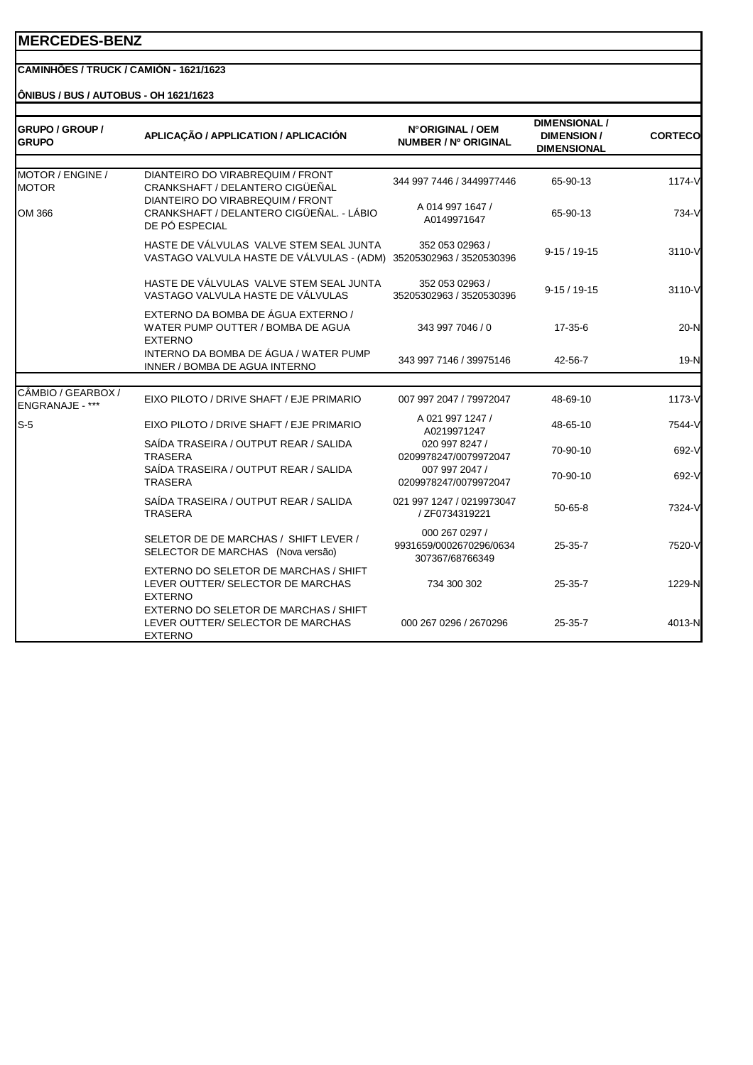## **CAMINHÕES / TRUCK / CAMIÓN - 1621/1623**

**ÔNIBUS / BUS / AUTOBUS - OH 1621/1623**

| GRUPO / GROUP /<br><b>GRUPO</b>       | APLICAÇÃO / APPLICATION / APLICACIÓN                                                           | N°ORIGINAL / OEM<br>NUMBER / Nº ORIGINAL                     | <b>DIMENSIONAL /</b><br><b>DIMENSION/</b><br><b>DIMENSIONAL</b> | <b>CORTECO</b> |
|---------------------------------------|------------------------------------------------------------------------------------------------|--------------------------------------------------------------|-----------------------------------------------------------------|----------------|
| MOTOR / ENGINE /<br><b>MOTOR</b>      | DIANTEIRO DO VIRABREQUIM / FRONT<br>CRANKSHAFT / DELANTERO CIGÜEÑAL                            | 344 997 7446 / 3449977446                                    | 65-90-13                                                        | $1174-V$       |
| OM 366                                | DIANTEIRO DO VIRABREQUIM / FRONT<br>CRANKSHAFT / DELANTERO CIGÜEÑAL. - LÁBIO<br>DE PÓ ESPECIAL | A 014 997 1647 /<br>A0149971647                              | 65-90-13                                                        | 734-V          |
|                                       | HASTE DE VÁLVULAS VALVE STEM SEAL JUNTA<br>VASTAGO VALVULA HASTE DE VÁLVULAS - (ADM)           | 352 053 02963 /<br>35205302963 / 3520530396                  | $9-15/19-15$                                                    | 3110-V         |
|                                       | HASTE DE VÁLVULAS VALVE STEM SEAL JUNTA<br>VASTAGO VALVULA HASTE DE VÁLVULAS                   | 352 053 02963 /<br>35205302963 / 3520530396                  | $9-15/19-15$                                                    | 3110-V         |
|                                       | EXTERNO DA BOMBA DE ÁGUA EXTERNO /<br>WATER PUMP OUTTER / BOMBA DE AGUA<br><b>EXTERNO</b>      | 343 997 7046 / 0                                             | $17 - 35 - 6$                                                   | 20-N           |
|                                       | INTERNO DA BOMBA DE ÁGUA / WATER PUMP<br>INNER / BOMBA DE AGUA INTERNO                         | 343 997 7146 / 39975146                                      | 42-56-7                                                         | 19-N           |
|                                       |                                                                                                |                                                              |                                                                 |                |
| CÂMBIO / GEARBOX /<br>ENGRANAJE - *** | EIXO PILOTO / DRIVE SHAFT / EJE PRIMARIO                                                       | 007 997 2047 / 79972047                                      | 48-69-10                                                        | 1173-V         |
| $S-5$                                 | EIXO PILOTO / DRIVE SHAFT / EJE PRIMARIO                                                       | A 021 997 1247 /<br>A0219971247                              | 48-65-10                                                        | 7544-V         |
|                                       | SAÍDA TRASEIRA / OUTPUT REAR / SALIDA<br><b>TRASERA</b>                                        | 020 997 8247 /<br>0209978247/0079972047                      | 70-90-10                                                        | 692-V          |
|                                       | SAÍDA TRASEIRA / OUTPUT REAR / SALIDA<br><b>TRASERA</b>                                        | 007 997 2047 /<br>0209978247/0079972047                      | 70-90-10                                                        | 692-V          |
|                                       | SAÍDA TRASEIRA / OUTPUT REAR / SALIDA<br><b>TRASERA</b>                                        | 021 997 1247 / 0219973047<br>/ ZF0734319221                  | $50 - 65 - 8$                                                   | 7324-V         |
|                                       | SELETOR DE DE MARCHAS / SHIFT LEVER /<br>SELECTOR DE MARCHAS (Nova versão)                     | 000 267 0297 /<br>9931659/0002670296/0634<br>307367/68766349 | $25 - 35 - 7$                                                   | 7520-V         |
|                                       | EXTERNO DO SELETOR DE MARCHAS / SHIFT<br>LEVER OUTTER/ SELECTOR DE MARCHAS<br><b>EXTERNO</b>   | 734 300 302                                                  | $25 - 35 - 7$                                                   | 1229-N         |
|                                       | EXTERNO DO SELETOR DE MARCHAS / SHIFT<br>LEVER OUTTER/ SELECTOR DE MARCHAS<br><b>EXTERNO</b>   | 000 267 0296 / 2670296                                       | $25 - 35 - 7$                                                   | 4013-N         |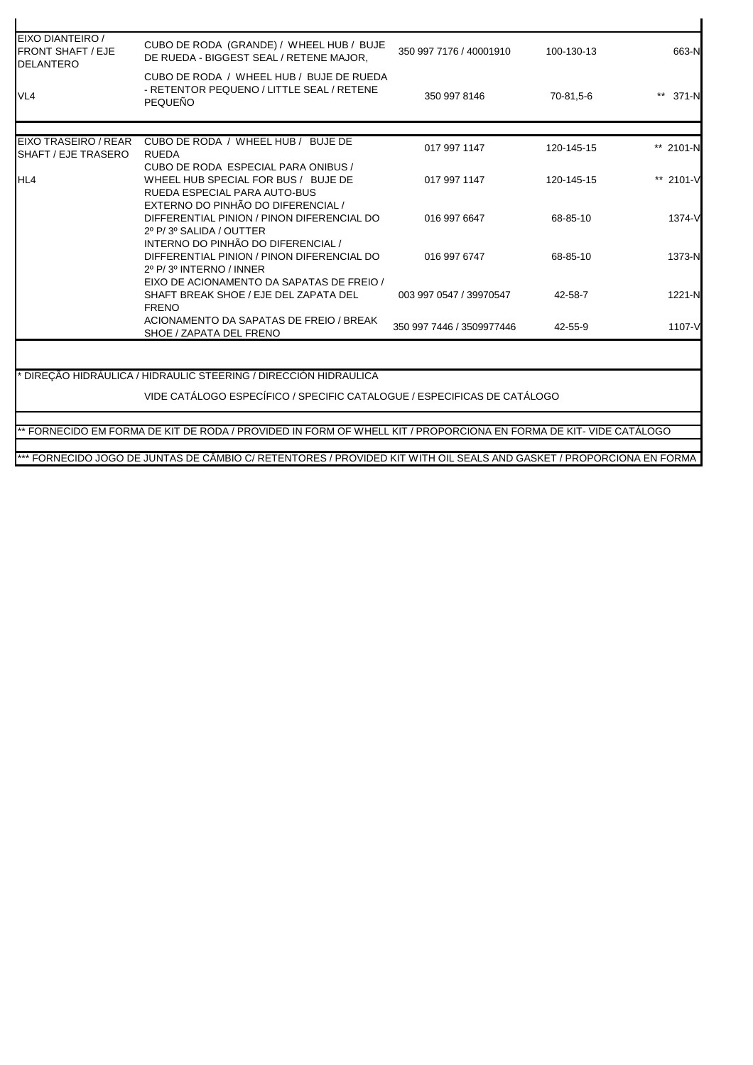| EIXO DIANTEIRO /<br><b>FRONT SHAFT / EJE</b><br><b>DELANTERO</b> | CUBO DE RODA (GRANDE) / WHEEL HUB / BUJE<br>DE RUEDA - BIGGEST SEAL / RETENE MAJOR.                     | 350 997 7176 / 40001910   | 100-130-13 | 663-N     |
|------------------------------------------------------------------|---------------------------------------------------------------------------------------------------------|---------------------------|------------|-----------|
| VL <sub>4</sub>                                                  | CUBO DE RODA / WHEEL HUB / BUJE DE RUEDA<br>- RETENTOR PEQUENO / LITTLE SEAL / RETENE<br><b>PEQUEÑO</b> | 350 997 8146              | 70-81,5-6  | ** 371-N  |
|                                                                  |                                                                                                         |                           |            |           |
| EIXO TRASEIRO / REAR<br>SHAFT / EJE TRASERO                      | CUBO DE RODA / WHEEL HUB / BUJE DE<br><b>RUEDA</b>                                                      | 017 997 1147              | 120-145-15 | ** 2101-N |
|                                                                  | CUBO DE RODA ESPECIAL PARA ONIBUS /                                                                     |                           |            |           |
| <b>HL4</b>                                                       | WHEEL HUB SPECIAL FOR BUS / BUJE DE                                                                     | 017 997 1147              | 120-145-15 | ** 2101-V |
|                                                                  | RUEDA ESPECIAL PARA AUTO-BUS                                                                            |                           |            |           |
|                                                                  | EXTERNO DO PINHÃO DO DIFERENCIAL /                                                                      |                           |            |           |
|                                                                  | DIFFERENTIAL PINION / PINON DIFERENCIAL DO                                                              | 016 997 6647              | 68-85-10   | 1374-V    |
|                                                                  | 2º P/3º SALIDA / OUTTER                                                                                 |                           |            |           |
|                                                                  | INTERNO DO PINHÃO DO DIFERENCIAL /                                                                      |                           |            |           |
|                                                                  | DIFFERENTIAL PINION / PINON DIFERENCIAL DO                                                              | 016 997 6747              | 68-85-10   | 1373-N    |
|                                                                  | 2º P/3º INTERNO / INNER<br>EIXO DE ACIONAMENTO DA SAPATAS DE FREIO /                                    |                           |            |           |
|                                                                  | SHAFT BREAK SHOE / EJE DEL ZAPATA DEL                                                                   | 003 997 0547 / 39970547   | 42-58-7    | 1221-N    |
|                                                                  | <b>FRENO</b>                                                                                            |                           |            |           |
|                                                                  | ACIONAMENTO DA SAPATAS DE FREIO / BREAK                                                                 |                           |            | 1107-V    |
|                                                                  |                                                                                                         | 350 997 7446 / 3509977446 | 42-55-9    |           |

\*\* FORNECIDO EM FORMA DE KIT DE RODA / PROVIDED IN FORM OF WHELL KIT / PROPORCIONA EN FORMA DE KIT- VIDE CATÁLOGO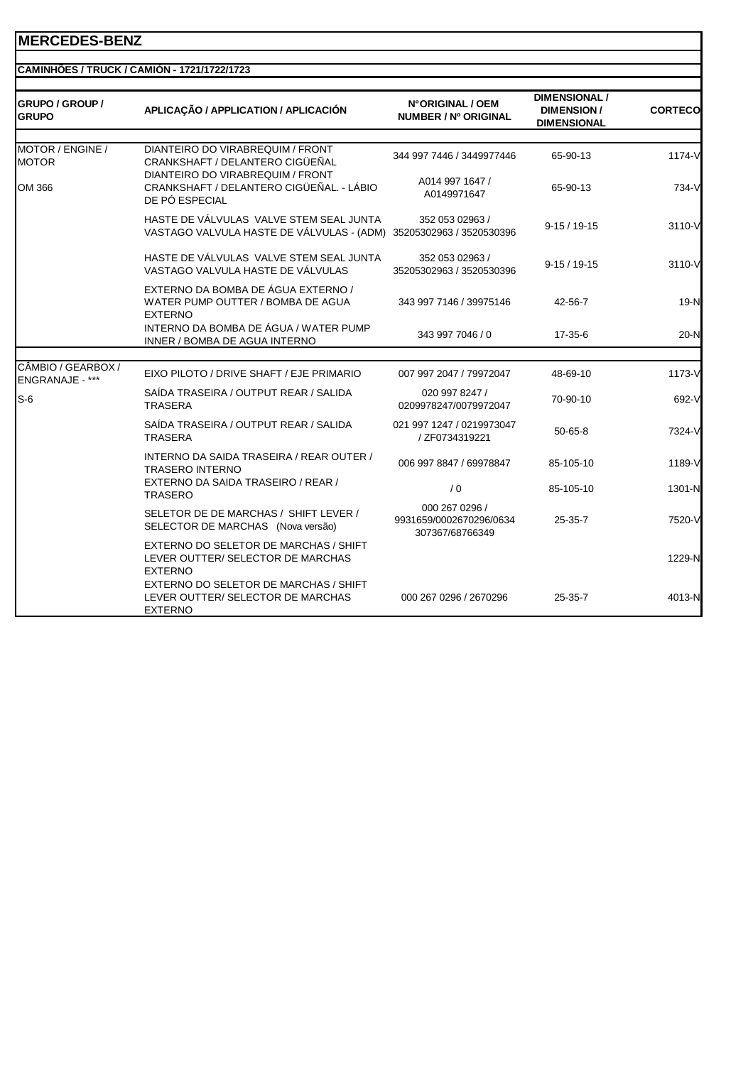|                                        | CAMINHÕES / TRUCK / CAMIÓN - 1721/1722/1723                                                             |                                                              |                                                                 |                |
|----------------------------------------|---------------------------------------------------------------------------------------------------------|--------------------------------------------------------------|-----------------------------------------------------------------|----------------|
| <b>GRUPO / GROUP /</b><br><b>GRUPO</b> | APLICAÇÃO / APPLICATION / APLICACIÓN                                                                    | N°ORIGINAL / OEM<br>NUMBER / Nº ORIGINAL                     | <b>DIMENSIONAL /</b><br><b>DIMENSION/</b><br><b>DIMENSIONAL</b> | <b>CORTECO</b> |
|                                        |                                                                                                         |                                                              |                                                                 |                |
| MOTOR / ENGINE /<br><b>MOTOR</b>       | DIANTEIRO DO VIRABREQUIM / FRONT<br>CRANKSHAFT / DELANTERO CIGÜEÑAL<br>DIANTEIRO DO VIRABREQUIM / FRONT | 344 997 7446 / 3449977446                                    | 65-90-13                                                        | 1174-V         |
| OM 366                                 | CRANKSHAFT / DELANTERO CIGÜEÑAL. - LÁBIO<br>DE PÓ ESPECIAL                                              | A014 997 1647 /<br>A0149971647                               | 65-90-13                                                        | 734-V          |
|                                        | HASTE DE VÁLVULAS VALVE STEM SEAL JUNTA<br>VASTAGO VALVULA HASTE DE VÁLVULAS - (ADM)                    | 352 053 02963 /<br>35205302963 / 3520530396                  | $9-15/19-15$                                                    | 3110-V         |
|                                        | HASTE DE VÁLVULAS VALVE STEM SEAL JUNTA<br>VASTAGO VALVULA HASTE DE VÁLVULAS                            | 352 053 02963 /<br>35205302963 / 3520530396                  | $9-15/19-15$                                                    | 3110-V         |
|                                        | EXTERNO DA BOMBA DE ÁGUA EXTERNO /<br>WATER PUMP OUTTER / BOMBA DE AGUA<br><b>EXTERNO</b>               | 343 997 7146 / 39975146                                      | 42-56-7                                                         | 19-N           |
|                                        | INTERNO DA BOMBA DE ÁGUA / WATER PUMP<br>INNER / BOMBA DE AGUA INTERNO                                  | 343 997 7046 / 0                                             | 17-35-6                                                         | $20-N$         |
|                                        |                                                                                                         |                                                              |                                                                 |                |
| CÂMBIO / GEARBOX /<br>ENGRANAJE - ***  | EIXO PILOTO / DRIVE SHAFT / EJE PRIMARIO                                                                | 007 997 2047 / 79972047                                      | 48-69-10                                                        | 1173-V         |
| $S-6$                                  | SAÍDA TRASEIRA / OUTPUT REAR / SALIDA<br><b>TRASERA</b>                                                 | 020 997 8247 /<br>0209978247/0079972047                      | 70-90-10                                                        | 692-V          |
|                                        | SAÍDA TRASEIRA / OUTPUT REAR / SALIDA<br><b>TRASERA</b>                                                 | 021 997 1247 / 0219973047<br>/ ZF0734319221                  | $50 - 65 - 8$                                                   | 7324-V         |
|                                        | INTERNO DA SAIDA TRASEIRA / REAR OUTER /<br><b>TRASERO INTERNO</b>                                      | 006 997 8847 / 69978847                                      | 85-105-10                                                       | 1189-V         |
|                                        | EXTERNO DA SAIDA TRASEIRO / REAR /<br><b>TRASERO</b>                                                    | /0                                                           | 85-105-10                                                       | 1301-N         |
|                                        | SELETOR DE DE MARCHAS / SHIFT LEVER /<br>SELECTOR DE MARCHAS (Nova versão)                              | 000 267 0296 /<br>9931659/0002670296/0634<br>307367/68766349 | 25-35-7                                                         | 7520-V         |
|                                        | EXTERNO DO SELETOR DE MARCHAS / SHIFT<br>LEVER OUTTER/ SELECTOR DE MARCHAS<br><b>EXTERNO</b>            |                                                              |                                                                 | 1229-N         |
|                                        | EXTERNO DO SELETOR DE MARCHAS / SHIFT<br>LEVER OUTTER/ SELECTOR DE MARCHAS<br><b>EXTERNO</b>            | 000 267 0296 / 2670296                                       | 25-35-7                                                         | 4013-N         |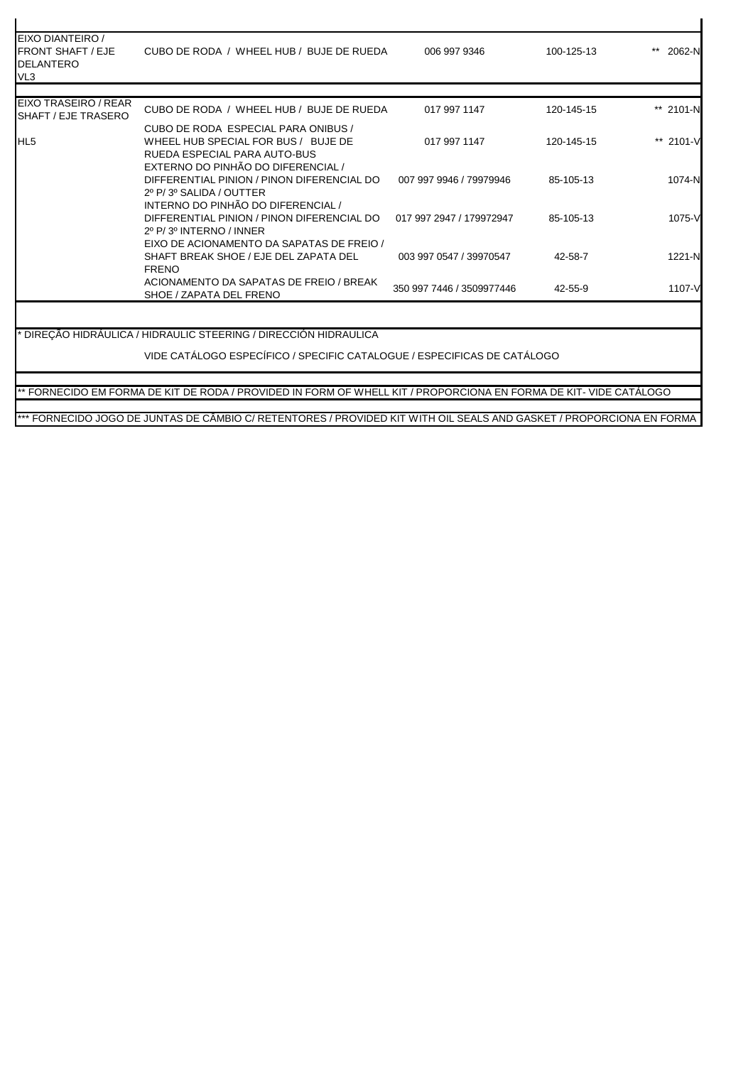| EIXO DIANTEIRO /<br><b>FRONT SHAFT / EJE</b><br><b>DELANTERO</b><br>VL <sub>3</sub> | CUBO DE RODA / WHEEL HUB / BUJE DE RUEDA                                                                                                                                                                                                                       | 006 997 9346              | 100-125-13 | 2062-N    |
|-------------------------------------------------------------------------------------|----------------------------------------------------------------------------------------------------------------------------------------------------------------------------------------------------------------------------------------------------------------|---------------------------|------------|-----------|
| EIXO TRASEIRO / REAR                                                                |                                                                                                                                                                                                                                                                |                           |            |           |
| SHAFT / EJE TRASERO                                                                 | CUBO DE RODA / WHEEL HUB / BUJE DE RUEDA                                                                                                                                                                                                                       | 017 997 1147              | 120-145-15 | ** 2101-N |
| HL <sub>5</sub>                                                                     | CUBO DE RODA ESPECIAL PARA ONIBUS /<br>WHEEL HUB SPECIAL FOR BUS / BUJE DE<br>RUEDA ESPECIAL PARA AUTO-BUS<br>EXTERNO DO PINHÃO DO DIFERENCIAL /                                                                                                               | 017 997 1147              | 120-145-15 | ** 2101-V |
|                                                                                     | DIFFERENTIAL PINION / PINON DIFERENCIAL DO<br>2º P/3º SALIDA / OUTTER<br>INTERNO DO PINHÃO DO DIFERENCIAL /                                                                                                                                                    | 007 997 9946 / 79979946   | 85-105-13  | 1074-N    |
|                                                                                     | DIFFERENTIAL PINION / PINON DIFERENCIAL DO<br>2º P/3º INTERNO / INNER                                                                                                                                                                                          | 017 997 2947 / 179972947  | 85-105-13  | 1075-V    |
|                                                                                     | EIXO DE ACIONAMENTO DA SAPATAS DE FREIO /<br>SHAFT BREAK SHOE / EJE DEL ZAPATA DEL<br><b>FRENO</b>                                                                                                                                                             | 003 997 0547 / 39970547   | 42-58-7    | 1221-N    |
|                                                                                     | ACIONAMENTO DA SAPATAS DE FREIO / BREAK<br>SHOE / ZAPATA DEL FRENO                                                                                                                                                                                             | 350 997 7446 / 3509977446 | 42-55-9    | 1107-V    |
|                                                                                     | DIRECÃO HIDRÁULICA / HIDRAULIC STEERING / DIRECCIÓN HIDRAULICA<br>VIDE CATÁLOGO ESPECÍFICO / SPECIFIC CATALOGUE / ESPECIFICAS DE CATÁLOGO<br>** FORNECIDO EM FORMA DE KIT DE RODA / PROVIDED IN FORM OF WHELL KIT / PROPORCIONA EN FORMA DE KIT- VIDE CATÀLOGO |                           |            |           |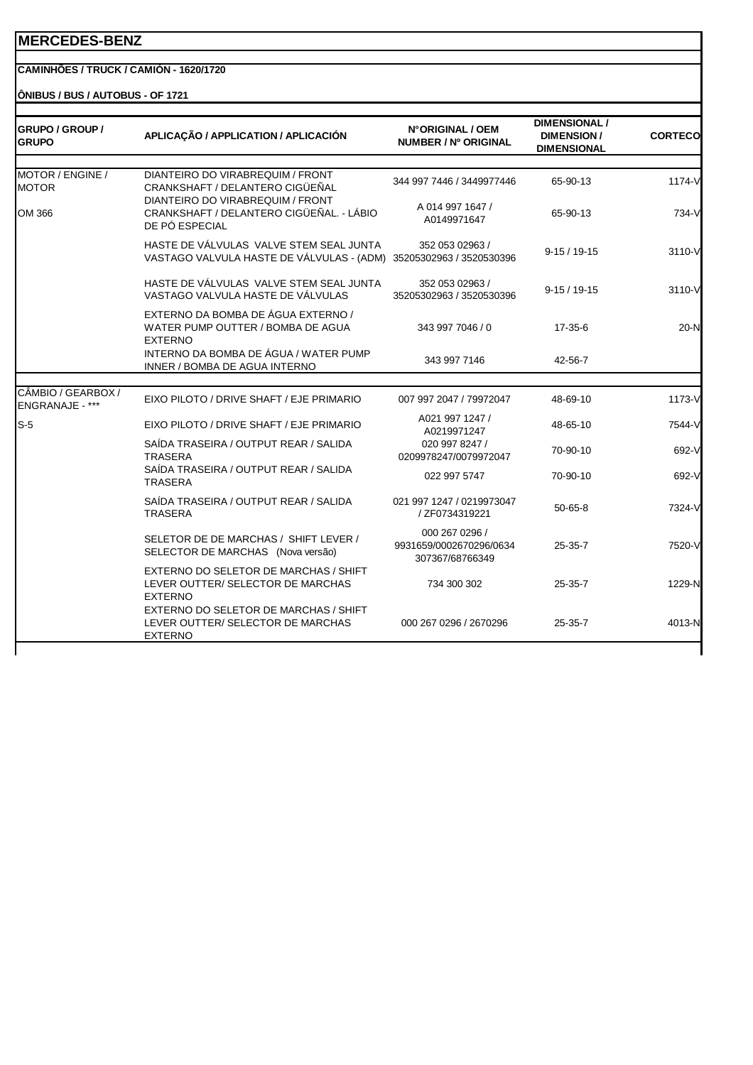#### **CAMINHÕES / TRUCK / CAMIÓN - 1620/1720**

**ÔNIBUS / BUS / AUTOBUS - OF 1721** 

| GRUPO / GROUP /<br><b>GRUPO</b>       | APLICAÇÃO / APPLICATION / APLICACIÓN                                                           | N°ORIGINAL / OEM<br>NUMBER / Nº ORIGINAL                     | <b>DIMENSIONAL /</b><br><b>DIMENSION/</b><br><b>DIMENSIONAL</b> | <b>CORTECO</b> |
|---------------------------------------|------------------------------------------------------------------------------------------------|--------------------------------------------------------------|-----------------------------------------------------------------|----------------|
| MOTOR / ENGINE /<br><b>MOTOR</b>      | DIANTEIRO DO VIRABREQUIM / FRONT<br>CRANKSHAFT / DELANTERO CIGÜEÑAL                            | 344 997 7446 / 3449977446                                    | 65-90-13                                                        | 1174-V         |
| OM 366                                | DIANTEIRO DO VIRABREQUIM / FRONT<br>CRANKSHAFT / DELANTERO CIGÜEÑAL. - LÁBIO<br>DE PÓ ESPECIAL | A 014 997 1647 /<br>A0149971647                              | 65-90-13                                                        | 734-V          |
|                                       | HASTE DE VÁLVULAS VALVE STEM SEAL JUNTA<br>VASTAGO VALVULA HASTE DE VÁLVULAS - (ADM)           | 352 053 02963 /<br>35205302963 / 3520530396                  | $9-15/19-15$                                                    | 3110-V         |
|                                       | HASTE DE VÁLVULAS VALVE STEM SEAL JUNTA<br>VASTAGO VALVULA HASTE DE VÁLVULAS                   | 352 053 02963 /<br>35205302963 / 3520530396                  | $9-15/19-15$                                                    | 3110-V         |
|                                       | EXTERNO DA BOMBA DE ÁGUA EXTERNO /<br>WATER PUMP OUTTER / BOMBA DE AGUA<br><b>EXTERNO</b>      | 343 997 7046 / 0                                             | 17-35-6                                                         | $20-N$         |
|                                       | INTERNO DA BOMBA DE ÁGUA / WATER PUMP<br>INNER / BOMBA DE AGUA INTERNO                         | 343 997 7146                                                 | 42-56-7                                                         |                |
|                                       |                                                                                                |                                                              |                                                                 |                |
| CÂMBIO / GEARBOX /<br>ENGRANAJE - *** | EIXO PILOTO / DRIVE SHAFT / EJE PRIMARIO                                                       | 007 997 2047 / 79972047                                      | 48-69-10                                                        | 1173-V         |
| $S-5$                                 | EIXO PILOTO / DRIVE SHAFT / EJE PRIMARIO                                                       | A021 997 1247 /<br>A0219971247                               | 48-65-10                                                        | 7544-V         |
|                                       | SAÍDA TRASEIRA / OUTPUT REAR / SALIDA<br><b>TRASERA</b>                                        | 020 997 8247 /<br>0209978247/0079972047                      | 70-90-10                                                        | 692-V          |
|                                       | SAÍDA TRASEIRA / OUTPUT REAR / SALIDA<br><b>TRASERA</b>                                        | 022 997 5747                                                 | 70-90-10                                                        | 692-V          |
|                                       | SAÍDA TRASEIRA / OUTPUT REAR / SALIDA<br><b>TRASERA</b>                                        | 021 997 1247 / 0219973047<br>/ ZF0734319221                  | $50 - 65 - 8$                                                   | 7324-V         |
|                                       | SELETOR DE DE MARCHAS / SHIFT LEVER /<br>SELECTOR DE MARCHAS (Nova versão)                     | 000 267 0296 /<br>9931659/0002670296/0634<br>307367/68766349 | $25 - 35 - 7$                                                   | 7520-V         |
|                                       | EXTERNO DO SELETOR DE MARCHAS / SHIFT<br>LEVER OUTTER/ SELECTOR DE MARCHAS<br><b>EXTERNO</b>   | 734 300 302                                                  | $25 - 35 - 7$                                                   | 1229-N         |
|                                       | EXTERNO DO SELETOR DE MARCHAS / SHIFT<br>LEVER OUTTER/ SELECTOR DE MARCHAS<br><b>EXTERNO</b>   | 000 267 0296 / 2670296                                       | $25 - 35 - 7$                                                   | 4013-N         |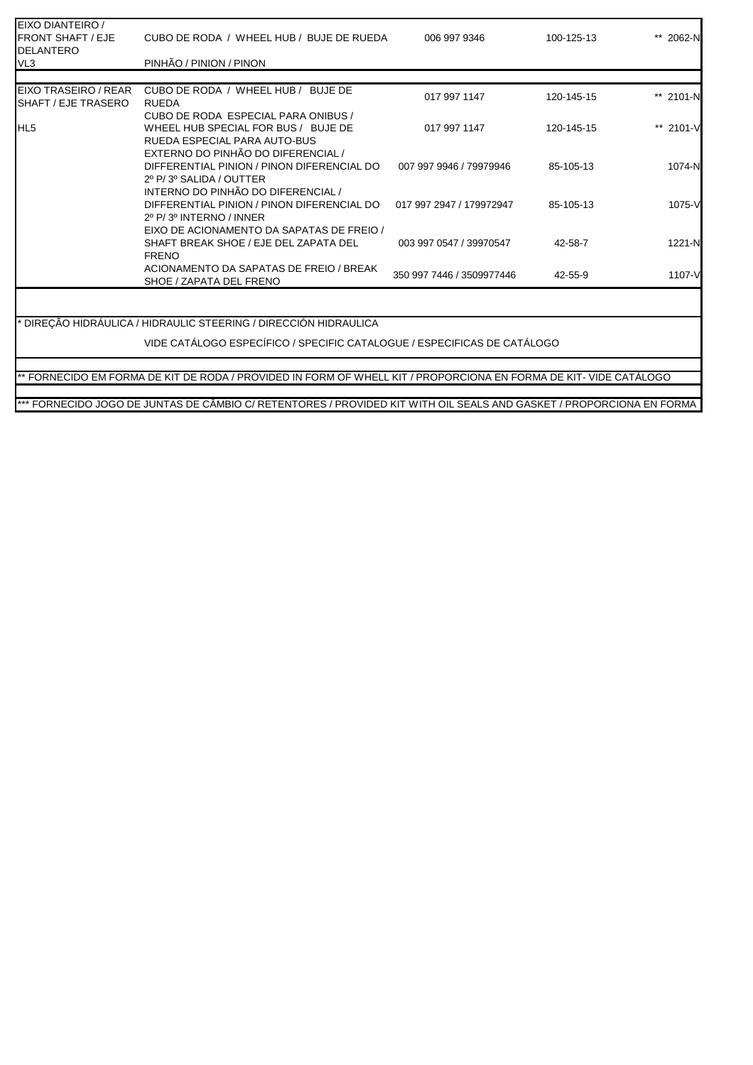| CUBO DE RODA / WHEEL HUB / BUJE DE RUEDA                                                                   | 006 997 9346                                                             | 100-125-13 | ** 2062-N                                                                                                                                                                                    |
|------------------------------------------------------------------------------------------------------------|--------------------------------------------------------------------------|------------|----------------------------------------------------------------------------------------------------------------------------------------------------------------------------------------------|
| PINHÃO / PINION / PINON                                                                                    |                                                                          |            |                                                                                                                                                                                              |
|                                                                                                            |                                                                          |            |                                                                                                                                                                                              |
| CUBO DE RODA / WHEEL HUB / BUJE DE<br><b>RUEDA</b>                                                         | 017 997 1147                                                             | 120-145-15 | ** 2101-N                                                                                                                                                                                    |
| CUBO DE RODA ESPECIAL PARA ONIBUS /<br>WHEEL HUB SPECIAL FOR BUS / BUJE DE<br>RUEDA ESPECIAL PARA AUTO-BUS | 017 997 1147                                                             | 120-145-15 | ** 2101-V                                                                                                                                                                                    |
| DIFFERENTIAL PINION / PINON DIFERENCIAL DO<br>2º P/3º SALIDA / OUTTER                                      | 007 997 9946 / 79979946                                                  | 85-105-13  | 1074-N                                                                                                                                                                                       |
| DIFFERENTIAL PINION / PINON DIFERENCIAL DO<br>2º P/3º INTERNO / INNER                                      | 017 997 2947 / 179972947                                                 | 85-105-13  | 1075-V                                                                                                                                                                                       |
| EIXO DE ACIONAMENTO DA SAPATAS DE FREIO /<br>SHAFT BREAK SHOE / EJE DEL ZAPATA DEL<br><b>FRENO</b>         | 003 997 0547 / 39970547                                                  | 42-58-7    | 1221-N                                                                                                                                                                                       |
| ACIONAMENTO DA SAPATAS DE FREIO / BREAK<br>SHOE / ZAPATA DEL FRENO                                         | 350 997 7446 / 3509977446                                                | 42-55-9    | 1107-V                                                                                                                                                                                       |
|                                                                                                            |                                                                          |            |                                                                                                                                                                                              |
| * DIREÇÃO HIDRÁULICA / HIDRAULIC STEERING / DIRECCIÓN HIDRAULICA                                           |                                                                          |            |                                                                                                                                                                                              |
|                                                                                                            |                                                                          |            |                                                                                                                                                                                              |
|                                                                                                            |                                                                          |            |                                                                                                                                                                                              |
|                                                                                                            |                                                                          |            |                                                                                                                                                                                              |
|                                                                                                            | EXTERNO DO PINHÃO DO DIFERENCIAL /<br>INTERNO DO PINHÃO DO DIFERENCIAL / |            | VIDE CATÁLOGO ESPECÍFICO / SPECIFIC CATALOGUE / ESPECIFICAS DE CATÁLOGO<br>** FORNECIDO EM FORMA DE KIT DE RODA / PROVIDED IN FORM OF WHELL KIT / PROPORCIONA EN FORMA DE KIT- VIDE CATÀLOGO |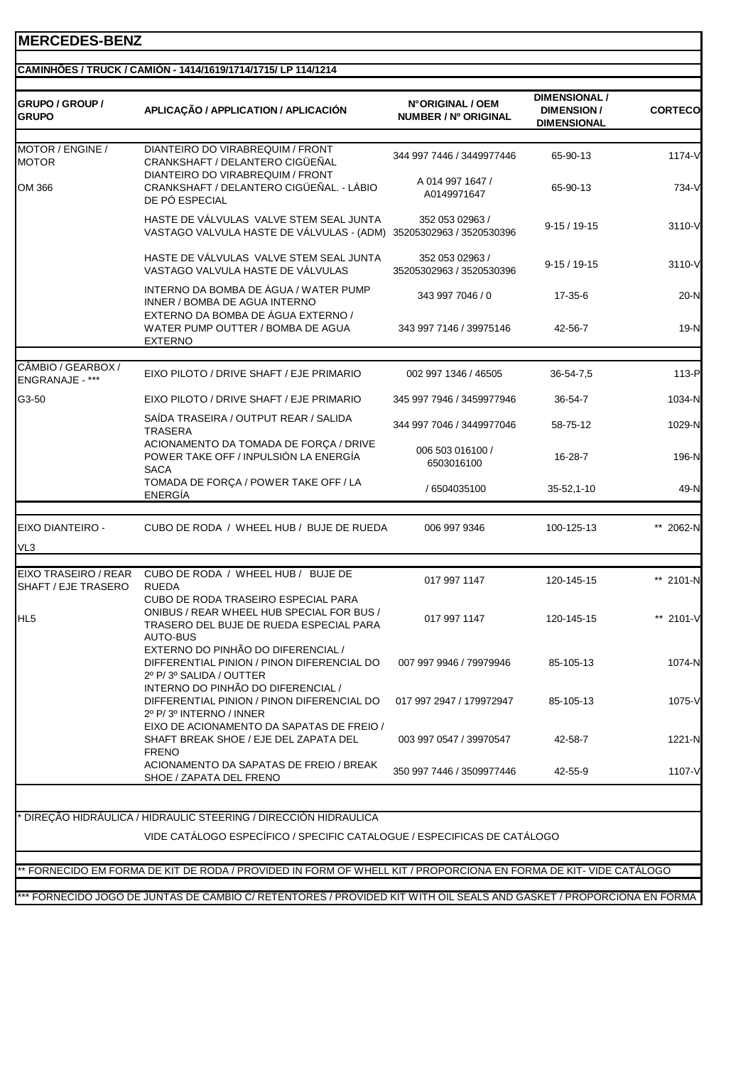#### **CAMINHÕES / TRUCK / CAMIÓN - 1414/1619/1714/1715/ LP 114/1214**

| GRUPO / GROUP /<br><b>GRUPO</b>                    | APLICAÇÃO / APPLICATION / APLICACIÓN                                                                                 | N°ORIGINAL / OEM<br><b>NUMBER / Nº ORIGINAL</b> | <b>DIMENSIONAL /</b><br><b>DIMENSION/</b><br><b>DIMENSIONAL</b> | <b>CORTECO</b> |
|----------------------------------------------------|----------------------------------------------------------------------------------------------------------------------|-------------------------------------------------|-----------------------------------------------------------------|----------------|
| MOTOR / ENGINE /<br><b>MOTOR</b>                   | DIANTEIRO DO VIRABREQUIM / FRONT<br>CRANKSHAFT / DELANTERO CIGÜEÑAL                                                  | 344 997 7446 / 3449977446                       | 65-90-13                                                        | 1174-V         |
| OM 366                                             | DIANTEIRO DO VIRABREQUIM / FRONT<br>CRANKSHAFT / DELANTERO CIGÜEÑAL. - LÁBIO<br>DE PÓ ESPECIAL                       | A 014 997 1647 /<br>A0149971647                 | 65-90-13                                                        | 734-V          |
|                                                    | HASTE DE VÁLVULAS VALVE STEM SEAL JUNTA<br>VASTAGO VALVULA HASTE DE VÁLVULAS - (ADM)                                 | 352 053 02963 /<br>35205302963 / 3520530396     | $9 - 15 / 19 - 15$                                              | $3110 - V$     |
|                                                    | HASTE DE VÁLVULAS VALVE STEM SEAL JUNTA<br>VASTAGO VALVULA HASTE DE VÁLVULAS                                         | 352 053 02963 /<br>35205302963 / 3520530396     | $9-15/19-15$                                                    | 3110-V         |
|                                                    | INTERNO DA BOMBA DE ÁGUA / WATER PUMP<br>INNER / BOMBA DE AGUA INTERNO<br>EXTERNO DA BOMBA DE ÁGUA EXTERNO /         | 343 997 7046 / 0                                | 17-35-6                                                         | 20-N           |
|                                                    | WATER PUMP OUTTER / BOMBA DE AGUA<br><b>EXTERNO</b>                                                                  | 343 997 7146 / 39975146                         | 42-56-7                                                         | 19-N           |
| CÂMBIO / GEARBOX /                                 | EIXO PILOTO / DRIVE SHAFT / EJE PRIMARIO                                                                             | 002 997 1346 / 46505                            | 36-54-7,5                                                       | 113-P          |
| ENGRANAJE - ***                                    |                                                                                                                      |                                                 |                                                                 |                |
| G3-50                                              | EIXO PILOTO / DRIVE SHAFT / EJE PRIMARIO                                                                             | 345 997 7946 / 3459977946                       | 36-54-7                                                         | 1034-N         |
|                                                    | SAÍDA TRASEIRA / OUTPUT REAR / SALIDA<br><b>TRASERA</b>                                                              | 344 997 7046 / 3449977046                       | 58-75-12                                                        | 1029-N         |
|                                                    | ACIONAMENTO DA TOMADA DE FORÇA / DRIVE<br>POWER TAKE OFF / INPULSIÓN LA ENERGÍA<br><b>SACA</b>                       | 006 503 016100 /<br>6503016100                  | 16-28-7                                                         | 196-N          |
|                                                    | TOMADA DE FORÇA / POWER TAKE OFF / LA<br><b>ENERGÍA</b>                                                              | / 6504035100                                    | 35-52,1-10                                                      | 49-N           |
| EIXO DIANTEIRO -                                   | CUBO DE RODA / WHEEL HUB / BUJE DE RUEDA                                                                             | 006 997 9346                                    | 100-125-13                                                      | ** 2062-N      |
| VL3                                                |                                                                                                                      |                                                 |                                                                 |                |
|                                                    |                                                                                                                      |                                                 |                                                                 |                |
| <b>EIXO TRASEIRO / REAR</b><br>SHAFT / EJE TRASERO | CUBO DE RODA / WHEEL HUB / BUJE DE<br><b>RUEDA</b><br><b>CUBO DE RODA TRASEIRO ESPECIAL PARA</b>                     | 017 997 1147                                    | 120-145-15                                                      | ** 2101-N      |
| HL <sub>5</sub>                                    | ONIBUS / REAR WHEEL HUB SPECIAL FOR BUS /<br>TRASERO DEL BUJE DE RUEDA ESPECIAL PARA<br>AUTO-BUS                     | 017 997 1147                                    | 120-145-15                                                      | ** 2101-V      |
|                                                    | EXTERNO DO PINHÃO DO DIFERENCIAL /<br>DIFFERENTIAL PINION / PINON DIFERENCIAL DO<br>2º P/3º SALIDA / OUTTER          | 007 997 9946 / 79979946                         | 85-105-13                                                       | 1074-N         |
|                                                    | INTERNO DO PINHÃO DO DIFERENCIAL /<br>DIFFERENTIAL PINION / PINON DIFERENCIAL DO<br>2º P/3º INTERNO / INNER          | 017 997 2947 / 179972947                        | 85-105-13                                                       | 1075-V         |
|                                                    | EIXO DE ACIONAMENTO DA SAPATAS DE FREIO /<br>SHAFT BREAK SHOE / EJE DEL ZAPATA DEL                                   | 003 997 0547 / 39970547                         | 42-58-7                                                         | 1221-N         |
|                                                    | <b>FRENO</b><br>ACIONAMENTO DA SAPATAS DE FREIO / BREAK<br>SHOE / ZAPATA DEL FRENO                                   | 350 997 7446 / 3509977446                       | 42-55-9                                                         | 1107-V         |
|                                                    |                                                                                                                      |                                                 |                                                                 |                |
|                                                    | DIREÇÃO HIDRÁULICA / HIDRAULIC STEERING / DIRECCIÓN HIDRAULICA                                                       |                                                 |                                                                 |                |
|                                                    | VIDE CATÁLOGO ESPECÍFICO / SPECIFIC CATALOGUE / ESPECIFICAS DE CATÁLOGO                                              |                                                 |                                                                 |                |
|                                                    |                                                                                                                      |                                                 |                                                                 |                |
|                                                    | * FORNECIDO EM FORMA DE KIT DE RODA / PROVIDED IN FORM OF WHELL KIT / PROPORCIONA EN FORMA DE KIT- VIDE CATÁLOGO     |                                                 |                                                                 |                |
|                                                    | *** FORNECIDO JOGO DE JUNTAS DE CÃMBIO C/ RETENTORES / PROVIDED KIT WITH OIL SEALS AND GASKET / PROPORCIONA EN FORMA |                                                 |                                                                 |                |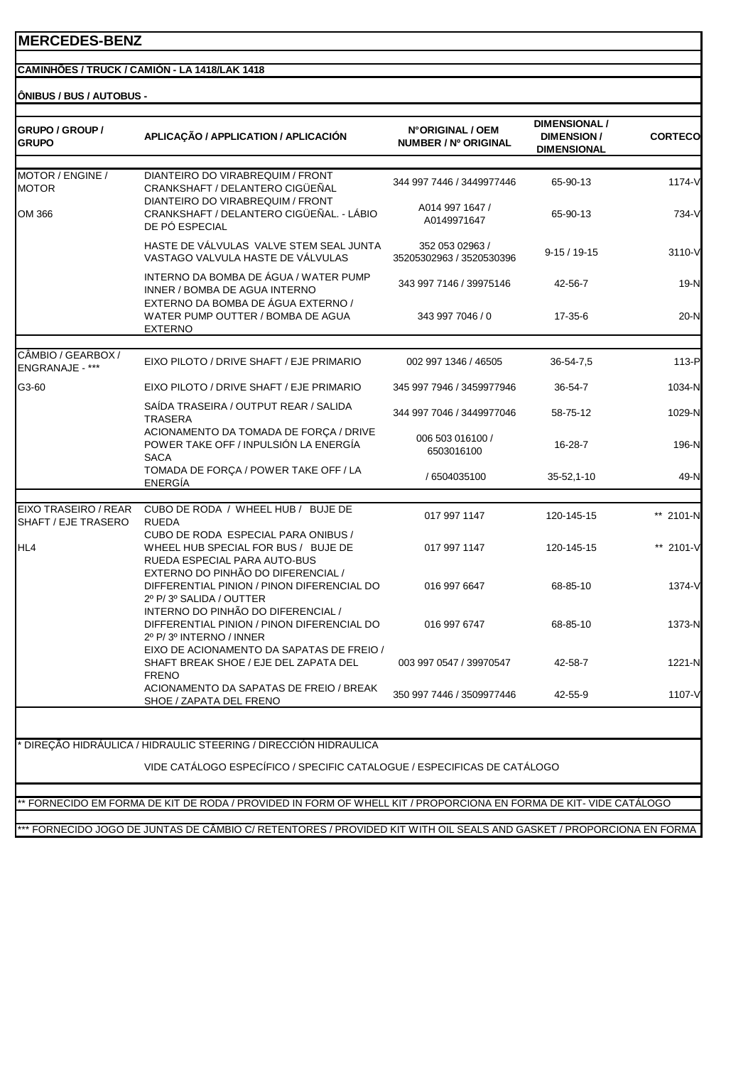#### **CAMINHÕES / TRUCK / CAMIÓN - LA 1418/LAK 1418**

**ÔNIBUS / BUS / AUTOBUS -**

| GRUPO / GROUP /<br><b>GRUPO</b>       | APLICAÇÃO / APPLICATION / APLICACIÓN                                                                                                      | N°ORIGINAL / OEM<br>NUMBER / Nº ORIGINAL    | <b>DIMENSIONAL /</b><br><b>DIMENSION/</b><br><b>DIMENSIONAL</b> | <b>CORTECO</b> |
|---------------------------------------|-------------------------------------------------------------------------------------------------------------------------------------------|---------------------------------------------|-----------------------------------------------------------------|----------------|
| MOTOR / ENGINE /                      | DIANTEIRO DO VIRABREQUIM / FRONT                                                                                                          | 344 997 7446 / 3449977446                   | 65-90-13                                                        | 1174-V         |
| <b>MOTOR</b><br>OM 366                | CRANKSHAFT / DELANTERO CIGÜEÑAL<br>DIANTEIRO DO VIRABREQUIM / FRONT<br>CRANKSHAFT / DELANTERO CIGÜEÑAL. - LÁBIO<br>DE PÓ ESPECIAL         | A014 997 1647 /<br>A0149971647              | 65-90-13                                                        | 734-V          |
|                                       | HASTE DE VÁLVULAS VALVE STEM SEAL JUNTA<br>VASTAGO VALVULA HASTE DE VÁLVULAS                                                              | 352 053 02963 /<br>35205302963 / 3520530396 | $9-15/19-15$                                                    | 3110-V         |
|                                       | INTERNO DA BOMBA DE ÁGUA / WATER PUMP<br>INNER / BOMBA DE AGUA INTERNO                                                                    | 343 997 7146 / 39975146                     | 42-56-7                                                         | 19-N           |
|                                       | EXTERNO DA BOMBA DE ÁGUA EXTERNO /<br>WATER PUMP OUTTER / BOMBA DE AGUA<br><b>EXTERNO</b>                                                 | 343 997 7046 / 0                            | 17-35-6                                                         | 20-N           |
| CÂMBIO / GEARBOX /<br>ENGRANAJE - *** | EIXO PILOTO / DRIVE SHAFT / EJE PRIMARIO                                                                                                  | 002 997 1346 / 46505                        | 36-54-7,5                                                       | 113-P          |
| G3-60                                 | EIXO PILOTO / DRIVE SHAFT / EJE PRIMARIO                                                                                                  | 345 997 7946 / 3459977946                   | 36-54-7                                                         | 1034-N         |
|                                       | SAÍDA TRASEIRA / OUTPUT REAR / SALIDA<br><b>TRASERA</b>                                                                                   | 344 997 7046 / 3449977046                   | 58-75-12                                                        | 1029-N         |
|                                       | ACIONAMENTO DA TOMADA DE FORÇA / DRIVE<br>POWER TAKE OFF / INPULSIÓN LA ENERGÍA<br><b>SACA</b>                                            | 006 503 016100 /<br>6503016100              | 16-28-7                                                         | 196-N          |
|                                       | TOMADA DE FORÇA / POWER TAKE OFF / LA<br><b>ENERGÍA</b>                                                                                   | / 6504035100                                | $35 - 52, 1 - 10$                                               | 49-N           |
| EIXO TRASEIRO / REAR                  | CUBO DE RODA / WHEEL HUB / BUJE DE                                                                                                        |                                             |                                                                 |                |
| SHAFT / EJE TRASERO                   | <b>RUEDA</b>                                                                                                                              | 017 997 1147                                | 120-145-15                                                      | ** 2101-N      |
| HL4                                   | CUBO DE RODA ESPECIAL PARA ONIBUS /<br>WHEEL HUB SPECIAL FOR BUS / BUJE DE<br>RUEDA ESPECIAL PARA AUTO-BUS                                | 017 997 1147                                | 120-145-15                                                      | ** 2101-V      |
|                                       | EXTERNO DO PINHÃO DO DIFERENCIAL /<br>DIFFERENTIAL PINION / PINON DIFERENCIAL DO<br>2º P/3º SALIDA / OUTTER                               | 016 997 6647                                | 68-85-10                                                        | 1374-V         |
|                                       | INTERNO DO PINHÃO DO DIFERENCIAL /<br>DIFFERENTIAL PINION / PINON DIFERENCIAL DO<br>2º P/3º INTERNO / INNER                               | 016 997 6747                                | 68-85-10                                                        | 1373-N         |
|                                       | EIXO DE ACIONAMENTO DA SAPATAS DE FREIO /<br>SHAFT BREAK SHOE / EJE DEL ZAPATA DEL<br><b>FRENO</b>                                        | 003 997 0547 / 39970547                     | 42-58-7                                                         | 1221-N         |
|                                       | ACIONAMENTO DA SAPATAS DE FREIO / BREAK<br>SHOE / ZAPATA DEL FRENO                                                                        | 350 997 7446 / 3509977446                   | 42-55-9                                                         | 1107-V         |
|                                       | DIREÇÃO HIDRÁULICA / HIDRAULIC STEERING / DIRECCIÓN HIDRAULICA<br>VIDE CATÁLOGO ESPECÍFICO / SPECIFIC CATALOGUE / ESPECIFICAS DE CATÁLOGO |                                             |                                                                 |                |

\*\* FORNECIDO EM FORMA DE KIT DE RODA / PROVIDED IN FORM OF WHELL KIT / PROPORCIONA EN FORMA DE KIT- VIDE CATÁLOGO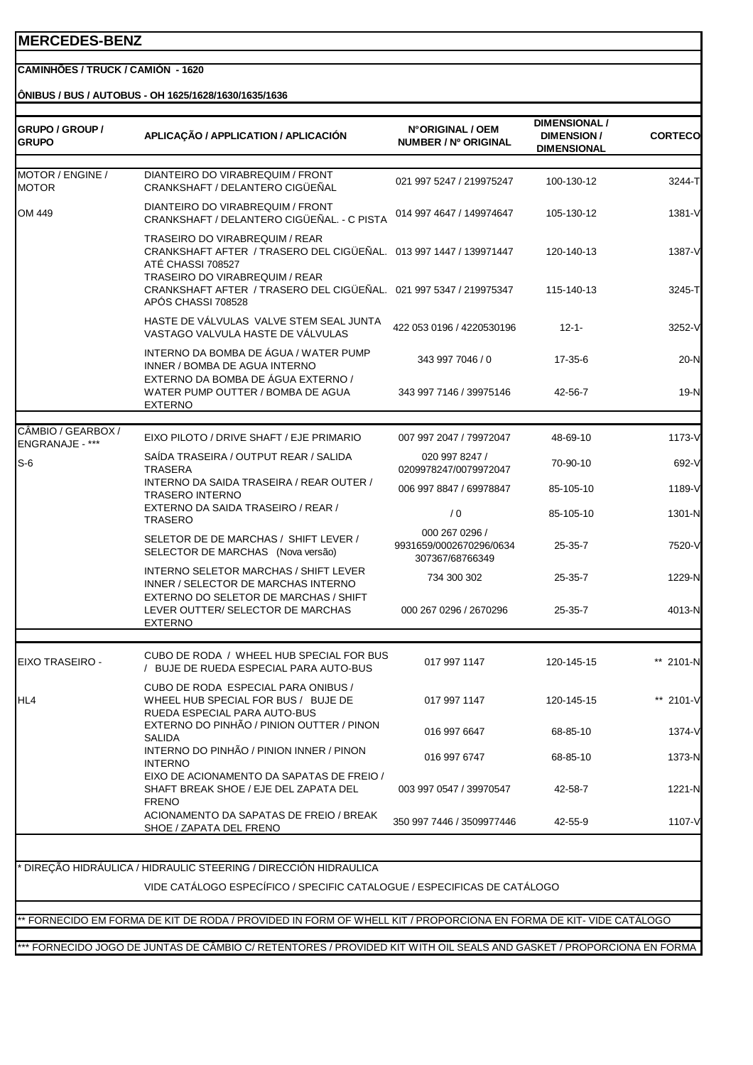#### **CAMINHÕES / TRUCK / CAMIÓN - 1620**

**ÔNIBUS / BUS / AUTOBUS - OH 1625/1628/1630/1635/1636**

| GRUPO / GROUP /<br><b>GRUPO</b>       | APLICAÇÃO / APPLICATION / APLICACIÓN                                                                                                                                                                                                                  | N°ORIGINAL / OEM<br>NUMBER / Nº ORIGINAL                     | <b>DIMENSIONAL /</b><br><b>DIMENSION/</b><br><b>DIMENSIONAL</b> | <b>CORTECO</b>   |
|---------------------------------------|-------------------------------------------------------------------------------------------------------------------------------------------------------------------------------------------------------------------------------------------------------|--------------------------------------------------------------|-----------------------------------------------------------------|------------------|
| MOTOR / ENGINE /                      | DIANTEIRO DO VIRABREQUIM / FRONT                                                                                                                                                                                                                      |                                                              |                                                                 |                  |
| <b>MOTOR</b>                          | CRANKSHAFT / DELANTERO CIGÜEÑAL                                                                                                                                                                                                                       | 021 997 5247 / 219975247                                     | 100-130-12                                                      | 3244-T           |
| OM 449                                | DIANTEIRO DO VIRABREQUIM / FRONT<br>CRANKSHAFT / DELANTERO CIGÜEÑAL. - C PISTA                                                                                                                                                                        | 014 997 4647 / 149974647                                     | 105-130-12                                                      | 1381-V           |
|                                       | TRASEIRO DO VIRABREQUIM / REAR<br>CRANKSHAFT AFTER / TRASERO DEL CIGÜEÑAL. 013 997 1447 / 139971447<br>ATÉ CHASSI 708527<br>TRASEIRO DO VIRABREQUIM / REAR<br>CRANKSHAFT AFTER / TRASERO DEL CIGÜEÑAL. 021 997 5347 / 219975347<br>APÓS CHASSI 708528 |                                                              | 120-140-13<br>115-140-13                                        | 1387-V<br>3245-T |
|                                       | HASTE DE VÁLVULAS VALVE STEM SEAL JUNTA<br>VASTAGO VALVULA HASTE DE VÁLVULAS                                                                                                                                                                          | 422 053 0196 / 4220530196                                    | $12 - 1 -$                                                      | 3252-V           |
|                                       | INTERNO DA BOMBA DE ÁGUA / WATER PUMP<br>INNER / BOMBA DE AGUA INTERNO                                                                                                                                                                                | 343 997 7046 / 0                                             | 17-35-6                                                         | 20-N             |
|                                       | EXTERNO DA BOMBA DE ÁGUA EXTERNO /<br>WATER PUMP OUTTER / BOMBA DE AGUA<br><b>EXTERNO</b>                                                                                                                                                             | 343 997 7146 / 39975146                                      | 42-56-7                                                         | $19-N$           |
|                                       |                                                                                                                                                                                                                                                       |                                                              |                                                                 |                  |
| CÂMBIO / GEARBOX /<br>ENGRANAJE - *** | EIXO PILOTO / DRIVE SHAFT / EJE PRIMARIO                                                                                                                                                                                                              | 007 997 2047 / 79972047                                      | 48-69-10                                                        | 1173-V           |
| $S-6$                                 | SAIDA TRASEIRA / OUTPUT REAR / SALIDA<br><b>TRASERA</b>                                                                                                                                                                                               | 020 997 8247 /<br>0209978247/0079972047                      | 70-90-10                                                        | 692-V            |
|                                       | INTERNO DA SAIDA TRASEIRA / REAR OUTER /<br>TRASERO INTERNO                                                                                                                                                                                           | 006 997 8847 / 69978847                                      | 85-105-10                                                       | 1189-V           |
|                                       | EXTERNO DA SAIDA TRASEIRO / REAR /<br><b>TRASERO</b>                                                                                                                                                                                                  | /0                                                           | 85-105-10                                                       | 1301-N           |
|                                       | SELETOR DE DE MARCHAS / SHIFT LEVER /<br>SELECTOR DE MARCHAS (Nova versão)                                                                                                                                                                            | 000 267 0296 /<br>9931659/0002670296/0634<br>307367/68766349 | $25 - 35 - 7$                                                   | 7520-V           |
|                                       | INTERNO SELETOR MARCHAS / SHIFT LEVER<br>INNER / SELECTOR DE MARCHAS INTERNO                                                                                                                                                                          | 734 300 302                                                  | 25-35-7                                                         | 1229-N           |
|                                       | EXTERNO DO SELETOR DE MARCHAS / SHIFT<br>LEVER OUTTER/ SELECTOR DE MARCHAS<br>EXTERNO                                                                                                                                                                 | 000 267 0296 / 2670296                                       | 25-35-7                                                         | 4013-N           |
| EIXO TRASEIRO -                       | CUBO DE RODA / WHEEL HUB SPECIAL FOR BUS<br>/ BUJE DE RUEDA ESPECIAL PARA AUTO-BUS                                                                                                                                                                    | 017 997 1147                                                 | 120-145-15                                                      | ** 2101-N        |
| HL4                                   | CUBO DE RODA ESPECIAL PARA ONIBUS /<br>WHEEL HUB SPECIAL FOR BUS / BUJE DE<br>RUEDA ESPECIAL PARA AUTO-BUS                                                                                                                                            | 017 997 1147                                                 | 120-145-15                                                      | ** 2101-V        |
|                                       | EXTERNO DO PINHÃO / PINION OUTTER / PINON<br>SALIDA                                                                                                                                                                                                   | 016 997 6647                                                 | 68-85-10                                                        | 1374-V           |
|                                       | INTERNO DO PINHÃO / PINION INNER / PINON<br><b>INTERNO</b>                                                                                                                                                                                            | 016 997 6747                                                 | 68-85-10                                                        | 1373-N           |
|                                       | EIXO DE ACIONAMENTO DA SAPATAS DE FREIO /<br>SHAFT BREAK SHOE / EJE DEL ZAPATA DEL<br><b>FRENO</b>                                                                                                                                                    | 003 997 0547 / 39970547                                      | 42-58-7                                                         | 1221-N           |
|                                       | ACIONAMENTO DA SAPATAS DE FREIO / BREAK<br>SHOE / ZAPATA DEL FRENO                                                                                                                                                                                    | 350 997 7446 / 3509977446                                    | 42-55-9                                                         | 1107-V           |
|                                       |                                                                                                                                                                                                                                                       |                                                              |                                                                 |                  |
|                                       | * DIREÇÃO HIDRÁULICA / HIDRAULIC STEERING / DIRECCIÓN HIDRAULICA                                                                                                                                                                                      |                                                              |                                                                 |                  |
|                                       | VIDE CATÁLOGO ESPECÍFICO / SPECIFIC CATALOGUE / ESPECIFICAS DE CATÁLOGO                                                                                                                                                                               |                                                              |                                                                 |                  |
|                                       | * FORNECIDO EM FORMA DE KIT DE RODA / PROVIDED IN FORM OF WHELL KIT / PROPORCIONA EN FORMA DE KIT- VIDE CATALOGO                                                                                                                                      |                                                              |                                                                 |                  |
|                                       |                                                                                                                                                                                                                                                       |                                                              |                                                                 |                  |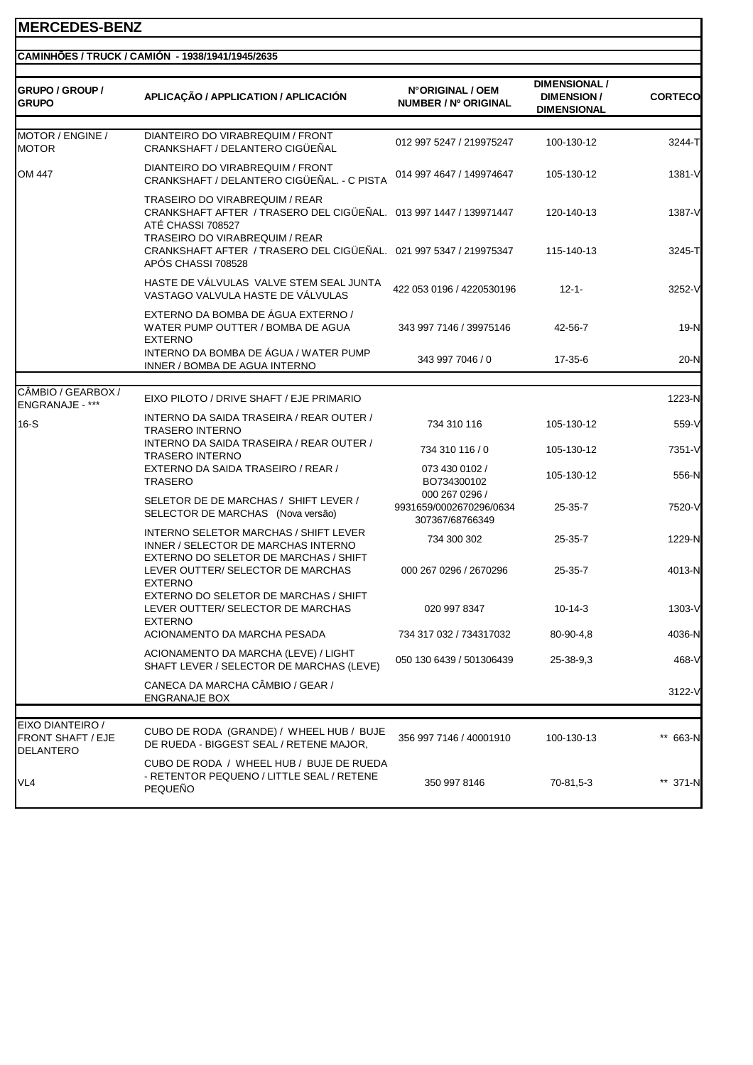|  | CAMINHÕES / TRUCK / CAMIÓN -1938/1941/1945/2635 |
|--|-------------------------------------------------|

| GRUPO / GROUP /<br><b>GRUPO</b>                           | APLICAÇÃO / APPLICATION / APLICACIÓN                                                                                                                              | N°ORIGINAL / OEM<br>NUMBER / Nº ORIGINAL                     | <b>DIMENSIONAL /</b><br><b>DIMENSION/</b><br><b>DIMENSIONAL</b> | <b>CORTECO</b> |
|-----------------------------------------------------------|-------------------------------------------------------------------------------------------------------------------------------------------------------------------|--------------------------------------------------------------|-----------------------------------------------------------------|----------------|
| MOTOR / ENGINE /<br><b>MOTOR</b>                          | DIANTEIRO DO VIRABREQUIM / FRONT<br>CRANKSHAFT / DELANTERO CIGÜEÑAL                                                                                               | 012 997 5247 / 219975247                                     | 100-130-12                                                      | 3244-T         |
| OM 447                                                    | DIANTEIRO DO VIRABREQUIM / FRONT<br>CRANKSHAFT / DELANTERO CIGÜEÑAL. - C PISTA                                                                                    | 014 997 4647 / 149974647                                     | 105-130-12                                                      | 1381-V         |
|                                                           | TRASEIRO DO VIRABREQUIM / REAR<br>CRANKSHAFT AFTER / TRASERO DEL CIGÜEÑAL. 013 997 1447 / 139971447<br>ATÉ CHASSI 708527<br><b>TRASEIRO DO VIRABREQUIM / REAR</b> |                                                              | 120-140-13                                                      | 1387-V         |
|                                                           | CRANKSHAFT AFTER / TRASERO DEL CIGÜEÑAL. 021 997 5347 / 219975347<br>APÓS CHASSI 708528                                                                           |                                                              | 115-140-13                                                      | 3245-T         |
|                                                           | HASTE DE VÁLVULAS VALVE STEM SEAL JUNTA<br>VASTAGO VALVULA HASTE DE VÁLVULAS                                                                                      | 422 053 0196 / 4220530196                                    | $12 - 1 -$                                                      | 3252-V         |
|                                                           | EXTERNO DA BOMBA DE ÁGUA EXTERNO /<br>WATER PUMP OUTTER / BOMBA DE AGUA<br><b>EXTERNO</b>                                                                         | 343 997 7146 / 39975146                                      | 42-56-7                                                         | 19-N           |
|                                                           | INTERNO DA BOMBA DE ÁGUA / WATER PUMP<br>INNER / BOMBA DE AGUA INTERNO                                                                                            | 343 997 7046 / 0                                             | 17-35-6                                                         | $20-N$         |
| CÂMBIO / GEARBOX /<br>ENGRANAJE - ***                     | EIXO PILOTO / DRIVE SHAFT / EJE PRIMARIO                                                                                                                          |                                                              |                                                                 | 1223-N         |
| $16-S$                                                    | INTERNO DA SAIDA TRASEIRA / REAR OUTER /<br><b>TRASERO INTERNO</b>                                                                                                | 734 310 116                                                  | 105-130-12                                                      | 559-V          |
|                                                           | INTERNO DA SAIDA TRASEIRA / REAR OUTER /<br><b>TRASERO INTERNO</b>                                                                                                | 734 310 116 / 0                                              | 105-130-12                                                      | 7351-V         |
|                                                           | EXTERNO DA SAIDA TRASEIRO / REAR /<br><b>TRASERO</b>                                                                                                              | 073 430 0102 /<br>BO734300102                                | 105-130-12                                                      | 556-N          |
|                                                           | SELETOR DE DE MARCHAS / SHIFT LEVER /<br>SELECTOR DE MARCHAS (Nova versão)                                                                                        | 000 267 0296 /<br>9931659/0002670296/0634<br>307367/68766349 | $25 - 35 - 7$                                                   | 7520-V         |
|                                                           | INTERNO SELETOR MARCHAS / SHIFT LEVER<br>INNER / SELECTOR DE MARCHAS INTERNO<br>EXTERNO DO SELETOR DE MARCHAS / SHIFT                                             | 734 300 302                                                  | $25 - 35 - 7$                                                   | 1229-N         |
|                                                           | LEVER OUTTER/ SELECTOR DE MARCHAS<br><b>EXTERNO</b>                                                                                                               | 000 267 0296 / 2670296                                       | 25-35-7                                                         | 4013-N         |
|                                                           | EXTERNO DO SELETOR DE MARCHAS / SHIFT<br>LEVER OUTTER/ SELECTOR DE MARCHAS<br><b>EXTERNO</b>                                                                      | 020 997 8347                                                 | $10-14-3$                                                       | 1303-V         |
|                                                           | ACIONAMENTO DA MARCHA PESADA                                                                                                                                      | 734 317 032 / 734317032                                      | 80-90-4,8                                                       | 4036-N         |
|                                                           | ACIONAMENTO DA MARCHA (LEVE) / LIGHT<br>SHAFT LEVER / SELECTOR DE MARCHAS (LEVE)                                                                                  | 050 130 6439 / 501306439                                     | 25-38-9,3                                                       | 468-V          |
|                                                           | CANECA DA MARCHA CÂMBIO / GEAR /<br>ENGRANAJE BOX                                                                                                                 |                                                              |                                                                 | 3122-V         |
| EIXO DIANTEIRO /<br>FRONT SHAFT / EJE<br><b>DELANTERO</b> | CUBO DE RODA (GRANDE) / WHEEL HUB / BUJE<br>DE RUEDA - BIGGEST SEAL / RETENE MAJOR,                                                                               | 356 997 7146 / 40001910                                      | 100-130-13                                                      | ** 663-N       |
| VL4                                                       | CUBO DE RODA / WHEEL HUB / BUJE DE RUEDA<br>- RETENTOR PEQUENO / LITTLE SEAL / RETENE<br><b>PEQUEÑO</b>                                                           | 350 997 8146                                                 | 70-81,5-3                                                       | ** 371-N       |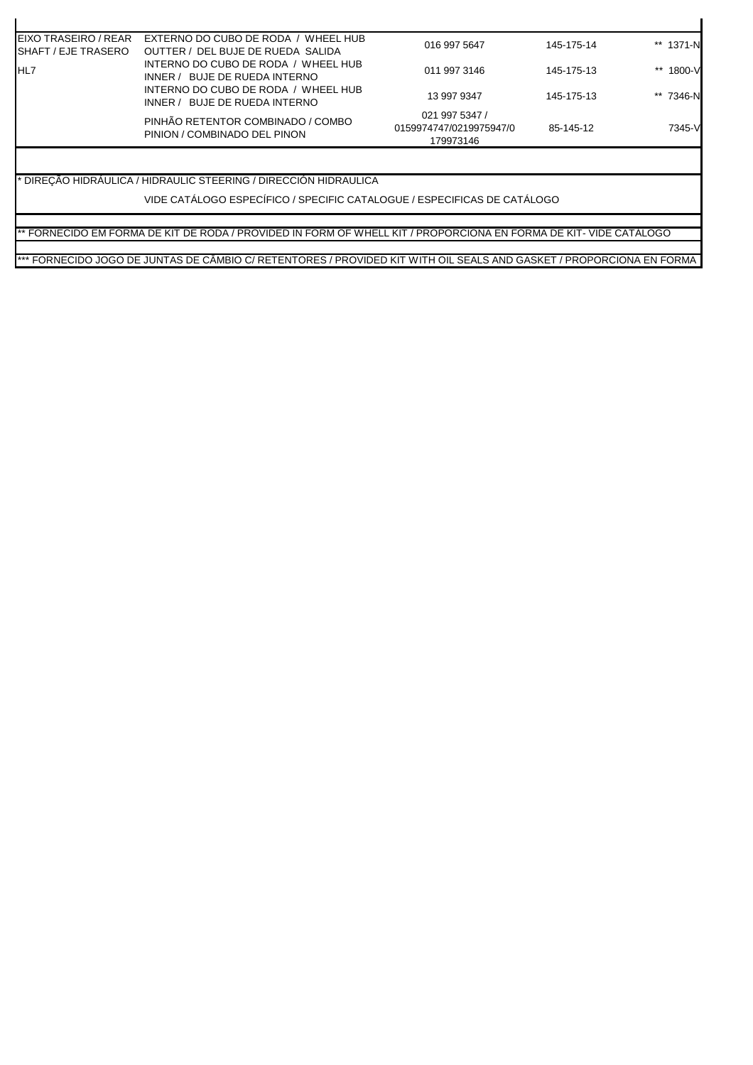| <b>EIXO TRASEIRO / REAR</b><br><b>ISHAFT / EJE TRASERO</b> | EXTERNO DO CUBO DE RODA / WHEEL HUB<br>OUTTER / DEL BUJE DE RUEDA SALIDA | 016 997 5647                                           | 145-175-14 | ** 1371-N |
|------------------------------------------------------------|--------------------------------------------------------------------------|--------------------------------------------------------|------------|-----------|
| <b>IHL7</b>                                                | INTERNO DO CUBO DE RODA / WHEEL HUB<br>INNER / BUJE DE RUEDA INTERNO     | 011 997 3146                                           | 145-175-13 | ** 1800-V |
|                                                            | INTERNO DO CUBO DE RODA / WHEEL HUB<br>INNER / BUJE DE RUEDA INTERNO     | 13 997 9347                                            | 145-175-13 | ** 7346-N |
|                                                            | PINHÃO RETENTOR COMBINADO / COMBO<br>PINION / COMBINADO DEL PINON        | 021 997 5347 /<br>0159974747/0219975947/0<br>179973146 | 85-145-12  | 7345-V    |

 $\mathbf{r}$ 

\* DIREÇÃO HIDRÁULICA / HIDRAULIC STEERING / DIRECCIÓN HIDRAULICA

VIDE CATÁLOGO ESPECÍFICO / SPECIFIC CATALOGUE / ESPECIFICAS DE CATÁLOGO

\*\* FORNECIDO EM FORMA DE KIT DE RODA / PROVIDED IN FORM OF WHELL KIT / PROPORCIONA EN FORMA DE KIT- VIDE CATÁLOGO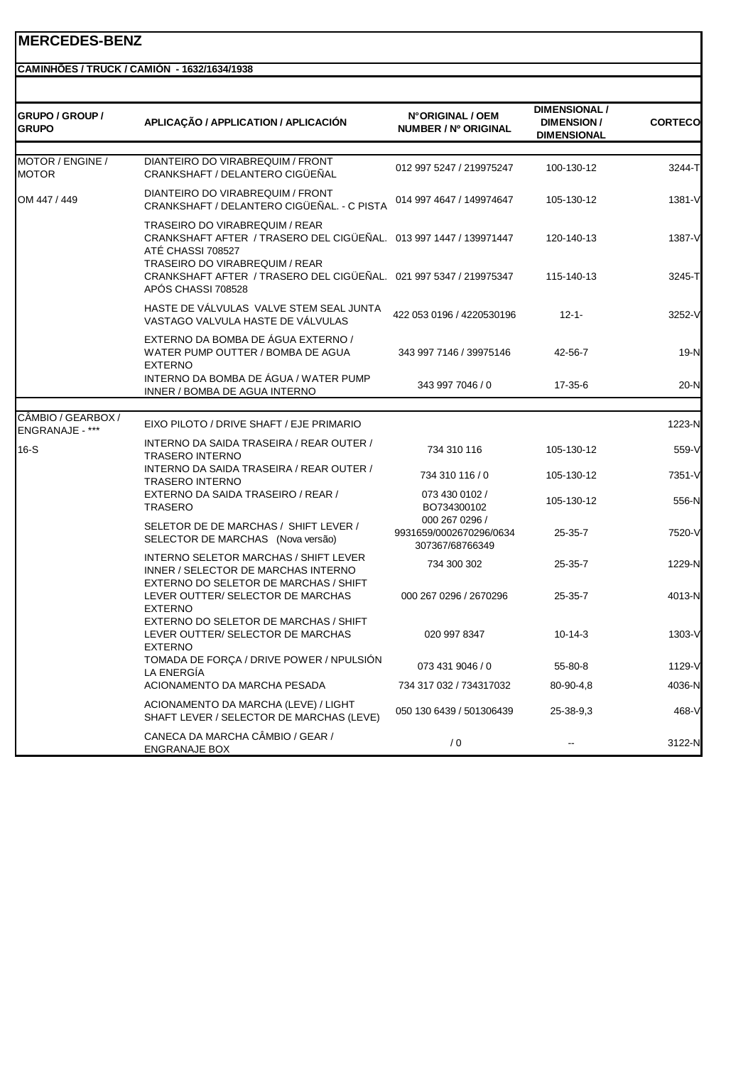#### **CAMINHÕES / TRUCK / CAMIÓN - 1632/1634/1938**

| <b>GRUPO / GROUP /</b><br><b>GRUPO</b> | APLICAÇÃO / APPLICATION / APLICACIÓN                                                                                                                                                                                            | N°ORIGINAL / OEM<br>NUMBER / Nº ORIGINAL                     | <b>DIMENSIONAL /</b><br><b>DIMENSION/</b><br><b>DIMENSIONAL</b> | <b>CORTECO</b>   |
|----------------------------------------|---------------------------------------------------------------------------------------------------------------------------------------------------------------------------------------------------------------------------------|--------------------------------------------------------------|-----------------------------------------------------------------|------------------|
| MOTOR / ENGINE /<br><b>MOTOR</b>       | DIANTEIRO DO VIRABREQUIM / FRONT<br>CRANKSHAFT / DELANTERO CIGÜEÑAL                                                                                                                                                             | 012 997 5247 / 219975247                                     | 100-130-12                                                      | 3244-T           |
| OM 447 / 449                           | DIANTEIRO DO VIRABREQUIM / FRONT<br>CRANKSHAFT / DELANTERO CIGÜEÑAL. - C PISTA                                                                                                                                                  | 014 997 4647 / 149974647                                     | 105-130-12                                                      | $1381 - V$       |
|                                        | TRASEIRO DO VIRABREQUIM / REAR<br>CRANKSHAFT AFTER / TRASERO DEL CIGÜEÑAL. 013 997 1447 / 139971447<br>ATÉ CHASSI 708527<br>TRASEIRO DO VIRABREQUIM / REAR<br>CRANKSHAFT AFTER / TRASERO DEL CIGÜEÑAL. 021 997 5347 / 219975347 |                                                              | 120-140-13<br>115-140-13                                        | 1387-V<br>3245-T |
|                                        | APÓS CHASSI 708528<br>HASTE DE VÁLVULAS VALVE STEM SEAL JUNTA<br>VASTAGO VALVULA HASTE DE VÁLVULAS                                                                                                                              | 422 053 0196 / 4220530196                                    | $12 - 1 -$                                                      | 3252-V           |
|                                        | EXTERNO DA BOMBA DE ÁGUA EXTERNO /<br>WATER PUMP OUTTER / BOMBA DE AGUA<br><b>EXTERNO</b>                                                                                                                                       | 343 997 7146 / 39975146                                      | 42-56-7                                                         | 19-N             |
|                                        | INTERNO DA BOMBA DE ÁGUA / WATER PUMP<br>INNER / BOMBA DE AGUA INTERNO                                                                                                                                                          | 343 997 7046 / 0                                             | 17-35-6                                                         | 20-N             |
|                                        |                                                                                                                                                                                                                                 |                                                              |                                                                 |                  |
| CÂMBIO / GEARBOX /<br>ENGRANAJE - ***  | EIXO PILOTO / DRIVE SHAFT / EJE PRIMARIO                                                                                                                                                                                        |                                                              |                                                                 | 1223-N           |
| $16-S$                                 | INTERNO DA SAIDA TRASEIRA / REAR OUTER /<br><b>TRASERO INTERNO</b>                                                                                                                                                              | 734 310 116                                                  | 105-130-12                                                      | 559-V            |
|                                        | INTERNO DA SAIDA TRASEIRA / REAR OUTER /<br><b>TRASERO INTERNO</b>                                                                                                                                                              | 734 310 116 / 0                                              | 105-130-12                                                      | 7351-V           |
|                                        | EXTERNO DA SAIDA TRASEIRO / REAR /<br>TRASERO                                                                                                                                                                                   | 073 430 0102 /<br>BO734300102                                | 105-130-12                                                      | 556-N            |
|                                        | SELETOR DE DE MARCHAS / SHIFT LEVER /<br>SELECTOR DE MARCHAS (Nova versão)                                                                                                                                                      | 000 267 0296 /<br>9931659/0002670296/0634<br>307367/68766349 | 25-35-7                                                         | 7520-V           |
|                                        | INTERNO SELETOR MARCHAS / SHIFT LEVER<br>INNER / SELECTOR DE MARCHAS INTERNO                                                                                                                                                    | 734 300 302                                                  | 25-35-7                                                         | 1229-N           |
|                                        | EXTERNO DO SELETOR DE MARCHAS / SHIFT<br>LEVER OUTTER/ SELECTOR DE MARCHAS<br><b>EXTERNO</b>                                                                                                                                    | 000 267 0296 / 2670296                                       | $25 - 35 - 7$                                                   | 4013-N           |
|                                        | EXTERNO DO SELETOR DE MARCHAS / SHIFT<br>LEVER OUTTER/ SELECTOR DE MARCHAS<br><b>EXTERNO</b>                                                                                                                                    | 020 997 8347                                                 | $10-14-3$                                                       | 1303-V           |
|                                        | TOMADA DE FORÇA / DRIVE POWER / NPULSIÓN<br>LA ENERGÍA                                                                                                                                                                          | 073 431 9046 / 0                                             | 55-80-8                                                         | 1129-V           |
|                                        | ACIONAMENTO DA MARCHA PESADA                                                                                                                                                                                                    | 734 317 032 / 734317032                                      | 80-90-4,8                                                       | 4036-N           |
|                                        | ACIONAMENTO DA MARCHA (LEVE) / LIGHT<br>SHAFT LEVER / SELECTOR DE MARCHAS (LEVE)                                                                                                                                                | 050 130 6439 / 501306439                                     | 25-38-9,3                                                       | 468-V            |
|                                        | CANECA DA MARCHA CÂMBIO / GEAR /<br>ENGRANAJE BOX                                                                                                                                                                               | / 0                                                          | --                                                              | 3122-N           |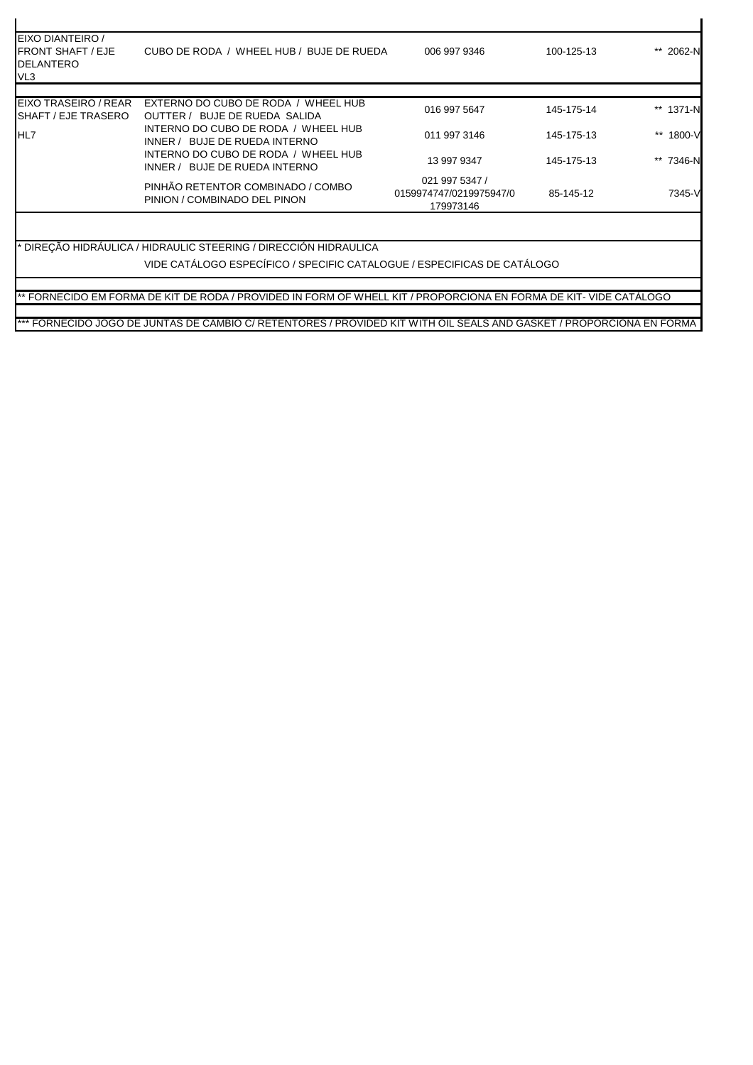| 016 997 5647                                           | 145-175-14 | ** 1371-N                                                                                                                                                                                    |
|--------------------------------------------------------|------------|----------------------------------------------------------------------------------------------------------------------------------------------------------------------------------------------|
|                                                        |            |                                                                                                                                                                                              |
| 011 997 3146                                           | 145-175-13 | $***$<br>1800-V                                                                                                                                                                              |
| 13 997 9347                                            | 145-175-13 | **<br>7346-N                                                                                                                                                                                 |
| 021 997 5347 /<br>0159974747/0219975947/0<br>179973146 | 85-145-12  | 7345-V                                                                                                                                                                                       |
|                                                        |            |                                                                                                                                                                                              |
|                                                        |            | VIDE CATÁLOGO ESPECÍFICO / SPECIFIC CATALOGUE / ESPECIFICAS DE CATÁLOGO<br>** FORNECIDO EM FORMA DE KIT DE RODA / PROVIDED IN FORM OF WHELL KIT / PROPORCIONA EN FORMA DE KIT- VIDE CATALOGO |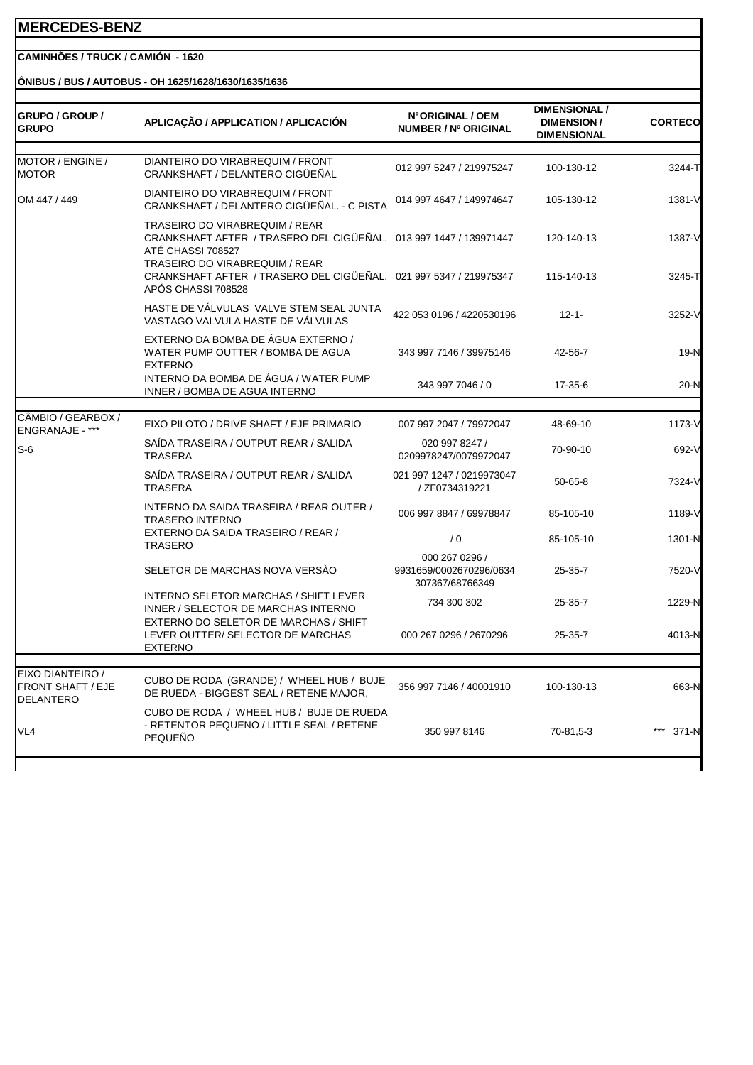#### **CAMINHÕES / TRUCK / CAMIÓN - 1620**

#### **ÔNIBUS / BUS / AUTOBUS - OH 1625/1628/1630/1635/1636**

| <b>GRUPO / GROUP /</b><br><b>GRUPO</b>                           | APLICAÇÃO / APPLICATION / APLICACIÓN                                                                                                                                                                                                   | N°ORIGINAL / OEM<br>NUMBER / Nº ORIGINAL                     | <b>DIMENSIONAL /</b><br><b>DIMENSION/</b><br><b>DIMENSIONAL</b> | <b>CORTECO</b>   |
|------------------------------------------------------------------|----------------------------------------------------------------------------------------------------------------------------------------------------------------------------------------------------------------------------------------|--------------------------------------------------------------|-----------------------------------------------------------------|------------------|
| MOTOR / ENGINE /<br><b>MOTOR</b>                                 | DIANTEIRO DO VIRABREQUIM / FRONT<br>CRANKSHAFT / DELANTERO CIGÜEÑAL                                                                                                                                                                    | 012 997 5247 / 219975247                                     | 100-130-12                                                      | 3244-T           |
| OM 447 / 449                                                     | DIANTEIRO DO VIRABREQUIM / FRONT<br>CRANKSHAFT / DELANTERO CIGÜEÑAL. - C PISTA                                                                                                                                                         | 014 997 4647 / 149974647                                     | 105-130-12                                                      | 1381-V           |
|                                                                  | <b>TRASEIRO DO VIRABREQUIM / REAR</b><br>CRANKSHAFT AFTER / TRASERO DEL CIGÜEÑAL. 013 997 1447 / 139971447<br>ATÉ CHASSI 708527<br>TRASEIRO DO VIRABREQUIM / REAR<br>CRANKSHAFT AFTER / TRASERO DEL CIGÜEÑAL. 021 997 5347 / 219975347 |                                                              | 120-140-13<br>115-140-13                                        | 1387-V<br>3245-T |
|                                                                  | APÓS CHASSI 708528                                                                                                                                                                                                                     |                                                              |                                                                 |                  |
|                                                                  | HASTE DE VÁLVULAS VALVE STEM SEAL JUNTA<br>VASTAGO VALVULA HASTE DE VÁLVULAS                                                                                                                                                           | 422 053 0196 / 4220530196                                    | $12 - 1 -$                                                      | 3252-V           |
|                                                                  | EXTERNO DA BOMBA DE ÁGUA EXTERNO /<br>WATER PUMP OUTTER / BOMBA DE AGUA<br><b>EXTERNO</b>                                                                                                                                              | 343 997 7146 / 39975146                                      | 42-56-7                                                         | 19-N             |
|                                                                  | INTERNO DA BOMBA DE ÁGUA / WATER PUMP<br>INNER / BOMBA DE AGUA INTERNO                                                                                                                                                                 | 343 997 7046 / 0                                             | 17-35-6                                                         | 20-N             |
|                                                                  |                                                                                                                                                                                                                                        |                                                              |                                                                 |                  |
| CÂMBIO / GEARBOX /<br>ENGRANAJE - ***                            | EIXO PILOTO / DRIVE SHAFT / EJE PRIMARIO                                                                                                                                                                                               | 007 997 2047 / 79972047                                      | 48-69-10                                                        | 1173-V           |
| $S-6$                                                            | SAÍDA TRASEIRA / OUTPUT REAR / SALIDA<br><b>TRASERA</b>                                                                                                                                                                                | 020 997 8247 /<br>0209978247/0079972047                      | 70-90-10                                                        | 692-V            |
|                                                                  | SAÍDA TRASEIRA / OUTPUT REAR / SALIDA<br><b>TRASERA</b>                                                                                                                                                                                | 021 997 1247 / 0219973047<br>/ ZF0734319221                  | $50 - 65 - 8$                                                   | 7324-V           |
|                                                                  | INTERNO DA SAIDA TRASEIRA / REAR OUTER /<br><b>TRASERO INTERNO</b>                                                                                                                                                                     | 006 997 8847 / 69978847                                      | 85-105-10                                                       | 1189-V           |
|                                                                  | EXTERNO DA SAIDA TRASEIRO / REAR /<br><b>TRASERO</b>                                                                                                                                                                                   | /0                                                           | 85-105-10                                                       | 1301-N           |
|                                                                  | SELETOR DE MARCHAS NOVA VERSÃO                                                                                                                                                                                                         | 000 267 0296 /<br>9931659/0002670296/0634<br>307367/68766349 | 25-35-7                                                         | 7520-V           |
|                                                                  | INTERNO SELETOR MARCHAS / SHIFT LEVER<br>INNER / SELECTOR DE MARCHAS INTERNO                                                                                                                                                           | 734 300 302                                                  | 25-35-7                                                         | 1229-N           |
|                                                                  | EXTERNO DO SELETOR DE MARCHAS / SHIFT<br>LEVER OUTTER/ SELECTOR DE MARCHAS<br><b>EXTERNO</b>                                                                                                                                           | 000 267 0296 / 2670296                                       | 25-35-7                                                         | 4013-N           |
|                                                                  |                                                                                                                                                                                                                                        |                                                              |                                                                 |                  |
| EIXO DIANTEIRO /<br><b>FRONT SHAFT / EJE</b><br><b>DELANTERO</b> | CUBO DE RODA (GRANDE) / WHEEL HUB / BUJE<br>DE RUEDA - BIGGEST SEAL / RETENE MAJOR,                                                                                                                                                    | 356 997 7146 / 40001910                                      | 100-130-13                                                      | 663-N            |
| VL4                                                              | CUBO DE RODA / WHEEL HUB / BUJE DE RUEDA<br>- RETENTOR PEQUENO / LITTLE SEAL / RETENE<br><b>PEQUEÑO</b>                                                                                                                                | 350 997 8146                                                 | 70-81,5-3                                                       | 371-N            |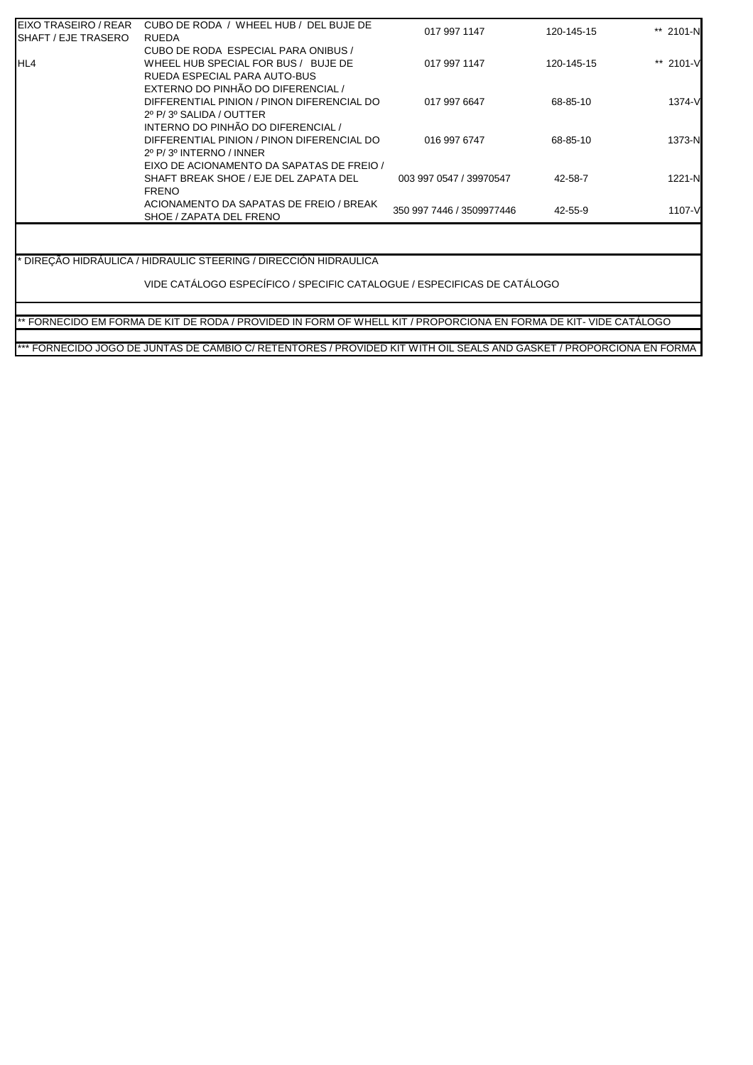| CUBO DE RODA / WHEEL HUB / DEL BUJE DE     |                         |                                           | ** 2101-N             |
|--------------------------------------------|-------------------------|-------------------------------------------|-----------------------|
| RUEDA                                      |                         |                                           |                       |
| CUBO DE RODA ESPECIAL PARA ONIBUS /        |                         |                                           |                       |
| WHEEL HUB SPECIAL FOR BUS / BUJE DE        | 017 997 1147            | 120-145-15                                | ** 2101-V             |
| RUEDA ESPECIAL PARA AUTO-BUS               |                         |                                           |                       |
| EXTERNO DO PINHÃO DO DIFERENCIAL /         |                         |                                           |                       |
| DIFFERENTIAL PINION / PINON DIFERENCIAL DO | 017 997 6647            | 68-85-10                                  | 1374-V                |
| 2º P/3º SALIDA / OUTTER                    |                         |                                           |                       |
| INTERNO DO PINHÃO DO DIFERENCIAL /         |                         |                                           |                       |
| DIFFERENTIAL PINION / PINON DIFERENCIAL DO | 016 997 6747            | 68-85-10                                  | 1373-N                |
| $2^{\circ}$ P/ $3^{\circ}$ INTERNO / INNER |                         |                                           |                       |
| EIXO DE ACIONAMENTO DA SAPATAS DE FREIO /  |                         |                                           |                       |
| SHAFT BREAK SHOE / EJE DEL ZAPATA DEL      | 003 997 0547 / 39970547 | 42-58-7                                   | 1221-N                |
| <b>FRENO</b>                               |                         |                                           |                       |
| ACIONAMENTO DA SAPATAS DE FREIO / BREAK    |                         |                                           |                       |
| SHOE / ZAPATA DEL FRENO                    |                         |                                           | 1107-V                |
|                                            |                         | 017 997 1147<br>350 997 7446 / 3509977446 | 120-145-15<br>42-55-9 |

\* DIREÇÃO HIDRÁULICA / HIDRAULIC STEERING / DIRECCIÓN HIDRAULICA

VIDE CATÁLOGO ESPECÍFICO / SPECIFIC CATALOGUE / ESPECIFICAS DE CATÁLOGO

\*\* FORNECIDO EM FORMA DE KIT DE RODA / PROVIDED IN FORM OF WHELL KIT / PROPORCIONA EN FORMA DE KIT- VIDE CATÁLOGO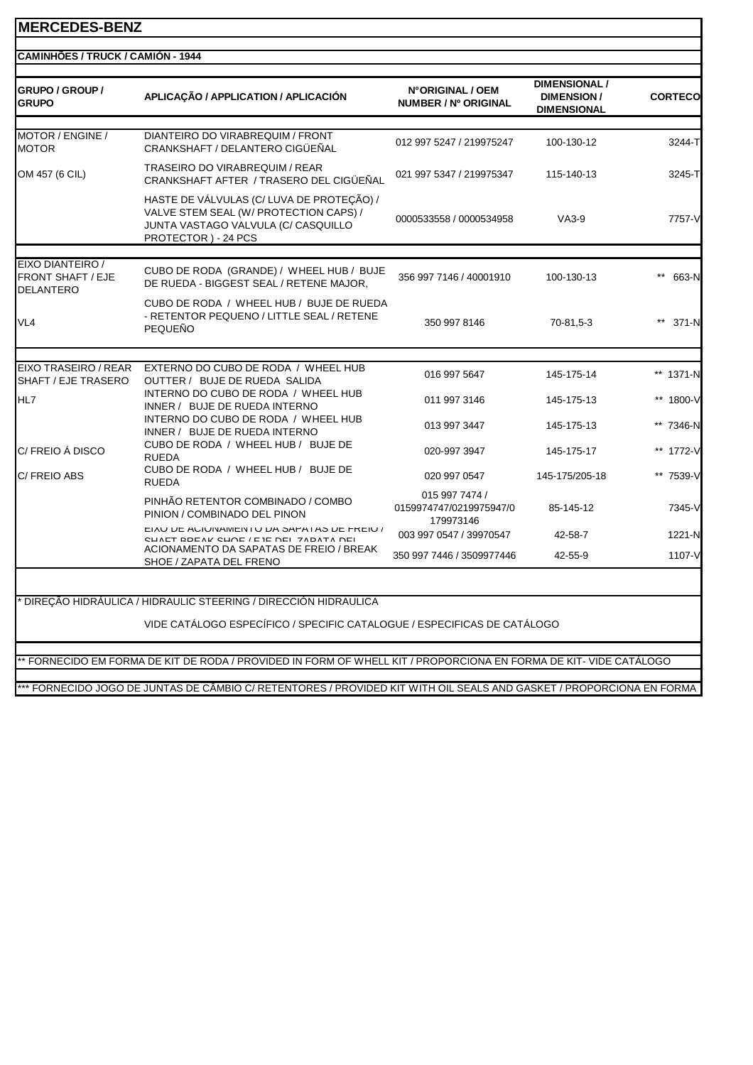| <b>GRUPO / GROUP /</b><br><b>GRUPO</b>                           | APLICAÇÃO / APPLICATION / APLICACIÓN                                                                                                              | N°ORIGINAL / OEM<br>NUMBER / Nº ORIGINAL               | DIMENSIONAL /<br><b>DIMENSION/</b><br><b>DIMENSIONAL</b> | <b>CORTECO</b> |
|------------------------------------------------------------------|---------------------------------------------------------------------------------------------------------------------------------------------------|--------------------------------------------------------|----------------------------------------------------------|----------------|
| MOTOR / ENGINE /<br><b>MOTOR</b>                                 | DIANTEIRO DO VIRABREQUIM / FRONT<br>CRANKSHAFT / DELANTERO CIGÜEÑAL                                                                               | 012 997 5247 / 219975247                               | 100-130-12                                               | 3244-T         |
| OM 457 (6 CIL)                                                   | <b>TRASEIRO DO VIRABREQUIM / REAR</b><br>CRANKSHAFT AFTER / TRASERO DEL CIGÜEÑAL                                                                  | 021 997 5347 / 219975347                               | 115-140-13                                               | 3245-T         |
|                                                                  | HASTE DE VÁLVULAS (C/ LUVA DE PROTEÇÃO) /<br>VALVE STEM SEAL (W/ PROTECTION CAPS) /<br>JUNTA VASTAGO VALVULA (C/ CASQUILLO<br>PROTECTOR) - 24 PCS | 0000533558 / 0000534958                                | $VA3-9$                                                  | 7757-V         |
| EIXO DIANTEIRO /<br><b>FRONT SHAFT / EJE</b><br><b>DELANTERO</b> | CUBO DE RODA (GRANDE) / WHEEL HUB / BUJE<br>DE RUEDA - BIGGEST SEAL / RETENE MAJOR,                                                               | 356 997 7146 / 40001910                                | 100-130-13                                               | 663-N          |
| VL <sub>4</sub>                                                  | CUBO DE RODA / WHEEL HUB / BUJE DE RUEDA<br>- RETENTOR PEQUENO / LITTLE SEAL / RETENE<br>PEQUEÑO                                                  | 350 997 8146                                           | 70-81,5-3                                                | 371-N          |
|                                                                  |                                                                                                                                                   |                                                        |                                                          |                |
| EIXO TRASEIRO / REAR<br>SHAFT / EJE TRASERO                      | EXTERNO DO CUBO DE RODA / WHEEL HUB<br>OUTTER / BUJE DE RUEDA SALIDA                                                                              | 016 997 5647                                           | 145-175-14                                               | ** 1371-N      |
| HL7                                                              | INTERNO DO CUBO DE RODA / WHEEL HUB<br>INNER / BUJE DE RUEDA INTERNO                                                                              | 011 997 3146                                           | 145-175-13                                               | ** 1800-V      |
|                                                                  | INTERNO DO CUBO DE RODA / WHEEL HUB<br>INNER / BUJE DE RUEDA INTERNO                                                                              | 013 997 3447                                           | 145-175-13                                               | ** 7346-N      |
| C/FREIO Á DISCO                                                  | CUBO DE RODA / WHEEL HUB / BUJE DE<br><b>RUEDA</b>                                                                                                | 020-997 3947                                           | 145-175-17                                               | ** 1772-V      |
| C/ FREIO ABS                                                     | CUBO DE RODA / WHEEL HUB / BUJE DE<br><b>RUEDA</b>                                                                                                | 020 997 0547                                           | 145-175/205-18                                           | ** 7539-V      |
|                                                                  | PINHÃO RETENTOR COMBINADO / COMBO<br>PINION / COMBINADO DEL PINON                                                                                 | 015 997 7474 /<br>0159974747/0219975947/0<br>179973146 | 85-145-12                                                | 7345-V         |
|                                                                  | EIAU DE AUIUNAMENTU DA SAPATAS DE FREIU /<br>CHAFT RDEAK CHOE / E IE DEI 7ADATA DEI                                                               | 003 997 0547 / 39970547                                | 42-58-7                                                  | 1221-N         |
|                                                                  | ACIONAMENTO DA SAPATAS DE FREIO / BREAK<br>SHOE / ZAPATA DEL FRENO                                                                                | 350 997 7446 / 3509977446                              | 42-55-9                                                  | 1107-V         |

\*\* FORNECIDO EM FORMA DE KIT DE RODA / PROVIDED IN FORM OF WHELL KIT / PROPORCIONA EN FORMA DE KIT- VIDE CATÁLOGO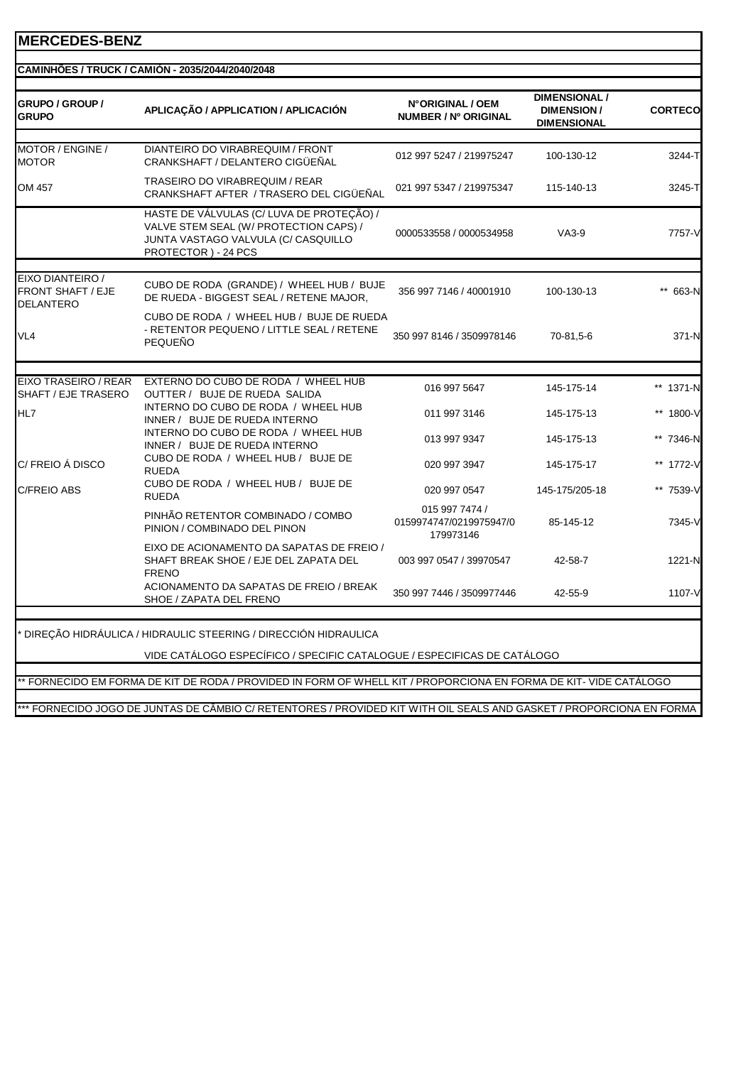| <b>GRUPO / GROUP /</b><br><b>GRUPO</b>                           | APLICAÇÃO / APPLICATION / APLICACIÓN                                                                                                             | N°ORIGINAL / OEM<br>NUMBER / Nº ORIGINAL               | <b>DIMENSIONAL /</b><br><b>DIMENSION/</b><br><b>DIMENSIONAL</b> | <b>CORTECO</b> |
|------------------------------------------------------------------|--------------------------------------------------------------------------------------------------------------------------------------------------|--------------------------------------------------------|-----------------------------------------------------------------|----------------|
| MOTOR / ENGINE /<br><b>MOTOR</b>                                 | DIANTEIRO DO VIRABREQUIM / FRONT<br>CRANKSHAFT / DELANTERO CIGÜEÑAL                                                                              | 012 997 5247 / 219975247                               | 100-130-12                                                      | 3244-TI        |
| OM 457                                                           | <b>TRASEIRO DO VIRABREQUIM / REAR</b><br>CRANKSHAFT AFTER / TRASERO DEL CIGÜEÑAL                                                                 | 021 997 5347 / 219975347                               | 115-140-13                                                      | 3245-T         |
|                                                                  | HASTE DE VÁLVULAS (C/LUVA DE PROTEÇÃO) /<br>VALVE STEM SEAL (W/ PROTECTION CAPS) /<br>JUNTA VASTAGO VALVULA (C/ CASQUILLO<br>PROTECTOR) - 24 PCS | 0000533558 / 0000534958                                | $VA3-9$                                                         | 7757-V         |
| EIXO DIANTEIRO /<br><b>FRONT SHAFT / EJE</b><br><b>DELANTERO</b> | CUBO DE RODA (GRANDE) / WHEEL HUB / BUJE<br>DE RUEDA - BIGGEST SEAL / RETENE MAJOR,                                                              | 356 997 7146 / 40001910                                | 100-130-13                                                      | ** 663-N       |
| VL <sub>4</sub>                                                  | CUBO DE RODA / WHEEL HUB / BUJE DE RUEDA<br>- RETENTOR PEQUENO / LITTLE SEAL / RETENE<br>PEQUEÑO                                                 | 350 997 8146 / 3509978146                              | 70-81,5-6                                                       | 371-N          |
|                                                                  |                                                                                                                                                  |                                                        |                                                                 |                |
| EIXO TRASEIRO / REAR<br>SHAFT / EJE TRASERO                      | EXTERNO DO CUBO DE RODA / WHEEL HUB<br>OUTTER / BUJE DE RUEDA SALIDA                                                                             | 016 997 5647                                           | 145-175-14                                                      | ** 1371-N      |
| HL7                                                              | INTERNO DO CUBO DE RODA / WHEEL HUB<br>INNER / BUJE DE RUEDA INTERNO                                                                             | 011 997 3146                                           | 145-175-13                                                      | ** 1800-V      |
|                                                                  | INTERNO DO CUBO DE RODA / WHEEL HUB<br>INNER / BUJE DE RUEDA INTERNO                                                                             | 013 997 9347                                           | 145-175-13                                                      | ** 7346-N      |
| C/ FREIO Á DISCO                                                 | CUBO DE RODA / WHEEL HUB / BUJE DE<br><b>RUEDA</b>                                                                                               | 020 997 3947                                           | 145-175-17                                                      | ** 1772-V      |
| <b>C/FREIO ABS</b>                                               | CUBO DE RODA / WHEEL HUB / BUJE DE<br><b>RUEDA</b>                                                                                               | 020 997 0547                                           | 145-175/205-18                                                  | ** 7539-V      |
|                                                                  | PINHÃO RETENTOR COMBINADO / COMBO<br>PINION / COMBINADO DEL PINON                                                                                | 015 997 7474 /<br>0159974747/0219975947/0<br>179973146 | 85-145-12                                                       | 7345-V         |
|                                                                  | EIXO DE ACIONAMENTO DA SAPATAS DE FREIO /<br>SHAFT BREAK SHOE / EJE DEL ZAPATA DEL<br><b>FRENO</b>                                               | 003 997 0547 / 39970547                                | 42-58-7                                                         | 1221-N         |
|                                                                  | ACIONAMENTO DA SAPATAS DE FREIO / BREAK<br>SHOE / ZAPATA DEL FRENO                                                                               | 350 997 7446 / 3509977446                              | 42-55-9                                                         | 1107-V         |

VIDE CATÁLOGO ESPECÍFICO / SPECIFIC CATALOGUE / ESPECIFICAS DE CATÁLOGO

\*\* FORNECIDO EM FORMA DE KIT DE RODA / PROVIDED IN FORM OF WHELL KIT / PROPORCIONA EN FORMA DE KIT- VIDE CATÁLOGO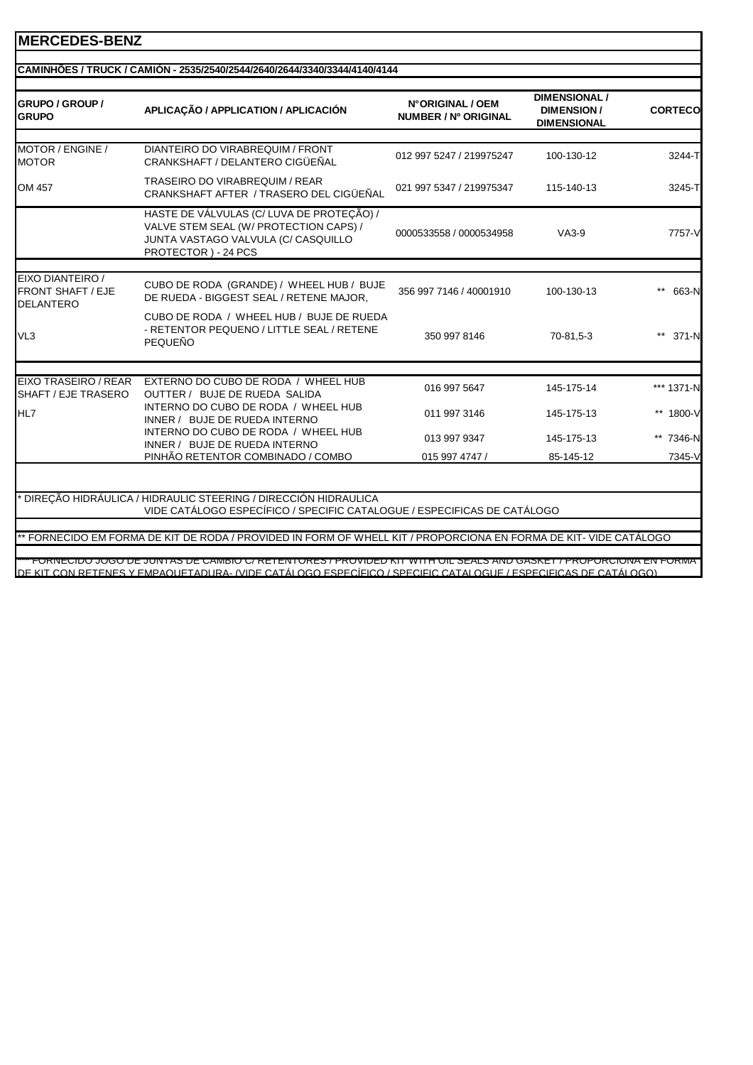| <b>GRUPO / GROUP /</b><br><b>GRUPO</b>                           | APLICAÇÃO / APPLICATION / APLICACIÓN                                                                                                               | N°ORIGINAL / OEM<br>NUMBER / Nº ORIGINAL | <b>DIMENSIONAL /</b><br><b>DIMENSION/</b><br><b>DIMENSIONAL</b> | <b>CORTECO</b> |
|------------------------------------------------------------------|----------------------------------------------------------------------------------------------------------------------------------------------------|------------------------------------------|-----------------------------------------------------------------|----------------|
|                                                                  |                                                                                                                                                    |                                          |                                                                 |                |
| MOTOR / ENGINE /<br><b>MOTOR</b>                                 | DIANTEIRO DO VIRABREQUIM / FRONT<br>CRANKSHAFT / DELANTERO CIGÜEÑAL                                                                                | 012 997 5247 / 219975247                 | 100-130-12                                                      | 3244-T         |
| OM 457                                                           | TRASEIRO DO VIRABREQUIM / REAR<br>CRANKSHAFT AFTER / TRASERO DEL CIGÜEÑAL                                                                          | 021 997 5347 / 219975347                 | 115-140-13                                                      | 3245-T         |
|                                                                  | HASTE DE VÁLVULAS (C/ LUVA DE PROTEÇÃO) /<br>VALVE STEM SEAL (W/ PROTECTION CAPS) /<br>JUNTA VASTAGO VALVULA (C/ CASQUILLO<br>PROTECTOR ) - 24 PCS | 0000533558 / 0000534958                  | $VA3-9$                                                         | 7757-V         |
|                                                                  |                                                                                                                                                    |                                          |                                                                 |                |
| EIXO DIANTEIRO /<br><b>FRONT SHAFT / EJE</b><br><b>DELANTERO</b> | CUBO DE RODA (GRANDE) / WHEEL HUB / BUJE<br>DE RUEDA - BIGGEST SEAL / RETENE MAJOR,                                                                | 356 997 7146 / 40001910                  | 100-130-13                                                      | 663-N          |
| VL <sub>3</sub>                                                  | CUBO DE RODA / WHEEL HUB / BUJE DE RUEDA<br>- RETENTOR PEQUENO / LITTLE SEAL / RETENE<br><b>PEQUEÑO</b>                                            | 350 997 8146                             | 70-81,5-3                                                       | 371-N          |
|                                                                  |                                                                                                                                                    |                                          |                                                                 |                |
| EIXO TRASEIRO / REAR<br>SHAFT / EJE TRASERO                      | EXTERNO DO CUBO DE RODA / WHEEL HUB<br>OUTTER / BUJE DE RUEDA SALIDA                                                                               | 016 997 5647                             | 145-175-14                                                      | *** 1371-N     |
| HL7                                                              | INTERNO DO CUBO DE RODA / WHEEL HUB<br>INNER / BUJE DE RUEDA INTERNO                                                                               | 011 997 3146                             | 145-175-13                                                      | ** 1800-V      |
|                                                                  | INTERNO DO CUBO DE RODA / WHEEL HUB<br>INNER / BUJE DE RUEDA INTERNO                                                                               | 013 997 9347                             | 145-175-13                                                      | ** 7346-N      |
|                                                                  | PINHÃO RETENTOR COMBINADO / COMBO                                                                                                                  | 015 997 4747 /                           | 85-145-12                                                       | 7345-V         |
|                                                                  |                                                                                                                                                    |                                          |                                                                 |                |
|                                                                  | DIREÇÃO HIDRÁULICA / HIDRAULIC STEERING / DIRECCIÓN HIDRAULICA                                                                                     |                                          |                                                                 |                |
|                                                                  | VIDE CATÁLOGO ESPECÍFICO / SPECIFIC CATALOGUE / ESPECIFICAS DE CATÁLOGO                                                                            |                                          |                                                                 |                |
|                                                                  |                                                                                                                                                    |                                          |                                                                 |                |
|                                                                  | ** FORNECIDO EM FORMA DE KIT DE RODA / PROVIDED IN FORM OF WHELL KIT / PROPORCIONA EN FORMA DE KIT- VIDE CATÁLOGO                                  |                                          |                                                                 |                |

DE KIT CON RETENES Y EMPAQUETADURA- (VIDE CATÁLOGO ESPECÍFICO / SPECIFIC CATALOGUE / ESPECIFICAS DE CATÁLOGO)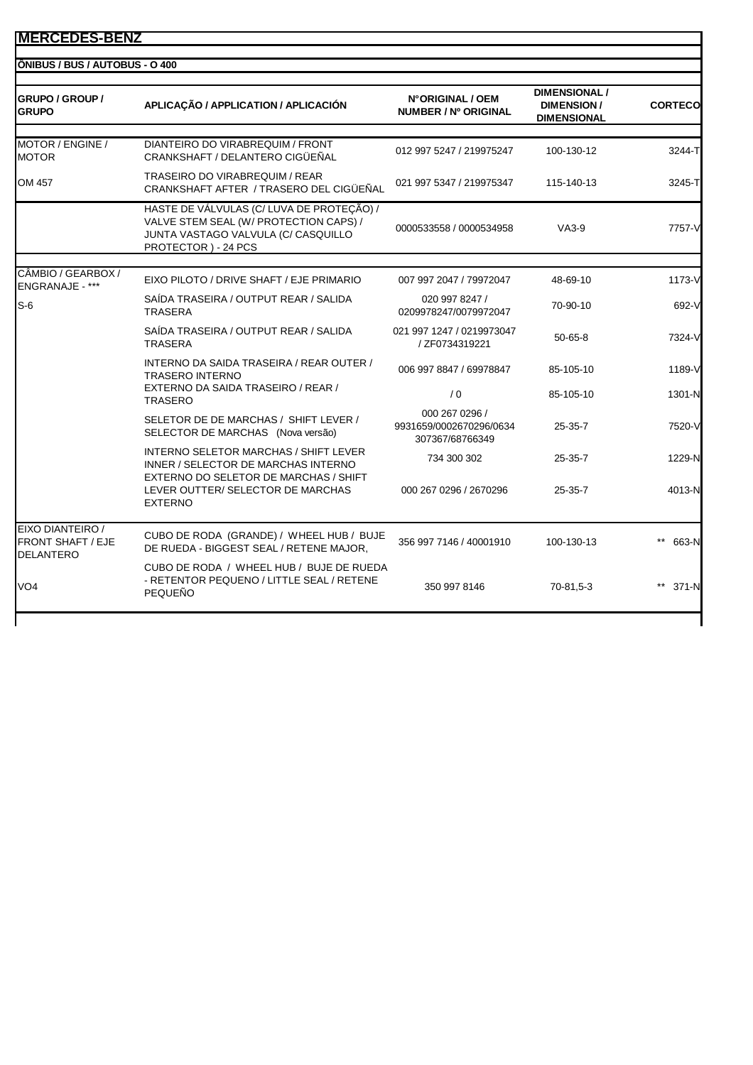| <b>GRUPO / GROUP /</b><br><b>GRUPO</b>                           | APLICAÇÃO / APPLICATION / APLICACIÓN                                                                                                              | N°ORIGINAL / OEM<br><b>NUMBER / Nº ORIGINAL</b>              | <b>DIMENSIONAL /</b><br><b>DIMENSION /</b><br><b>DIMENSIONAL</b> | <b>CORTECO</b> |
|------------------------------------------------------------------|---------------------------------------------------------------------------------------------------------------------------------------------------|--------------------------------------------------------------|------------------------------------------------------------------|----------------|
| MOTOR / ENGINE /<br><b>MOTOR</b>                                 | DIANTEIRO DO VIRABREQUIM / FRONT<br>CRANKSHAFT / DELANTERO CIGÜEÑAL                                                                               | 012 997 5247 / 219975247                                     | 100-130-12                                                       | 3244-T         |
| OM 457                                                           | TRASEIRO DO VIRABREQUIM / REAR<br>CRANKSHAFT AFTER / TRASERO DEL CIGÜEÑAL                                                                         | 021 997 5347 / 219975347                                     | 115-140-13                                                       | 3245-T         |
|                                                                  | HASTE DE VÁLVULAS (C/ LUVA DE PROTEÇÃO) /<br>VALVE STEM SEAL (W/ PROTECTION CAPS) /<br>JUNTA VASTAGO VALVULA (C/ CASQUILLO<br>PROTECTOR) - 24 PCS | 0000533558 / 0000534958                                      | $VA3-9$                                                          | 7757-V         |
| CÂMBIO / GEARBOX /                                               |                                                                                                                                                   |                                                              |                                                                  |                |
| ENGRANAJE - ***                                                  | EIXO PILOTO / DRIVE SHAFT / EJE PRIMARIO                                                                                                          | 007 997 2047 / 79972047                                      | 48-69-10                                                         | 1173-V         |
| $S-6$                                                            | SAÍDA TRASEIRA / OUTPUT REAR / SALIDA<br><b>TRASERA</b>                                                                                           | 020 997 8247 /<br>0209978247/0079972047                      | 70-90-10                                                         | 692-V          |
|                                                                  | SAÍDA TRASEIRA / OUTPUT REAR / SALIDA<br><b>TRASERA</b>                                                                                           | 021 997 1247 / 0219973047<br>/ ZF0734319221                  | $50 - 65 - 8$                                                    | 7324-V         |
|                                                                  | INTERNO DA SAIDA TRASEIRA / REAR OUTER /<br><b>TRASERO INTERNO</b>                                                                                | 006 997 8847 / 69978847                                      | 85-105-10                                                        | 1189-V         |
|                                                                  | EXTERNO DA SAIDA TRASEIRO / REAR /<br><b>TRASERO</b>                                                                                              | $\sqrt{0}$                                                   | 85-105-10                                                        | 1301-N         |
|                                                                  | SELETOR DE DE MARCHAS / SHIFT LEVER /<br>SELECTOR DE MARCHAS (Nova versão)                                                                        | 000 267 0296 /<br>9931659/0002670296/0634<br>307367/68766349 | 25-35-7                                                          | 7520-V         |
|                                                                  | <b>INTERNO SELETOR MARCHAS / SHIFT LEVER</b><br>INNER / SELECTOR DE MARCHAS INTERNO                                                               | 734 300 302                                                  | 25-35-7                                                          | 1229-N         |
|                                                                  | EXTERNO DO SELETOR DE MARCHAS / SHIFT<br>LEVER OUTTER/ SELECTOR DE MARCHAS<br><b>EXTERNO</b>                                                      | 000 267 0296 / 2670296                                       | 25-35-7                                                          | 4013-N         |
| EIXO DIANTEIRO /<br><b>FRONT SHAFT / EJE</b><br><b>DELANTERO</b> | CUBO DE RODA (GRANDE) / WHEEL HUB / BUJE<br>DE RUEDA - BIGGEST SEAL / RETENE MAJOR,                                                               | 356 997 7146 / 40001910                                      | 100-130-13                                                       | 663-N          |
| VO <sub>4</sub>                                                  | CUBO DE RODA / WHEEL HUB / BUJE DE RUEDA<br>- RETENTOR PEQUENO / LITTLE SEAL / RETENE<br>PEQUEÑO                                                  | 350 997 8146                                                 | 70-81,5-3                                                        | 371-N          |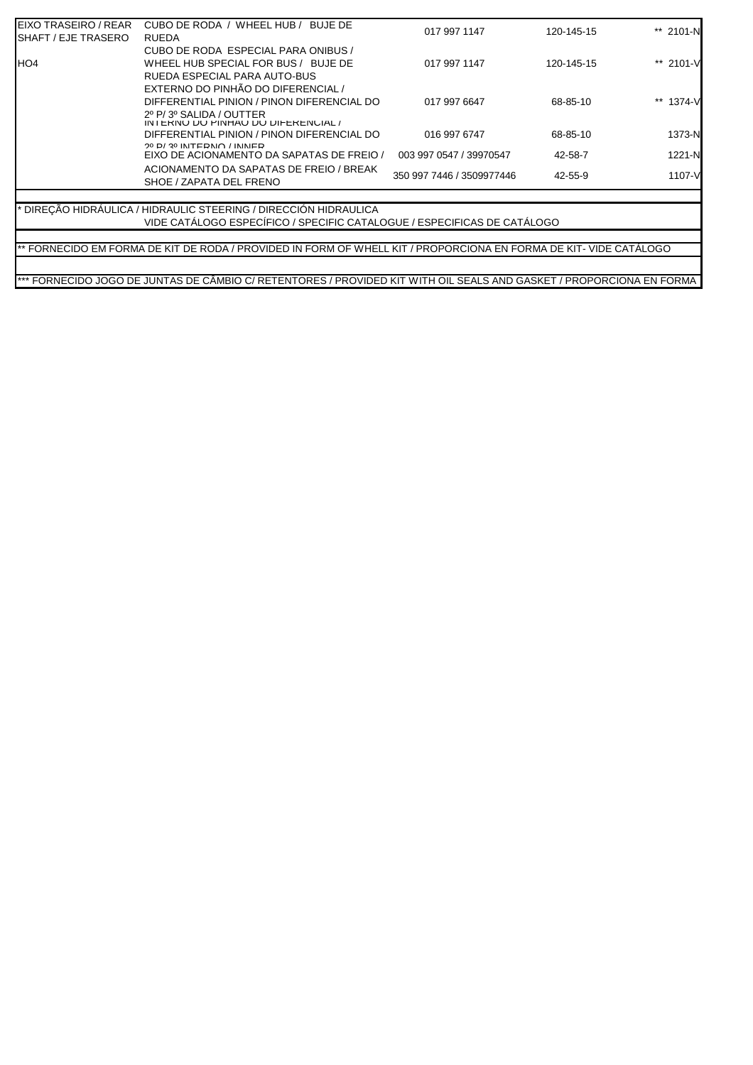| EIXO TRASEIRO / REAR        | CUBO DE RODA / WHEEL HUB /<br>BUJE DE                                         | 017 997 1147              | 120-145-15 | ** 2101-N |
|-----------------------------|-------------------------------------------------------------------------------|---------------------------|------------|-----------|
| <b>ISHAFT / EJE TRASERO</b> | <b>RUEDA</b>                                                                  |                           |            |           |
|                             | CUBO DE RODA ESPECIAL PARA ONIBUS /                                           |                           |            |           |
| <b>IHO4</b>                 | WHEEL HUB SPECIAL FOR BUS / BUJE DE                                           | 017 997 1147              | 120-145-15 | ** 2101-V |
|                             | RUEDA ESPECIAL PARA AUTO-BUS                                                  |                           |            |           |
|                             | EXTERNO DO PINHÃO DO DIFERENCIAL /                                            |                           |            |           |
|                             | DIFFERENTIAL PINION / PINON DIFERENCIAL DO                                    | 017 997 6647              | 68-85-10   | ** 1374-V |
|                             | 2º P/3º SALIDA / OUTTER                                                       |                           |            |           |
|                             | IN I ERINU DU PINHAU DU DIFERENCIAL /                                         |                           |            |           |
|                             | DIFFERENTIAL PINION / PINON DIFERENCIAL DO                                    | 016 997 6747              | 68-85-10   | 1373-N    |
|                             | $20$ D/ $20$ INITEDNIO / ININIED<br>EIXO DE ACIONAMENTO DA SAPATAS DE FREIO / | 003 997 0547 / 39970547   | 42-58-7    | 1221-N    |
|                             | ACIONAMENTO DA SAPATAS DE FREIO / BREAK                                       |                           |            |           |
|                             | SHOE / ZAPATA DEL FRENO                                                       | 350 997 7446 / 3509977446 | 42-55-9    | 1107-V    |
|                             |                                                                               |                           |            |           |
|                             | * DIRECÃO HIDRÁULICA / HIDRAULIC STEERING / DIRECCIÓN HIDRAULICA              |                           |            |           |
|                             | VIDE CATÁLOGO ESPECÍFICO / SPECIFIC CATALOGUE / ESPECIFICAS DE CATÁLOGO       |                           |            |           |

\*\* FORNECIDO EM FORMA DE KIT DE RODA / PROVIDED IN FORM OF WHELL KIT / PROPORCIONA EN FORMA DE KIT- VIDE CATÁLOGO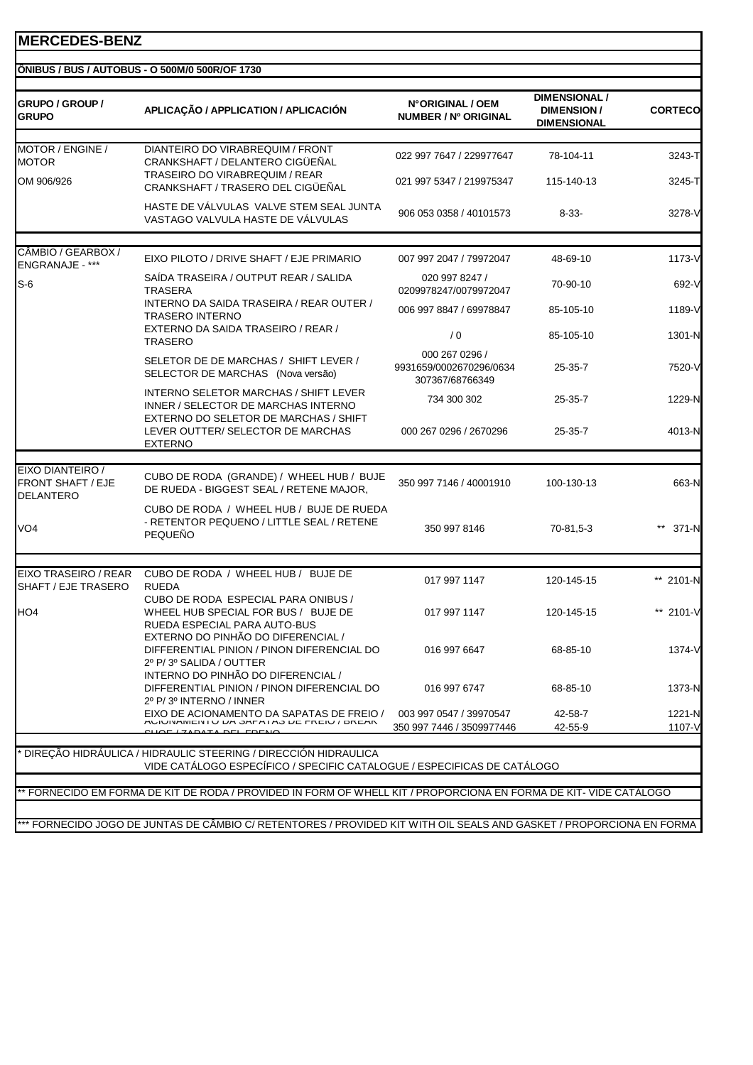| <b>GRUPO / GROUP /</b><br><b>GRUPO</b>                           | APLICAÇÃO / APPLICATION / APLICACIÓN                                                                                                      | N°ORIGINAL / OEM<br>NUMBER / Nº ORIGINAL                     | <b>DIMENSIONAL /</b><br><b>DIMENSION/</b><br><b>DIMENSIONAL</b> | <b>CORTECO</b>   |
|------------------------------------------------------------------|-------------------------------------------------------------------------------------------------------------------------------------------|--------------------------------------------------------------|-----------------------------------------------------------------|------------------|
| MOTOR / ENGINE /<br><b>MOTOR</b>                                 | DIANTEIRO DO VIRABREQUIM / FRONT<br>CRANKSHAFT / DELANTERO CIGÜEÑAL<br>TRASEIRO DO VIRABREQUIM / REAR                                     | 022 997 7647 / 229977647                                     | 78-104-11                                                       | 3243-T           |
| OM 906/926                                                       | CRANKSHAFT / TRASERO DEL CIGÜEÑAL                                                                                                         | 021 997 5347 / 219975347                                     | 115-140-13                                                      | 3245-T           |
|                                                                  | HASTE DE VÁLVULAS VALVE STEM SEAL JUNTA<br>VASTAGO VALVULA HASTE DE VÁLVULAS                                                              | 906 053 0358 / 40101573                                      | $8 - 33 -$                                                      | 3278-V           |
| CÂMBIO / GEARBOX /                                               |                                                                                                                                           |                                                              |                                                                 |                  |
| <b>ENGRANAJE - ***</b>                                           | EIXO PILOTO / DRIVE SHAFT / EJE PRIMARIO                                                                                                  | 007 997 2047 / 79972047                                      | 48-69-10                                                        | 1173-V           |
| $S-6$                                                            | SAIDA TRASEIRA / OUTPUT REAR / SALIDA<br>TRASERA                                                                                          | 020 997 8247 /<br>0209978247/0079972047                      | 70-90-10                                                        | 692-V            |
|                                                                  | INTERNO DA SAIDA TRASEIRA / REAR OUTER /<br><b>TRASERO INTERNO</b>                                                                        | 006 997 8847 / 69978847                                      | 85-105-10                                                       | 1189-V           |
|                                                                  | EXTERNO DA SAIDA TRASEIRO / REAR /<br><b>TRASERO</b>                                                                                      | /0                                                           | 85-105-10                                                       | 1301-N           |
|                                                                  | SELETOR DE DE MARCHAS / SHIFT LEVER /<br>SELECTOR DE MARCHAS (Nova versão)                                                                | 000 267 0296 /<br>9931659/0002670296/0634<br>307367/68766349 | $25 - 35 - 7$                                                   | 7520-V           |
|                                                                  | <b>INTERNO SELETOR MARCHAS / SHIFT LEVER</b><br>INNER / SELECTOR DE MARCHAS INTERNO                                                       | 734 300 302                                                  | 25-35-7                                                         | 1229-N           |
|                                                                  | EXTERNO DO SELETOR DE MARCHAS / SHIFT<br>LEVER OUTTER/ SELECTOR DE MARCHAS<br><b>EXTERNO</b>                                              | 000 267 0296 / 2670296                                       | 25-35-7                                                         | 4013-N           |
| EIXO DIANTEIRO /<br><b>FRONT SHAFT / EJE</b><br><b>DELANTERO</b> | CUBO DE RODA (GRANDE) / WHEEL HUB / BUJE<br>DE RUEDA - BIGGEST SEAL / RETENE MAJOR,                                                       | 350 997 7146 / 40001910                                      | 100-130-13                                                      | 663-N            |
| VO <sub>4</sub>                                                  | CUBO DE RODA / WHEEL HUB / BUJE DE RUEDA<br>- RETENTOR PEQUENO / LITTLE SEAL / RETENE<br><b>PEQUENO</b>                                   | 350 997 8146                                                 | 70-81,5-3                                                       | ** 371-N         |
| EIXO TRASEIRO / REAR                                             | CUBO DE RODA / WHEEL HUB / BUJE DE                                                                                                        |                                                              |                                                                 |                  |
| SHAFT / EJE TRASERO                                              | <b>RUEDA</b>                                                                                                                              | 017 997 1147                                                 | 120-145-15                                                      | ** 2101-N        |
| HO <sub>4</sub>                                                  | CUBO DE RODA ESPECIAL PARA ONIBUS /<br>WHEEL HUB SPECIAL FOR BUS / BUJE DE<br>RUEDA ESPECIAL PARA AUTO-BUS                                | 017 997 1147                                                 | 120-145-15                                                      | ** 2101-V        |
|                                                                  | EXTERNO DO PINHÃO DO DIFERENCIAL /<br>DIFFERENTIAL PINION / PINON DIFERENCIAL DO<br>2º P/3º SALIDA / OUTTER                               | 016 997 6647                                                 | 68-85-10                                                        | 1374-V           |
|                                                                  | INTERNO DO PINHÃO DO DIFERENCIAL /<br>DIFFERENTIAL PINION / PINON DIFERENCIAL DO<br>2º P/3º INTERNO / INNER                               | 016 997 6747                                                 | 68-85-10                                                        | 1373-N           |
|                                                                  | EIXO DE ACIONAMENTO DA SAPATAS DE FREIO /<br>AUIUINAINEIX I U DA SAFATAS DE FREIU / DREAR<br><u>CHAE (ZADATA DEL EDENA</u>                | 003 997 0547 / 39970547<br>350 997 7446 / 3509977446         | 42-58-7<br>42-55-9                                              | 1221-N<br>1107-V |
|                                                                  | DIREÇÃO HIDRÁULICA / HIDRAULIC STEERING / DIRECCIÓN HIDRAULICA<br>VIDE CATÁLOGO ESPECÍFICO / SPECIFIC CATALOGUE / ESPECIFICAS DE CATÁLOGO |                                                              |                                                                 |                  |
|                                                                  | FORNECIDO EM FORMA DE KIT DE RODA / PROVIDED IN FORM OF WHELL KIT / PROPORCIONA EN FORMA DE KIT-VIDE CATÁLOGO                             |                                                              |                                                                 |                  |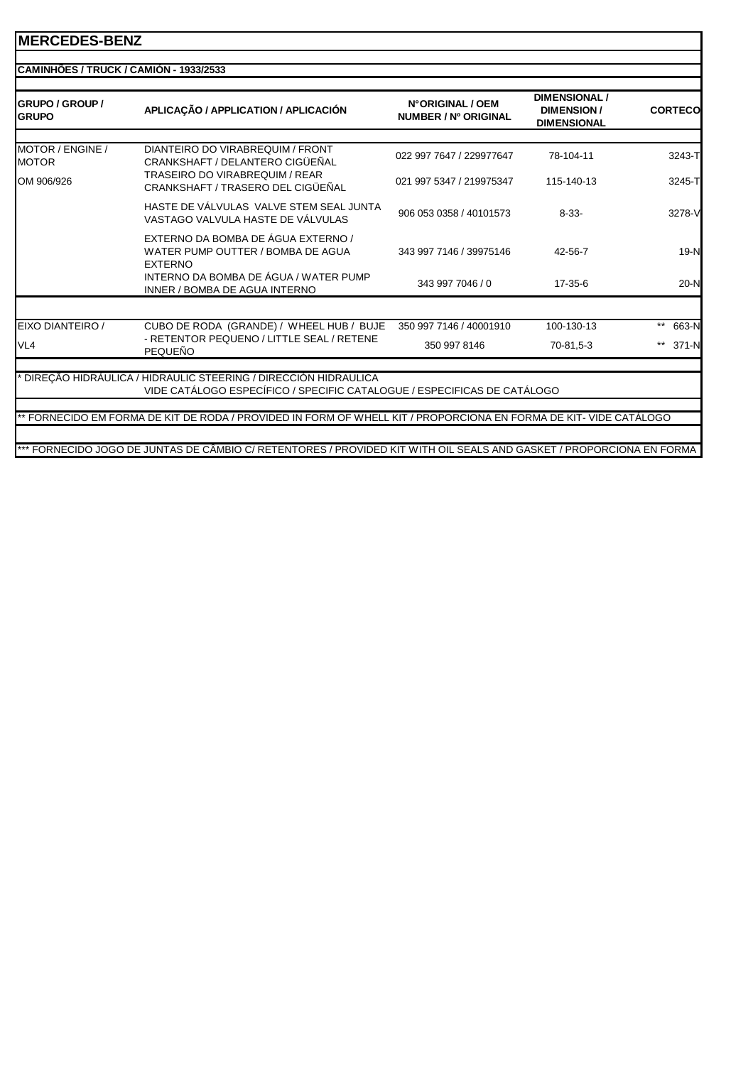| <b>IGRUPO / GROUP /</b><br><b>GRUPO</b> | APLICAÇÃO / APPLICATION / APLICACIÓN                                                                                                      | N°ORIGINAL / OEM<br>NUMBER / Nº ORIGINAL | <b>DIMENSIONAL/</b><br><b>DIMENSION/</b><br><b>DIMENSIONAL</b> | <b>CORTECO</b> |
|-----------------------------------------|-------------------------------------------------------------------------------------------------------------------------------------------|------------------------------------------|----------------------------------------------------------------|----------------|
| MOTOR / ENGINE /<br><b>MOTOR</b>        | DIANTEIRO DO VIRABREQUIM / FRONT<br>CRANKSHAFT / DELANTERO CIGÜEÑAL                                                                       | 022 997 7647 / 229977647                 | 78-104-11                                                      | 3243-T         |
| OM 906/926                              | <b>TRASEIRO DO VIRABREQUIM / REAR</b><br>CRANKSHAFT / TRASERO DEL CIGÜEÑAL                                                                | 021 997 5347 / 219975347                 | 115-140-13                                                     | 3245-T         |
|                                         | HASTE DE VÁLVULAS VALVE STEM SEAL JUNTA<br>VASTAGO VALVULA HASTE DE VÁLVULAS                                                              | 906 053 0358 / 40101573                  | $8 - 33 -$                                                     | 3278-V         |
|                                         | EXTERNO DA BOMBA DE ÁGUA EXTERNO /<br>WATER PUMP OUTTER / BOMBA DE AGUA<br><b>EXTERNO</b>                                                 | 343 997 7146 / 39975146                  | 42-56-7                                                        | $19-N$         |
|                                         | INTERNO DA BOMBA DE ÁGUA / WATER PUMP<br>INNER / BOMBA DE AGUA INTERNO                                                                    | 343 997 7046 / 0                         | $17-35-6$                                                      | $20-N$         |
| EIXO DIANTEIRO /                        | CUBO DE RODA (GRANDE) / WHEEL HUB / BUJE                                                                                                  | 350 997 7146 / 40001910                  | 100-130-13                                                     | $***$<br>663-N |
| VL <sub>4</sub>                         | - RETENTOR PEQUENO / LITTLE SEAL / RETENE<br><b>PEQUEÑO</b>                                                                               | 350 997 8146                             | 70-81,5-3                                                      | 371-N<br>**    |
|                                         | DIRECÃO HIDRÁULICA / HIDRAULIC STEERING / DIRECCIÓN HIDRAULICA<br>VIDE CATÁLOGO ESPECÍFICO / SPECIFIC CATALOGUE / ESPECIFICAS DE CATÁLOGO |                                          |                                                                |                |
|                                         | ** FORNECIDO EM FORMA DE KIT DE RODA / PROVIDED IN FORM OF WHELL KIT / PROPORCIONA EN FORMA DE KIT- VIDE CATÁLOGO                         |                                          |                                                                |                |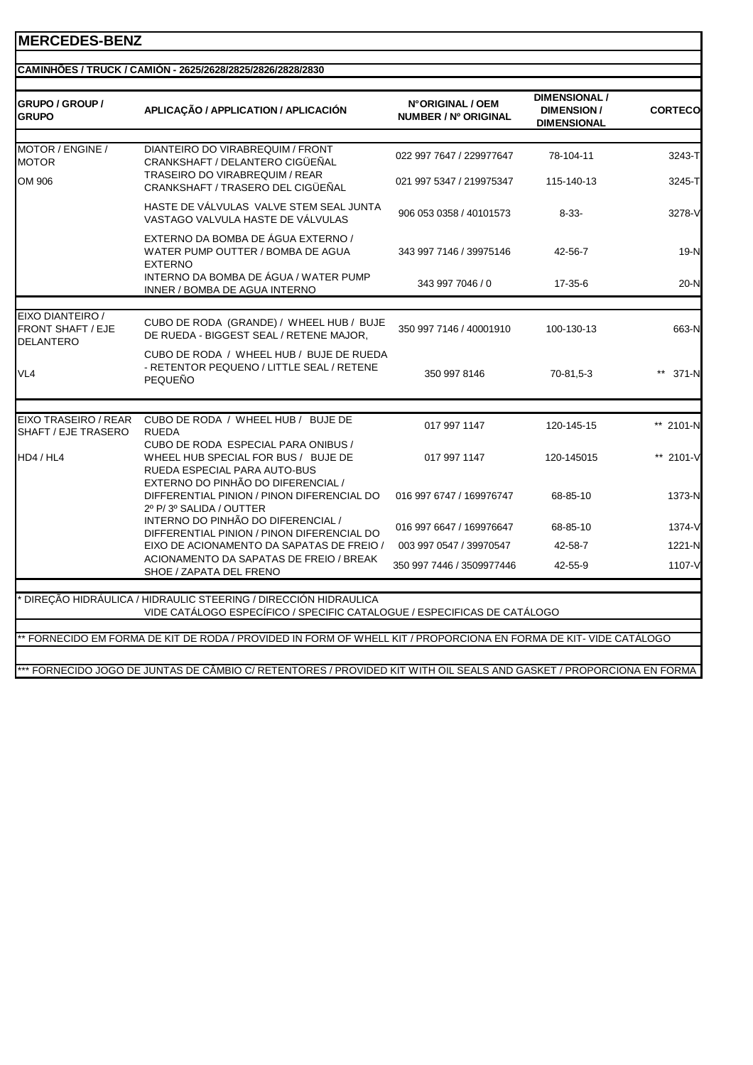|  | CAMINHÕES / TRUCK / CAMIÓN - 2625/2628/2825/2826/2828/2830 |  |
|--|------------------------------------------------------------|--|
|  |                                                            |  |
|  |                                                            |  |
|  |                                                            |  |

| GRUPO / GROUP /<br><b>GRUPO</b>                                  | APLICAÇÃO / APPLICATION / APLICACIÓN                                                                                                             | N°ORIGINAL / OEM<br>NUMBER / Nº ORIGINAL | <b>DIMENSIONAL /</b><br><b>DIMENSION/</b><br><b>DIMENSIONAL</b> | <b>CORTECO</b> |
|------------------------------------------------------------------|--------------------------------------------------------------------------------------------------------------------------------------------------|------------------------------------------|-----------------------------------------------------------------|----------------|
|                                                                  |                                                                                                                                                  |                                          |                                                                 |                |
| MOTOR / ENGINE /<br><b>MOTOR</b>                                 | DIANTEIRO DO VIRABREQUIM / FRONT<br>CRANKSHAFT / DELANTERO CIGÜEÑAL                                                                              | 022 997 7647 / 229977647                 | 78-104-11                                                       | 3243-T         |
| OM 906                                                           | <b>TRASEIRO DO VIRABREQUIM / REAR</b><br>CRANKSHAFT / TRASERO DEL CIGÜEÑAL                                                                       | 021 997 5347 / 219975347                 | 115-140-13                                                      | 3245-T         |
|                                                                  | HASTE DE VÁLVULAS VALVE STEM SEAL JUNTA<br>VASTAGO VALVULA HASTE DE VÁLVULAS                                                                     | 906 053 0358 / 40101573                  | $8 - 33 -$                                                      | 3278-V         |
|                                                                  | EXTERNO DA BOMBA DE ÁGUA EXTERNO /<br>WATER PUMP OUTTER / BOMBA DE AGUA<br><b>EXTERNO</b>                                                        | 343 997 7146 / 39975146                  | 42-56-7                                                         | 19-N           |
|                                                                  | INTERNO DA BOMBA DE ÁGUA / WATER PUMP<br>INNER / BOMBA DE AGUA INTERNO                                                                           | 343 997 7046 / 0                         | 17-35-6                                                         | $20-N$         |
|                                                                  |                                                                                                                                                  |                                          |                                                                 |                |
| EIXO DIANTEIRO /<br><b>FRONT SHAFT / EJE</b><br><b>DELANTERO</b> | CUBO DE RODA (GRANDE) / WHEEL HUB / BUJE<br>DE RUEDA - BIGGEST SEAL / RETENE MAJOR,                                                              | 350 997 7146 / 40001910                  | 100-130-13                                                      | 663-N          |
| VL <sub>4</sub>                                                  | CUBO DE RODA / WHEEL HUB / BUJE DE RUEDA<br>- RETENTOR PEQUENO / LITTLE SEAL / RETENE<br>PEQUEÑO                                                 | 350 997 8146                             | 70-81,5-3                                                       | 371-N          |
|                                                                  |                                                                                                                                                  |                                          |                                                                 |                |
| <b>EIXO TRASEIRO / REAR</b><br>SHAFT / EJE TRASERO               | CUBO DE RODA / WHEEL HUB / BUJE DE<br><b>RUEDA</b>                                                                                               | 017 997 1147                             | 120-145-15                                                      | ** 2101-N      |
| HD4 / HL4                                                        | CUBO DE RODA ESPECIAL PARA ONIBUS /<br>WHEEL HUB SPECIAL FOR BUS / BUJE DE<br>RUEDA ESPECIAL PARA AUTO-BUS<br>EXTERNO DO PINHÃO DO DIFERENCIAL / | 017 997 1147                             | 120-145015                                                      | ** 2101-V      |
|                                                                  | DIFFERENTIAL PINION / PINON DIFERENCIAL DO<br>2º P/3º SALIDA / OUTTER                                                                            | 016 997 6747 / 169976747                 | 68-85-10                                                        | 1373-N         |
|                                                                  | INTERNO DO PINHÃO DO DIFERENCIAL /<br>DIFFERENTIAL PINION / PINON DIFERENCIAL DO                                                                 | 016 997 6647 / 169976647                 | 68-85-10                                                        | 1374-V         |
|                                                                  | EIXO DE ACIONAMENTO DA SAPATAS DE FREIO /                                                                                                        | 003 997 0547 / 39970547                  | 42-58-7                                                         | 1221-N         |
|                                                                  | ACIONAMENTO DA SAPATAS DE FREIO / BREAK<br>SHOE / ZAPATA DEL FRENO                                                                               | 350 997 7446 / 3509977446                | 42-55-9                                                         | 1107-V         |
|                                                                  |                                                                                                                                                  |                                          |                                                                 |                |
|                                                                  | DIREÇÃO HIDRÁULICA / HIDRAULIC STEERING / DIRECCIÓN HIDRAULICA<br>VIDE CATÁLOGO ESPECÍFICO / SPECIFIC CATALOGUE / ESPECIFICAS DE CATÁLOGO        |                                          |                                                                 |                |
|                                                                  | * FORNECIDO EM FORMA DE KIT DE RODA / PROVIDED IN FORM OF WHELL KIT / PROPORCIONA EN FORMA DE KIT- VIDE CATÁLOGO                                 |                                          |                                                                 |                |
|                                                                  |                                                                                                                                                  |                                          |                                                                 |                |
|                                                                  | *** FORNECIDO JOGO DE JUNTAS DE CÂMBIO C/ RETENTORES / PROVIDED KIT WITH OIL SEALS AND GASKET / PROPORCIONA EN FORMA                             |                                          |                                                                 |                |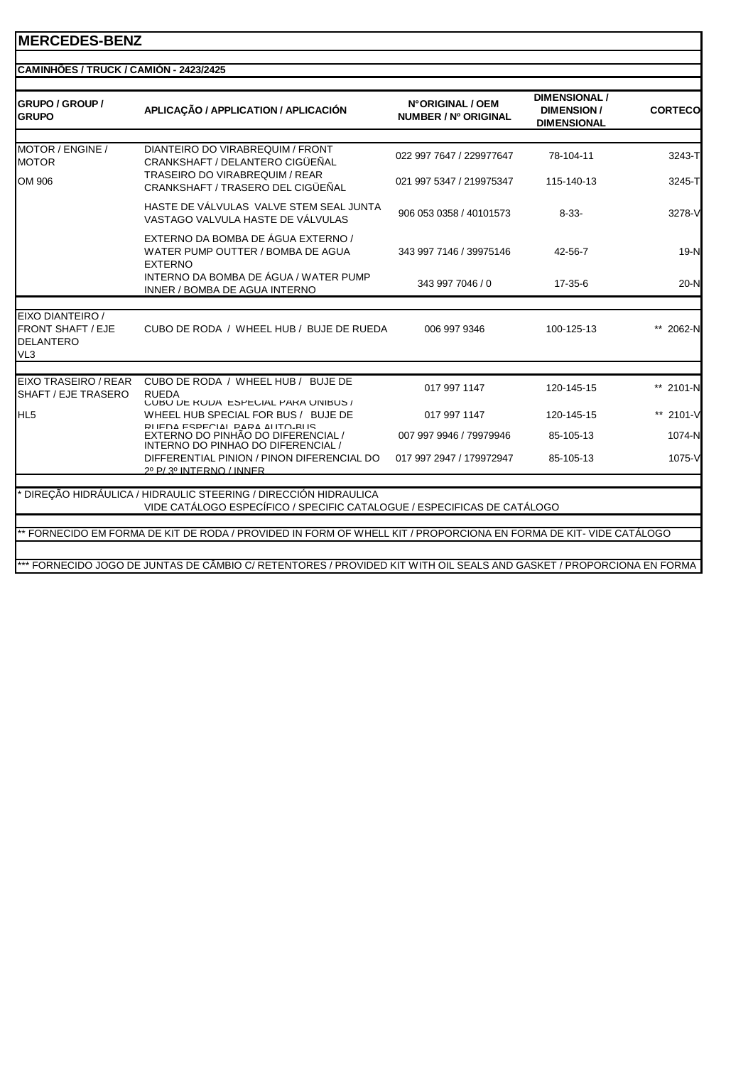| <b>GRUPO / GROUP /</b><br><b>GRUPO</b>                                              | APLICAÇÃO / APPLICATION / APLICACIÓN                                                                                                      | N°ORIGINAL / OEM<br>NUMBER / Nº ORIGINAL | <b>DIMENSIONAL /</b><br><b>DIMENSION/</b><br><b>DIMENSIONAL</b> | <b>CORTECO</b> |
|-------------------------------------------------------------------------------------|-------------------------------------------------------------------------------------------------------------------------------------------|------------------------------------------|-----------------------------------------------------------------|----------------|
| MOTOR / ENGINE /<br><b>MOTOR</b>                                                    | DIANTEIRO DO VIRABREQUIM / FRONT<br>CRANKSHAFT / DELANTERO CIGÜEÑAL                                                                       | 022 997 7647 / 229977647                 | 78-104-11                                                       | 3243-T         |
| OM 906                                                                              | TRASEIRO DO VIRABREQUIM / REAR<br>CRANKSHAFT / TRASERO DEL CIGÜEÑAL                                                                       | 021 997 5347 / 219975347                 | 115-140-13                                                      | 3245-TI        |
|                                                                                     | HASTE DE VÁLVULAS VALVE STEM SEAL JUNTA<br>VASTAGO VALVULA HASTE DE VÁLVULAS                                                              | 906 053 0358 / 40101573                  | $8 - 33 -$                                                      | 3278-V         |
|                                                                                     | EXTERNO DA BOMBA DE ÁGUA EXTERNO /<br>WATER PUMP OUTTER / BOMBA DE AGUA<br><b>EXTERNO</b>                                                 | 343 997 7146 / 39975146                  | 42-56-7                                                         | 19-N           |
|                                                                                     | INTERNO DA BOMBA DE ÁGUA / WATER PUMP<br>INNER / BOMBA DE AGUA INTERNO                                                                    | 343 997 7046 / 0                         | 17-35-6                                                         | $20-N$         |
|                                                                                     |                                                                                                                                           |                                          |                                                                 |                |
| EIXO DIANTEIRO /<br><b>FRONT SHAFT / EJE</b><br><b>DELANTERO</b><br>VL <sub>3</sub> | CUBO DE RODA / WHEEL HUB / BUJE DE RUEDA                                                                                                  | 006 997 9346                             | 100-125-13                                                      | ** 2062-N      |
|                                                                                     |                                                                                                                                           |                                          |                                                                 |                |
| EIXO TRASEIRO / REAR<br>SHAFT / EJE TRASERO                                         | CUBO DE RODA / WHEEL HUB / BUJE DE<br>RUFDA<br>UUBU DE KUDA ESPEUIAL PAKA UNIBUS /                                                        | 017 997 1147                             | 120-145-15                                                      | ** 2101-N      |
| HL <sub>5</sub>                                                                     | WHEEL HUB SPECIAL FOR BUS / BUJE DE                                                                                                       | 017 997 1147                             | 120-145-15                                                      | ** 2101-V      |
|                                                                                     | RHENA ESPECIAL PARA ALITO-RHS<br>EXTERNO DO PINHÃO DO DIFERENCIAL /<br>INTERNO DO PINHAO DO DIFERENCIAL /                                 | 007 997 9946 / 79979946                  | 85-105-13                                                       | 1074-N         |
|                                                                                     | DIFFERENTIAL PINION / PINON DIFERENCIAL DO<br>20 P/30 INTERNO / INNER                                                                     | 017 997 2947 / 179972947                 | 85-105-13                                                       | 1075-V         |
|                                                                                     |                                                                                                                                           |                                          |                                                                 |                |
|                                                                                     | DIRECÃO HIDRÁULICA / HIDRAULIC STEERING / DIRECCIÓN HIDRAULICA<br>VIDE CATÁLOGO ESPECÍFICO / SPECIFIC CATALOGUE / ESPECIFICAS DE CATÁLOGO |                                          |                                                                 |                |
|                                                                                     |                                                                                                                                           |                                          |                                                                 |                |
|                                                                                     | FORNECIDO EM FORMA DE KIT DE RODA / PROVIDED IN FORM OF WHELL KIT / PROPORCIONA EN FORMA DE KIT-VIDE CATÁLOGO                             |                                          |                                                                 |                |
|                                                                                     |                                                                                                                                           |                                          |                                                                 |                |
|                                                                                     | *** FORNECIDO JOGO DE JUNTAS DE CÃMBIO C/ RETENTORES / PROVIDED KIT WITH OIL SEALS AND GASKET / PROPORCIONA EN FORMA                      |                                          |                                                                 |                |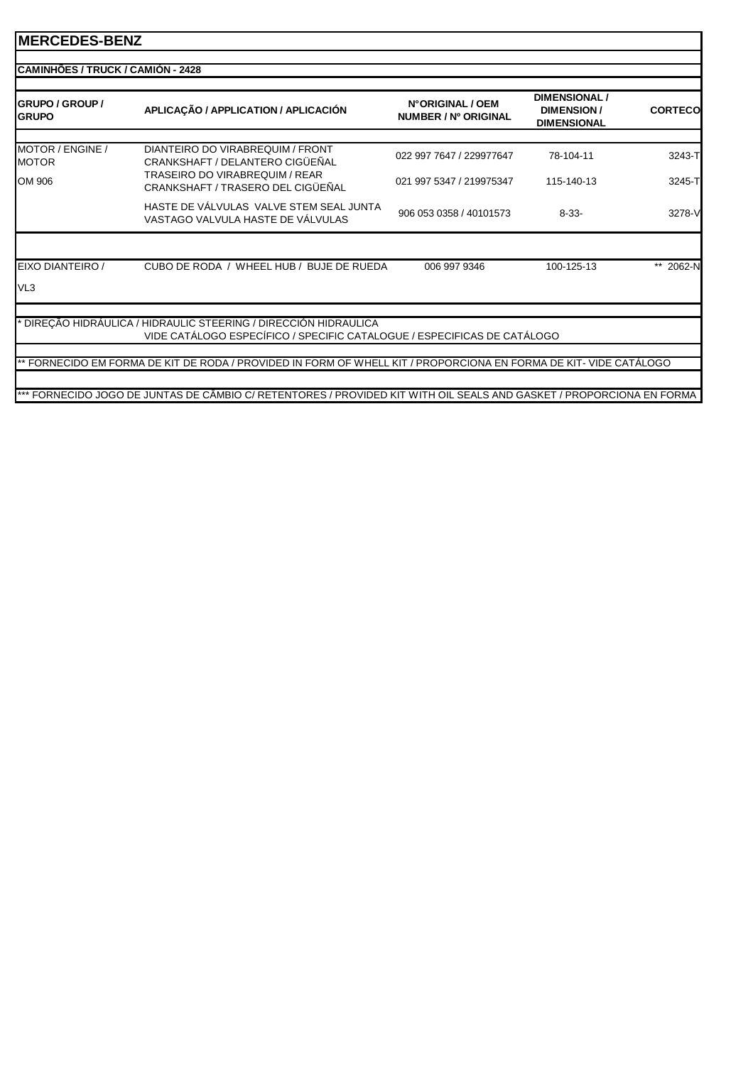| MOTOR / ENGINE /<br><b>MOTOR</b><br><b>TRASEIRO DO VIRABREQUIM / REAR</b>                                         | DIANTEIRO DO VIRABREQUIM / FRONT<br>CRANKSHAFT / DELANTERO CIGÜEÑAL<br>CRANKSHAFT / TRASERO DEL CIGÜEÑAL<br>HASTE DE VÁLVULAS VALVE STEM SEAL JUNTA<br>VASTAGO VALVULA HASTE DE VÁLVULAS | 022 997 7647 / 229977647<br>021 997 5347 / 219975347<br>906 053 0358 / 40101573 | 78-104-11<br>115-140-13<br>$8 - 33 -$ | 3243-T    |
|-------------------------------------------------------------------------------------------------------------------|------------------------------------------------------------------------------------------------------------------------------------------------------------------------------------------|---------------------------------------------------------------------------------|---------------------------------------|-----------|
| OM 906<br>EIXO DIANTEIRO /                                                                                        |                                                                                                                                                                                          |                                                                                 |                                       | 3245-T    |
|                                                                                                                   |                                                                                                                                                                                          |                                                                                 |                                       | 3278-V    |
|                                                                                                                   |                                                                                                                                                                                          |                                                                                 |                                       |           |
|                                                                                                                   |                                                                                                                                                                                          |                                                                                 |                                       |           |
|                                                                                                                   | CUBO DE RODA / WHEEL HUB / BUJE DE RUEDA                                                                                                                                                 | 006 997 9346                                                                    | 100-125-13                            | ** 2062-N |
| VL <sub>3</sub>                                                                                                   |                                                                                                                                                                                          |                                                                                 |                                       |           |
| * DIREÇÃO HIDRÁULICA / HIDRAULIC STEERING / DIRECCIÓN HIDRAULICA                                                  | VIDE CATÁLOGO ESPECÍFICO / SPECIFIC CATALOGUE / ESPECIFICAS DE CATÁLOGO                                                                                                                  |                                                                                 |                                       |           |
| ** FORNECIDO EM FORMA DE KIT DE RODA / PROVIDED IN FORM OF WHELL KIT / PROPORCIONA EN FORMA DE KIT- VIDE CATÁLOGO |                                                                                                                                                                                          |                                                                                 |                                       |           |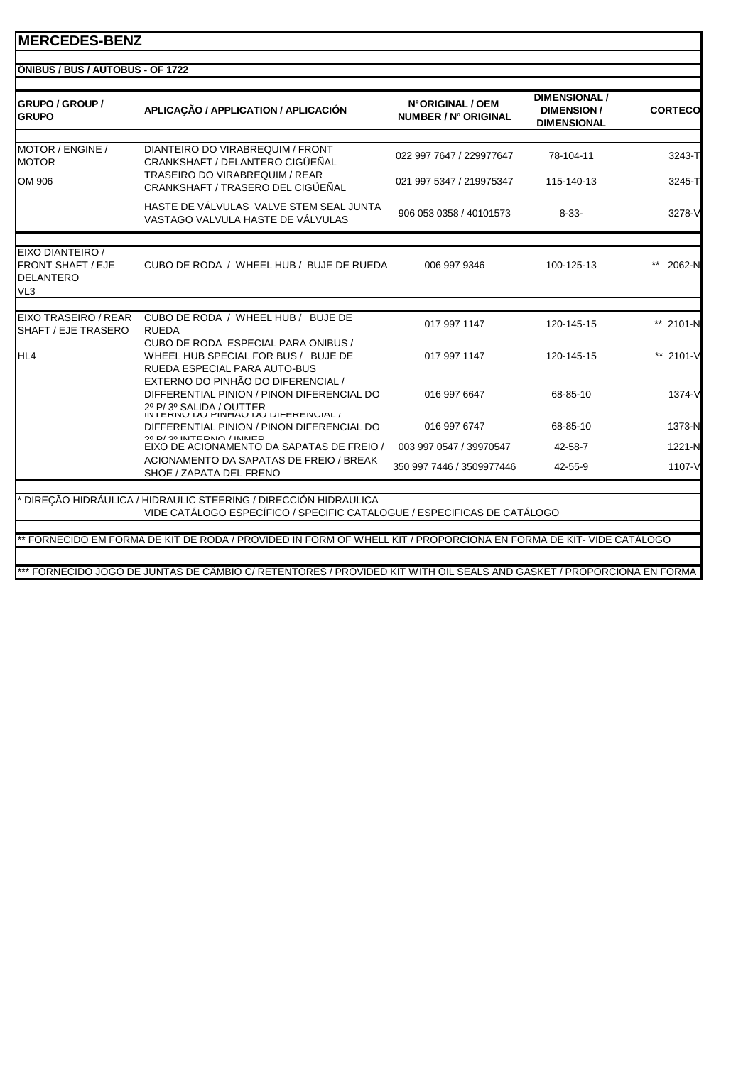| <b>IÔNIBUS / BUS / AUTOBUS - OF 1722</b>                        |                                                                                                                                                    |                                          |                                                                 |                |
|-----------------------------------------------------------------|----------------------------------------------------------------------------------------------------------------------------------------------------|------------------------------------------|-----------------------------------------------------------------|----------------|
| <b>GRUPO / GROUP /</b><br><b>GRUPO</b>                          | APLICAÇÃO / APPLICATION / APLICACIÓN                                                                                                               | N°ORIGINAL / OEM<br>NUMBER / Nº ORIGINAL | <b>DIMENSIONAL /</b><br><b>DIMENSION/</b><br><b>DIMENSIONAL</b> | <b>CORTECO</b> |
|                                                                 |                                                                                                                                                    |                                          |                                                                 |                |
| MOTOR / ENGINE /<br><b>MOTOR</b>                                | DIANTEIRO DO VIRABREQUIM / FRONT<br>CRANKSHAFT / DELANTERO CIGÜEÑAL<br><b>TRASEIRO DO VIRABREQUIM / REAR</b>                                       | 022 997 7647 / 229977647                 | 78-104-11                                                       | 3243-T         |
| OM 906                                                          | CRANKSHAFT / TRASERO DEL CIGÜEÑAL                                                                                                                  | 021 997 5347 / 219975347                 | 115-140-13                                                      | 3245-TI        |
|                                                                 | HASTE DE VÁLVULAS VALVE STEM SEAL JUNTA<br>VASTAGO VALVULA HASTE DE VÁLVULAS                                                                       | 906 053 0358 / 40101573                  | $8 - 33 -$                                                      | 3278-V         |
| EIXO DIANTEIRO /                                                |                                                                                                                                                    |                                          |                                                                 |                |
| <b>FRONT SHAFT / EJE</b><br><b>DELANTERO</b><br>VL <sub>3</sub> | CUBO DE RODA / WHEEL HUB / BUJE DE RUEDA                                                                                                           | 006 997 9346                             | 100-125-13                                                      | 2062-N         |
|                                                                 |                                                                                                                                                    |                                          |                                                                 |                |
| EIXO TRASEIRO / REAR<br>SHAFT / EJE TRASERO                     | CUBO DE RODA / WHEEL HUB / BUJE DE<br><b>RUEDA</b>                                                                                                 | 017 997 1147                             | 120-145-15                                                      | ** 2101-N      |
| HL4                                                             | CUBO DE RODA ESPECIAL PARA ONIBUS /<br>WHEEL HUB SPECIAL FOR BUS / BUJE DE<br>RUEDA ESPECIAL PARA AUTO-BUS                                         | 017 997 1147                             | 120-145-15                                                      | ** 2101-V      |
|                                                                 | EXTERNO DO PINHÃO DO DIFERENCIAL /<br>DIFFERENTIAL PINION / PINON DIFERENCIAL DO<br>2º P/3º SALIDA / OUTTER<br>INTERINO DO PINHAO DO DIFERENGIAL / | 016 997 6647                             | 68-85-10                                                        | 1374-V         |
|                                                                 | DIFFERENTIAL PINION / PINON DIFERENCIAL DO                                                                                                         | 016 997 6747                             | 68-85-10                                                        | 1373-N         |
|                                                                 | 20 D/20 INTEDNO/ININED<br>EIXO DE ACIONAMENTO DA SAPATAS DE FREIO /                                                                                | 003 997 0547 / 39970547                  | 42-58-7                                                         | 1221-N         |
|                                                                 | ACIONAMENTO DA SAPATAS DE FREIO / BREAK<br>SHOE / ZAPATA DEL FRENO                                                                                 | 350 997 7446 / 3509977446                | 42-55-9                                                         | 1107-V         |
|                                                                 |                                                                                                                                                    |                                          |                                                                 |                |
|                                                                 | DIRECÃO HIDRÁULICA / HIDRAULIC STEERING / DIRECCIÓN HIDRAULICA<br>VIDE CATÁLOGO ESPECÍFICO / SPECIFIC CATALOGUE / ESPECIFICAS DE CATÁLOGO          |                                          |                                                                 |                |
|                                                                 |                                                                                                                                                    |                                          |                                                                 |                |
|                                                                 | ** FORNECIDO EM FORMA DE KIT DE RODA / PROVIDED IN FORM OF WHELL KIT / PROPORCIONA EN FORMA DE KIT- VIDE CATÁLOGO                                  |                                          |                                                                 |                |
|                                                                 |                                                                                                                                                    |                                          |                                                                 |                |
|                                                                 | *** FORNECIDO JOGO DE JUNTAS DE CÂMBIO C/ RETENTORES / PROVIDED KIT WITH OIL SEALS AND GASKET / PROPORCIONA EN FORMA                               |                                          |                                                                 |                |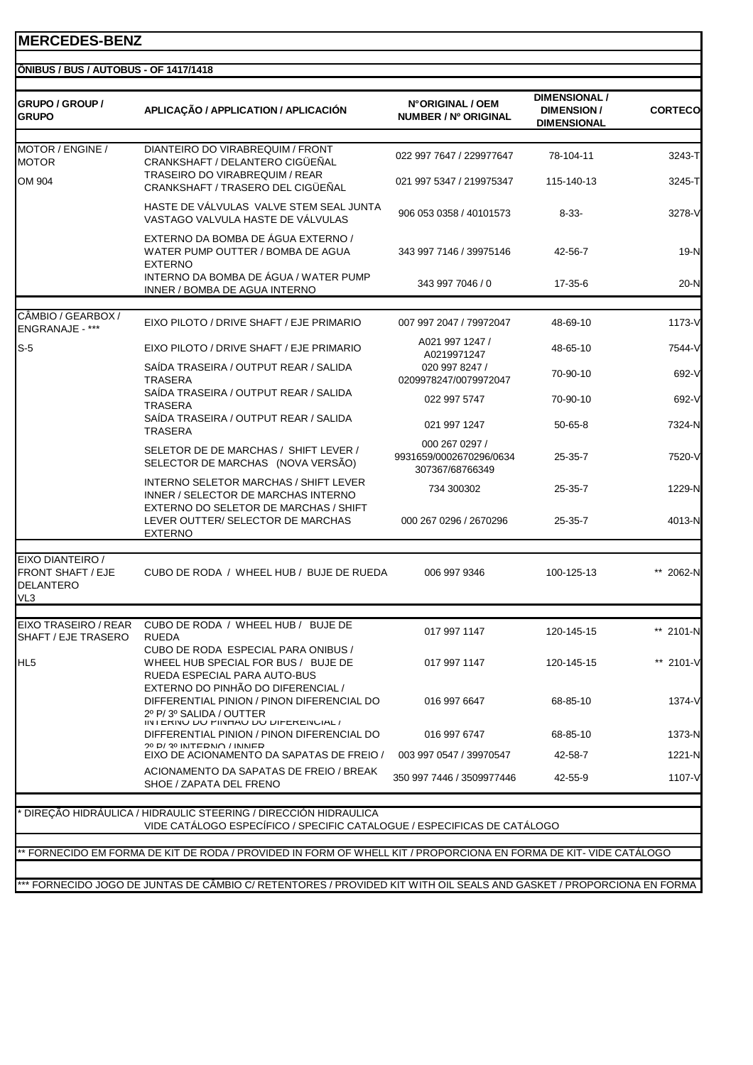|  | ÖNIBUS / BUS / AUTOBUS - OF 1417/1418 |  |
|--|---------------------------------------|--|

| <b>GRUPO / GROUP /</b><br><b>GRUPO</b>                    | APLICAÇÃO / APPLICATION / APLICACIÓN                                                                                                             | N°ORIGINAL / OEM<br>NUMBER / Nº ORIGINAL                     | <b>DIMENSIONAL /</b><br><b>DIMENSION/</b><br><b>DIMENSIONAL</b> | <b>CORTECO</b> |
|-----------------------------------------------------------|--------------------------------------------------------------------------------------------------------------------------------------------------|--------------------------------------------------------------|-----------------------------------------------------------------|----------------|
| MOTOR / ENGINE /<br><b>MOTOR</b>                          | DIANTEIRO DO VIRABREQUIM / FRONT<br>CRANKSHAFT / DELANTERO CIGÜEÑAL                                                                              | 022 997 7647 / 229977647                                     | 78-104-11                                                       | 3243-T         |
| OM 904                                                    | TRASEIRO DO VIRABREQUIM / REAR<br>CRANKSHAFT / TRASERO DEL CIGÜEÑAL                                                                              | 021 997 5347 / 219975347                                     | 115-140-13                                                      | 3245-T         |
|                                                           | HASTE DE VÁLVULAS VALVE STEM SEAL JUNTA<br>VASTAGO VALVULA HASTE DE VÁLVULAS                                                                     | 906 053 0358 / 40101573                                      | $8 - 33 -$                                                      | 3278-V         |
|                                                           | EXTERNO DA BOMBA DE ÁGUA EXTERNO /<br>WATER PUMP OUTTER / BOMBA DE AGUA<br><b>EXTERNO</b>                                                        | 343 997 7146 / 39975146                                      | 42-56-7                                                         | $19-N$         |
|                                                           | INTERNO DA BOMBA DE ÁGUA / WATER PUMP<br>INNER / BOMBA DE AGUA INTERNO                                                                           | 343 997 7046 / 0                                             | 17-35-6                                                         | $20-N$         |
| CÂMBIO / GEARBOX /<br><b>ENGRANAJE - ***</b>              | EIXO PILOTO / DRIVE SHAFT / EJE PRIMARIO                                                                                                         | 007 997 2047 / 79972047                                      | 48-69-10                                                        | 1173-V         |
| $S-5$                                                     | EIXO PILOTO / DRIVE SHAFT / EJE PRIMARIO                                                                                                         | A021 997 1247 /<br>A0219971247                               | 48-65-10                                                        | 7544-V         |
|                                                           | SAÍDA TRASEIRA / OUTPUT REAR / SALIDA<br><b>TRASERA</b>                                                                                          | 020 997 8247 /<br>0209978247/0079972047                      | 70-90-10                                                        | 692-V          |
|                                                           | SAÍDA TRASEIRA / OUTPUT REAR / SALIDA<br>TRASERA                                                                                                 | 022 997 5747                                                 | 70-90-10                                                        | 692-V          |
|                                                           | SAÍDA TRASEIRA / OUTPUT REAR / SALIDA<br><b>TRASERA</b>                                                                                          | 021 997 1247                                                 | $50 - 65 - 8$                                                   | 7324-N         |
|                                                           | SELETOR DE DE MARCHAS / SHIFT LEVER /<br>SELECTOR DE MARCHAS (NOVA VERSÃO)                                                                       | 000 267 0297 /<br>9931659/0002670296/0634<br>307367/68766349 | 25-35-7                                                         | 7520-V         |
|                                                           | INTERNO SELETOR MARCHAS / SHIFT LEVER<br>INNER / SELECTOR DE MARCHAS INTERNO                                                                     | 734 300302                                                   | 25-35-7                                                         | 1229-N         |
|                                                           | EXTERNO DO SELETOR DE MARCHAS / SHIFT<br>LEVER OUTTER/ SELECTOR DE MARCHAS<br><b>EXTERNO</b>                                                     | 000 267 0296 / 2670296                                       | 25-35-7                                                         | 4013-N         |
| EIXO DIANTEIRO /<br>FRONT SHAFT / EJE<br>DELANTERO<br>VL3 | CUBO DE RODA / WHEEL HUB / BUJE DE RUEDA                                                                                                         | 006 997 9346                                                 | 100-125-13                                                      | ** 2062-N      |
| EIXO TRASEIRO / REAR<br>SHAFT / EJE TRASERO               | CUBO DE RODA / WHEEL HUB / BUJE DE<br><b>RUEDA</b>                                                                                               | 017 997 1147                                                 | 120-145-15                                                      | ** 2101-N      |
| HL <sub>5</sub>                                           | CUBO DE RODA ESPECIAL PARA ONIBUS /<br>WHEEL HUB SPECIAL FOR BUS / BUJE DE<br>RUEDA ESPECIAL PARA AUTO-BUS                                       | 017 997 1147                                                 | 120-145-15                                                      | ** 2101-V      |
|                                                           | EXTERNO DO PINHÃO DO DIFERENCIAL /<br>DIFFERENTIAL PINION / PINON DIFERENCIAL DO<br>2º P/3º SALIDA / OUTTER<br>INTERNU DU PINHAU DU DIFERENCIAL/ | 016 997 6647                                                 | 68-85-10                                                        | 1374-V         |
|                                                           | DIFFERENTIAL PINION / PINON DIFERENCIAL DO<br>20 D/ 30 INITERNIO / INNER                                                                         | 016 997 6747                                                 | 68-85-10                                                        | 1373-N         |
|                                                           | EIXO DE ACIONAMENTO DA SAPATAS DE FREIO /                                                                                                        | 003 997 0547 / 39970547                                      | 42-58-7                                                         | 1221-N         |
|                                                           | ACIONAMENTO DA SAPATAS DE FREIO / BREAK<br>SHOE / ZAPATA DEL FRENO                                                                               | 350 997 7446 / 3509977446                                    | 42-55-9                                                         | 1107-V         |
|                                                           | ' DIRECAO HIDRAULICA / HIDRAULIC STEERING / DIRECCIÓN HIDRAULICA<br>VIDE CATÁLOGO ESPECÍFICO / SPECIFIC CATALOGUE / ESPECIFICAS DE CATÁLOGO      |                                                              |                                                                 |                |
|                                                           | ** FORNECIDO EM FORMA DE KIT DE RODA / PROVIDED IN FORM OF WHELL KIT / PROPORCIONA EN FORMA DE KIT- VIDE CATALOGO                                |                                                              |                                                                 |                |
|                                                           | *** FORNECIDO JOGO DE JUNTAS DE CÂMBIO C/ RETENTORES / PROVIDED KIT WITH OIL SEALS AND GASKET / PROPORCIONA EN FORMA                             |                                                              |                                                                 |                |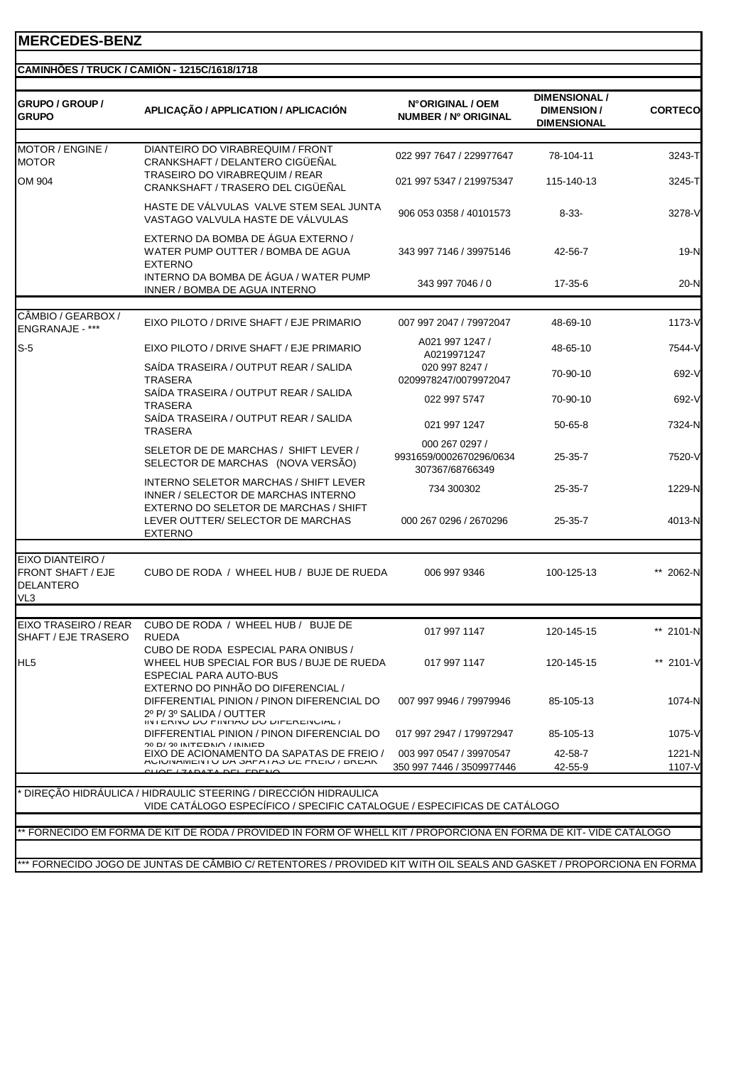| GRUPO / GROUP /<br><b>GRUPO</b>                                         | APLICAÇÃO / APPLICATION / APLICACIÓN                                                                                                      | N°ORIGINAL / OEM<br>NUMBER / Nº ORIGINAL                     | <b>DIMENSIONAL /</b><br><b>DIMENSION/</b><br><b>DIMENSIONAL</b> | <b>CORTECO</b>   |
|-------------------------------------------------------------------------|-------------------------------------------------------------------------------------------------------------------------------------------|--------------------------------------------------------------|-----------------------------------------------------------------|------------------|
| MOTOR / ENGINE /<br><b>MOTOR</b>                                        | DIANTEIRO DO VIRABREQUIM / FRONT<br>CRANKSHAFT / DELANTERO CIGÜEÑAL                                                                       | 022 997 7647 / 229977647                                     | 78-104-11                                                       | 3243-T           |
| OM 904                                                                  | TRASEIRO DO VIRABREQUIM / REAR<br>CRANKSHAFT / TRASERO DEL CIGÜEÑAL                                                                       | 021 997 5347 / 219975347                                     | 115-140-13                                                      | 3245-T           |
|                                                                         | HASTE DE VÁLVULAS VALVE STEM SEAL JUNTA<br>VASTAGO VALVULA HASTE DE VÁLVULAS                                                              | 906 053 0358 / 40101573                                      | $8 - 33 -$                                                      | 3278-V           |
|                                                                         | EXTERNO DA BOMBA DE ÁGUA EXTERNO /<br>WATER PUMP OUTTER / BOMBA DE AGUA<br><b>EXTERNO</b>                                                 | 343 997 7146 / 39975146                                      | 42-56-7                                                         | 19-N             |
|                                                                         | INTERNO DA BOMBA DE ÁGUA / WATER PUMP<br>INNER / BOMBA DE AGUA INTERNO                                                                    | 343 997 7046 / 0                                             | 17-35-6                                                         | $20-N$           |
| CÂMBIO / GEARBOX /<br>ENGRANAJE - ***                                   | EIXO PILOTO / DRIVE SHAFT / EJE PRIMARIO                                                                                                  | 007 997 2047 / 79972047                                      | 48-69-10                                                        | 1173-V           |
| $S-5$                                                                   | EIXO PILOTO / DRIVE SHAFT / EJE PRIMARIO                                                                                                  | A021 997 1247 /<br>A0219971247                               | 48-65-10                                                        | 7544-V           |
|                                                                         | SAÍDA TRASEIRA / OUTPUT REAR / SALIDA<br><b>TRASERA</b>                                                                                   | 020 997 8247 /<br>0209978247/0079972047                      | 70-90-10                                                        | 692-V            |
|                                                                         | SAÍDA TRASEIRA / OUTPUT REAR / SALIDA<br><b>TRASERA</b><br>SAÍDA TRASEIRA / OUTPUT REAR / SALIDA                                          | 022 997 5747                                                 | 70-90-10                                                        | 692-V            |
|                                                                         | <b>TRASERA</b>                                                                                                                            | 021 997 1247                                                 | $50 - 65 - 8$                                                   | 7324-N           |
|                                                                         | SELETOR DE DE MARCHAS / SHIFT LEVER /<br>SELECTOR DE MARCHAS (NOVA VERSÃO)                                                                | 000 267 0297 /<br>9931659/0002670296/0634<br>307367/68766349 | $25 - 35 - 7$                                                   | 7520-V           |
|                                                                         | INTERNO SELETOR MARCHAS / SHIFT LEVER<br>INNER / SELECTOR DE MARCHAS INTERNO<br>EXTERNO DO SELETOR DE MARCHAS / SHIFT                     | 734 300302                                                   | 25-35-7                                                         | 1229-N           |
|                                                                         | LEVER OUTTER/ SELECTOR DE MARCHAS<br><b>EXTERNO</b>                                                                                       | 000 267 0296 / 2670296                                       | 25-35-7                                                         | 4013-N           |
| EIXO DIANTEIRO /<br><b>FRONT SHAFT / EJE</b><br><b>DELANTERO</b><br>VL3 | CUBO DE RODA / WHEEL HUB / BUJE DE RUEDA                                                                                                  | 006 997 9346                                                 | 100-125-13                                                      | ** 2062-N        |
| EIXO TRASEIRO / REAR<br>SHAFT / EJE TRASERO                             | CUBO DE RODA / WHEEL HUB / BUJE DE<br><b>RUEDA</b>                                                                                        | 017 997 1147                                                 | 120-145-15                                                      | 2101-N           |
| HL <sub>5</sub>                                                         | CUBO DE RODA ESPECIAL PARA ONIBUS /<br>WHEEL HUB SPECIAL FOR BUS / BUJE DE RUEDA<br><b>ESPECIAL PARA AUTO-BUS</b>                         | 017 997 1147                                                 | 120-145-15                                                      | ** 2101-V        |
|                                                                         | EXTERNO DO PINHÃO DO DIFERENCIAL /<br>DIFFERENTIAL PINION / PINON DIFERENCIAL DO<br>2º P/ 3º SALIDA / OUTTER                              | 007 997 9946 / 79979946                                      | 85-105-13                                                       | 1074-N           |
|                                                                         | IN I ERINU DU MINHAU DU DIFERENCIAL /<br>DIFFERENTIAL PINION / PINON DIFERENCIAL DO                                                       | 017 997 2947 / 179972947                                     | 85-105-13                                                       | 1075-V           |
|                                                                         | EIXO DE ACIONAMENTO DA SAPATAS DE FREIO /<br>AUIUINAIVIEIN I U DA OAFATAO DE FREIU / DREAR<br><b>CUOF (ZADATA DEL FOENO</b>               | 003 997 0547 / 39970547<br>350 997 7446 / 3509977446         | 42-58-7<br>42-55-9                                              | 1221-N<br>1107-V |
|                                                                         | DIREÇÃO HIDRAULICA / HIDRAULIC STEERING / DIRECCIÓN HIDRAULICA<br>VIDE CATÁLOGO ESPECÍFICO / SPECIFIC CATALOGUE / ESPECIFICAS DE CATÁLOGO |                                                              |                                                                 |                  |
|                                                                         |                                                                                                                                           |                                                              |                                                                 |                  |
|                                                                         | FORNECIDO EM FORMA DE KIT DE RODA / PROVIDED IN FORM OF WHELL KIT / PROPORCIONA EN FORMA DE KIT-VIDE CATÁLOGO                             |                                                              |                                                                 |                  |
|                                                                         | *** FORNECIDO JOGO DE JUNTAS DE CÂMBIO C/ RETENTORES / PROVIDED KIT WITH OIL SEALS AND GASKET / PROPORCIONA EN FORMA                      |                                                              |                                                                 |                  |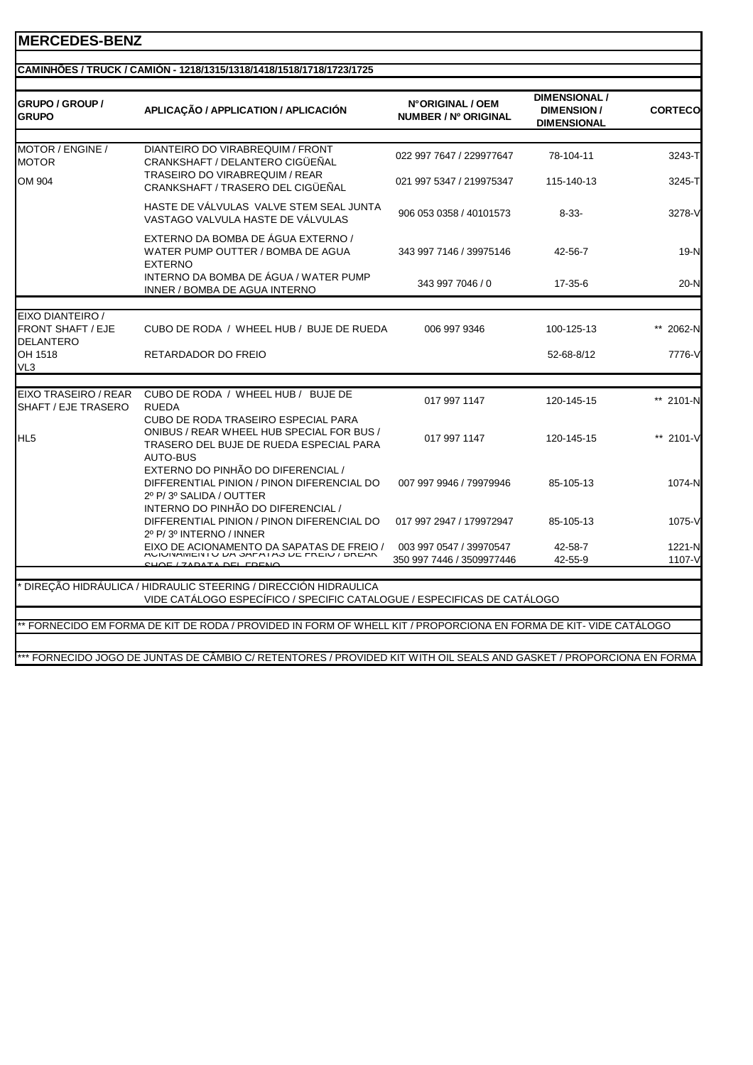#### **CAMINHÕES / TRUCK / CAMIÓN - 1218/1315/1318/1418/1518/1718/1723/1725**

| <b>GRUPO / GROUP /</b><br><b>GRUPO</b>                           | APLICAÇÃO / APPLICATION / APLICACIÓN                                                                                                           | N°ORIGINAL / OEM<br>NUMBER / Nº ORIGINAL             | <b>DIMENSIONAL /</b><br><b>DIMENSION/</b><br><b>DIMENSIONAL</b> | <b>CORTECO</b>   |
|------------------------------------------------------------------|------------------------------------------------------------------------------------------------------------------------------------------------|------------------------------------------------------|-----------------------------------------------------------------|------------------|
|                                                                  |                                                                                                                                                |                                                      |                                                                 |                  |
| MOTOR / ENGINE /<br><b>MOTOR</b>                                 | DIANTEIRO DO VIRABREQUIM / FRONT<br>CRANKSHAFT / DELANTERO CIGÜEÑAL                                                                            | 022 997 7647 / 229977647                             | 78-104-11                                                       | 3243-T           |
| OM 904                                                           | <b>TRASEIRO DO VIRABREQUIM / REAR</b><br>CRANKSHAFT / TRASERO DEL CIGÜEÑAL                                                                     | 021 997 5347 / 219975347                             | 115-140-13                                                      | 3245-T           |
|                                                                  | HASTE DE VÁLVULAS VALVE STEM SEAL JUNTA<br>VASTAGO VALVULA HASTE DE VÁLVULAS                                                                   | 906 053 0358 / 40101573                              | $8 - 33 -$                                                      | 3278-V           |
|                                                                  | EXTERNO DA BOMBA DE ÁGUA EXTERNO /<br>WATER PUMP OUTTER / BOMBA DE AGUA<br><b>EXTERNO</b>                                                      | 343 997 7146 / 39975146                              | 42-56-7                                                         | $19-N$           |
|                                                                  | INTERNO DA BOMBA DE ÁGUA / WATER PUMP<br>INNER / BOMBA DE AGUA INTERNO                                                                         | 343 997 7046 / 0                                     | $17 - 35 - 6$                                                   | $20-N$           |
|                                                                  |                                                                                                                                                |                                                      |                                                                 |                  |
| EIXO DIANTEIRO /<br><b>FRONT SHAFT / EJE</b><br><b>DELANTERO</b> | CUBO DE RODA / WHEEL HUB / BUJE DE RUEDA                                                                                                       | 006 997 9346                                         | 100-125-13                                                      | 2062-N           |
| OH 1518<br>VL3                                                   | RETARDADOR DO FREIO                                                                                                                            |                                                      | 52-68-8/12                                                      | 7776-V           |
|                                                                  |                                                                                                                                                |                                                      |                                                                 |                  |
| EIXO TRASEIRO / REAR<br>SHAFT / EJE TRASERO                      | CUBO DE RODA / WHEEL HUB / BUJE DE<br><b>RUEDA</b>                                                                                             | 017 997 1147                                         | 120-145-15                                                      | ** 2101-N        |
| HL <sub>5</sub>                                                  | <b>CUBO DE RODA TRASEIRO ESPECIAL PARA</b><br>ONIBUS / REAR WHEEL HUB SPECIAL FOR BUS /<br>TRASERO DEL BUJE DE RUEDA ESPECIAL PARA<br>AUTO-BUS | 017 997 1147                                         | 120-145-15                                                      | ** 2101-V        |
|                                                                  | EXTERNO DO PINHÃO DO DIFERENCIAL /<br>DIFFERENTIAL PINION / PINON DIFERENCIAL DO<br>2º P/3º SALIDA / OUTTER                                    | 007 997 9946 / 79979946                              | 85-105-13                                                       | 1074-N           |
|                                                                  | INTERNO DO PINHÃO DO DIFERENCIAL /<br>DIFFERENTIAL PINION / PINON DIFERENCIAL DO<br>2º P/3º INTERNO / INNER                                    | 017 997 2947 / 179972947                             | 85-105-13                                                       | 1075-V           |
|                                                                  | EIXO DE ACIONAMENTO DA SAPATAS DE FREIO /<br>AUTOINAMENTO DA SAFATAS DE FREIO / DREAN                                                          | 003 997 0547 / 39970547<br>350 997 7446 / 3509977446 | 42-58-7<br>42-55-9                                              | 1221-N<br>1107-V |
|                                                                  |                                                                                                                                                |                                                      |                                                                 |                  |
|                                                                  | DIREÇÃO HIDRÁULICA / HIDRAULIC STEERING / DIRECCIÓN HIDRAULICA<br>VIDE CATÁLOGO ESPECÍFICO / SPECIFIC CATALOGUE / ESPECIFICAS DE CATÁLOGO      |                                                      |                                                                 |                  |
|                                                                  | ** FORNECIDO EM FORMA DE KIT DE RODA / PROVIDED IN FORM OF WHELL KIT / PROPORCIONA EN FORMA DE KIT- VIDE CATÁLOGO                              |                                                      |                                                                 |                  |
|                                                                  |                                                                                                                                                |                                                      |                                                                 |                  |
|                                                                  | *** FORNECIDO JOGO DE JUNTAS DE CÂMBIO C/ RETENTORES / PROVIDED KIT WITH OIL SEALS AND GASKET / PROPORCIONA EN FORMA                           |                                                      |                                                                 |                  |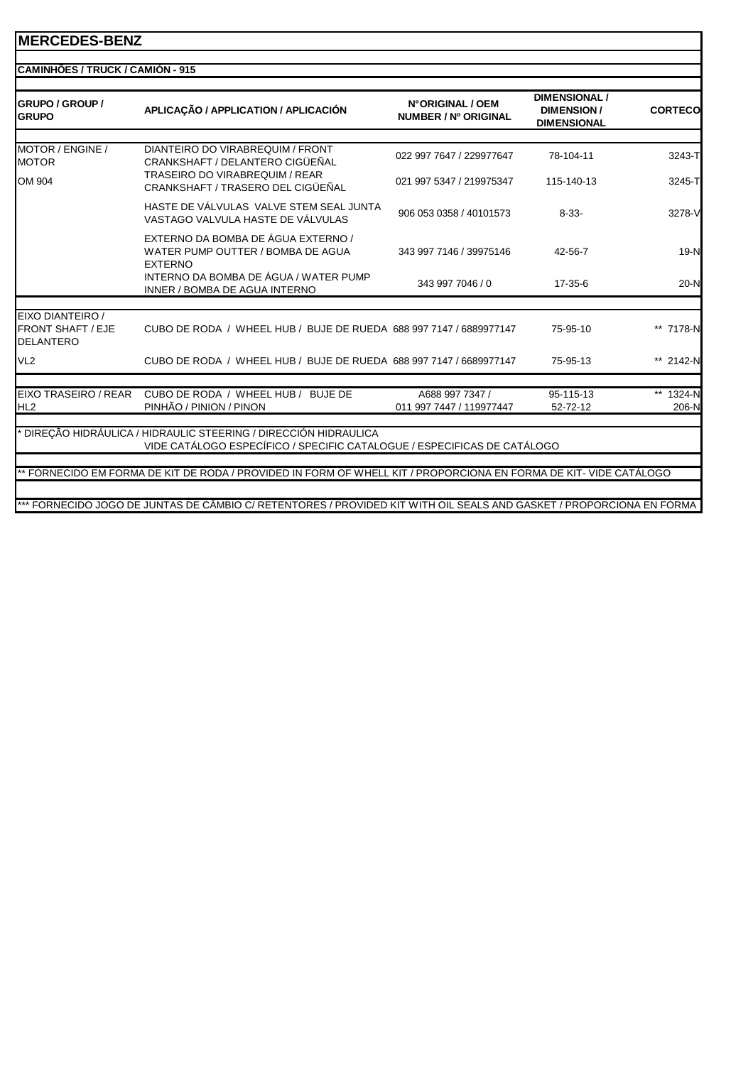| <b>GRUPO / GROUP /</b><br><b>GRUPO</b>                           | APLICAÇÃO / APPLICATION / APLICACIÓN                                                                                 | N°ORIGINAL / OEM<br>NUMBER / Nº ORIGINAL | <b>DIMENSIONAL /</b><br><b>DIMENSION/</b><br><b>DIMENSIONAL</b> | <b>CORTECO</b> |
|------------------------------------------------------------------|----------------------------------------------------------------------------------------------------------------------|------------------------------------------|-----------------------------------------------------------------|----------------|
| MOTOR / ENGINE /<br><b>MOTOR</b>                                 | DIANTEIRO DO VIRABREQUIM / FRONT<br>CRANKSHAFT / DELANTERO CIGÜEÑAL                                                  | 022 997 7647 / 229977647                 | 78-104-11                                                       | 3243-T         |
| OM 904                                                           | <b>TRASEIRO DO VIRABREQUIM / REAR</b><br>CRANKSHAFT / TRASERO DEL CIGÜEÑAL                                           | 021 997 5347 / 219975347                 | 115-140-13                                                      | 3245-T         |
|                                                                  | HASTE DE VÁLVULAS VALVE STEM SEAL JUNTA<br>VASTAGO VALVULA HASTE DE VÁLVULAS                                         | 906 053 0358 / 40101573                  | $8 - 33 -$                                                      | 3278-V         |
|                                                                  | EXTERNO DA BOMBA DE ÁGUA EXTERNO /<br>WATER PUMP OUTTER / BOMBA DE AGUA<br><b>EXTERNO</b>                            | 343 997 7146 / 39975146                  | 42-56-7                                                         | $19-N$         |
|                                                                  | INTERNO DA BOMBA DE ÁGUA / WATER PUMP<br>INNER / BOMBA DE AGUA INTERNO                                               | 343 997 7046 / 0                         | $17 - 35 - 6$                                                   | $20-N$         |
|                                                                  |                                                                                                                      |                                          |                                                                 |                |
| EIXO DIANTEIRO /<br><b>FRONT SHAFT / EJE</b><br><b>DELANTERO</b> | CUBO DE RODA / WHEEL HUB / BUJE DE RUEDA 688 997 7147 / 6889977147                                                   |                                          | 75-95-10                                                        | ** 7178-N      |
| VL <sub>2</sub>                                                  | CUBO DE RODA / WHEEL HUB / BUJE DE RUEDA 688 997 7147 / 6689977147                                                   |                                          | 75-95-13                                                        | ** 2142-N      |
| EIXO TRASEIRO / REAR                                             | CUBO DE RODA / WHEEL HUB / BUJE DE                                                                                   | A688 997 7347 /                          | 95-115-13                                                       | 1324-N         |
| HL <sub>2</sub>                                                  | PINHÃO / PINION / PINON                                                                                              | 011 997 7447 / 119977447                 | 52-72-12                                                        | 206-N          |
|                                                                  | DIREÇÃO HIDRÁULICA / HIDRAULIC STEERING / DIRECCIÓN HIDRAULICA                                                       |                                          |                                                                 |                |
|                                                                  | VIDE CATÁLOGO ESPECÍFICO / SPECIFIC CATALOGUE / ESPECIFICAS DE CATÁLOGO                                              |                                          |                                                                 |                |
|                                                                  | ** FORNECIDO EM FORMA DE KIT DE RODA / PROVIDED IN FORM OF WHELL KIT / PROPORCIONA EN FORMA DE KIT- VIDE CATÁLOGO    |                                          |                                                                 |                |
|                                                                  |                                                                                                                      |                                          |                                                                 |                |
|                                                                  | *** FORNECIDO JOGO DE JUNTAS DE CÃMBIO C/ RETENTORES / PROVIDED KIT WITH OIL SEALS AND GASKET / PROPORCIONA EN FORMA |                                          |                                                                 |                |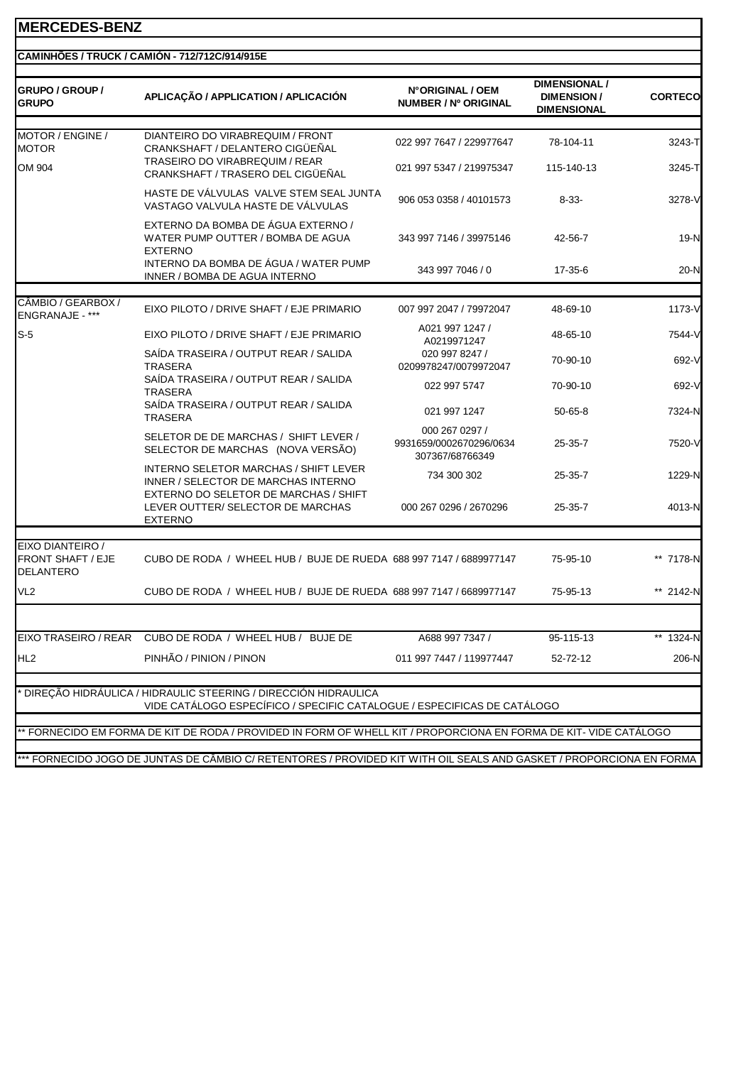#### **CAMINHÕES / TRUCK / CAMIÓN - 712/712C/914/915E**

| GRUPO / GROUP /<br><b>GRUPO</b>                                  | APLICAÇÃO / APPLICATION / APLICACIÓN                                                                                                      | N°ORIGINAL / OEM<br><b>NUMBER / Nº ORIGINAL</b>              | <b>DIMENSIONAL /</b><br><b>DIMENSION/</b><br><b>DIMENSIONAL</b> | <b>CORTECO</b> |
|------------------------------------------------------------------|-------------------------------------------------------------------------------------------------------------------------------------------|--------------------------------------------------------------|-----------------------------------------------------------------|----------------|
| MOTOR / ENGINE /<br><b>MOTOR</b>                                 | DIANTEIRO DO VIRABREQUIM / FRONT<br>CRANKSHAFT / DELANTERO CIGÜEÑAL                                                                       | 022 997 7647 / 229977647                                     | 78-104-11                                                       | 3243-TI        |
| OM 904                                                           | TRASEIRO DO VIRABREQUIM / REAR<br>CRANKSHAFT / TRASERO DEL CIGÜEÑAL                                                                       | 021 997 5347 / 219975347                                     | 115-140-13                                                      | 3245-T         |
|                                                                  | HASTE DE VÁLVULAS VALVE STEM SEAL JUNTA<br>VASTAGO VALVULA HASTE DE VÁLVULAS                                                              | 906 053 0358 / 40101573                                      | $8 - 33 -$                                                      | 3278-V         |
|                                                                  | EXTERNO DA BOMBA DE ÁGUA EXTERNO /<br>WATER PUMP OUTTER / BOMBA DE AGUA<br><b>EXTERNO</b>                                                 | 343 997 7146 / 39975146                                      | 42-56-7                                                         | 19-N           |
|                                                                  | INTERNO DA BOMBA DE ÁGUA / WATER PUMP<br>INNER / BOMBA DE AGUA INTERNO                                                                    | 343 997 7046 / 0                                             | 17-35-6                                                         | 20-N           |
| CÂMBIO / GEARBOX /                                               |                                                                                                                                           |                                                              |                                                                 |                |
| <b>ENGRANAJE - ***</b>                                           | EIXO PILOTO / DRIVE SHAFT / EJE PRIMARIO                                                                                                  | 007 997 2047 / 79972047                                      | 48-69-10                                                        | 1173-V         |
| $S-5$                                                            | EIXO PILOTO / DRIVE SHAFT / EJE PRIMARIO                                                                                                  | A021 997 1247 /<br>A0219971247                               | 48-65-10                                                        | 7544-V         |
|                                                                  | SAÍDA TRASEIRA / OUTPUT REAR / SALIDA<br>TRASERA                                                                                          | 020 997 8247 /<br>0209978247/0079972047                      | 70-90-10                                                        | 692-V          |
|                                                                  | SAÍDA TRASEIRA / OUTPUT REAR / SALIDA<br><b>TRASERA</b>                                                                                   | 022 997 5747                                                 | 70-90-10                                                        | 692-V          |
|                                                                  | SAÍDA TRASEIRA / OUTPUT REAR / SALIDA<br><b>TRASERA</b>                                                                                   | 021 997 1247                                                 | $50 - 65 - 8$                                                   | 7324-N         |
|                                                                  | SELETOR DE DE MARCHAS / SHIFT LEVER /<br>SELECTOR DE MARCHAS (NOVA VERSÃO)                                                                | 000 267 0297 /<br>9931659/0002670296/0634<br>307367/68766349 | $25 - 35 - 7$                                                   | 7520-V         |
|                                                                  | INTERNO SELETOR MARCHAS / SHIFT LEVER<br>INNER / SELECTOR DE MARCHAS INTERNO                                                              | 734 300 302                                                  | $25 - 35 - 7$                                                   | 1229-N         |
|                                                                  | EXTERNO DO SELETOR DE MARCHAS / SHIFT<br>LEVER OUTTER/ SELECTOR DE MARCHAS<br><b>EXTERNO</b>                                              | 000 267 0296 / 2670296                                       | 25-35-7                                                         | 4013-N         |
|                                                                  |                                                                                                                                           |                                                              |                                                                 |                |
| EIXO DIANTEIRO /<br><b>FRONT SHAFT / EJE</b><br><b>DELANTERO</b> | CUBO DE RODA / WHEEL HUB / BUJE DE RUEDA 688 997 7147 / 6889977147                                                                        |                                                              | 75-95-10                                                        | ** 7178-N      |
| VL <sub>2</sub>                                                  | CUBO DE RODA / WHEEL HUB / BUJE DE RUEDA 688 997 7147 / 6689977147                                                                        |                                                              | 75-95-13                                                        | ** 2142-N      |
|                                                                  | EIXO TRASEIRO / REAR CUBO DE RODA / WHEEL HUB / BUJE DE                                                                                   | A688 997 7347 /                                              | 95-115-13                                                       | ** 1324-N      |
| HL <sub>2</sub>                                                  | PINHÃO / PINION / PINON                                                                                                                   | 011 997 7447 / 119977447                                     | 52-72-12                                                        | 206-N          |
|                                                                  |                                                                                                                                           |                                                              |                                                                 |                |
|                                                                  | DIREÇÃO HIDRÁULICA / HIDRAULIC STEERING / DIRECCIÓN HIDRAULICA<br>VIDE CATÁLOGO ESPECÍFICO / SPECIFIC CATALOGUE / ESPECIFICAS DE CATÁLOGO |                                                              |                                                                 |                |
|                                                                  |                                                                                                                                           |                                                              |                                                                 |                |
|                                                                  | * FORNECIDO EM FORMA DE KIT DE RODA / PROVIDED IN FORM OF WHELL KIT / PROPORCIONA EN FORMA DE KIT- VIDE CATÁLOGO                          |                                                              |                                                                 |                |
|                                                                  | *** FORNECIDO JOGO DE JUNTAS DE CÂMBIO C/ RETENTORES / PROVIDED KIT WITH OIL SEALS AND GASKET / PROPORCIONA EN FORMA                      |                                                              |                                                                 |                |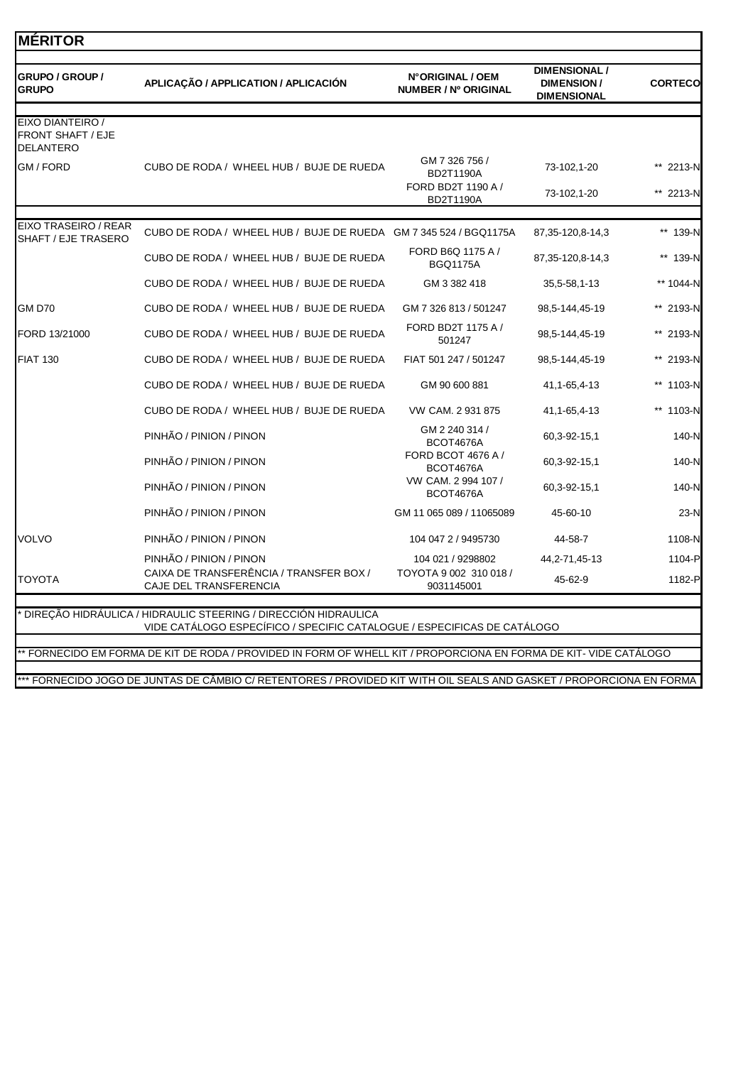| <b>GRUPO</b>                                                     | APLICAÇÃO / APPLICATION / APLICACIÓN                              | N°ORIGINAL / OEM<br><b>NUMBER / Nº ORIGINAL</b>          | <b>DIMENSION/</b><br><b>DIMENSIONAL</b> | <b>CORTECO</b>         |
|------------------------------------------------------------------|-------------------------------------------------------------------|----------------------------------------------------------|-----------------------------------------|------------------------|
| EIXO DIANTEIRO /<br><b>FRONT SHAFT / EJE</b><br><b>DELANTERO</b> |                                                                   |                                                          |                                         |                        |
| GM / FORD                                                        | CUBO DE RODA / WHEEL HUB / BUJE DE RUEDA                          | GM 7 326 756 /<br><b>BD2T1190A</b><br>FORD BD2T 1190 A / | 73-102,1-20<br>73-102,1-20              | ** 2213-N<br>** 2213-N |
|                                                                  |                                                                   | <b>BD2T1190A</b>                                         |                                         |                        |
| <b>EIXO TRASEIRO / REAR</b><br>SHAFT / EJE TRASERO               | CUBO DE RODA / WHEEL HUB / BUJE DE RUEDA GM 7 345 524 / BGQ1175A  |                                                          | 87,35-120,8-14,3                        | ** 139-N               |
|                                                                  | CUBO DE RODA / WHEEL HUB / BUJE DE RUEDA                          | FORD B6Q 1175 A /<br><b>BGQ1175A</b>                     | 87, 35-120, 8-14, 3                     | ** 139-N               |
|                                                                  | CUBO DE RODA / WHEEL HUB / BUJE DE RUEDA                          | GM 3 382 418                                             | 35,5-58,1-13                            | ** 1044-N              |
| <b>GM D70</b>                                                    | CUBO DE RODA / WHEEL HUB / BUJE DE RUEDA                          | GM 7 326 813 / 501247                                    | 98,5-144,45-19                          | ** 2193-N              |
| FORD 13/21000                                                    | CUBO DE RODA / WHEEL HUB / BUJE DE RUEDA                          | FORD BD2T 1175 A /<br>501247                             | 98,5-144,45-19                          | ** 2193-N              |
| <b>FIAT 130</b>                                                  | CUBO DE RODA / WHEEL HUB / BUJE DE RUEDA                          | FIAT 501 247 / 501247                                    | 98,5-144,45-19                          | ** 2193-N              |
|                                                                  | CUBO DE RODA / WHEEL HUB / BUJE DE RUEDA                          | GM 90 600 881                                            | 41, 1-65, 4-13                          | ** 1103-N              |
|                                                                  | CUBO DE RODA / WHEEL HUB / BUJE DE RUEDA                          | VW CAM. 2 931 875                                        | 41, 1-65, 4-13                          | ** 1103-N              |
|                                                                  | PINHÃO / PINION / PINON                                           | GM 2 240 314 /<br><b>BCOT4676A</b>                       | 60,3-92-15,1                            | 140-N                  |
|                                                                  | PINHÃO / PINION / PINON                                           | FORD BCOT 4676 A /<br>BCOT4676A                          | 60,3-92-15,1                            | 140-N                  |
|                                                                  | PINHÃO / PINION / PINON                                           | VW CAM. 2 994 107 /<br><b>BCOT4676A</b>                  | 60,3-92-15,1                            | 140-N                  |
|                                                                  | PINHÃO / PINION / PINON                                           | GM 11 065 089 / 11065089                                 | 45-60-10                                | 23-N                   |
| <b>VOLVO</b>                                                     | PINHÃO / PINION / PINON                                           | 104 047 2 / 9495730                                      | 44-58-7                                 | 1108-N                 |
|                                                                  | PINHÃO / PINION / PINON                                           | 104 021 / 9298802                                        | 44, 2-71, 45-13                         | 1104-P                 |
| <b>TOYOTA</b>                                                    | CAIXA DE TRANSFERÊNCIA / TRANSFER BOX /<br>CAJE DEL TRANSFERENCIA | TOYOTA 9 002 310 018 /<br>9031145001                     | 45-62-9                                 | 1182-P                 |

\*\* FORNECIDO EM FORMA DE KIT DE RODA / PROVIDED IN FORM OF WHELL KIT / PROPORCIONA EN FORMA DE KIT- VIDE CATÁLOGO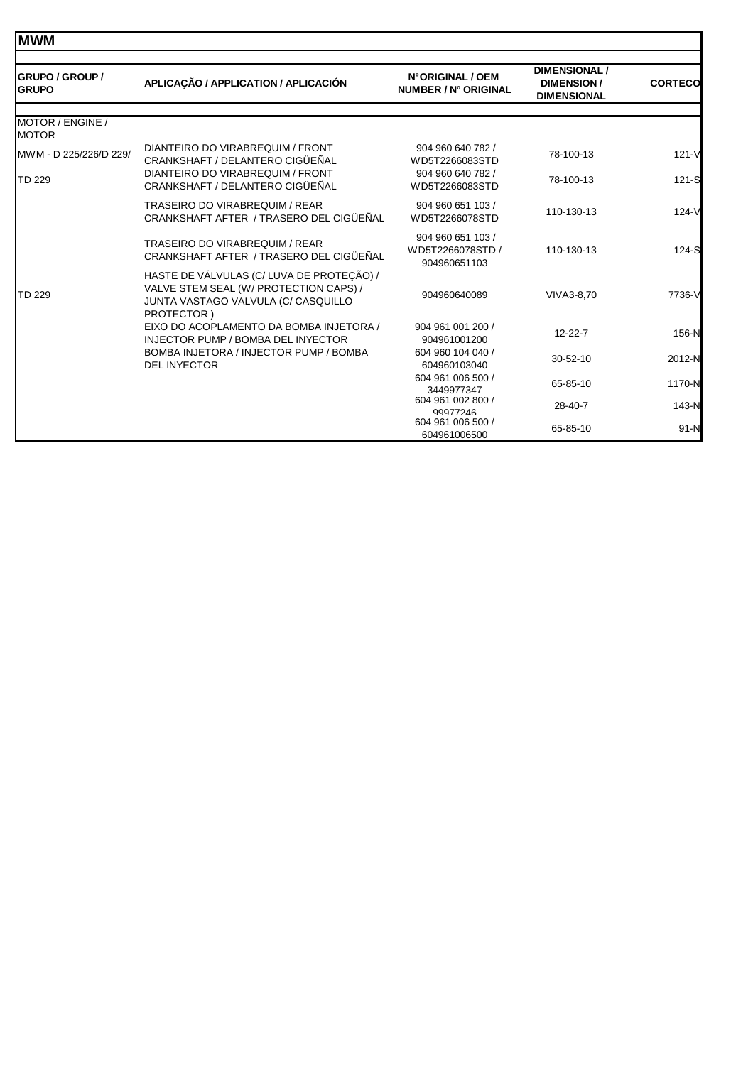| <b>GRUPO / GROUP /</b><br><b>GRUPO</b> | APLICAÇÃO / APPLICATION / APLICACIÓN                                                                                                     | N°ORIGINAL / OEM<br>NUMBER / Nº ORIGINAL              | <b>DIMENSIONAL /</b><br><b>DIMENSION/</b><br><b>DIMENSIONAL</b> | <b>CORTECO</b> |
|----------------------------------------|------------------------------------------------------------------------------------------------------------------------------------------|-------------------------------------------------------|-----------------------------------------------------------------|----------------|
| MOTOR / ENGINE /<br><b>MOTOR</b>       |                                                                                                                                          |                                                       |                                                                 |                |
| MWM - D 225/226/D 229/                 | DIANTEIRO DO VIRABREQUIM / FRONT<br>CRANKSHAFT / DELANTERO CIGÜEÑAL                                                                      | 904 960 640 782 /<br>WD5T2266083STD                   | 78-100-13                                                       | $121 - V$      |
| TD 229                                 | DIANTEIRO DO VIRABREQUIM / FRONT<br>CRANKSHAFT / DELANTERO CIGÜEÑAL                                                                      | 904 960 640 782 /<br>WD5T2266083STD                   | 78-100-13                                                       | $121-S$        |
| TD 229                                 | <b>TRASEIRO DO VIRABREQUIM / REAR</b><br>CRANKSHAFT AFTER / TRASERO DEL CIGÜEÑAL                                                         | 904 960 651 103 /<br>WD5T2266078STD                   | 110-130-13                                                      | $124-V$        |
|                                        | <b>TRASEIRO DO VIRABREQUIM / REAR</b><br>CRANKSHAFT AFTER / TRASERO DEL CIGÜEÑAL                                                         | 904 960 651 103 /<br>WD5T2266078STD /<br>904960651103 | 110-130-13                                                      | 124-S          |
|                                        | HASTE DE VÁLVULAS (C/ LUVA DE PROTEÇÃO) /<br>VALVE STEM SEAL (W/ PROTECTION CAPS) /<br>JUNTA VASTAGO VALVULA (C/ CASQUILLO<br>PROTECTOR) | 904960640089                                          | VIVA3-8.70                                                      | 7736-V         |
|                                        | EIXO DO ACOPLAMENTO DA BOMBA INJETORA /<br><b>INJECTOR PUMP / BOMBA DEL INYECTOR</b>                                                     | 904 961 001 200 /<br>904961001200                     | $12 - 22 - 7$                                                   | 156-N          |
|                                        | BOMBA INJETORA / INJECTOR PUMP / BOMBA<br><b>DEL INYECTOR</b>                                                                            | 604 960 104 040 /<br>604960103040                     | $30 - 52 - 10$                                                  | 2012-N         |
|                                        |                                                                                                                                          | 604 961 006 500 /<br>3449977347                       | 65-85-10                                                        | 1170-N         |
|                                        |                                                                                                                                          | 604 961 002 800 /<br>99977246                         | 28-40-7                                                         | 143-N          |
|                                        |                                                                                                                                          | 604 961 006 500 /<br>604961006500                     | 65-85-10                                                        | $91-N$         |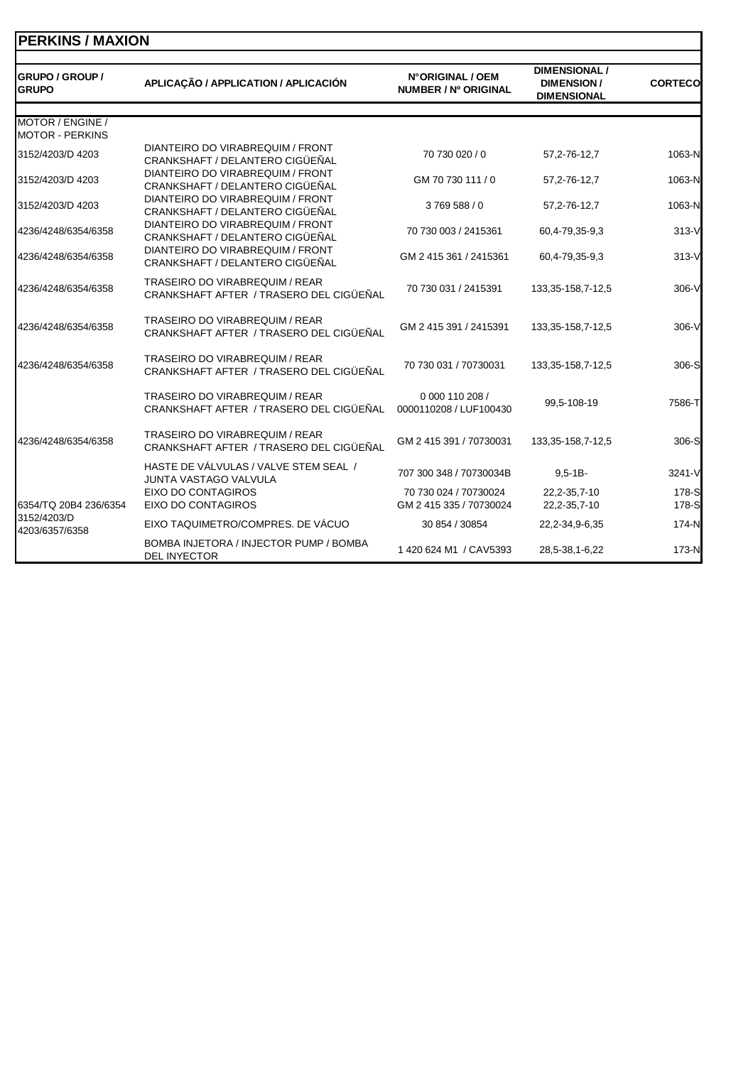| <b>IPERKINS / MAXION</b>               |                                                                                  |                                           |                                                                 |                |
|----------------------------------------|----------------------------------------------------------------------------------|-------------------------------------------|-----------------------------------------------------------------|----------------|
| <b>GRUPO / GROUP /</b><br><b>GRUPO</b> | APLICAÇÃO / APPLICATION / APLICACIÓN                                             | N°ORIGINAL / OEM<br>NUMBER / Nº ORIGINAL  | <b>DIMENSIONAL /</b><br><b>DIMENSION/</b><br><b>DIMENSIONAL</b> | <b>CORTECO</b> |
| MOTOR / ENGINE /                       |                                                                                  |                                           |                                                                 |                |
| <b>MOTOR - PERKINS</b>                 |                                                                                  |                                           |                                                                 |                |
| 3152/4203/D 4203                       | DIANTEIRO DO VIRABREQUIM / FRONT<br>CRANKSHAFT / DELANTERO CIGÜEÑAL              | 70 730 020 / 0                            | 57, 2-76-12, 7                                                  | 1063-N         |
| 3152/4203/D 4203                       | DIANTEIRO DO VIRABREQUIM / FRONT<br>CRANKSHAFT / DELANTERO CIGÜEÑAL              | GM 70 730 111 / 0                         | 57, 2-76-12, 7                                                  | 1063-N         |
| 3152/4203/D 4203                       | DIANTEIRO DO VIRABREQUIM / FRONT<br>CRANKSHAFT / DELANTERO CIGÜEÑAL              | 3769588/0                                 | 57, 2-76-12, 7                                                  | 1063-N         |
| 4236/4248/6354/6358                    | DIANTEIRO DO VIRABREQUIM / FRONT<br>CRANKSHAFT / DELANTERO CIGÜEÑAL              | 70 730 003 / 2415361                      | 60,4-79,35-9,3                                                  | $313-V$        |
| 4236/4248/6354/6358                    | DIANTEIRO DO VIRABREQUIM / FRONT<br>CRANKSHAFT / DELANTERO CIGÜEÑAL              | GM 2 415 361 / 2415361                    | 60,4-79,35-9,3                                                  | $313-V$        |
| 4236/4248/6354/6358                    | TRASEIRO DO VIRABREQUIM / REAR<br>CRANKSHAFT AFTER / TRASERO DEL CIGÜEÑAL        | 70 730 031 / 2415391                      | 133, 35-158, 7-12, 5                                            | 306-V          |
| 4236/4248/6354/6358                    | TRASEIRO DO VIRABREQUIM / REAR<br>CRANKSHAFT AFTER / TRASERO DEL CIGÜEÑAL        | GM 2 415 391 / 2415391                    | 133, 35-158, 7-12, 5                                            | 306-V          |
| 4236/4248/6354/6358                    | TRASEIRO DO VIRABREQUIM / REAR<br>CRANKSHAFT AFTER / TRASERO DEL CIGÜEÑAL        | 70 730 031 / 70730031                     | 133, 35-158, 7-12, 5                                            | 306-S          |
|                                        | <b>TRASEIRO DO VIRABREQUIM / REAR</b><br>CRANKSHAFT AFTER / TRASERO DEL CIGÜEÑAL | 0 000 110 208 /<br>0000110208 / LUF100430 | 99,5-108-19                                                     | 7586-T         |
| 4236/4248/6354/6358                    | TRASEIRO DO VIRABREQUIM / REAR<br>CRANKSHAFT AFTER / TRASERO DEL CIGÜEÑAL        | GM 2 415 391 / 70730031                   | 133, 35-158, 7-12, 5                                            | 306-S          |
|                                        | HASTE DE VÁLVULAS / VALVE STEM SEAL /<br><b>JUNTA VASTAGO VALVULA</b>            | 707 300 348 / 70730034B                   | $9.5 - 1B -$                                                    | 3241-V         |
|                                        | EIXO DO CONTAGIROS                                                               | 70 730 024 / 70730024                     | 22,2-35,7-10                                                    | 178-S          |
| 6354/TQ 20B4 236/6354                  | EIXO DO CONTAGIROS                                                               | GM 2 415 335 / 70730024                   | 22,2-35,7-10                                                    | 178-S          |
| 3152/4203/D<br>4203/6357/6358          | EIXO TAQUIMETRO/COMPRES. DE VÁCUO                                                | 30 854 / 30854                            | 22, 2-34, 9-6, 35                                               | 174-N          |
|                                        | BOMBA INJETORA / INJECTOR PUMP / BOMBA<br><b>DEL INYECTOR</b>                    | 1420 624 M1 / CAV5393                     | 28,5-38,1-6,22                                                  | 173-N          |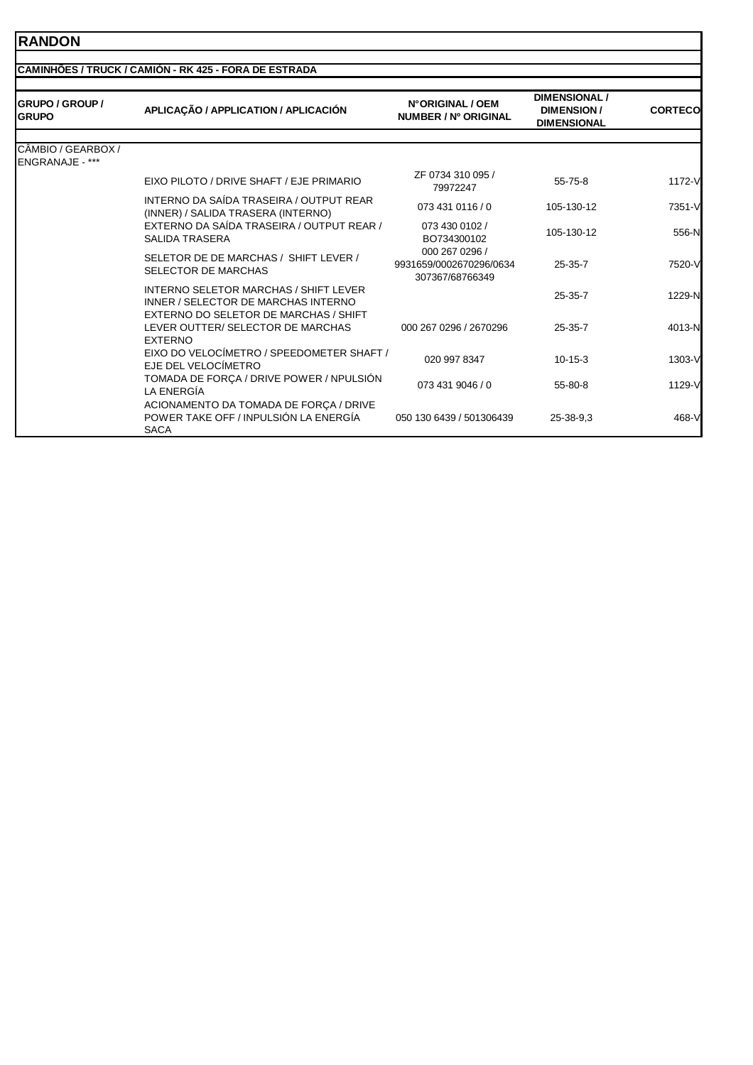#### **RANDON**

#### **CAMINHÕES / TRUCK / CAMIÓN - RK 425 - FORA DE ESTRADA**

| <b>GRUPO / GROUP /</b><br><b>GRUPO</b>       | APLICAÇÃO / APPLICATION / APLICACIÓN                                                           | N°ORIGINAL / OEM<br><b>NUMBER / Nº ORIGINAL</b>              | <b>DIMENSIONAL/</b><br><b>DIMENSION/</b><br><b>DIMENSIONAL</b> | <b>CORTECO</b> |
|----------------------------------------------|------------------------------------------------------------------------------------------------|--------------------------------------------------------------|----------------------------------------------------------------|----------------|
| CÂMBIO / GEARBOX /<br><b>ENGRANAJE - ***</b> |                                                                                                |                                                              |                                                                |                |
|                                              | EIXO PILOTO / DRIVE SHAFT / EJE PRIMARIO                                                       | ZF 0734 310 095 /<br>79972247                                | $55 - 75 - 8$                                                  | 1172-V         |
|                                              | INTERNO DA SAÍDA TRASEIRA / OUTPUT REAR<br>(INNER) / SALIDA TRASERA (INTERNO)                  | 073 431 0116 / 0                                             | 105-130-12                                                     | 7351-V         |
|                                              | EXTERNO DA SAÍDA TRASEIRA / OUTPUT REAR /<br>SALIDA TRASERA                                    | 073 430 0102 /<br>BO734300102                                | 105-130-12                                                     | 556-N          |
|                                              | SELETOR DE DE MARCHAS / SHIFT LEVER /<br><b>SELECTOR DE MARCHAS</b>                            | 000 267 0296 /<br>9931659/0002670296/0634<br>307367/68766349 | 25-35-7                                                        | 7520-V         |
|                                              | INTERNO SELETOR MARCHAS / SHIFT LEVER<br>INNER / SELECTOR DE MARCHAS INTERNO                   |                                                              | $25 - 35 - 7$                                                  | 1229-N         |
|                                              | EXTERNO DO SELETOR DE MARCHAS / SHIFT<br>LEVER OUTTER/ SELECTOR DE MARCHAS<br><b>EXTERNO</b>   | 000 267 0296 / 2670296                                       | 25-35-7                                                        | 4013-N         |
|                                              | EIXO DO VELOCÍMETRO / SPEEDOMETER SHAFT /<br>EJE DEL VELOCÍMETRO                               | 020 997 8347                                                 | $10 - 15 - 3$                                                  | 1303-V         |
|                                              | TOMADA DE FORÇA / DRIVE POWER / NPULSIÓN<br>LA ENERGÍA                                         | 073 431 9046 / 0                                             | 55-80-8                                                        | 1129-V         |
|                                              | ACIONAMENTO DA TOMADA DE FORÇA / DRIVE<br>POWER TAKE OFF / INPULSIÓN LA ENERGÍA<br><b>SACA</b> | 050 130 6439 / 501306439                                     | 25-38-9.3                                                      | 468-V          |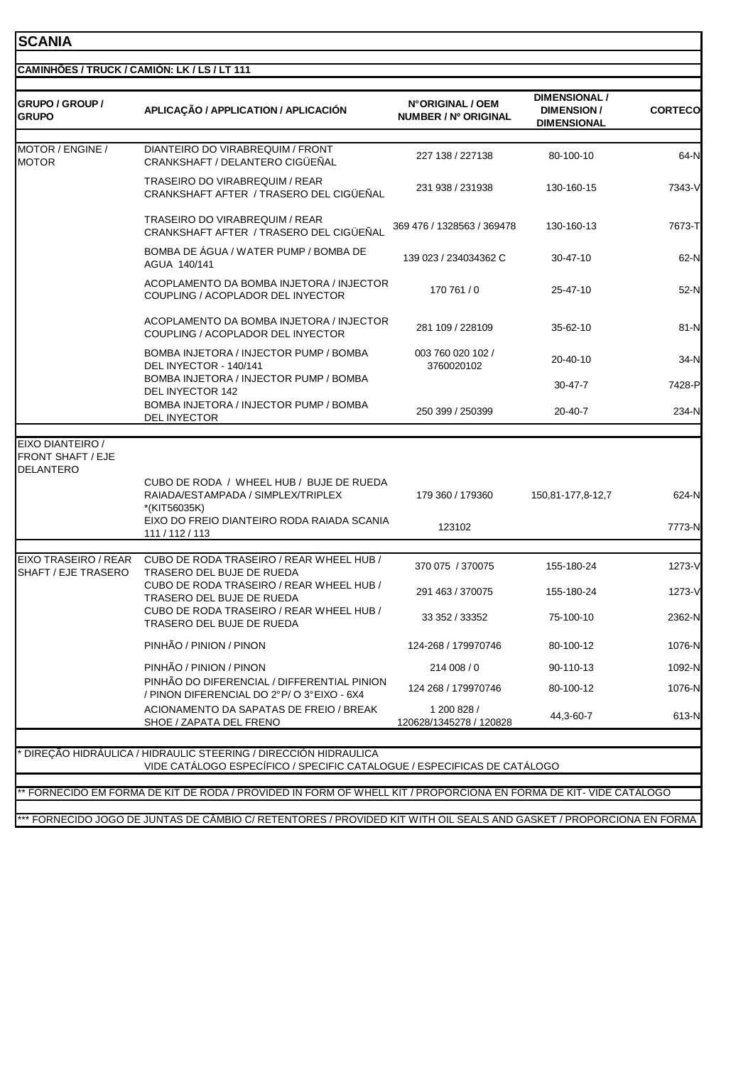## **SCANIA**

| GRUPO / GROUP /<br><b>GRUPO</b>                                                                                  | APLICAÇÃO / APPLICATION / APLICACIÓN                                                                                                                   | N°ORIGINAL / OEM<br>NUMBER / Nº ORIGINAL | <b>DIMENSIONAL /</b><br><b>DIMENSION/</b><br><b>DIMENSIONAL</b> | <b>CORTECO</b>  |
|------------------------------------------------------------------------------------------------------------------|--------------------------------------------------------------------------------------------------------------------------------------------------------|------------------------------------------|-----------------------------------------------------------------|-----------------|
| MOTOR / ENGINE /                                                                                                 | DIANTEIRO DO VIRABREQUIM / FRONT                                                                                                                       |                                          |                                                                 |                 |
| <b>MOTOR</b>                                                                                                     | CRANKSHAFT / DELANTERO CIGÜEÑAL                                                                                                                        | 227 138 / 227138                         | 80-100-10                                                       | 64-N            |
|                                                                                                                  | TRASEIRO DO VIRABREQUIM / REAR<br>CRANKSHAFT AFTER / TRASERO DEL CIGUENAL                                                                              | 231 938 / 231938                         | 130-160-15                                                      | 7343-V          |
|                                                                                                                  | <b>TRASEIRO DO VIRABREQUIM / REAR</b><br>CRANKSHAFT AFTER / TRASERO DEL CIGÜEÑAL                                                                       | 369 476 / 1328563 / 369478               | 130-160-13                                                      | 7673-T          |
|                                                                                                                  | BOMBA DE AGUA / WATER PUMP / BOMBA DE<br>AGUA 140/141                                                                                                  | 139 023 / 234034362 C                    | 30-47-10                                                        | 62-N            |
|                                                                                                                  | ACOPLAMENTO DA BOMBA INJETORA / INJECTOR<br>COUPLING / ACOPLADOR DEL INYECTOR                                                                          | 170 761 / 0                              | 25-47-10                                                        | 52-N            |
|                                                                                                                  | ACOPLAMENTO DA BOMBA INJETORA / INJECTOR<br>COUPLING / ACOPLADOR DEL INYECTOR                                                                          | 281 109 / 228109                         | 35-62-10                                                        | 81-N            |
|                                                                                                                  | BOMBA INJETORA / INJECTOR PUMP / BOMBA<br>DEL INYECTOR - 140/141                                                                                       | 003 760 020 102 /<br>3760020102          | 20-40-10                                                        | 34-N            |
|                                                                                                                  | BOMBA INJETORA / INJECTOR PUMP / BOMBA<br>DEL INYECTOR 142                                                                                             |                                          | $30 - 47 - 7$                                                   | 7428-P          |
|                                                                                                                  | BOMBA INJETORA / INJECTOR PUMP / BOMBA<br>DEL INYECTOR                                                                                                 | 250 399 / 250399                         | $20 - 40 - 7$                                                   | 234-N           |
| EIXO DIANTEIRO /<br><b>FRONT SHAFT / EJE</b><br><b>DELANTERO</b>                                                 | CUBO DE RODA / WHEEL HUB / BUJE DE RUEDA<br>RAIADA/ESTAMPADA / SIMPLEX/TRIPLEX<br>*(KIT56035K)<br>EIXO DO FREIO DIANTEIRO RODA RAIADA SCANIA           | 179 360 / 179360<br>123102               | 150,81-177,8-12,7                                               | 624-N<br>7773-N |
|                                                                                                                  | 111 / 112 / 113                                                                                                                                        |                                          |                                                                 |                 |
| EIXO TRASEIRO / REAR<br>SHAFT / EJE TRASERO                                                                      | CUBO DE RODA TRASEIRO / REAR WHEEL HUB /<br>TRASERO DEL BUJE DE RUEDA                                                                                  | 370 075 / 370075                         | 155-180-24                                                      | 1273-V          |
|                                                                                                                  | CUBO DE RODA TRASEIRO / REAR WHEEL HUB /<br>TRASERO DEL BUJE DE RUEDA                                                                                  | 291 463 / 370075                         | 155-180-24                                                      | 1273-V          |
|                                                                                                                  | CUBO DE RODA TRASEIRO / REAR WHEEL HUB /<br>TRASERO DEL BUJE DE RUEDA                                                                                  | 33 352 / 33352                           | 75-100-10                                                       | 2362-N          |
|                                                                                                                  | PINHÃO / PINION / PINON                                                                                                                                | 124-268 / 179970746                      | 80-100-12                                                       | 1076-N          |
|                                                                                                                  | PINHÃO / PINION / PINON                                                                                                                                | 214 008 / 0                              | 90-110-13                                                       | 1092-N          |
|                                                                                                                  | PINHÃO DO DIFERENCIAL / DIFFERENTIAL PINION<br>/ PINON DIFERENCIAL DO 2°P/O 3°EIXO - 6X4                                                               | 124 268 / 179970746                      | 80-100-12                                                       | 1076-N          |
|                                                                                                                  | ACIONAMENTO DA SAPATAS DE FREIO / BREAK<br>SHOE / ZAPATA DEL FRENO                                                                                     | 1 200 828 /<br>120628/1345278 / 120828   | 44,3-60-7                                                       | 613-N           |
| ** FORNECIDO EM FORMA DE KIT DE RODA / PROVIDED IN FORM OF WHELL KIT / PROPORCIONA EN FORMA DE KIT-VIDE CATÁLOGO | <sup>.</sup> DIREÇÃO HIDRÁULICA / HIDRAULIC STEERING / DIRECCIÓN HIDRAULICA<br>VIDE CATÁLOGO ESPECÍFICO / SPECIFIC CATALOGUE / ESPECIFICAS DE CATÁLOGO |                                          |                                                                 |                 |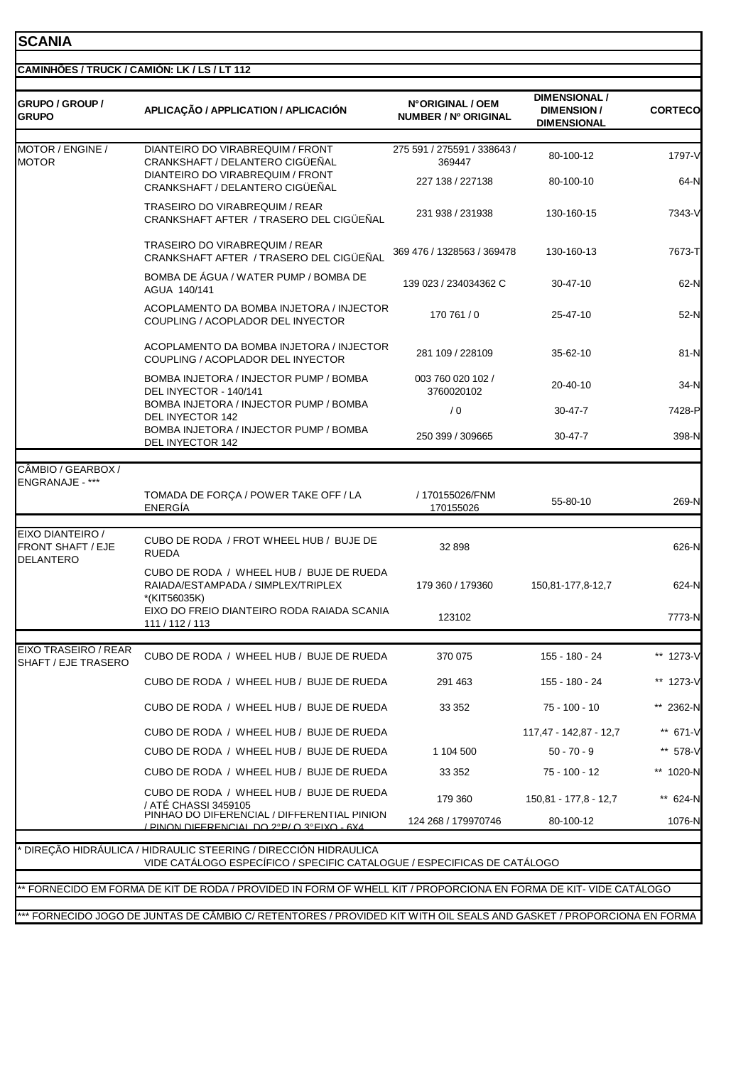## **SCANIA**

| MOTOR / ENGINE /<br><b>MOTOR</b>             | DIANTEIRO DO VIRABREQUIM / FRONT<br>CRANKSHAFT / DELANTERO CIGÜEÑAL<br>DIANTEIRO DO VIRABREQUIM / FRONT<br>CRANKSHAFT / DELANTERO CIGÜEÑAL<br><b>TRASEIRO DO VIRABREQUIM / REAR</b><br>CRANKSHAFT AFTER / TRASERO DEL CIGÜEÑAL<br>TRASEIRO DO VIRABREQUIM / REAR<br>CRANKSHAFT AFTER / TRASERO DEL CIGÜEÑAL<br>BOMBA DE ÁGUA / WATER PUMP / BOMBA DE<br>AGUA 140/141<br>ACOPLAMENTO DA BOMBA INJETORA / INJECTOR<br>COUPLING / ACOPLADOR DEL INYECTOR | 275 591 / 275591 / 338643 /<br>369447<br>227 138 / 227138<br>231 938 / 231938<br>369 476 / 1328563 / 369478<br>139 023 / 234034362 C | 80-100-12<br>80-100-10<br>130-160-15<br>130-160-13<br>30-47-10 | 1797-V<br>64-N   |
|----------------------------------------------|-------------------------------------------------------------------------------------------------------------------------------------------------------------------------------------------------------------------------------------------------------------------------------------------------------------------------------------------------------------------------------------------------------------------------------------------------------|--------------------------------------------------------------------------------------------------------------------------------------|----------------------------------------------------------------|------------------|
|                                              |                                                                                                                                                                                                                                                                                                                                                                                                                                                       |                                                                                                                                      |                                                                |                  |
|                                              |                                                                                                                                                                                                                                                                                                                                                                                                                                                       |                                                                                                                                      |                                                                | 7343-V<br>7673-T |
|                                              |                                                                                                                                                                                                                                                                                                                                                                                                                                                       |                                                                                                                                      |                                                                |                  |
|                                              |                                                                                                                                                                                                                                                                                                                                                                                                                                                       |                                                                                                                                      |                                                                |                  |
|                                              |                                                                                                                                                                                                                                                                                                                                                                                                                                                       |                                                                                                                                      |                                                                | 62-N             |
|                                              |                                                                                                                                                                                                                                                                                                                                                                                                                                                       | 170 761 / 0                                                                                                                          | 25-47-10                                                       | 52-N             |
|                                              | ACOPLAMENTO DA BOMBA INJETORA / INJECTOR<br>COUPLING / ACOPLADOR DEL INYECTOR                                                                                                                                                                                                                                                                                                                                                                         | 281 109 / 228109                                                                                                                     | 35-62-10                                                       | 81-N             |
|                                              | BOMBA INJETORA / INJECTOR PUMP / BOMBA<br>DEL INYECTOR - 140/141                                                                                                                                                                                                                                                                                                                                                                                      | 003 760 020 102 /<br>3760020102                                                                                                      | 20-40-10                                                       | 34-N             |
|                                              | BOMBA INJETORA / INJECTOR PUMP / BOMBA<br>DEL INYECTOR 142                                                                                                                                                                                                                                                                                                                                                                                            | /0                                                                                                                                   | $30 - 47 - 7$                                                  | 7428-P           |
|                                              | BOMBA INJETORA / INJECTOR PUMP / BOMBA<br>DEL INYECTOR 142                                                                                                                                                                                                                                                                                                                                                                                            | 250 399 / 309665                                                                                                                     | 30-47-7                                                        | 398-N            |
| CÂMBIO / GEARBOX /                           |                                                                                                                                                                                                                                                                                                                                                                                                                                                       |                                                                                                                                      |                                                                |                  |
| ENGRANAJE - ***                              | TOMADA DE FORÇA / POWER TAKE OFF / LA<br><b>ENERGÍA</b>                                                                                                                                                                                                                                                                                                                                                                                               | / 170155026/FNM<br>170155026                                                                                                         | 55-80-10                                                       | 269-N            |
| EIXO DIANTEIRO /                             |                                                                                                                                                                                                                                                                                                                                                                                                                                                       |                                                                                                                                      |                                                                |                  |
| <b>FRONT SHAFT / EJE</b><br><b>DELANTERO</b> | CUBO DE RODA / FROT WHEEL HUB / BUJE DE<br><b>RUEDA</b>                                                                                                                                                                                                                                                                                                                                                                                               | 32 898                                                                                                                               |                                                                | 626-N            |
|                                              | CUBO DE RODA / WHEEL HUB / BUJE DE RUEDA<br>RAIADA/ESTAMPADA / SIMPLEX/TRIPLEX<br>*(KIT56035K)                                                                                                                                                                                                                                                                                                                                                        | 179 360 / 179360                                                                                                                     | 150,81-177,8-12,7                                              | 624-N            |
|                                              | EIXO DO FREIO DIANTEIRO RODA RAIADA SCANIA<br>111 / 112 / 113                                                                                                                                                                                                                                                                                                                                                                                         | 123102                                                                                                                               |                                                                | 7773-N           |
| EIXO TRASEIRO / REAR<br>SHAFT / EJE TRASERO  | CUBO DE RODA / WHEEL HUB / BUJE DE RUEDA                                                                                                                                                                                                                                                                                                                                                                                                              | 370 075                                                                                                                              | 155 - 180 - 24                                                 | ** 1273-V        |
|                                              | CUBO DE RODA / WHEEL HUB / BUJE DE RUEDA                                                                                                                                                                                                                                                                                                                                                                                                              | 291 463                                                                                                                              | 155 - 180 - 24                                                 | ** 1273-V        |
|                                              | CUBO DE RODA / WHEEL HUB / BUJE DE RUEDA                                                                                                                                                                                                                                                                                                                                                                                                              | 33 352                                                                                                                               | 75 - 100 - 10                                                  | ** 2362-N        |
|                                              | CUBO DE RODA / WHEEL HUB / BUJE DE RUEDA                                                                                                                                                                                                                                                                                                                                                                                                              |                                                                                                                                      | 117,47 - 142,87 - 12,7                                         | ** 671-V         |
|                                              | CUBO DE RODA / WHEEL HUB / BUJE DE RUEDA                                                                                                                                                                                                                                                                                                                                                                                                              | 1 104 500                                                                                                                            | $50 - 70 - 9$                                                  | ** 578-V         |
|                                              | CUBO DE RODA / WHEEL HUB / BUJE DE RUEDA                                                                                                                                                                                                                                                                                                                                                                                                              | 33 352                                                                                                                               | 75 - 100 - 12                                                  | ** 1020-N        |
|                                              | CUBO DE RODA / WHEEL HUB / BUJE DE RUEDA<br>/ ATE CHASSI 3459105                                                                                                                                                                                                                                                                                                                                                                                      | 179 360                                                                                                                              | 150,81 - 177,8 - 12,7                                          | ** 624-N         |
|                                              | PINHAO DO DIFERENCIAL / DIFFERENTIAL PINION<br>/ PINON DIFERENCIAL DO 2º P/ O 3º FIXO - 6X4                                                                                                                                                                                                                                                                                                                                                           | 124 268 / 179970746                                                                                                                  | 80-100-12                                                      | 1076-N           |
|                                              | DIREÇÃO HIDRÁULICA / HIDRAULIC STEERING / DIRECCIÓN HIDRAULICA                                                                                                                                                                                                                                                                                                                                                                                        |                                                                                                                                      |                                                                |                  |
|                                              | VIDE CATÁLOGO ESPECÍFICO / SPECIFIC CATALOGUE / ESPECIFICAS DE CATÁLOGO                                                                                                                                                                                                                                                                                                                                                                               |                                                                                                                                      |                                                                |                  |
|                                              | FORNECIDO EM FORMA DE KIT DE RODA / PROVIDED IN FORM OF WHELL KIT / PROPORCIONA EN FORMA DE KIT-VIDE CATÁLOGO                                                                                                                                                                                                                                                                                                                                         |                                                                                                                                      |                                                                |                  |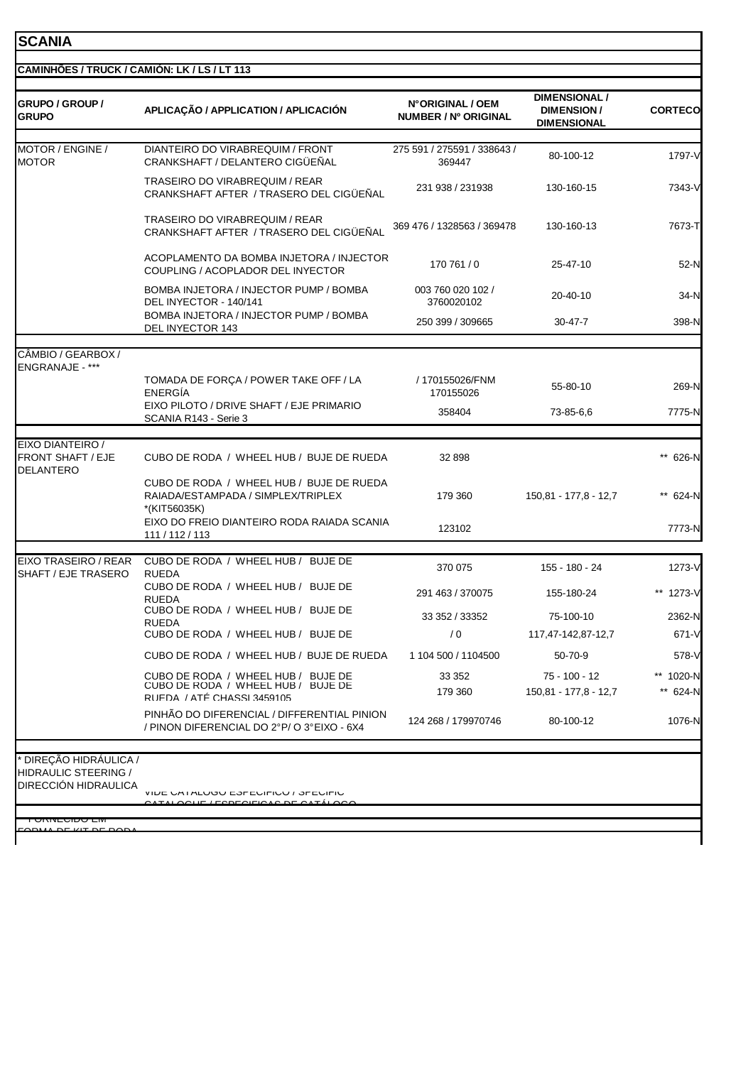### **SCANIA**

| <b>GRUPO / GROUP /</b><br><b>GRUPO</b>                                      | APLICAÇÃO / APPLICATION / APLICACIÓN                                                                   | N°ORIGINAL / OEM<br>NUMBER / Nº ORIGINAL | <b>DIMENSIONAL /</b><br><b>DIMENSION/</b><br><b>DIMENSIONAL</b> | <b>CORTECO</b>     |
|-----------------------------------------------------------------------------|--------------------------------------------------------------------------------------------------------|------------------------------------------|-----------------------------------------------------------------|--------------------|
| MOTOR / ENGINE /<br><b>MOTOR</b>                                            | DIANTEIRO DO VIRABREQUIM / FRONT<br>CRANKSHAFT / DELANTERO CIGÜEÑAL                                    | 275 591 / 275591 / 338643 /<br>369447    | 80-100-12                                                       | 1797-V             |
|                                                                             | TRASEIRO DO VIRABREQUIM / REAR<br>CRANKSHAFT AFTER / TRASERO DEL CIGUENAL                              | 231 938 / 231938                         | 130-160-15                                                      | 7343-V             |
|                                                                             | <b>TRASEIRO DO VIRABREQUIM / REAR</b><br>CRANKSHAFT AFTER / TRASERO DEL CIGÜEÑAL                       | 369 476 / 1328563 / 369478               | 130-160-13                                                      | 7673-T             |
|                                                                             | ACOPLAMENTO DA BOMBA INJETORA / INJECTOR<br>COUPLING / ACOPLADOR DEL INYECTOR                          | 170 761 / 0                              | 25-47-10                                                        | 52-N               |
|                                                                             | BOMBA INJETORA / INJECTOR PUMP / BOMBA<br>DEL INYECTOR - 140/141                                       | 003 760 020 102 /<br>3760020102          | 20-40-10                                                        | 34-N               |
|                                                                             | BOMBA INJETORA / INJECTOR PUMP / BOMBA<br>DEL INYECTOR 143                                             | 250 399 / 309665                         | 30-47-7                                                         | 398-N              |
| CÂMBIO / GEARBOX /                                                          |                                                                                                        |                                          |                                                                 |                    |
| <b>ENGRANAJE - ***</b>                                                      | TOMADA DE FORÇA / POWER TAKE OFF / LA<br>ENERGÍA                                                       | / 170155026/FNM<br>170155026             | 55-80-10                                                        | 269-N              |
|                                                                             | EIXO PILOTO / DRIVE SHAFT / EJE PRIMARIO<br>SCANIA R143 - Serie 3                                      | 358404                                   | 73-85-6.6                                                       | 7775-N             |
| EIXO DIANTEIRO /<br><b>FRONT SHAFT / EJE</b><br><b>DELANTERO</b>            | CUBO DE RODA / WHEEL HUB / BUJE DE RUEDA                                                               | 32 898                                   |                                                                 | ** 626-N           |
|                                                                             | CUBO DE RODA / WHEEL HUB / BUJE DE RUEDA<br>RAIADA/ESTAMPADA / SIMPLEX/TRIPLEX<br>*(KIT56035K)         | 179 360                                  | 150,81 - 177,8 - 12,7                                           | ** 624-N           |
|                                                                             | EIXO DO FREIO DIANTEIRO RODA RAIADA SCANIA<br>111 / 112 / 113                                          | 123102                                   |                                                                 | 7773-N             |
| EIXO TRASEIRO / REAR<br>SHAFT / EJE TRASERO                                 | CUBO DE RODA / WHEEL HUB / BUJE DE<br><b>RUEDA</b>                                                     | 370 075                                  | 155 - 180 - 24                                                  | 1273-V             |
|                                                                             | CUBO DE RODA / WHEEL HUB / BUJE DE<br><b>RUEDA</b>                                                     | 291 463 / 370075                         | 155-180-24                                                      | 1273-V             |
|                                                                             | CUBO DE RODA / WHEEL HUB / BUJE DE                                                                     | 33 352 / 33352                           | 75-100-10                                                       | 2362-N             |
|                                                                             | <b>RUEDA</b><br>CUBO DE RODA / WHEEL HUB / BUJE DE                                                     | /0                                       | 117,47-142,87-12,7                                              | 671-V              |
|                                                                             | CUBO DE RODA / WHEEL HUB / BUJE DE RUEDA                                                               | 1 104 500 / 1104500                      | 50-70-9                                                         | 578-V              |
|                                                                             | CUBO DE RODA / WHEEL HUB / BUJE DE<br>CUBO DE RODA / WHEEL HUB / BUJE DE<br>RUFDA / ATÉ CHASSI 3459105 | 33 352<br>179 360                        | 75 - 100 - 12<br>150,81 - 177,8 - 12,7                          | 1020-N<br>** 624-N |
|                                                                             | PINHÃO DO DIFERENCIAL / DIFFERENTIAL PINION<br>/ PINON DIFERENCIAL DO 2°P/O 3°EIXO - 6X4               | 124 268 / 179970746                      | 80-100-12                                                       | 1076-N             |
| DIREÇÃO HIDRÁULICA /<br>HIDRAULIC STEERING /<br><b>DIRECCIÓN HIDRAULICA</b> | VIDE UA I ALUUU EOFEUIFIUU / OFEUIFIU<br>$\sqrt{2}$                                                    |                                          |                                                                 |                    |

\*\* FORNECIDO EM FORMA DE KIT DE RODA

I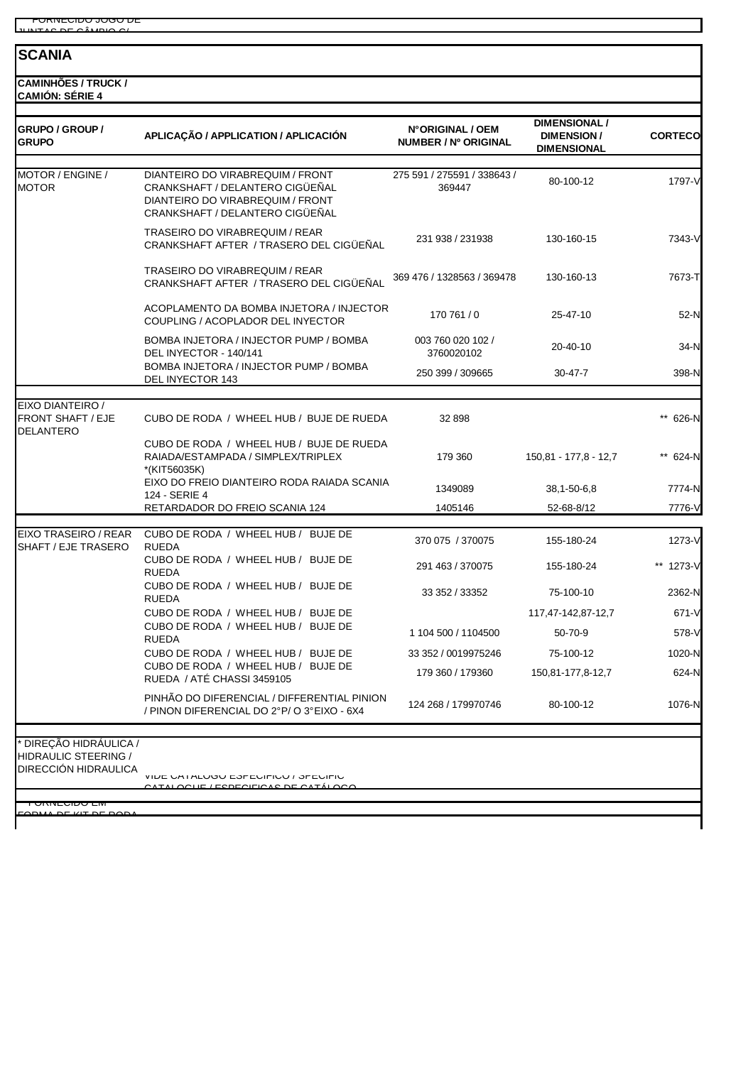\*\*\* FORNECIDO JOGO DE  $U$ NTAC DE CÂMBIO C/

#### **SCANIA**

**CAMINHÕES / TRUCK / CAMIÓN: SÉRIE 4**

| GRUPO / GROUP /<br><b>GRUPO</b>                                      | APLICAÇÃO / APPLICATION / APLICACIÓN                                                                                                       | N°ORIGINAL / OEM<br>NUMBER / Nº ORIGINAL | <b>DIMENSIONAL /</b><br><b>DIMENSION/</b><br><b>DIMENSIONAL</b> | <b>CORTECO</b> |
|----------------------------------------------------------------------|--------------------------------------------------------------------------------------------------------------------------------------------|------------------------------------------|-----------------------------------------------------------------|----------------|
| MOTOR / ENGINE /<br><b>MOTOR</b>                                     | DIANTEIRO DO VIRABREQUIM / FRONT<br>CRANKSHAFT / DELANTERO CIGÜEÑAL<br>DIANTEIRO DO VIRABREQUIM / FRONT<br>CRANKSHAFT / DELANTERO CIGÜEÑAL | 275 591 / 275591 / 338643 /<br>369447    | 80-100-12                                                       | 1797-V         |
|                                                                      | <b>TRASEIRO DO VIRABREQUIM / REAR</b><br>CRANKSHAFT AFTER / TRASERO DEL CIGUENAL                                                           | 231 938 / 231938                         | 130-160-15                                                      | 7343-V         |
|                                                                      | TRASEIRO DO VIRABREQUIM / REAR<br>CRANKSHAFT AFTER / TRASERO DEL CIGÜEÑAL                                                                  | 369 476 / 1328563 / 369478               | 130-160-13                                                      | 7673-T         |
|                                                                      | ACOPLAMENTO DA BOMBA INJETORA / INJECTOR<br>COUPLING / ACOPLADOR DEL INYECTOR                                                              | 170 761 / 0                              | 25-47-10                                                        | 52-N           |
|                                                                      | BOMBA INJETORA / INJECTOR PUMP / BOMBA<br>DEL INYECTOR - 140/141                                                                           | 003 760 020 102 /<br>3760020102          | 20-40-10                                                        | 34-N           |
|                                                                      | BOMBA INJETORA / INJECTOR PUMP / BOMBA<br>DEL INYECTOR 143                                                                                 | 250 399 / 309665                         | $30 - 47 - 7$                                                   | 398-N          |
|                                                                      |                                                                                                                                            |                                          |                                                                 |                |
| EIXO DIANTEIRO /<br><b>FRONT SHAFT / EJE</b><br><b>DELANTERO</b>     | CUBO DE RODA / WHEEL HUB / BUJE DE RUEDA                                                                                                   | 32 898                                   |                                                                 | ** 626-N       |
|                                                                      | CUBO DE RODA / WHEEL HUB / BUJE DE RUEDA<br>RAIADA/ESTAMPADA / SIMPLEX/TRIPLEX<br>*(KIT56035K)                                             | 179 360                                  | 150,81 - 177,8 - 12,7                                           | ** 624-N       |
|                                                                      | EIXO DO FREIO DIANTEIRO RODA RAIADA SCANIA<br>124 - SERIE 4                                                                                | 1349089                                  | 38, 1-50-6, 8                                                   | 7774-N         |
|                                                                      | RETARDADOR DO FREIO SCANIA 124                                                                                                             | 1405146                                  | 52-68-8/12                                                      | 7776-V         |
| EIXO TRASEIRO / REAR<br>SHAFT / EJE TRASERO                          | CUBO DE RODA / WHEEL HUB / BUJE DE<br><b>RUEDA</b>                                                                                         | 370 075 / 370075                         | 155-180-24                                                      | 1273-V         |
|                                                                      | CUBO DE RODA / WHEEL HUB / BUJE DE<br><b>RUEDA</b>                                                                                         | 291 463 / 370075                         | 155-180-24                                                      | ** 1273-V      |
|                                                                      | CUBO DE RODA / WHEEL HUB / BUJE DE<br><b>RUEDA</b>                                                                                         | 33 352 / 33352                           | 75-100-10                                                       | 2362-N         |
|                                                                      | CUBO DE RODA / WHEEL HUB / BUJE DE                                                                                                         |                                          | 117,47-142,87-12,7                                              | 671-V          |
|                                                                      | CUBO DE RODA / WHEEL HUB / BUJE DE<br><b>RUEDA</b>                                                                                         | 1 104 500 / 1104500                      | 50-70-9                                                         | 578-V          |
|                                                                      | CUBO DE RODA / WHEEL HUB / BUJE DE                                                                                                         | 33 352 / 0019975246                      | 75-100-12                                                       | 1020-N         |
|                                                                      | CUBO DE RODA / WHEEL HUB / BUJE DE<br>RUEDA / ATÉ CHASSI 3459105                                                                           | 179 360 / 179360                         | 150,81-177,8-12,7                                               | 624-N          |
|                                                                      | PINHÃO DO DIFERENCIAL / DIFFERENTIAL PINION<br>/ PINON DIFERENCIAL DO 2°P/O 3°EIXO - 6X4                                                   | 124 268 / 179970746                      | 80-100-12                                                       | 1076-N         |
| DIREÇÃO HIDRÁULICA /<br>HIDRAULIC STEERING /<br>DIRECCIÓN HIDRAULICA | VIDE UA I ALUUU EOFEUIFIUU / OFEUIFIU<br><u>AAUT ITADEAITIA LA DE ALTÍLAA</u>                                                              |                                          |                                                                 |                |

\*\* FORNECIDO EM FORMA DE KIT DE RODA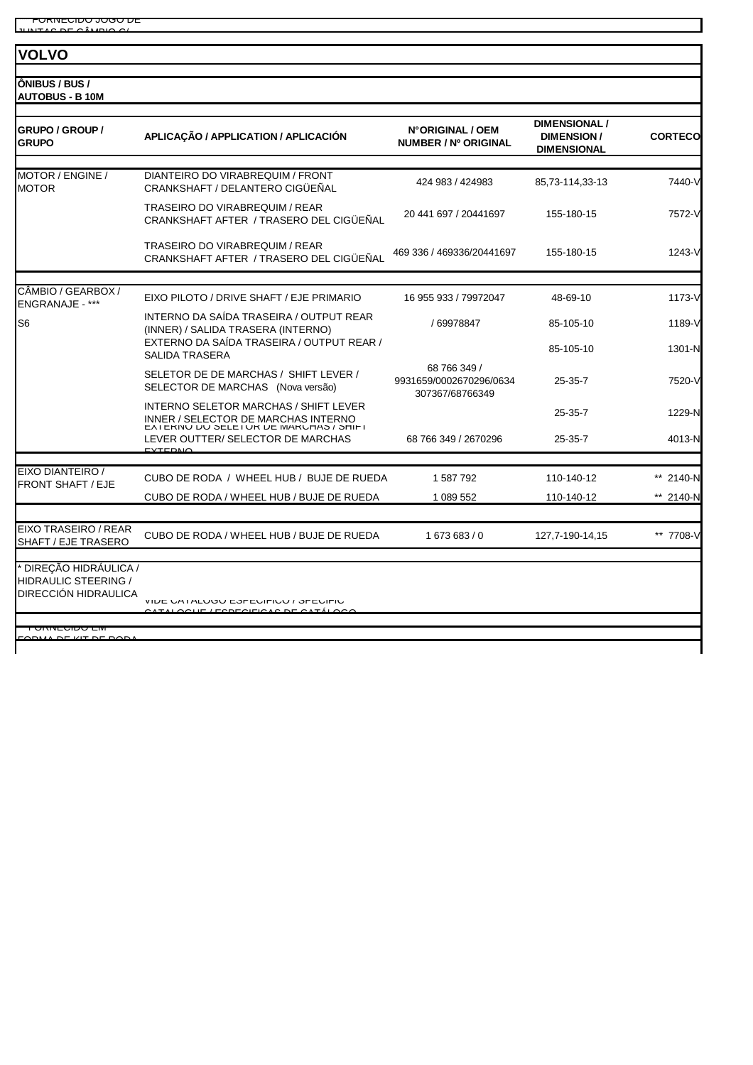#### **VOLVO**

**ÔNIBUS / BUS / AUTOBUS - B 10M**

| <b>GRUPO / GROUP /</b><br><b>GRUPO</b>                               | APLICAÇÃO / APPLICATION / APLICACIÓN                                                                                   | N°ORIGINAL / OEM<br>NUMBER / Nº ORIGINAL                   | <b>DIMENSIONAL /</b><br><b>DIMENSION/</b><br><b>DIMENSIONAL</b> | <b>CORTECO</b> |
|----------------------------------------------------------------------|------------------------------------------------------------------------------------------------------------------------|------------------------------------------------------------|-----------------------------------------------------------------|----------------|
| MOTOR / ENGINE /<br><b>MOTOR</b>                                     | DIANTEIRO DO VIRABREQUIM / FRONT<br>CRANKSHAFT / DELANTERO CIGÜEÑAL                                                    | 424 983 / 424983                                           | 85,73-114,33-13                                                 | 7440-V         |
|                                                                      | <b>TRASEIRO DO VIRABREQUIM / REAR</b><br>CRANKSHAFT AFTER / TRASERO DEL CIGÜEÑAL                                       | 20 441 697 / 20441697                                      | 155-180-15                                                      | 7572-V         |
|                                                                      | <b>TRASEIRO DO VIRABREQUIM / REAR</b><br>CRANKSHAFT AFTER / TRASERO DEL CIGÜEÑAL                                       | 469 336 / 469336/20441697                                  | 155-180-15                                                      | 1243-V         |
| CÂMBIO / GEARBOX /<br>ENGRANAJE - ***                                | EIXO PILOTO / DRIVE SHAFT / EJE PRIMARIO                                                                               | 16 955 933 / 79972047                                      | 48-69-10                                                        | 1173-V         |
| S <sub>6</sub>                                                       | INTERNO DA SAÍDA TRASEIRA / OUTPUT REAR<br>(INNER) / SALIDA TRASERA (INTERNO)                                          | / 69978847                                                 | 85-105-10                                                       | 1189-V         |
|                                                                      | EXTERNO DA SAÍDA TRASEIRA / OUTPUT REAR /<br><b>SALIDA TRASERA</b>                                                     |                                                            | 85-105-10                                                       | 1301-N         |
|                                                                      | SELETOR DE DE MARCHAS / SHIFT LEVER /<br>SELECTOR DE MARCHAS (Nova versão)                                             | 68 766 349 /<br>9931659/0002670296/0634<br>307367/68766349 | 25-35-7                                                         | 7520-V         |
|                                                                      | INTERNO SELETOR MARCHAS / SHIFT LEVER<br>INNER / SELECTOR DE MARCHAS INTERNO<br>EATERINU DU SELETUR DE MARUHAS / SHIFT |                                                            | $25 - 35 - 7$                                                   | 1229-N         |
|                                                                      | LEVER OUTTER/ SELECTOR DE MARCHAS<br><b>EVTEDNA</b>                                                                    | 68 766 349 / 2670296                                       | $25 - 35 - 7$                                                   | 4013-N         |
|                                                                      |                                                                                                                        |                                                            |                                                                 |                |
| EIXO DIANTEIRO /<br>FRONT SHAFT / EJE                                | CUBO DE RODA / WHEEL HUB / BUJE DE RUEDA                                                                               | 1 587 792                                                  | 110-140-12                                                      | ** 2140-N      |
|                                                                      | CUBO DE RODA / WHEEL HUB / BUJE DE RUEDA                                                                               | 1 089 552                                                  | 110-140-12                                                      | ** 2140-N      |
| EIXO TRASEIRO / REAR<br>SHAFT / EJE TRASERO                          | CUBO DE RODA / WHEEL HUB / BUJE DE RUEDA                                                                               | 1673683/0                                                  | 127,7-190-14,15                                                 | ** 7708-V      |
| DIREÇÃO HIDRÁULICA /<br>HIDRAULIC STEERING /<br>DIRECCIÓN HIDRAULICA | VIDE UA I ALUUU EOFEUIFIUU / OFEUIFIU<br>$\overline{O}$                                                                |                                                            |                                                                 |                |
| <b>UNIVEGIUU EIV</b><br>ODMA DE KIT DE DOE                           |                                                                                                                        |                                                            |                                                                 |                |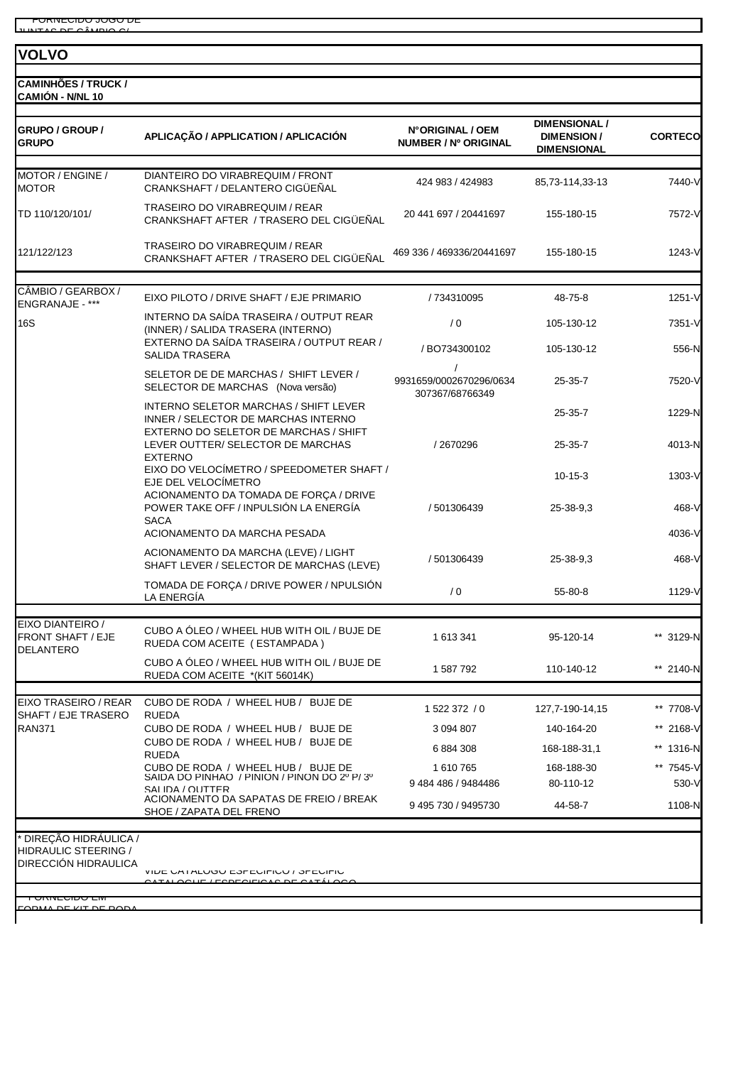#### **VOLVO**

**CAMINHÕES / TRUCK / CAMIÓN - N/NL 10**

| GRUPO / GROUP /<br><b>GRUPO</b>                                                                  | APLICAÇÃO / APPLICATION / APLICACIÓN                                                                                  | N°ORIGINAL / OEM<br>NUMBER / Nº ORIGINAL               | <b>DIMENSIONAL /</b><br><b>DIMENSION/</b><br><b>DIMENSIONAL</b> | <b>CORTECO</b>     |
|--------------------------------------------------------------------------------------------------|-----------------------------------------------------------------------------------------------------------------------|--------------------------------------------------------|-----------------------------------------------------------------|--------------------|
| MOTOR / ENGINE /<br><b>MOTOR</b>                                                                 | DIANTEIRO DO VIRABREQUIM / FRONT<br>CRANKSHAFT / DELANTERO CIGÜEÑAL                                                   | 424 983 / 424 983                                      | 85,73-114,33-13                                                 | 7440-V             |
| TD 110/120/101/                                                                                  | TRASEIRO DO VIRABREQUIM / REAR<br>CRANKSHAFT AFTER / TRASERO DEL CIGÜEÑAL                                             | 20 441 697 / 20441697                                  | 155-180-15                                                      | 7572-V             |
| 121/122/123                                                                                      | <b>TRASEIRO DO VIRABREQUIM / REAR</b><br>CRANKSHAFT AFTER / TRASERO DEL CIGÜEÑAL                                      | 469 336 / 469336/20441697                              | 155-180-15                                                      | 1243-V             |
| CÂMBIO / GEARBOX /<br>ENGRANAJE - ***                                                            | EIXO PILOTO / DRIVE SHAFT / EJE PRIMARIO                                                                              | / 734310095                                            | 48-75-8                                                         | 1251-V             |
| 16S                                                                                              | INTERNO DA SAÍDA TRASEIRA / OUTPUT REAR<br>(INNER) / SALIDA TRASERA (INTERNO)                                         | /0                                                     | 105-130-12                                                      | 7351-V             |
|                                                                                                  | EXTERNO DA SAÍDA TRASEIRA / OUTPUT REAR /<br><b>SALIDA TRASERA</b>                                                    | / BO734300102                                          | 105-130-12                                                      | 556-N              |
|                                                                                                  | SELETOR DE DE MARCHAS / SHIFT LEVER /<br>SELECTOR DE MARCHAS (Nova versão)                                            | $\prime$<br>9931659/0002670296/0634<br>307367/68766349 | $25 - 35 - 7$                                                   | 7520-V             |
|                                                                                                  | INTERNO SELETOR MARCHAS / SHIFT LEVER<br>INNER / SELECTOR DE MARCHAS INTERNO<br>EXTERNO DO SELETOR DE MARCHAS / SHIFT |                                                        | $25 - 35 - 7$                                                   | 1229-N             |
|                                                                                                  | LEVER OUTTER/ SELECTOR DE MARCHAS<br><b>EXTERNO</b>                                                                   | /2670296                                               | $25 - 35 - 7$                                                   | 4013-N             |
|                                                                                                  | EIXO DO VELOCÍMETRO / SPEEDOMETER SHAFT /<br>EJE DEL VELOCÍMETRO<br>ACIONAMENTO DA TOMADA DE FORÇA / DRIVE            |                                                        | $10-15-3$                                                       | 1303-V             |
|                                                                                                  | POWER TAKE OFF / INPULSIÓN LA ENERGÍA<br><b>SACA</b>                                                                  | / 501306439                                            | 25-38-9,3                                                       | 468-V              |
|                                                                                                  | ACIONAMENTO DA MARCHA PESADA                                                                                          |                                                        |                                                                 | 4036-V             |
|                                                                                                  | ACIONAMENTO DA MARCHA (LEVE) / LIGHT<br>SHAFT LEVER / SELECTOR DE MARCHAS (LEVE)                                      | / 501306439                                            | 25-38-9.3                                                       | 468-V              |
|                                                                                                  | TOMADA DE FORÇA / DRIVE POWER / NPULSIÓN<br>LA ENERGÍA                                                                | / 0                                                    | 55-80-8                                                         | 1129-V             |
| EIXO DIANTEIRO /<br><b>FRONT SHAFT / EJE</b><br><b>DELANTERO</b>                                 | CUBO A ÓLEO / WHEEL HUB WITH OIL / BUJE DE<br>RUEDA COM ACEITE (ESTAMPADA)                                            | 1 613 341                                              | 95-120-14                                                       | ** 3129-N          |
|                                                                                                  | CUBO A ÓLEO / WHEEL HUB WITH OIL / BUJE DE<br>RUEDA COM ACEITE *(KIT 56014K)                                          | 1 587 792                                              | 110-140-12                                                      | ** 2140-N          |
| EIXO TRASEIRO / REAR                                                                             | CUBO DE RODA / WHEEL HUB / BUJE DE                                                                                    | 1 522 372 / 0                                          | 127,7-190-14,15                                                 | ** 7708-V          |
| SHAFT / EJE TRASERO<br><b>RAN371</b>                                                             | <b>RUEDA</b><br>CUBO DE RODA / WHEEL HUB / BUJE DE                                                                    | 3 094 807                                              | 140-164-20                                                      | ** 2168-V          |
|                                                                                                  | CUBO DE RODA / WHEEL HUB / BUJE DE<br><b>RUEDA</b>                                                                    | 6884308                                                | 168-188-31,1                                                    | ** 1316-N          |
|                                                                                                  | CUBO DE RODA / WHEEL HUB / BUJE DE<br>SAIDA DO PINHAO / PINION / PINON DO 2º P/3º<br>SAI IDA / OUTTER                 | 1 610 765<br>9484486 / 9484486                         | 168-188-30<br>80-110-12                                         | ** 7545-V<br>530-V |
|                                                                                                  | ACIONAMENTO DA SAPATAS DE FREIO / BREAK<br>SHOE / ZAPATA DEL FRENO                                                    | 9 495 730 / 9495730                                    | 44-58-7                                                         | 1108-N             |
| * DIREÇÃO HIDRÁULICA /<br>HIDRAULIC STEERING /<br>DIRECCIÓN HIDRAULICA<br><del>UNNEUIDU EM</del> | VIDE UA I ALUUU EJEEUIFIUU / JEEUIFIU<br>$I$ FODFOIFIO 4 O DE O 4 T À                                                 |                                                        |                                                                 |                    |

FORMA DE KIT DE RODA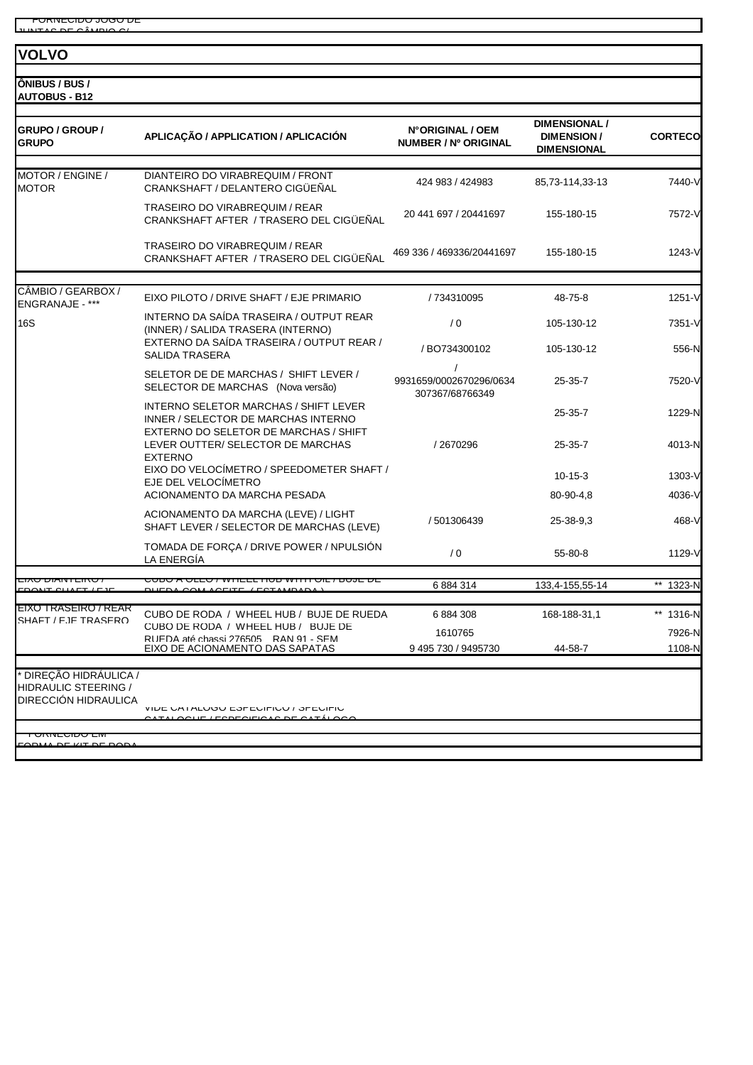#### **VOLVO**

**ÔNIBUS / BUS / AUTOBUS - B12**

| GRUPO / GROUP /<br><b>GRUPO</b>                                      | APLICAÇÃO / APPLICATION / APLICACIÓN                                                                                  | N°ORIGINAL / OEM<br>NUMBER / Nº ORIGINAL               | <b>DIMENSIONAL /</b><br><b>DIMENSION/</b><br><b>DIMENSIONAL</b> | <b>CORTECO</b> |
|----------------------------------------------------------------------|-----------------------------------------------------------------------------------------------------------------------|--------------------------------------------------------|-----------------------------------------------------------------|----------------|
| MOTOR / ENGINE /<br><b>MOTOR</b>                                     | DIANTEIRO DO VIRABREQUIM / FRONT<br>CRANKSHAFT / DELANTERO CIGÜEÑAL                                                   | 424 983 / 424983                                       | 85,73-114,33-13                                                 | 7440-V         |
|                                                                      | TRASEIRO DO VIRABREQUIM / REAR<br>CRANKSHAFT AFTER / TRASERO DEL CIGÜEÑAL                                             | 20 441 697 / 20441697                                  | 155-180-15                                                      | 7572-V         |
|                                                                      | TRASEIRO DO VIRABREQUIM / REAR<br>CRANKSHAFT AFTER / TRASERO DEL CIGÜEÑAL                                             | 469 336 / 469336/20441697                              | 155-180-15                                                      | 1243-V         |
|                                                                      |                                                                                                                       |                                                        |                                                                 |                |
| CÂMBIO / GEARBOX /<br>ENGRANAJE - ***                                | EIXO PILOTO / DRIVE SHAFT / EJE PRIMARIO                                                                              | / 734310095                                            | 48-75-8                                                         | 1251-V         |
| <b>16S</b>                                                           | INTERNO DA SAÍDA TRASEIRA / OUTPUT REAR<br>(INNER) / SALIDA TRASERA (INTERNO)                                         | /0                                                     | 105-130-12                                                      | 7351-V         |
|                                                                      | EXTERNO DA SAÍDA TRASEIRA / OUTPUT REAR /<br><b>SALIDA TRASERA</b>                                                    | / BO734300102                                          | 105-130-12                                                      | 556-N          |
|                                                                      | SELETOR DE DE MARCHAS / SHIFT LEVER /<br>SELECTOR DE MARCHAS (Nova versão)                                            | $\prime$<br>9931659/0002670296/0634<br>307367/68766349 | $25 - 35 - 7$                                                   | 7520-V         |
|                                                                      | INTERNO SELETOR MARCHAS / SHIFT LEVER<br>INNER / SELECTOR DE MARCHAS INTERNO<br>EXTERNO DO SELETOR DE MARCHAS / SHIFT |                                                        | $25 - 35 - 7$                                                   | 1229-N         |
|                                                                      | LEVER OUTTER/ SELECTOR DE MARCHAS<br><b>EXTERNO</b>                                                                   | /2670296                                               | $25 - 35 - 7$                                                   | 4013-N         |
|                                                                      | EIXO DO VELOCÍMETRO / SPEEDOMETER SHAFT /<br>EJE DEL VELOCIMETRO                                                      |                                                        | $10-15-3$                                                       | 1303-V         |
|                                                                      | ACIONAMENTO DA MARCHA PESADA                                                                                          |                                                        | 80-90-4,8                                                       | 4036-V         |
|                                                                      | ACIONAMENTO DA MARCHA (LEVE) / LIGHT<br>SHAFT LEVER / SELECTOR DE MARCHAS (LEVE)                                      | / 501306439                                            | 25-38-9,3                                                       | 468-V          |
|                                                                      | TOMADA DE FORÇA / DRIVE POWER / NPULSIÓN<br>LA ENERGÍA                                                                | /0                                                     | 55-80-8                                                         | 1129-V         |
| $\overline{A}$                                                       | 2000 AVIEV / WHIPPINORWIC                                                                                             | 6 884 314                                              | 133,4-155,55-14                                                 | ** 1323-N      |
|                                                                      | CUTEF                                                                                                                 |                                                        |                                                                 |                |
| <b>EIXO TRASEIRO / REAR</b><br>SHAFT / F.IF TRASFRO                  | CUBO DE RODA / WHEEL HUB / BUJE DE RUEDA                                                                              | 6884308                                                | 168-188-31,1                                                    | ** 1316-N      |
|                                                                      | CUBO DE RODA / WHEEL HUB / BUJE DE<br>RUFDA até chassi 276505 RAN 91 - SEM                                            | 1610765                                                |                                                                 | 7926-N         |
|                                                                      | EIXO DE ACIONAMENTO DAS SAPATAS                                                                                       | 9 495 730 / 9495730                                    | 44-58-7                                                         | 1108-N         |
| DIREÇÃO HIDRÁULICA /<br>HIDRAULIC STEERING /<br>DIRECCIÓN HIDRAULICA |                                                                                                                       |                                                        |                                                                 |                |
|                                                                      | VIDE UA I ALUUU ESPEUIFIUU / SPEUIFIU                                                                                 |                                                        |                                                                 |                |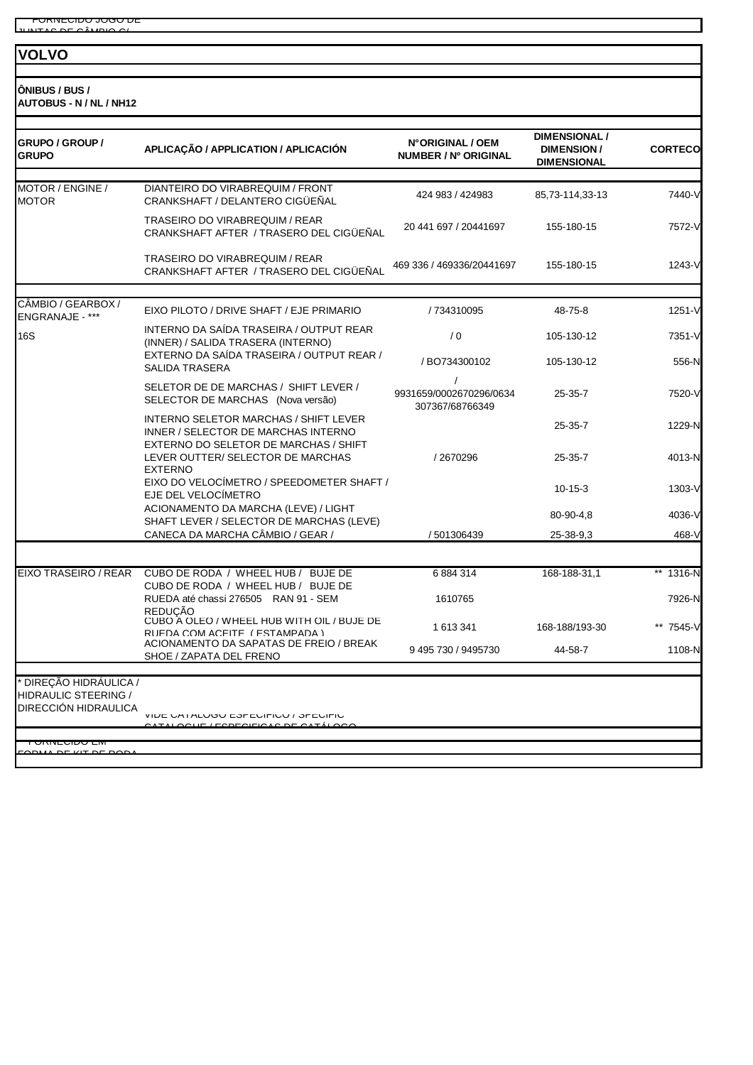#### **VOLVO**

**ÔNIBUS / BUS / AUTOBUS - N / NL / NH12**

| GRUPO / GROUP /<br><b>GRUPO</b>                                             | APLICAÇÃO / APPLICATION / APLICACIÓN                                                         | N°ORIGINAL / OEM<br>NUMBER / Nº ORIGINAL   | <b>DIMENSIONAL /</b><br><b>DIMENSION/</b><br><b>DIMENSIONAL</b> | <b>CORTECO</b> |
|-----------------------------------------------------------------------------|----------------------------------------------------------------------------------------------|--------------------------------------------|-----------------------------------------------------------------|----------------|
| MOTOR / ENGINE /<br><b>MOTOR</b>                                            | DIANTEIRO DO VIRABREQUIM / FRONT<br>CRANKSHAFT / DELANTERO CIGÜEÑAL                          | 424 983 / 424983                           | 85,73-114,33-13                                                 | 7440-V         |
|                                                                             | <b>TRASEIRO DO VIRABREQUIM / REAR</b><br>CRANKSHAFT AFTER / TRASERO DEL CIGÜEÑAL             | 20 441 697 / 20441697                      | 155-180-15                                                      | 7572-V         |
|                                                                             | <b>TRASEIRO DO VIRABREQUIM / REAR</b><br>CRANKSHAFT AFTER / TRASERO DEL CIGÜEÑAL             | 469 336 / 469336/20441697                  | 155-180-15                                                      | 1243-V         |
| CÂMBIO / GEARBOX /<br>ENGRANAJE - ***                                       | EIXO PILOTO / DRIVE SHAFT / EJE PRIMARIO                                                     | / 734310095                                | 48-75-8                                                         | 1251-V         |
| <b>16S</b>                                                                  | INTERNO DA SAÍDA TRASEIRA / OUTPUT REAR<br>(INNER) / SALIDA TRASERA (INTERNO)                | / 0                                        | 105-130-12                                                      | 7351-V         |
|                                                                             | EXTERNO DA SAÍDA TRASEIRA / OUTPUT REAR /<br><b>SALIDA TRASERA</b>                           | / BO734300102                              | 105-130-12                                                      | 556-N          |
|                                                                             | SELETOR DE DE MARCHAS / SHIFT LEVER /<br>SELECTOR DE MARCHAS (Nova versão)                   | 9931659/0002670296/0634<br>307367/68766349 | $25 - 35 - 7$                                                   | 7520-V         |
|                                                                             | INTERNO SELETOR MARCHAS / SHIFT LEVER<br>INNER / SELECTOR DE MARCHAS INTERNO                 |                                            | $25 - 35 - 7$                                                   | 1229-N         |
|                                                                             | EXTERNO DO SELETOR DE MARCHAS / SHIFT<br>LEVER OUTTER/ SELECTOR DE MARCHAS<br><b>EXTERNO</b> | /2670296                                   | $25 - 35 - 7$                                                   | 4013-N         |
|                                                                             | EIXO DO VELOCÍMETRO / SPEEDOMETER SHAFT /<br>EJE DEL VELOCÍMETRO                             |                                            | $10 - 15 - 3$                                                   | 1303-V         |
|                                                                             | ACIONAMENTO DA MARCHA (LEVE) / LIGHT<br>SHAFT LEVER / SELECTOR DE MARCHAS (LEVE)             |                                            | 80-90-4,8                                                       | 4036-V         |
|                                                                             | CANECA DA MARCHA CÂMBIO / GEAR /                                                             | / 501306439                                | 25-38-9,3                                                       | 468-V          |
| EIXO TRASEIRO / REAR                                                        | CUBO DE RODA / WHEEL HUB / BUJE DE<br>CUBO DE RODA / WHEEL HUB / BUJE DE                     | 6884314                                    | 168-188-31,1                                                    | ** 1316-N      |
|                                                                             | RUEDA até chassi 276505 RAN 91 - SEM<br><b>REDUCÃO</b>                                       | 1610765                                    |                                                                 | 7926-N         |
|                                                                             | CUBO A OLEO / WHEEL HUB WITH OIL / BUJE DE<br>RUEDA COM ACEITE ( ESTAMPADA )                 | 1 613 341                                  | 168-188/193-30                                                  | 7545-V         |
|                                                                             | ACIONAMENTO DA SAPATAS DE FREIO / BREAK<br>SHOE / ZAPATA DEL FRENO                           | 9 495 730 / 9495730                        | 44-58-7                                                         | 1108-N         |
| DIREÇÃO HIDRÁULICA /<br><b>HIDRAULIC STEERING /</b><br>DIRECCIÓN HIDRAULICA | VIDE UATALUGU EƏFEDIFIUU / ƏFEDIFIU                                                          |                                            |                                                                 |                |
|                                                                             |                                                                                              |                                            |                                                                 |                |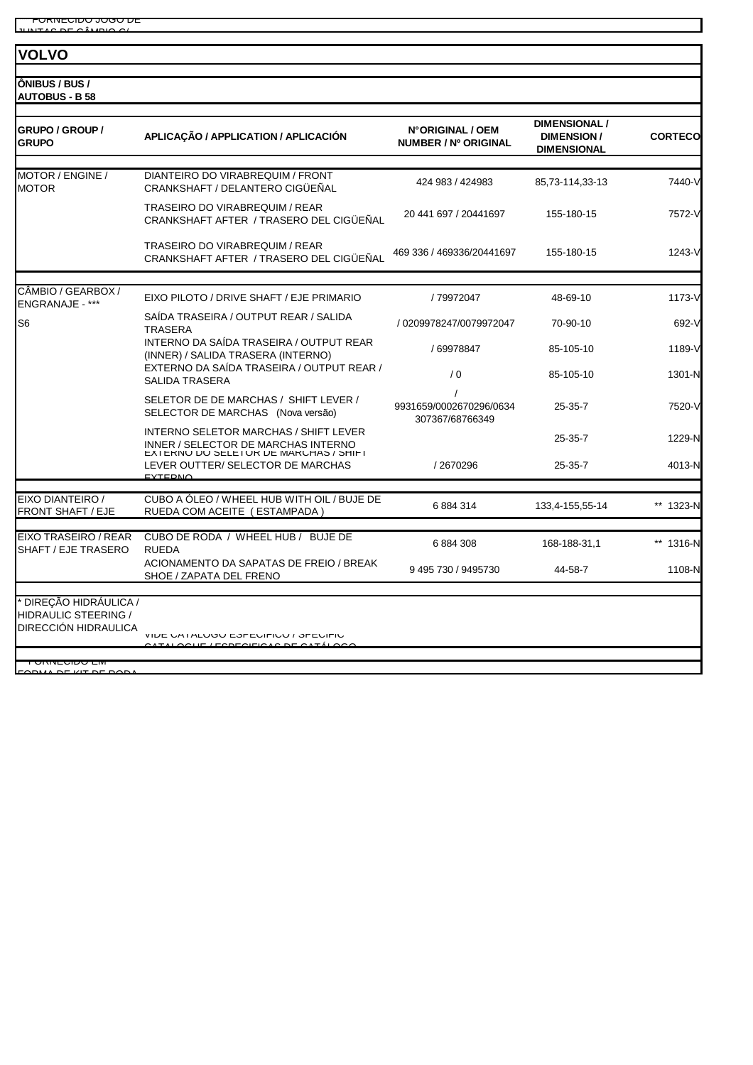**VOLVO**

**ÔNIBUS / BUS / AUTOBUS - B 58**

| <b>GRUPO / GROUP /</b><br><b>GRUPO</b> | APLICAÇÃO / APPLICATION / APLICACIÓN                                                          | N°ORIGINAL / OEM<br>NUMBER / Nº ORIGINAL   | <b>DIMENSIONAL /</b><br><b>DIMENSION/</b> | <b>CORTECO</b> |
|----------------------------------------|-----------------------------------------------------------------------------------------------|--------------------------------------------|-------------------------------------------|----------------|
|                                        |                                                                                               |                                            | <b>DIMENSIONAL</b>                        |                |
| MOTOR / ENGINE /<br><b>MOTOR</b>       | DIANTEIRO DO VIRABREQUIM / FRONT<br>CRANKSHAFT / DELANTERO CIGÜEÑAL                           | 424 983 / 424983                           | 85,73-114,33-13                           | 7440-V         |
|                                        | TRASEIRO DO VIRABREQUIM / REAR<br>CRANKSHAFT AFTER / TRASERO DEL CIGÜEÑAL                     | 20 441 697 / 20441697                      | 155-180-15                                | 7572-V         |
|                                        | TRASEIRO DO VIRABREQUIM / REAR<br>CRANKSHAFT AFTER / TRASERO DEL CIGÜEÑAL                     | 469 336 / 469336/20441697                  | 155-180-15                                | 1243-V         |
|                                        |                                                                                               |                                            |                                           |                |
| CÂMBIO / GEARBOX /<br>ENGRANAJE - ***  | EIXO PILOTO / DRIVE SHAFT / EJE PRIMARIO                                                      | /79972047                                  | 48-69-10                                  | 1173-V         |
| S <sub>6</sub>                         | SAÍDA TRASEIRA / OUTPUT REAR / SALIDA<br><b>TRASERA</b>                                       | / 0209978247/0079972047                    | 70-90-10                                  | 692-V          |
|                                        | INTERNO DA SAÍDA TRASEIRA / OUTPUT REAR<br>(INNER) / SALIDA TRASERA (INTERNO)                 | / 69978847                                 | 85-105-10                                 | 1189-V         |
|                                        | EXTERNO DA SAÍDA TRASEIRA / OUTPUT REAR /<br><b>SALIDA TRASERA</b>                            | /0                                         | 85-105-10                                 | 1301-N         |
|                                        | SELETOR DE DE MARCHAS / SHIFT LEVER /<br>SELECTOR DE MARCHAS (Nova versão)                    | 9931659/0002670296/0634<br>307367/68766349 | $25 - 35 - 7$                             | 7520-V         |
|                                        | INTERNO SELETOR MARCHAS / SHIFT LEVER<br>INNER / SELECTOR DE MARCHAS INTERNO                  |                                            | 25-35-7                                   | 1229-N         |
|                                        | EXIERINU DU SELETUR DE MARUHAS / SHIFT<br>LEVER OUTTER/ SELECTOR DE MARCHAS<br><b>EYTEDNO</b> | /2670296                                   | $25 - 35 - 7$                             | 4013-N         |
| EIXO DIANTEIRO /                       | CUBO A ÓLEO / WHEEL HUB WITH OIL / BUJE DE                                                    |                                            |                                           |                |
| <b>FRONT SHAFT / EJE</b>               | RUEDA COM ACEITE (ESTAMPADA)                                                                  | 6884314                                    | 133,4-155,55-14                           | ** 1323-N      |
| EIXO TRASEIRO / REAR                   | CUBO DE RODA / WHEEL HUB / BUJE DE                                                            |                                            |                                           |                |
| SHAFT / EJE TRASERO                    | <b>RUEDA</b>                                                                                  | 6884308                                    | 168-188-31,1                              | ** 1316-N      |
|                                        | ACIONAMENTO DA SAPATAS DE FREIO / BREAK<br>SHOE / ZAPATA DEL FRENO                            | 9 495 730 / 9495730                        | 44-58-7                                   | 1108-N         |
| DIREÇÃO HIDRÁULICA /                   |                                                                                               |                                            |                                           |                |
| <b>HIDRAULIC STEERING /</b>            |                                                                                               |                                            |                                           |                |
| DIRECCIÓN HIDRAULICA                   | VIDE UA I ALUGU ESPEUIFIUU / SPEUIFIU<br>$I = I$                                              |                                            |                                           |                |
| <b>UNIVEUIDU LIVI</b>                  |                                                                                               |                                            |                                           |                |
| <b>DE VIT DE DO</b>                    |                                                                                               |                                            |                                           |                |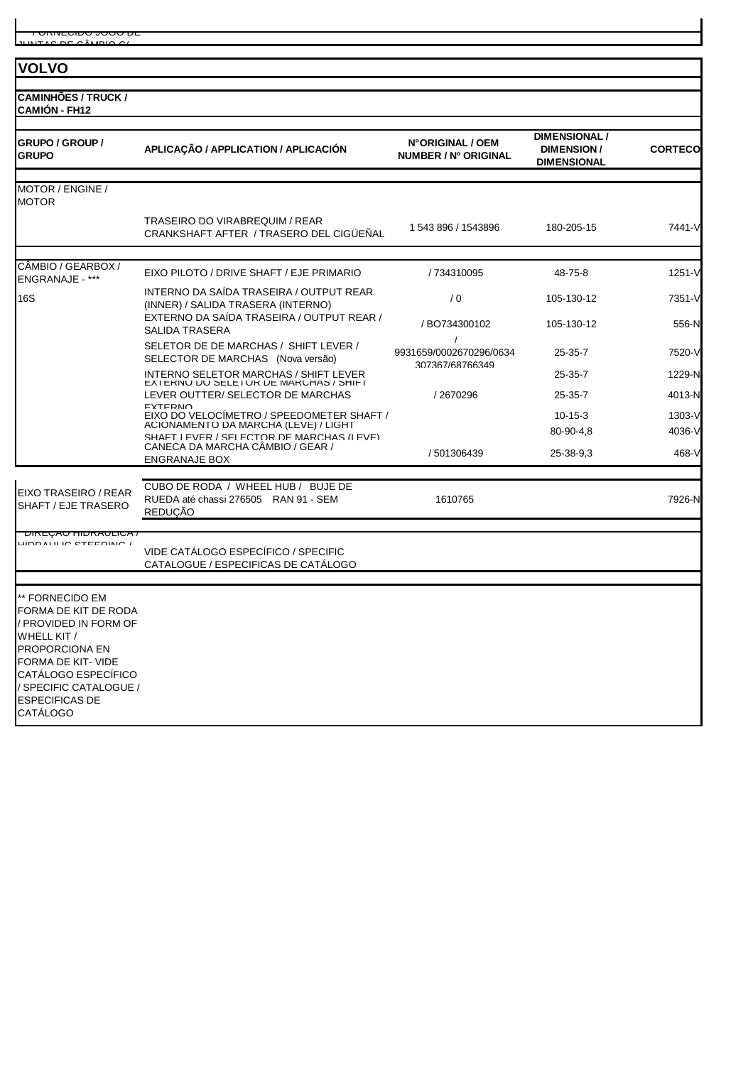#### **VOLVO**

**CAMINHÕES / TRUCK /** 

| <b>GRUPO / GROUP /</b><br><b>GRUPO</b>                                                                                                                                                                               | APLICAÇÃO / APPLICATION / APLICACIÓN                                                                    | N°ORIGINAL / OEM<br><b>NUMBER / Nº ORIGINAL</b> | <b>DIMENSIONAL /</b><br><b>DIMENSION/</b><br><b>DIMENSIONAL</b> | <b>CORTECO</b>  |
|----------------------------------------------------------------------------------------------------------------------------------------------------------------------------------------------------------------------|---------------------------------------------------------------------------------------------------------|-------------------------------------------------|-----------------------------------------------------------------|-----------------|
| MOTOR / ENGINE /<br><b>MOTOR</b>                                                                                                                                                                                     |                                                                                                         |                                                 |                                                                 |                 |
|                                                                                                                                                                                                                      | TRASEIRO DO VIRABREQUIM / REAR<br>CRANKSHAFT AFTER / TRASERO DEL CIGÜEÑAL                               | 1 543 896 / 1543896                             | 180-205-15                                                      | 7441-V          |
| CAMBIO / GEARBOX /<br><b>ENGRANAJE - ***</b>                                                                                                                                                                         | EIXO PILOTO / DRIVE SHAFT / EJE PRIMARIO                                                                | / 734310095                                     | 48-75-8                                                         | $1251 - V$      |
| 16S                                                                                                                                                                                                                  | INTERNO DA SAÍDA TRASEIRA / OUTPUT REAR<br>(INNER) / SALIDA TRASERA (INTERNO)                           | /0                                              | 105-130-12                                                      | 7351-V          |
|                                                                                                                                                                                                                      | EXTERNO DA SAÍDA TRASEIRA / OUTPUT REAR /<br><b>SALIDA TRASERA</b>                                      | / BO734300102                                   | 105-130-12                                                      | 556-N           |
|                                                                                                                                                                                                                      | SELETOR DE DE MARCHAS / SHIFT LEVER /<br>SELECTOR DE MARCHAS (Nova versão)                              | $\prime$<br>9931659/0002670296/0634             | $25 - 35 - 7$                                                   | 7520-V          |
|                                                                                                                                                                                                                      | INTERNO SELETOR MARCHAS / SHIFT LEVER<br>EXIERINU DU SELETUR DE MARCHAS / SHIFT                         | 307367/68766349                                 | 25-35-7                                                         | 1229-N          |
|                                                                                                                                                                                                                      | LEVER OUTTER/ SELECTOR DE MARCHAS                                                                       | /2670296                                        | $25 - 35 - 7$                                                   | 4013-N          |
|                                                                                                                                                                                                                      | <b>EXTERNO</b><br>EIXO DO VELOCIMETRO / SPEEDOMETER SHAFT /<br>ACIONAMENTO DA MARCHA (LEVE) / LIGHT     |                                                 | $10-15-3$                                                       | 1303-V          |
|                                                                                                                                                                                                                      | SHAFT I FVER / SEI FCTOR DE MARCHAS (I FVE)<br>CANECA DA MARCHA CÂMBIO / GEAR /<br><b>ENGRANAJE BOX</b> | / 501306439                                     | 80-90-4,8<br>25-38-9,3                                          | 4036-V<br>468-V |
| EIXO TRASEIRO / REAR<br>SHAFT / EJE TRASERO                                                                                                                                                                          | CUBO DE RODA / WHEEL HUB / BUJE DE<br>RUEDA até chassi 276505 RAN 91 - SEM                              | 1610765                                         |                                                                 | 7926-N          |
|                                                                                                                                                                                                                      | <b>REDUCÃO</b>                                                                                          |                                                 |                                                                 |                 |
| <u>UINLYAU HIUNAULIUA /</u><br>LINDAI II IN CTEEDING /                                                                                                                                                               | VIDE CATÁLOGO ESPECÍFICO / SPECIFIC<br>CATALOGUE / ESPECIFICAS DE CATÁLOGO                              |                                                 |                                                                 |                 |
| ** FORNECIDO EM<br>FORMA DE KIT DE RODA<br>/ PROVIDED IN FORM OF<br>WHELL KIT /<br>PROPORCIONA EN<br>FORMA DE KIT- VIDE<br>CATÁLOGO ESPECÍFICO<br>/ SPECIFIC CATALOGUE /<br><b>ESPECIFICAS DE</b><br><b>CATÁLOGO</b> |                                                                                                         |                                                 |                                                                 |                 |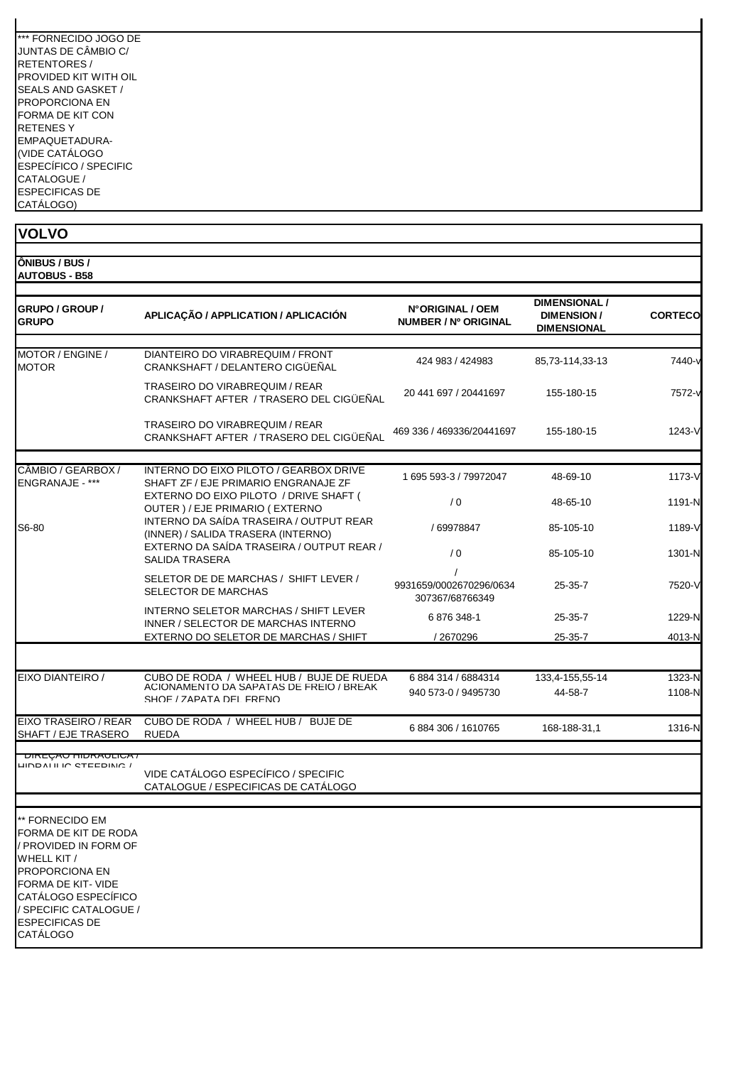| *** FORNECIDO JOGO DE |
|-----------------------|
| JUNTAS DE CÂMBIO C/   |
| <b>RETENTORES/</b>    |
| PROVIDED KIT WITH OII |
| SEALS AND GASKET /    |
| PROPORCIONA FN        |
| FORMA DE KIT CON      |
| <b>RETENESY</b>       |
| EMPAQUETADURA-        |
| (VIDE CATÁLOGO        |
| ESPECÍFICO / SPECIFIC |
| CATALOGUE /           |
| <b>FSPECIFICAS DE</b> |
| CATÁLOGO)             |

| <b>VOLVO</b>                                                                                                                                                                                                  |                                                                                |                                                 |                                                                 |                |
|---------------------------------------------------------------------------------------------------------------------------------------------------------------------------------------------------------------|--------------------------------------------------------------------------------|-------------------------------------------------|-----------------------------------------------------------------|----------------|
| ÔNIBUS / BUS /<br><b>AUTOBUS - B58</b>                                                                                                                                                                        |                                                                                |                                                 |                                                                 |                |
| <b>GRUPO / GROUP /</b><br><b>GRUPO</b>                                                                                                                                                                        | APLICAÇÃO / APPLICATION / APLICACIÓN                                           | N°ORIGINAL / OEM<br><b>NUMBER / Nº ORIGINAL</b> | <b>DIMENSIONAL /</b><br><b>DIMENSION/</b><br><b>DIMENSIONAL</b> | <b>CORTECO</b> |
| MOTOR / ENGINE /<br><b>MOTOR</b>                                                                                                                                                                              | DIANTEIRO DO VIRABREQUIM / FRONT<br>CRANKSHAFT / DELANTERO CIGÜEÑAL            | 424 983 / 424983                                | 85,73-114,33-13                                                 | 7440-y         |
|                                                                                                                                                                                                               | TRASEIRO DO VIRABREQUIM / REAR<br>CRANKSHAFT AFTER / TRASERO DEL CIGÜEÑAL      | 20 441 697 / 20441697                           | 155-180-15                                                      | 7572-v         |
|                                                                                                                                                                                                               | TRASEIRO DO VIRABREQUIM / REAR<br>CRANKSHAFT AFTER / TRASERO DEL CIGÜEÑAL      | 469 336 / 469336/20441697                       | 155-180-15                                                      | 1243-V         |
| CÂMBIO / GEARBOX /<br>ENGRANAJE - ***                                                                                                                                                                         | INTERNO DO EIXO PILOTO / GEARBOX DRIVE<br>SHAFT ZF / EJE PRIMARIO ENGRANAJE ZF | 1 695 593-3 / 79972047                          | 48-69-10                                                        | 1173-V         |
|                                                                                                                                                                                                               | EXTERNO DO EIXO PILOTO / DRIVE SHAFT (<br>OUTER ) / EJE PRIMARIO ( EXTERNO     | /0                                              | 48-65-10                                                        | 1191-N         |
| S6-80                                                                                                                                                                                                         | INTERNO DA SAÍDA TRASEIRA / OUTPUT REAR<br>(INNER) / SALIDA TRASERA (INTERNO)  | / 69978847                                      | 85-105-10                                                       | 1189-V         |
|                                                                                                                                                                                                               | EXTERNO DA SAÍDA TRASEIRA / OUTPUT REAR /<br><b>SALIDA TRASERA</b>             | /0                                              | 85-105-10                                                       | 1301-N         |
|                                                                                                                                                                                                               | SELETOR DE DE MARCHAS / SHIFT LEVER /<br>SELECTOR DE MARCHAS                   | 9931659/0002670296/0634<br>307367/68766349      | $25 - 35 - 7$                                                   | 7520-V         |
|                                                                                                                                                                                                               | INTERNO SELETOR MARCHAS / SHIFT LEVER<br>INNER / SELECTOR DE MARCHAS INTERNO   | 6 876 348-1                                     | 25-35-7                                                         | 1229-N         |
|                                                                                                                                                                                                               | EXTERNO DO SELETOR DE MARCHAS / SHIFT                                          | /2670296                                        | 25-35-7                                                         | 4013-N         |
| EIXO DIANTEIRO /                                                                                                                                                                                              | CUBO DE RODA / WHEEL HUB / BUJE DE RUEDA                                       | 6 884 314 / 6884314                             | 133,4-155,55-14                                                 | 1323-N         |
|                                                                                                                                                                                                               | ACIONAMENTO DA SAPATAS DE FREIO / BREAK<br>SHOF / ZAPATA DEI FRENO             | 940 573-0 / 9495730                             | 44-58-7                                                         | 1108-N         |
| EIXO TRASEIRO / REAR<br>SHAFT / EJE TRASERO                                                                                                                                                                   | CUBO DE RODA / WHEEL HUB / BUJE DE<br><b>RUEDA</b>                             | 6884306 / 1610765                               | 168-188-31,1                                                    | 1316-N         |
| <b>UINLYAU HIUNAULIUA</b><br>LIND AT IT IN CTEEDING !                                                                                                                                                         | VIDE CATÁLOGO ESPECÍFICO / SPECIFIC<br>CATALOGUE / ESPECIFICAS DE CATÁLOGO     |                                                 |                                                                 |                |
| ** FORNECIDO EM<br>FORMA DE KIT DE RODA<br>/ PROVIDED IN FORM OF<br>WHELL KIT /<br>PROPORCIONA EN<br>FORMA DE KIT- VIDE<br>CATÁLOGO ESPECÍFICO<br>/ SPECIFIC CATALOGUE /<br><b>ESPECIFICAS DE</b><br>CATÁLOGO |                                                                                |                                                 |                                                                 |                |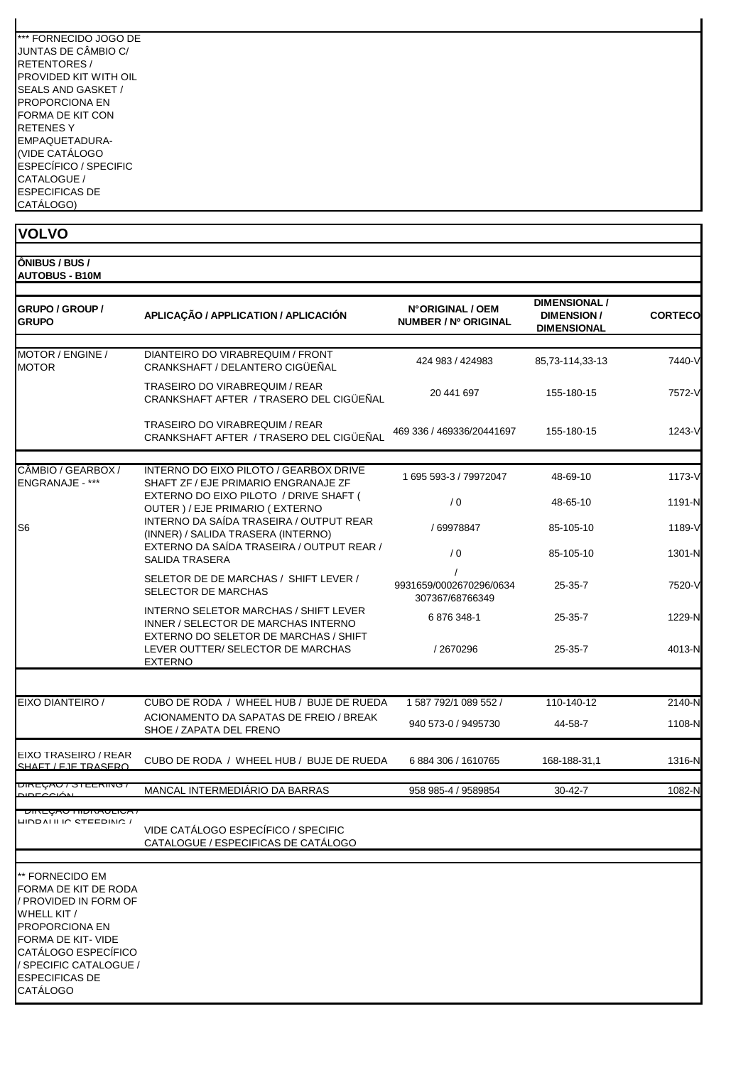| *** FORNECIDO JOGO DE |
|-----------------------|
| JUNTAS DE CÂMBIO C/   |
| RETENTORES /          |
| PROVIDED KIT WITH OIL |
| SEALS AND GASKET /    |
| PROPORCIONA EN        |
| FORMA DE KIT CON      |
| RFTFNFS Y             |
| EMPAQUETADURA-        |
| (VIDE CATÁLOGO        |
| ESPECÍFICO / SPECIFIC |
| CATALOGUE /           |
| <b>ESPECIFICAS DE</b> |
| CATÁLOGO)             |

| <b>VOLVO</b>                                                                                                                                                                                                         |                                                                                              |                                            |                                                                 |                |
|----------------------------------------------------------------------------------------------------------------------------------------------------------------------------------------------------------------------|----------------------------------------------------------------------------------------------|--------------------------------------------|-----------------------------------------------------------------|----------------|
| ONIBUS / BUS /<br><b>AUTOBUS - B10M</b>                                                                                                                                                                              |                                                                                              |                                            |                                                                 |                |
| <b>GRUPO / GROUP /</b><br><b>GRUPO</b>                                                                                                                                                                               | APLICAÇÃO / APPLICATION / APLICACIÓN                                                         | N°ORIGINAL / OEM<br>NUMBER / Nº ORIGINAL   | <b>DIMENSIONAL /</b><br><b>DIMENSION/</b><br><b>DIMENSIONAL</b> | <b>CORTECO</b> |
| MOTOR / ENGINE /<br><b>MOTOR</b>                                                                                                                                                                                     | DIANTEIRO DO VIRABREQUIM / FRONT<br>CRANKSHAFT / DELANTERO CIGÜEÑAL                          | 424 983 / 424 983                          | 85,73-114,33-13                                                 | 7440-V         |
|                                                                                                                                                                                                                      | TRASEIRO DO VIRABREQUIM / REAR<br>CRANKSHAFT AFTER / TRASERO DEL CIGÜEÑAL                    | 20 441 697                                 | 155-180-15                                                      | 7572-V         |
|                                                                                                                                                                                                                      | TRASEIRO DO VIRABREQUIM / REAR<br>CRANKSHAFT AFTER / TRASERO DEL CIGÜEÑAL                    | 469 336 / 469336/20441697                  | 155-180-15                                                      | 1243-V         |
| CÂMBIO / GEARBOX /<br>ENGRANAJE - ***                                                                                                                                                                                | INTERNO DO EIXO PILOTO / GEARBOX DRIVE<br>SHAFT ZF / EJE PRIMARIO ENGRANAJE ZF               | 1 695 593-3 / 79972047                     | 48-69-10                                                        | 1173-V         |
|                                                                                                                                                                                                                      | EXTERNO DO EIXO PILOTO / DRIVE SHAFT (<br>OUTER ) / EJE PRIMARIO ( EXTERNO                   | / 0                                        | 48-65-10                                                        | 1191-N         |
| S <sub>6</sub>                                                                                                                                                                                                       | INTERNO DA SAÍDA TRASEIRA / OUTPUT REAR<br>(INNER) / SALIDA TRASERA (INTERNO)                | / 69978847                                 | 85-105-10                                                       | 1189-V         |
|                                                                                                                                                                                                                      | EXTERNO DA SAÍDA TRASEIRA / OUTPUT REAR /<br><b>SALIDA TRASERA</b>                           | / 0                                        | 85-105-10                                                       | 1301-N         |
|                                                                                                                                                                                                                      | SELETOR DE DE MARCHAS / SHIFT LEVER /<br>SELECTOR DE MARCHAS                                 | 9931659/0002670296/0634<br>307367/68766349 | 25-35-7                                                         | 7520-V         |
|                                                                                                                                                                                                                      | INTERNO SELETOR MARCHAS / SHIFT LEVER<br>INNER / SELECTOR DE MARCHAS INTERNO                 | 6876348-1                                  | $25 - 35 - 7$                                                   | 1229-N         |
|                                                                                                                                                                                                                      | EXTERNO DO SELETOR DE MARCHAS / SHIFT<br>LEVER OUTTER/ SELECTOR DE MARCHAS<br><b>EXTERNO</b> | / 2670296                                  | $25 - 35 - 7$                                                   | 4013-N         |
| EIXO DIANTEIRO /                                                                                                                                                                                                     | CUBO DE RODA / WHEEL HUB / BUJE DE RUEDA                                                     | 1 587 792/1 089 552 /                      | 110-140-12                                                      | 2140-N         |
|                                                                                                                                                                                                                      | ACIONAMENTO DA SAPATAS DE FREIO / BREAK                                                      | 940 573-0 / 9495730                        | 44-58-7                                                         | 1108-N         |
|                                                                                                                                                                                                                      | SHOE / ZAPATA DEL FRENO                                                                      |                                            |                                                                 |                |
| EIXO TRASEIRO / REAR<br>SHAFT / F.IF TRASERO                                                                                                                                                                         | CUBO DE RODA / WHEEL HUB / BUJE DE RUEDA                                                     | 6 884 306 / 1610765                        | 168-188-31,1                                                    | 1316-N         |
| י טהעֲ∟יות<br><b>DIDEOQIÓNI</b>                                                                                                                                                                                      | MANCAL INTERMEDIÁRIO DA BARRAS                                                               | 958 985-4 / 9589854                        | 30-42-7                                                         | 1082-N         |
| <u>UINLYAUTIIDINAULIUA /</u><br>LIIND ALII IN OTEEDININ /                                                                                                                                                            |                                                                                              |                                            |                                                                 |                |
|                                                                                                                                                                                                                      | VIDE CATÁLOGO ESPECÍFICO / SPECIFIC<br>CATALOGUE / ESPECIFICAS DE CATÁLOGO                   |                                            |                                                                 |                |
| ** FORNECIDO EM<br>FORMA DE KIT DE RODA<br>/ PROVIDED IN FORM OF<br>WHELL KIT /<br>PROPORCIONA EN<br>FORMA DE KIT- VIDE<br>CATÁLOGO ESPECÍFICO<br>/ SPECIFIC CATALOGUE /<br><b>ESPECIFICAS DE</b><br><b>CATÁLOGO</b> |                                                                                              |                                            |                                                                 |                |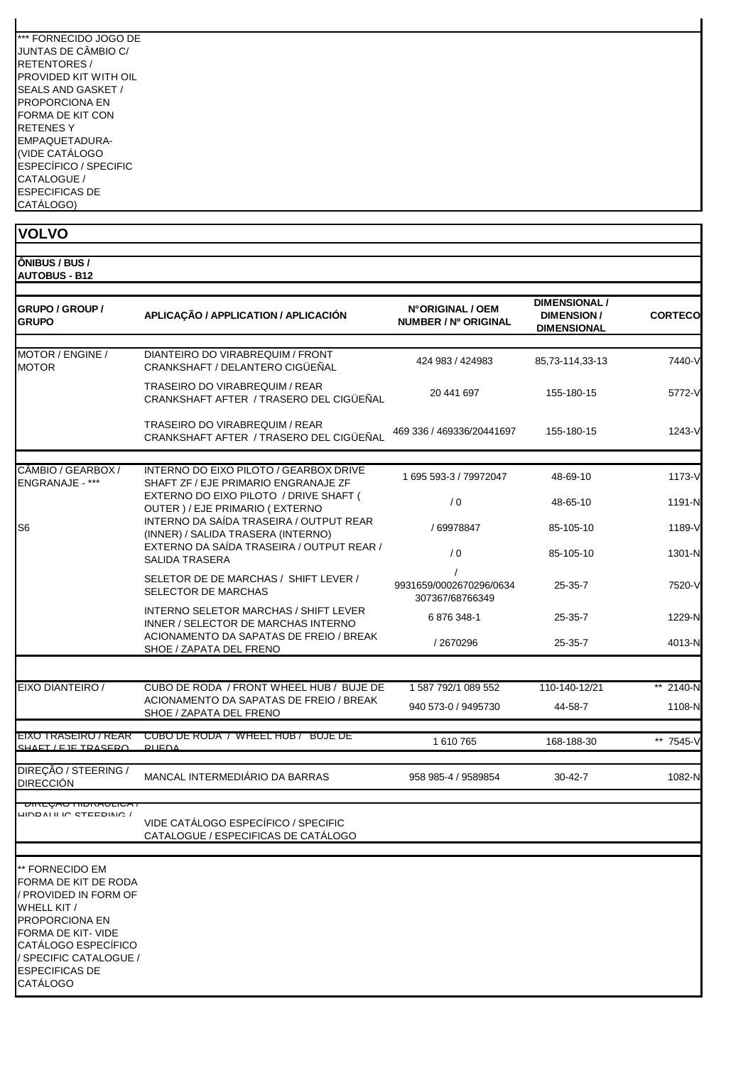| *** FORNECIDO JOGO DE |
|-----------------------|
| JUNTAS DE CÂMBIO C/   |
| RETENTORES /          |
| PROVIDED KIT WITH OIL |
| SEALS AND GASKET /    |
| PROPORCIONA EN        |
| FORMA DE KIT CON      |
| RFTFNFS Y             |
| EMPAQUETADURA-        |
| (VIDE CATÁLOGO        |
| ESPECÍFICO / SPECIFIC |
| CATALOGUE /           |
| <b>ESPECIFICAS DE</b> |
| CATÁLOGO)             |

| <b>VOLVO</b>                                                                                                                                                                                                 |                                                                                |                                                 |                                                                 |                |
|--------------------------------------------------------------------------------------------------------------------------------------------------------------------------------------------------------------|--------------------------------------------------------------------------------|-------------------------------------------------|-----------------------------------------------------------------|----------------|
| ÔNIBUS / BUS /<br><b>AUTOBUS - B12</b>                                                                                                                                                                       |                                                                                |                                                 |                                                                 |                |
| <b>GRUPO / GROUP /</b><br><b>GRUPO</b>                                                                                                                                                                       | APLICAÇÃO / APPLICATION / APLICACIÓN                                           | N°ORIGINAL / OEM<br><b>NUMBER / Nº ORIGINAL</b> | <b>DIMENSIONAL /</b><br><b>DIMENSION/</b><br><b>DIMENSIONAL</b> | <b>CORTECO</b> |
| MOTOR / ENGINE /<br><b>MOTOR</b>                                                                                                                                                                             | DIANTEIRO DO VIRABREQUIM / FRONT<br>CRANKSHAFT / DELANTERO CIGÜEÑAL            | 424 983 / 424983                                | 85,73-114,33-13                                                 | 7440-V         |
|                                                                                                                                                                                                              | TRASEIRO DO VIRABREQUIM / REAR<br>CRANKSHAFT AFTER / TRASERO DEL CIGÜEÑAL      | 20 441 697                                      | 155-180-15                                                      | 5772-V         |
|                                                                                                                                                                                                              | TRASEIRO DO VIRABREQUIM / REAR<br>CRANKSHAFT AFTER / TRASERO DEL CIGÜEÑAL      | 469 336 / 469336/20441697                       | 155-180-15                                                      | 1243-V         |
| CÂMBIO / GEARBOX /<br>ENGRANAJE - ***                                                                                                                                                                        | INTERNO DO EIXO PILOTO / GEARBOX DRIVE<br>SHAFT ZF / EJE PRIMARIO ENGRANAJE ZF | 1 695 593-3 / 79972047                          | 48-69-10                                                        | 1173-V         |
|                                                                                                                                                                                                              | EXTERNO DO EIXO PILOTO / DRIVE SHAFT (<br>OUTER ) / EJE PRIMARIO ( EXTERNO     | /0                                              | 48-65-10                                                        | 1191-N         |
| S6                                                                                                                                                                                                           | INTERNO DA SAÍDA TRASEIRA / OUTPUT REAR<br>(INNER) / SALIDA TRASERA (INTERNO)  | / 69978847                                      | 85-105-10                                                       | 1189-V         |
|                                                                                                                                                                                                              | EXTERNO DA SAÍDA TRASEIRA / OUTPUT REAR /<br><b>SALIDA TRASERA</b>             | /0                                              | 85-105-10                                                       | 1301-N         |
|                                                                                                                                                                                                              | SELETOR DE DE MARCHAS / SHIFT LEVER /<br>SELECTOR DE MARCHAS                   | 9931659/0002670296/0634<br>307367/68766349      | $25 - 35 - 7$                                                   | 7520-V         |
|                                                                                                                                                                                                              | INTERNO SELETOR MARCHAS / SHIFT LEVER<br>INNER / SELECTOR DE MARCHAS INTERNO   | 6876348-1                                       | $25 - 35 - 7$                                                   | 1229-N         |
|                                                                                                                                                                                                              | ACIONAMENTO DA SAPATAS DE FREIO / BREAK<br>SHOE / ZAPATA DEL FRENO             | /2670296                                        | $25 - 35 - 7$                                                   | 4013-N         |
| EIXO DIANTEIRO /                                                                                                                                                                                             | CUBO DE RODA / FRONT WHEEL HUB / BUJE DE                                       | 1 587 792/1 089 552                             | 110-140-12/21                                                   | ** 2140-N      |
|                                                                                                                                                                                                              | ACIONAMENTO DA SAPATAS DE FREIO / BREAK<br>SHOE / ZAPATA DEL FRENO             | 940 573-0 / 9495730                             | 44-58-7                                                         | 1108-N         |
| EIXO TRASEIRO / REAR<br>SHAFT / E IF TRASERO                                                                                                                                                                 | CUBO DE RODA / WHEEL HUB / BUJE DE<br>RUEDA                                    | 1 610 765                                       | 168-188-30                                                      | ** 7545-V      |
| DIREÇÃO / STEERING /<br><b>DIRECCIÓN</b>                                                                                                                                                                     | MANCAL INTERMEDIÁRIO DA BARRAS                                                 | 958 985-4 / 9589854                             | $30 - 42 - 7$                                                   | 1082-N         |
| <b>UINLYAU HIDNAULIUA</b><br>LINDAI II IN CTEEDINA                                                                                                                                                           |                                                                                |                                                 |                                                                 |                |
|                                                                                                                                                                                                              | VIDE CATÁLOGO ESPECÍFICO / SPECIFIC<br>CATALOGUE / ESPECIFICAS DE CATÁLOGO     |                                                 |                                                                 |                |
| ** FORNECIDO EM<br>FORMA DE KIT DE RODA<br>/ PROVIDED IN FORM OF<br>WHELL KIT /<br>PROPORCIONA EN<br>FORMA DE KIT-VIDE<br>CATÁLOGO ESPECÍFICO<br>/ SPECIFIC CATALOGUE /<br><b>ESPECIFICAS DE</b><br>CATÁLOGO |                                                                                |                                                 |                                                                 |                |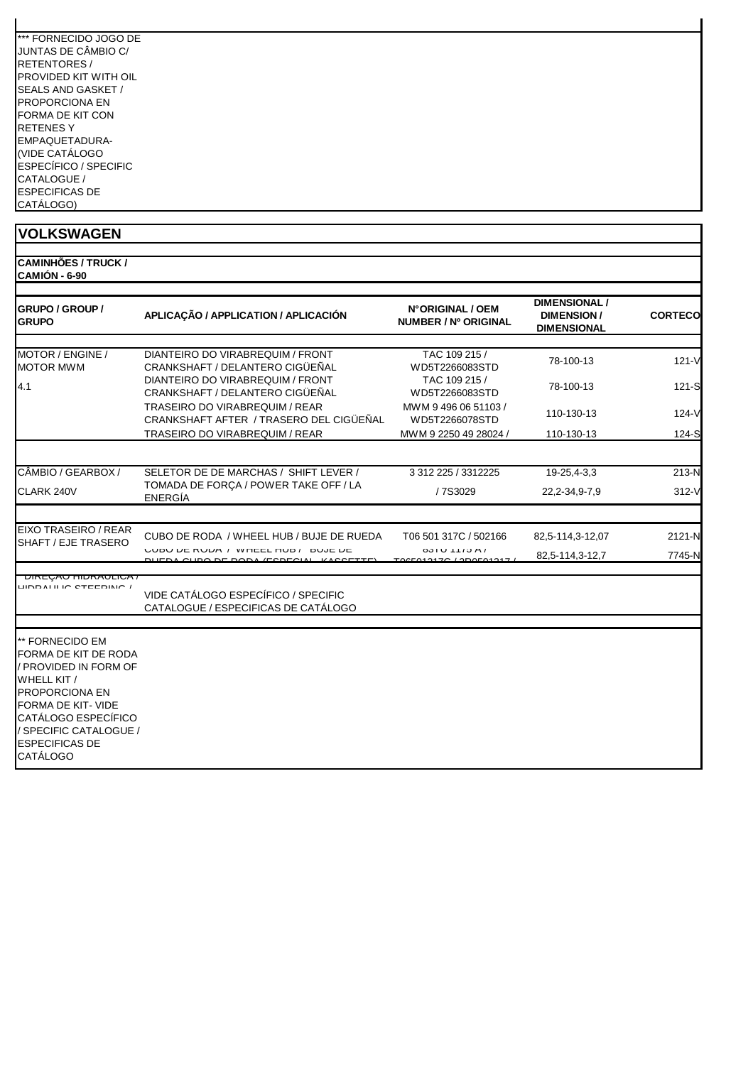| *** FORNECIDO JOGO DE |
|-----------------------|
| JUNTAS DE CÂMBIO C/   |
| RFTFNTORFS/           |
| PROVIDED KIT WITH OII |
| SEALS AND GASKET /    |
| PROPORCIONA FN        |
| FORMA DE KIT CON      |
| RETENES Y             |
| EMPAQUETADURA-        |
| (VIDE CATÁLOGO        |
| ESPECÍFICO / SPECIFIC |
| CATALOGUE /           |
| <b>ESPECIFICAS DE</b> |
| CATÁLOGO)             |

| <b>VOLKSWAGEN</b>                                                                                                                                                                                                           |                                                                                |                                          |                                                                 |                  |
|-----------------------------------------------------------------------------------------------------------------------------------------------------------------------------------------------------------------------------|--------------------------------------------------------------------------------|------------------------------------------|-----------------------------------------------------------------|------------------|
| <b>CAMINHÕES / TRUCK /</b><br>CAMIÓN - 6-90                                                                                                                                                                                 |                                                                                |                                          |                                                                 |                  |
| <b>GRUPO / GROUP /</b><br><b>GRUPO</b>                                                                                                                                                                                      | APLICAÇÃO / APPLICATION / APLICACIÓN                                           | N°ORIGINAL / OEM<br>NUMBER / Nº ORIGINAL | <b>DIMENSIONAL /</b><br><b>DIMENSION/</b><br><b>DIMENSIONAL</b> | <b>CORTECO</b>   |
| MOTOR / ENGINE /<br><b>MOTOR MWM</b>                                                                                                                                                                                        | DIANTEIRO DO VIRABREQUIM / FRONT<br>CRANKSHAFT / DELANTERO CIGÜEÑAL            | TAC 109 215 /<br>WD5T2266083STD          | 78-100-13                                                       | $121 - V$        |
| 4.1                                                                                                                                                                                                                         | DIANTEIRO DO VIRABREQUIM / FRONT<br>CRANKSHAFT / DELANTERO CIGÜEÑAL            | TAC 109 215 /<br>WD5T2266083STD          | 78-100-13                                                       | $121-S$          |
|                                                                                                                                                                                                                             | TRASEIRO DO VIRABREQUIM / REAR<br>CRANKSHAFT AFTER / TRASERO DEL CIGÜEÑAL      | MWM 9 496 06 51103 /<br>WD5T2266078STD   | 110-130-13                                                      | $124-V$          |
|                                                                                                                                                                                                                             | TRASEIRO DO VIRABREQUIM / REAR                                                 | MWM 9 2250 49 28024 /                    | 110-130-13                                                      | $124-S$          |
| CÂMBIO / GEARBOX /                                                                                                                                                                                                          | SELETOR DE DE MARCHAS / SHIFT LEVER /                                          | 3 312 225 / 3312225                      | 19-25,4-3,3                                                     | 213-N            |
| CLARK 240V                                                                                                                                                                                                                  | TOMADA DE FORÇA / POWER TAKE OFF / LA<br><b>ENERGÍA</b>                        | /7S3029                                  | 22, 2-34, 9-7, 9                                                | $312-V$          |
| EIXO TRASEIRO / REAR<br>SHAFT / EJE TRASERO                                                                                                                                                                                 | CUBO DE RODA / WHEEL HUB / BUJE DE RUEDA<br>UUDU DE RUDA / WHEEL HUD / DUJE DE | T06 501 317C / 502166<br>0010 1110 A     | 82,5-114,3-12,07<br>82,5-114,3-12,7                             | 2121-N<br>7745-N |
| <u>UINLYAUTIIUNAULIUA /</u><br><b>UNDALILIO CTEEDINIO</b>                                                                                                                                                                   | VIDE CATÁLOGO ESPECÍFICO / SPECIFIC<br>CATALOGUE / ESPECIFICAS DE CATÁLOGO     |                                          |                                                                 |                  |
| ** FORNECIDO EM<br>FORMA DE KIT DE RODA<br>/ PROVIDED IN FORM OF<br>WHELL KIT /<br><b>PROPORCIONA EN</b><br>FORMA DE KIT- VIDE<br>CATÁLOGO ESPECÍFICO<br>/ SPECIFIC CATALOGUE /<br><b>ESPECIFICAS DE</b><br><b>CATÁLOGO</b> |                                                                                |                                          |                                                                 |                  |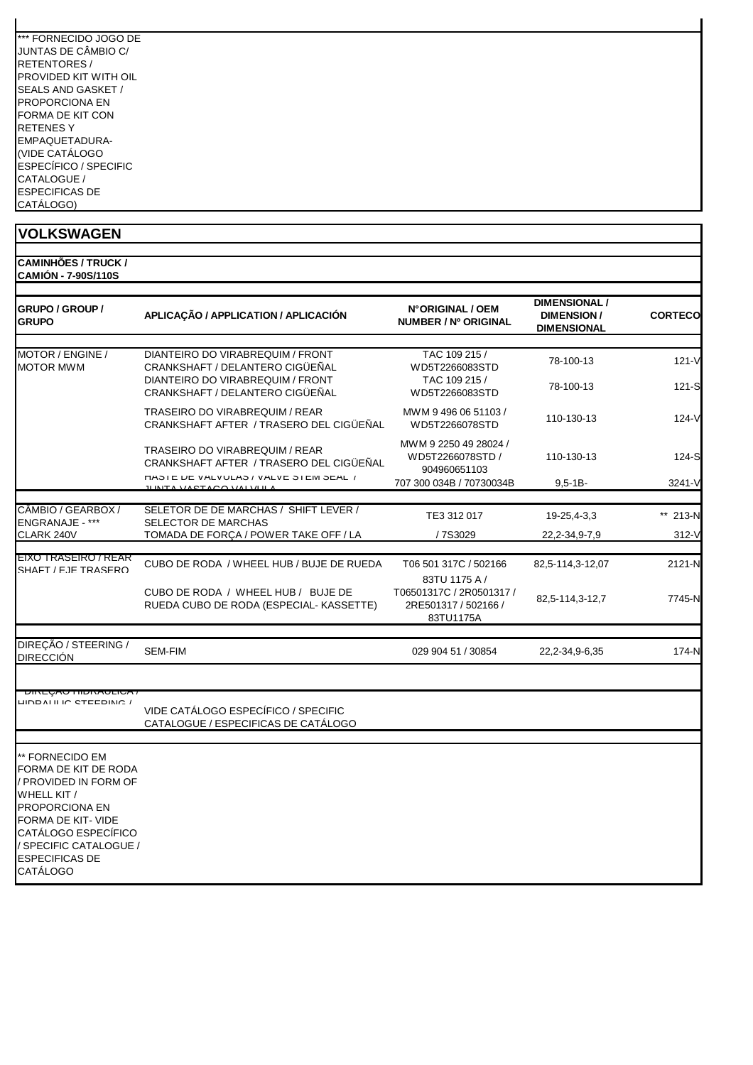| *** FORNECIDO JOGO DE |
|-----------------------|
| JUNTAS DE CÂMBIO C/   |
| RFTFNTORFS/           |
| PROVIDED KIT WITH OII |
| SEALS AND GASKET /    |
| PROPORCIONA FN        |
| FORMA DE KIT CON      |
| RETENES Y             |
| EMPAQUETADURA-        |
| (VIDE CATÁLOGO        |
| ESPECÍFICO / SPECIFIC |
| CATALOGUE /           |
| <b>ESPECIFICAS DE</b> |
| CATÁLOGO)             |

| <b>ICAMINHOES / TRUCK /</b> |  |
|-----------------------------|--|
| <b>CAMIÓN - 7-90S/110S</b>  |  |

| <b>GRUPO / GROUP /</b><br><b>GRUPO</b>                                                                                                                                                                              | APLICAÇÃO / APPLICATION / APLICACIÓN                                             | N°ORIGINAL / OEM<br>NUMBER / Nº ORIGINAL                      | <b>DIMENSIONAL /</b><br><b>DIMENSION/</b><br>DIMENSIONAL | <b>CORTECO</b> |
|---------------------------------------------------------------------------------------------------------------------------------------------------------------------------------------------------------------------|----------------------------------------------------------------------------------|---------------------------------------------------------------|----------------------------------------------------------|----------------|
| MOTOR / ENGINE /<br><b>MOTOR MWM</b>                                                                                                                                                                                | DIANTEIRO DO VIRABREQUIM / FRONT<br>CRANKSHAFT / DELANTERO CIGÜEÑAL              | TAC 109 215 /<br>WD5T2266083STD                               | 78-100-13                                                | $121 - V$      |
|                                                                                                                                                                                                                     | DIANTEIRO DO VIRABREQUIM / FRONT<br>CRANKSHAFT / DELANTERO CIGÜEÑAL              | TAC 109 215 /<br>WD5T2266083STD                               | 78-100-13                                                | 121-S          |
|                                                                                                                                                                                                                     | <b>TRASEIRO DO VIRABREQUIM / REAR</b><br>CRANKSHAFT AFTER / TRASERO DEL CIGÜEÑAL | MWM 94960651103/<br>WD5T2266078STD                            | 110-130-13                                               | $124-V$        |
|                                                                                                                                                                                                                     | TRASEIRO DO VIRABREQUIM / REAR<br>CRANKSHAFT AFTER / TRASERO DEL CIGÜEÑAL        | MWM 9 2250 49 28024 /<br>WD5T2266078STD /<br>904960651103     | 110-130-13                                               | 124-S          |
|                                                                                                                                                                                                                     | HASIE DE VALVULAS / VALVE SIEM SEAL /<br><u>II INITA VACTACO VALVILIA</u>        | 707 300 034B / 70730034B                                      | $9,5 - 1B -$                                             | 3241-V         |
| CÂMBIO / GEARBOX /                                                                                                                                                                                                  | SELETOR DE DE MARCHAS / SHIFT LEVER /                                            |                                                               |                                                          |                |
| <b>ENGRANAJE - ***</b>                                                                                                                                                                                              | <b>SELECTOR DE MARCHAS</b>                                                       | TE3 312 017                                                   | 19-25,4-3,3                                              | ** 213-N       |
| CLARK 240V                                                                                                                                                                                                          | TOMADA DE FORÇA / POWER TAKE OFF / LA                                            | /7S3029                                                       | 22, 2-34, 9-7, 9                                         | 312-V          |
| EIXO TRASEIRO / REAR<br>SHAFT / F.IF TRASFRO                                                                                                                                                                        | CUBO DE RODA / WHEEL HUB / BUJE DE RUEDA                                         | T06 501 317C / 502166<br>83TU 1175 A /                        | 82,5-114,3-12,07                                         | 2121-N         |
|                                                                                                                                                                                                                     | CUBO DE RODA / WHEEL HUB / BUJE DE<br>RUEDA CUBO DE RODA (ESPECIAL- KASSETTE)    | T06501317C / 2R0501317 /<br>2RE501317 / 502166 /<br>83TU1175A | 82,5-114,3-12,7                                          | 7745-N         |
| DIREÇÃO / STEERING /<br><b>DIRECCIÓN</b>                                                                                                                                                                            | <b>SEM-FIM</b>                                                                   | 029 904 51 / 30854                                            | 22, 2-34, 9-6, 35                                        | 174-N          |
| <b>UINLYAU HIUNAULIUA</b><br>LIND AT IT IN CTEEDING /                                                                                                                                                               | VIDE CATÁLOGO ESPECÍFICO / SPECIFIC<br>CATALOGUE / ESPECIFICAS DE CATÁLOGO       |                                                               |                                                          |                |
| ** FORNECIDO EM<br>FORMA DE KIT DE RODA<br>/ PROVIDED IN FORM OF<br>WHELL KIT /<br>PROPORCIONA EN<br>FORMA DE KIT-VIDE<br>CATÁLOGO ESPECÍFICO<br>/ SPECIFIC CATALOGUE /<br><b>ESPECIFICAS DE</b><br><b>CATÁLOGO</b> |                                                                                  |                                                               |                                                          |                |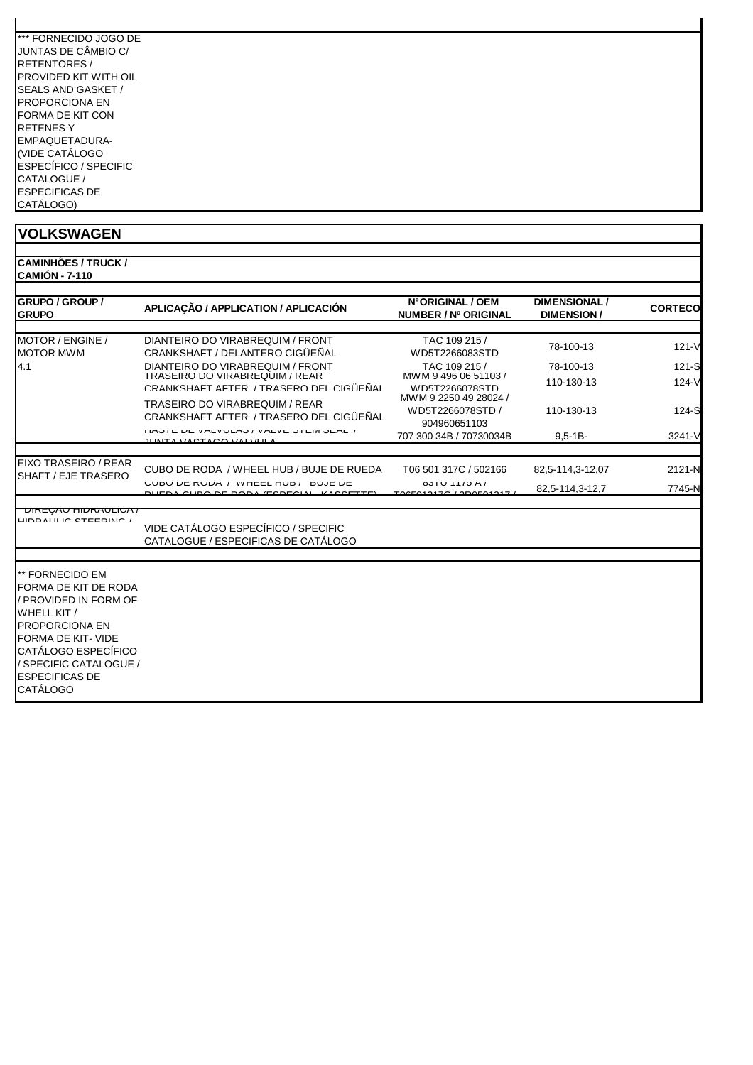| *** FORNECIDO JOGO DE |
|-----------------------|
| JUNTAS DE CÂMBIO C/   |
| <b>RETENTORES/</b>    |
| PROVIDED KIT WITH OIL |
| SEALS AND GASKET /    |
| PROPORCIONA FN        |
| FORMA DE KIT CON      |
| RETENES Y             |
| EMPAQUETADURA-        |
| (VIDE CATÁLOGO        |
| ESPECÍFICO / SPECIFIC |
| CATALOGUE /           |
| <b>ESPECIFICAS DE</b> |
| CATÁLOGO)             |

| <b>CAMINHÕES / TRUCK /</b> |
|----------------------------|
| <b>CAMIÓN - 7-110</b>      |
|                            |

| <b>GRUPO / GROUP /</b><br><b>GRUPO</b>                                                                                                                                                                   | APLICAÇÃO / APPLICATION / APLICACIÓN                                                                          | N°ORIGINAL / OEM<br>NUMBER / Nº ORIGINAL                  | <b>DIMENSIONAL /</b><br><b>DIMENSION/</b> | <b>CORTECO</b>     |
|----------------------------------------------------------------------------------------------------------------------------------------------------------------------------------------------------------|---------------------------------------------------------------------------------------------------------------|-----------------------------------------------------------|-------------------------------------------|--------------------|
| MOTOR / ENGINE /<br><b>MOTOR MWM</b>                                                                                                                                                                     | DIANTEIRO DO VIRABREQUIM / FRONT<br>CRANKSHAFT / DELANTERO CIGÜEÑAL                                           | TAC 109 215 /<br>WD5T2266083STD                           | 78-100-13                                 | $121 - V$          |
| 4.1                                                                                                                                                                                                      | DIANTEIRO DO VIRABREQUIM / FRONT<br>TRASEIRO DO VIRABREQUIM / REAR<br>CRANKSHAFT AFTER / TRASERO DEL CIGÜEÑAL | TAC 109 215 /<br>MWM 9 496 06 51103 /<br>WD5T2266078STD   | 78-100-13<br>110-130-13                   | $121-S$<br>$124-V$ |
|                                                                                                                                                                                                          | <b>TRASEIRO DO VIRABREQUIM / REAR</b><br>CRANKSHAFT AFTER / TRASERO DEL CIGÜEÑAL                              | MWM 9 2250 49 28024 /<br>WD5T2266078STD /<br>904960651103 | 110-130-13                                | $124-S$            |
|                                                                                                                                                                                                          | <b><i>CHAJIE UE VALVULAJI VALVE JIEIVI JEAL I</i></b><br><u>II INITA VA OTA OO VALVEIL</u>                    | 707 300 34B / 70730034B                                   | $9,5 - 1B -$                              | 3241-V             |
| EIXO TRASEIRO / REAR<br>SHAFT / EJE TRASERO                                                                                                                                                              | CUBO DE RODA / WHEEL HUB / BUJE DE RUEDA<br><b>UUDU DE RUDA / WHEEL HUD/ DUJE DE</b>                          | T06 501 317C / 502166<br>$031U$ $1173M$                   | 82,5-114,3-12,07                          | 2121-N             |
| <u>UINLYAUTIIUNAULIUA /</u><br><b>UNDALILIO CTEEDINIO</b>                                                                                                                                                | CURS BE BODA (FOREQUAL<br>VIDE CATÁLOGO ESPECÍFICO / SPECIFIC                                                 | TOCEO40470 LODOFO40                                       | 82,5-114,3-12,7                           | 7745-N             |
| ** FORNECIDO EM<br>FORMA DE KIT DE RODA<br>/ PROVIDED IN FORM OF<br>WHELL KIT /<br><b>PROPORCIONA EN</b><br>FORMA DE KIT- VIDE<br>CATÁLOGO ESPECÍFICO<br>/ SPECIFIC CATALOGUE /<br><b>ESPECIFICAS DE</b> | CATALOGUE / ESPECIFICAS DE CATÁLOGO                                                                           |                                                           |                                           |                    |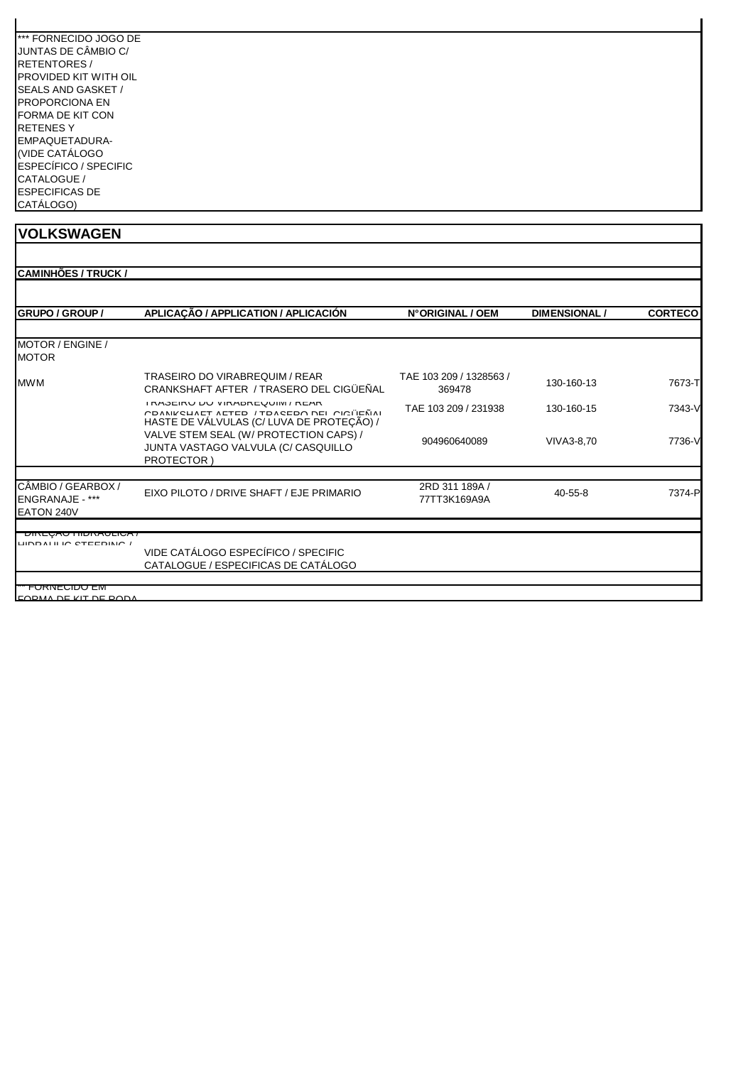| *** FORNECIDO JOGO DE |
|-----------------------|
| JUNTAS DE CÂMBIO C/   |
| RETENTORES /          |
| PROVIDED KIT WITH OII |
| SEALS AND GASKET /    |
| PROPORCIONA EN        |
| FORMA DE KIT CON      |
| RFTFNFS Y             |
| EMPAQUETADURA-        |
| (VIDE CATÁLOGO        |
| ESPECÍFICO / SPECIFIC |
| CATALOGUE /           |
| <b>ESPECIFICAS DE</b> |
| CATÁLOGO)             |

| GRUPO / GROUP /                                            | APLICAÇÃO / APPLICATION / APLICACIÓN                                                                                        | N°ORIGINAL / OEM                  | <b>DIMENSIONAL/</b> | <b>CORTECO</b> |
|------------------------------------------------------------|-----------------------------------------------------------------------------------------------------------------------------|-----------------------------------|---------------------|----------------|
| MOTOR / ENGINE /<br><b>MOTOR</b>                           |                                                                                                                             |                                   |                     |                |
| <b>MWM</b>                                                 | TRASEIRO DO VIRABREQUIM / REAR<br>CRANKSHAFT AFTER / TRASERO DEL CIGÜEÑAL                                                   | TAE 103 209 / 1328563 /<br>369478 | 130-160-13          | 7673-T         |
|                                                            | I RAJEIRU DU VIRADREUUIIVI / REAR<br>COANIZOUAET AETED / TOAOEDO DEI OIOITEÑAI<br>HASTE DE VÁLVULAS (C/ LUVA DE PROTEÇÃO) / | TAE 103 209 / 231938              | 130-160-15          | 7343-V         |
|                                                            | VALVE STEM SEAL (W/ PROTECTION CAPS) /<br>JUNTA VASTAGO VALVULA (C/ CASQUILLO<br>PROTECTOR)                                 | 904960640089                      | VIVA3-8.70          | 7736-V         |
| CÂMBIO / GEARBOX /<br><b>ENGRANAJE - ***</b><br>EATON 240V | EIXO PILOTO / DRIVE SHAFT / EJE PRIMARIO                                                                                    | 2RD 311 189A /<br>77TT3K169A9A    | $40 - 55 - 8$       | 7374-P         |
| <b>DINLUAO HIDINAULIUA</b> /<br>LIND AT IT IN CTEEDING.    | VIDE CATÁLOGO ESPECÍFICO / SPECIFIC                                                                                         |                                   |                     |                |
|                                                            | CATALOGUE / ESPECIFICAS DE CATÁLOGO                                                                                         |                                   |                     |                |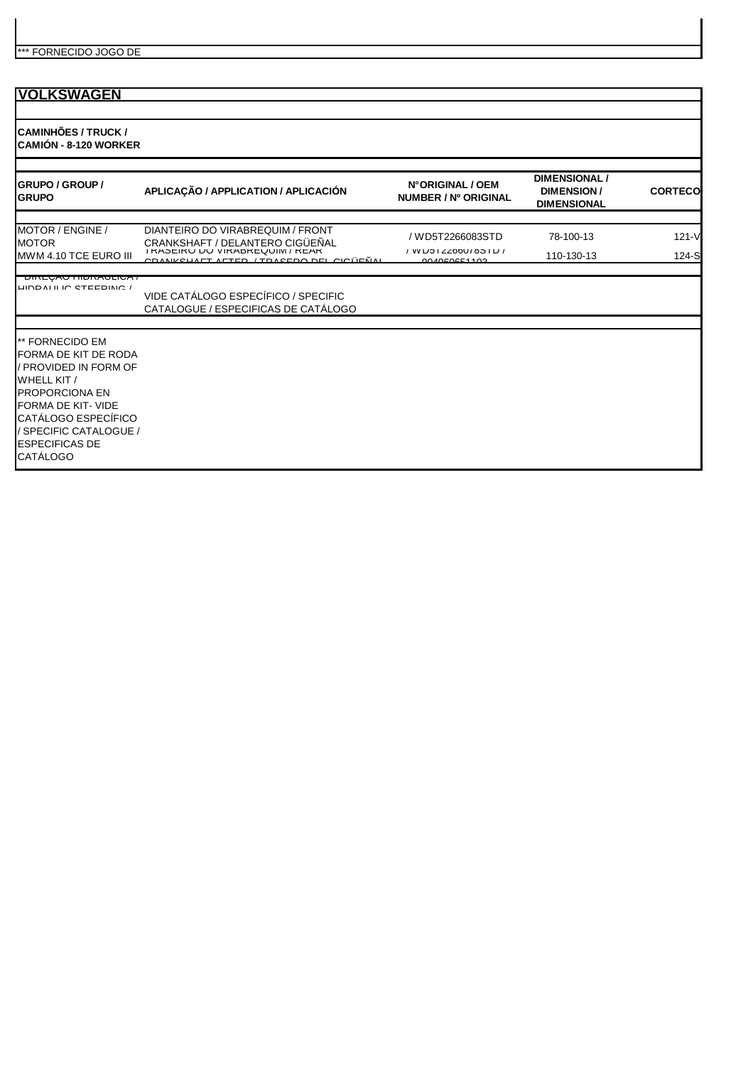**CAMINHÕES / TRUCK / CAMIÓN - 8-120 WORKER**

| <b>GRUPO / GROUP /</b><br><b>GRUPO</b>                                                                                                                                                                                     | APLICAÇÃO / APPLICATION / APLICACIÓN                                                                                                                       | N°ORIGINAL / OEM<br>NUMBER / Nº ORIGINAL              | <b>DIMENSIONAL /</b><br><b>DIMENSION/</b><br><b>DIMENSIONAL</b> | <b>CORTECO</b>     |
|----------------------------------------------------------------------------------------------------------------------------------------------------------------------------------------------------------------------------|------------------------------------------------------------------------------------------------------------------------------------------------------------|-------------------------------------------------------|-----------------------------------------------------------------|--------------------|
| MOTOR / ENGINE /<br><b>MOTOR</b><br>MWM 4.10 TCE EURO III                                                                                                                                                                  | DIANTEIRO DO VIRABREQUIM / FRONT<br>CRANKSHAFT / DELANTERO CIGÜEÑAL<br><b>I KASEIKU DU VIKADKEWUIWI / KEAK</b><br>COANIZOUALT ALTED (TOACEDO DEL CICULTÃAL | / WD5T2266083STD<br>/ WUJIZZ00U/03IU/<br>004000054402 | 78-100-13<br>110-130-13                                         | $121 - V$<br>124-S |
| <u>UINEUMU HIUNAULIUM</u><br>LIND AT IT IN CTEEDING I                                                                                                                                                                      | VIDE CATÁLOGO ESPECÍFICO / SPECIFIC<br>CATALOGUE / ESPECIFICAS DE CATÁLOGO                                                                                 |                                                       |                                                                 |                    |
| ** FORNECIDO EM<br>FORMA DE KIT DE RODA<br>/ PROVIDED IN FORM OF<br>WHELL KIT /<br><b>PROPORCIONA EN</b><br>FORMA DE KIT-VIDE<br>CATÁLOGO ESPECÍFICO<br>/ SPECIFIC CATALOGUE /<br><b>ESPECIFICAS DE</b><br><b>CATÁLOGO</b> |                                                                                                                                                            |                                                       |                                                                 |                    |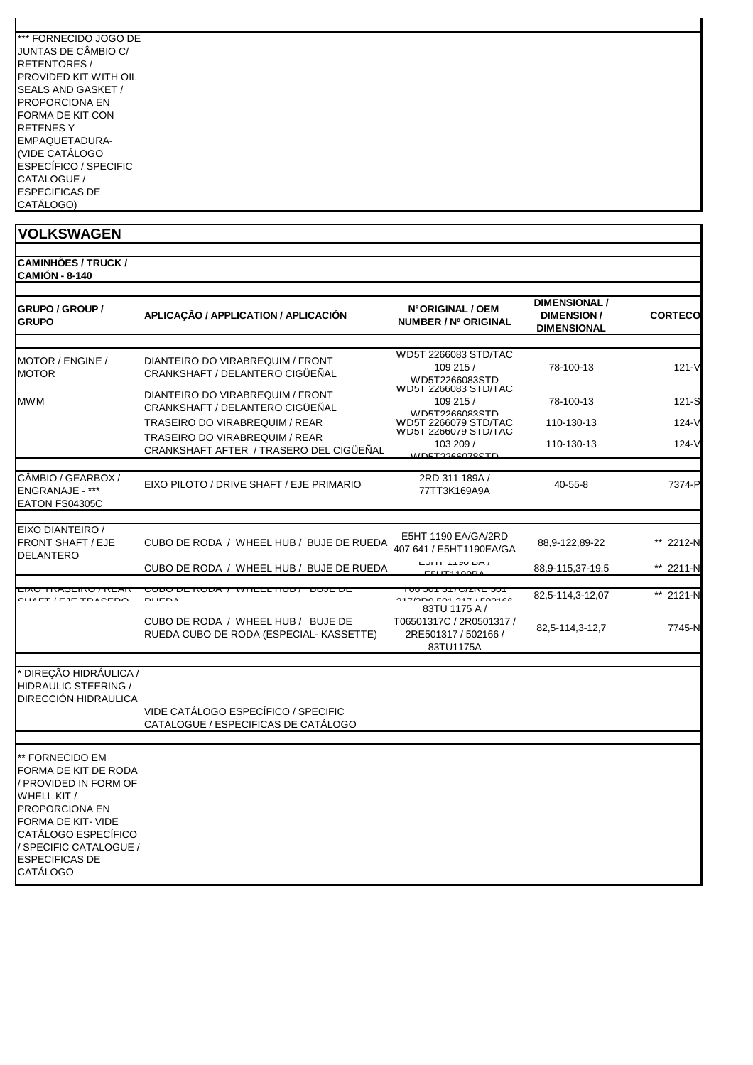| *** FORNECIDO JOGO DE |
|-----------------------|
| JUNTAS DE CÂMBIO C/   |
| RFTFNTORFS/           |
| PROVIDED KIT WITH OII |
| SEALS AND GASKET /    |
| PROPORCIONA FN        |
| FORMA DE KIT CON      |
| RETENES Y             |
| EMPAQUETADURA-        |
| (VIDE CATÁLOGO        |
| ESPECÍFICO / SPECIFIC |
| CATALOGUE /           |
| <b>ESPECIFICAS DE</b> |
| CATÁLOGO)             |

| <b>CAMINHÕES / TRUCK /</b><br><b>CAMIÓN - 8-140</b>                                                                                                                                                           |                                                                               |                                                                            |                                                          |                |
|---------------------------------------------------------------------------------------------------------------------------------------------------------------------------------------------------------------|-------------------------------------------------------------------------------|----------------------------------------------------------------------------|----------------------------------------------------------|----------------|
| <b>GRUPO / GROUP /</b><br><b>GRUPO</b>                                                                                                                                                                        | APLICAÇÃO / APPLICATION / APLICACIÓN                                          | N°ORIGINAL / OEM<br><b>NUMBER / Nº ORIGINAL</b>                            | DIMENSIONAL /<br><b>DIMENSION/</b><br><b>DIMENSIONAL</b> | <b>CORTECO</b> |
|                                                                                                                                                                                                               |                                                                               | WD5T 2266083 STD/TAC                                                       |                                                          |                |
| MOTOR / ENGINE /<br>MOTOR                                                                                                                                                                                     | DIANTEIRO DO VIRABREQUIM / FRONT<br>CRANKSHAFT / DELANTERO CIGÜEÑAL           | 109 215 /<br>WD5T2266083STD                                                | 78-100-13                                                | $121 - V$      |
| MWM                                                                                                                                                                                                           | DIANTEIRO DO VIRABREQUIM / FRONT<br>CRANKSHAFT / DELANTERO CIGÜEÑAL           | W D51 2266083 STD/TAC<br>109 215 /<br><b>MD5T2266083STD</b>                | 78-100-13                                                | 121-S          |
|                                                                                                                                                                                                               | TRASEIRO DO VIRABREQUIM / REAR                                                | WD5T 2266079 STD/TAC<br>W D51 2266079 STD/TAC                              | 110-130-13                                               | $124 - V$      |
|                                                                                                                                                                                                               | TRASEIRO DO VIRABREQUIM / REAR<br>CRANKSHAFT AFTER / TRASERO DEL CIGÜEÑAL     | 103 209 /<br><u>MDET2266078STD</u>                                         | 110-130-13                                               | 124-V          |
| CÂMBIO / GEARBOX /<br>ENGRANAJE - ***<br>EATON FS04305C                                                                                                                                                       | EIXO PILOTO / DRIVE SHAFT / EJE PRIMARIO                                      | 2RD 311 189A /<br>77TT3K169A9A                                             | $40 - 55 - 8$                                            | 7374-P         |
|                                                                                                                                                                                                               |                                                                               |                                                                            |                                                          |                |
| EIXO DIANTEIRO /<br>FRONT SHAFT / EJE<br>DELANTERO                                                                                                                                                            | CUBO DE RODA / WHEEL HUB / BUJE DE RUEDA                                      | E5HT 1190 EA/GA/2RD<br>407 641 / E5HT1190EA/GA                             | 88,9-122,89-22                                           | ** 2212-N      |
|                                                                                                                                                                                                               | CUBO DE RODA / WHEEL HUB / BUJE DE RUEDA                                      | LUITI IIUU DA /<br>E11T4400E                                               | 88,9-115,37-19,5                                         | ** 2211-N      |
| CUAET / E IE TOACEDO                                                                                                                                                                                          | <i>ו</i> מטטח שב טפטט<br>VVIILLETIOD / DOJE DE<br><b>DIEDA</b>                | ו טט טט ז טווער וטט טט<br><b>247/200 E04 247 / E02466</b><br>83TU 1175 A / | 82,5-114,3-12,07                                         | ** 2121-N      |
|                                                                                                                                                                                                               | CUBO DE RODA / WHEEL HUB / BUJE DE<br>RUEDA CUBO DE RODA (ESPECIAL- KASSETTE) | T06501317C / 2R0501317 /<br>2RE501317 / 502166 /<br>83TU1175A              | 82,5-114,3-12,7                                          | 7745-N         |
| * DIREÇÃO HIDRÁULICA /                                                                                                                                                                                        |                                                                               |                                                                            |                                                          |                |
| HIDRAULIC STEERING /<br>DIRECCIÓN HIDRAULICA                                                                                                                                                                  |                                                                               |                                                                            |                                                          |                |
|                                                                                                                                                                                                               | VIDE CATÁLOGO ESPECÍFICO / SPECIFIC<br>CATALOGUE / ESPECIFICAS DE CATÁLOGO    |                                                                            |                                                          |                |
|                                                                                                                                                                                                               |                                                                               |                                                                            |                                                          |                |
| ** FORNECIDO EM<br>FORMA DE KIT DE RODA<br>/ PROVIDED IN FORM OF<br>WHELL KIT /<br>PROPORCIONA EN<br>FORMA DE KIT- VIDE<br>CATÁLOGO ESPECÍFICO<br>/ SPECIFIC CATALOGUE /<br><b>ESPECIFICAS DE</b><br>CATÁLOGO |                                                                               |                                                                            |                                                          |                |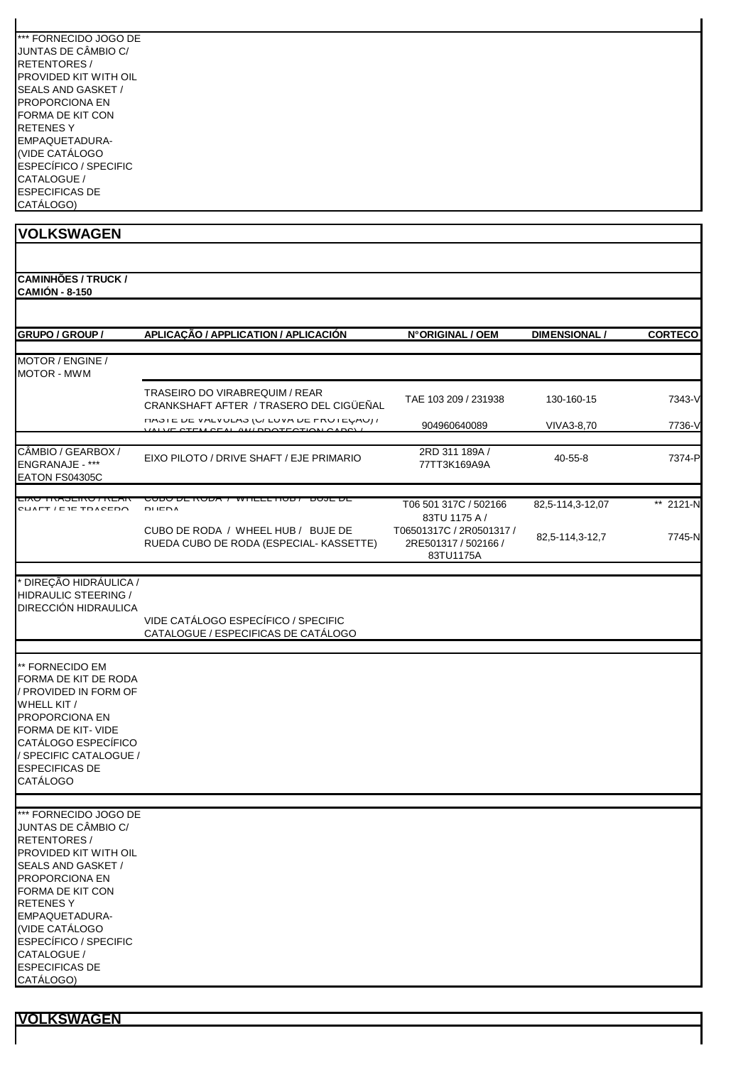| *** FORNECIDO JOGO DE |
|-----------------------|
| JUNTAS DE CÂMBIO C/   |
| RETENTORES /          |
| PROVIDED KIT WITH OII |
| SEALS AND GASKET /    |
| PROPORCIONA EN        |
| FORMA DE KIT CON      |
| RFTFNFS Y             |
| EMPAQUETADURA-        |
| (VIDE CATÁLOGO        |
| ESPECÍFICO / SPECIFIC |
| CATALOGUE /           |
| <b>ESPECIFICAS DE</b> |
| CATÁLOGO)             |

**CAMINHÕES / TRUCK / CAMIÓN - 8-150**

| <b>GRUPO / GROUP /</b>                                                                                                                                                                                               | APLICAÇÃO / APPLICATION / APLICACIÓN                                                | N°ORIGINAL / OEM                                              | <b>DIMENSIONAL/</b> | <b>CORTECO</b> |
|----------------------------------------------------------------------------------------------------------------------------------------------------------------------------------------------------------------------|-------------------------------------------------------------------------------------|---------------------------------------------------------------|---------------------|----------------|
| MOTOR / ENGINE /<br><b>MOTOR - MWM</b>                                                                                                                                                                               |                                                                                     |                                                               |                     |                |
|                                                                                                                                                                                                                      | TRASEIRO DO VIRABREQUIM / REAR<br>CRANKSHAFT AFTER / TRASERO DEL CIGÜEÑAL           | TAE 103 209 / 231938                                          | 130-160-15          | 7343-V         |
|                                                                                                                                                                                                                      | <b><i>INOIE DE VALVULAO (U/LUVA DE FRUTEURU) /</i></b><br><b>CEAL AMIDDOTECTION</b> | 904960640089                                                  | VIVA3-8,70          | 7736-V         |
| CÂMBIO / GEARBOX /<br><b>ENGRANAJE - ***</b><br>EATON FS04305C                                                                                                                                                       | EIXO PILOTO / DRIVE SHAFT / EJE PRIMARIO                                            | 2RD 311 189A /<br>77TT3K169A9A                                | $40 - 55 - 8$       | 7374-P         |
| LIAU TNAJLINU / NLAN<br>CLIVET / E IE TDACEDO                                                                                                                                                                        | <del>CODO DE NODA / WHEEL HOD / DOJE DE</del><br><b>DIIENA</b>                      | T06 501 317C / 502166<br>83TU 1175 A /                        | 82,5-114,3-12,07    | ** 2121-N      |
|                                                                                                                                                                                                                      | CUBO DE RODA / WHEEL HUB / BUJE DE<br>RUEDA CUBO DE RODA (ESPECIAL- KASSETTE)       | T06501317C / 2R0501317 /<br>2RE501317 / 502166 /<br>83TU1175A | 82,5-114,3-12,7     | 7745-N         |
| <sup>*</sup> DIREÇÃO HIDRÁULICA /<br>HIDRAULIC STEERING /<br>DIRECCIÓN HIDRAULICA                                                                                                                                    |                                                                                     |                                                               |                     |                |
|                                                                                                                                                                                                                      | VIDE CATÁLOGO ESPECÍFICO / SPECIFIC<br>CATALOGUE / ESPECIFICAS DE CATÁLOGO          |                                                               |                     |                |
| ** FORNECIDO EM<br>FORMA DE KIT DE RODA<br>/ PROVIDED IN FORM OF<br>WHELL KIT /<br>PROPORCIONA EN<br>FORMA DE KIT- VIDE<br>CATÁLOGO ESPECÍFICO<br>/ SPECIFIC CATALOGUE /<br><b>ESPECIFICAS DE</b><br><b>CATÁLOGO</b> |                                                                                     |                                                               |                     |                |
| *** FORNECIDO JOGO DE                                                                                                                                                                                                |                                                                                     |                                                               |                     |                |
| JUNTAS DE CÂMBIO C/<br><b>RETENTORES/</b><br>PROVIDED KIT WITH OIL<br>SEALS AND GASKET /<br>PROPORCIONA EN<br>FORMA DE KIT CON<br><b>RETENESY</b><br>EMPAQUETADURA-                                                  |                                                                                     |                                                               |                     |                |
| (VIDE CATÁLOGO<br><b>ESPECÍFICO / SPECIFIC</b><br>CATALOGUE /<br><b>ESPECIFICAS DE</b><br>CATÁLOGO)                                                                                                                  |                                                                                     |                                                               |                     |                |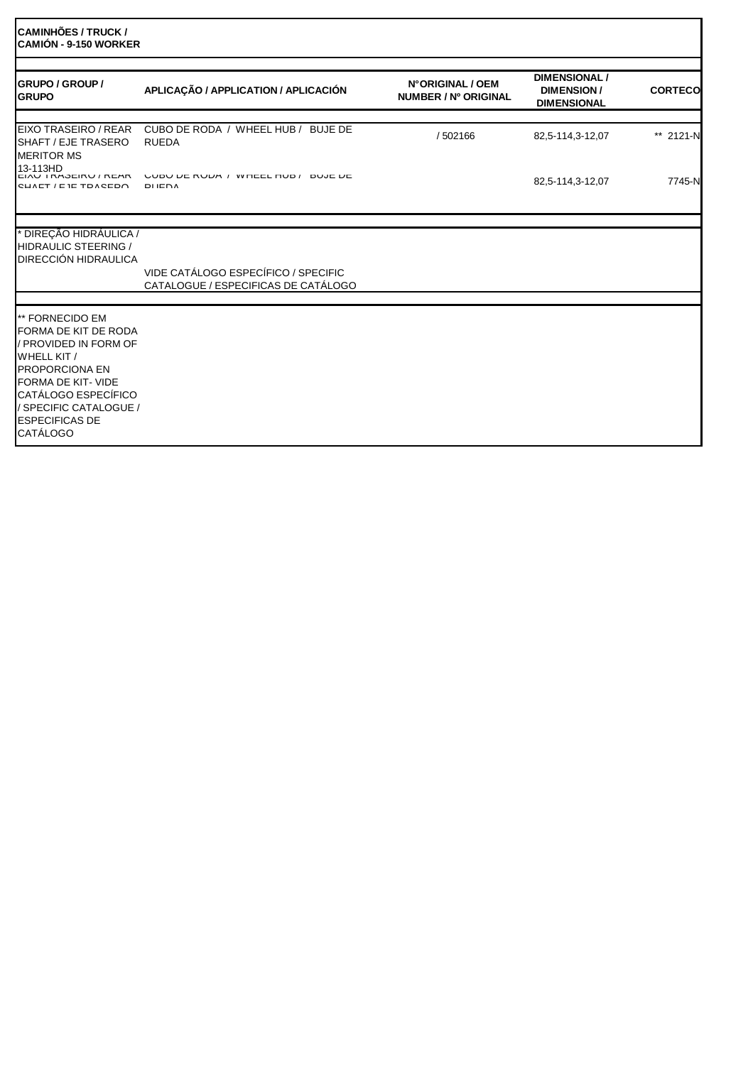| <b>ICAMINHÕES / TRUCK /</b><br><b>CAMIÓN - 9-150 WORKER</b>                                                                                                                                                                        |                                                                            |                                          |                                                                 |                |
|------------------------------------------------------------------------------------------------------------------------------------------------------------------------------------------------------------------------------------|----------------------------------------------------------------------------|------------------------------------------|-----------------------------------------------------------------|----------------|
| <b>GRUPO / GROUP /</b><br><b>GRUPO</b>                                                                                                                                                                                             | APLICAÇÃO / APPLICATION / APLICACIÓN                                       | N°ORIGINAL / OEM<br>NUMBER / Nº ORIGINAL | <b>DIMENSIONAL /</b><br><b>DIMENSION/</b><br><b>DIMENSIONAL</b> | <b>CORTECO</b> |
| EIXO TRASEIRO / REAR<br>SHAFT / EJE TRASERO<br><b>MERITOR MS</b>                                                                                                                                                                   | CUBO DE RODA / WHEEL HUB / BUJE DE<br><b>RUEDA</b>                         | / 502166                                 | 82,5-114,3-12,07                                                | ** 2121-N      |
| 13-113HD<br><b>EIAU I RAJEIRU / REAR</b><br>CUAET / E IE TOACEDO                                                                                                                                                                   | VUDU DE RUDA / WHEEL HUD / DUJE DE<br><b>DUEDA</b>                         |                                          | 82,5-114,3-12,07                                                | 7745-N         |
| <sup>*</sup> DIREÇÃO HIDRÁULICA /<br><b>HIDRAULIC STEERING /</b><br><b>DIRECCIÓN HIDRAULICA</b>                                                                                                                                    | VIDE CATÁLOGO ESPECÍFICO / SPECIFIC<br>CATALOGUE / ESPECIFICAS DE CATÁLOGO |                                          |                                                                 |                |
| ** FORNECIDO EM<br>FORMA DE KIT DE RODA<br>/ PROVIDED IN FORM OF<br>WHELL KIT /<br><b>PROPORCIONA EN</b><br>FORMA DE KIT- VIDE<br><b>CATÁLOGO ESPECÍFICO</b><br>/ SPECIFIC CATALOGUE /<br><b>ESPECIFICAS DE</b><br><b>CATÁLOGO</b> |                                                                            |                                          |                                                                 |                |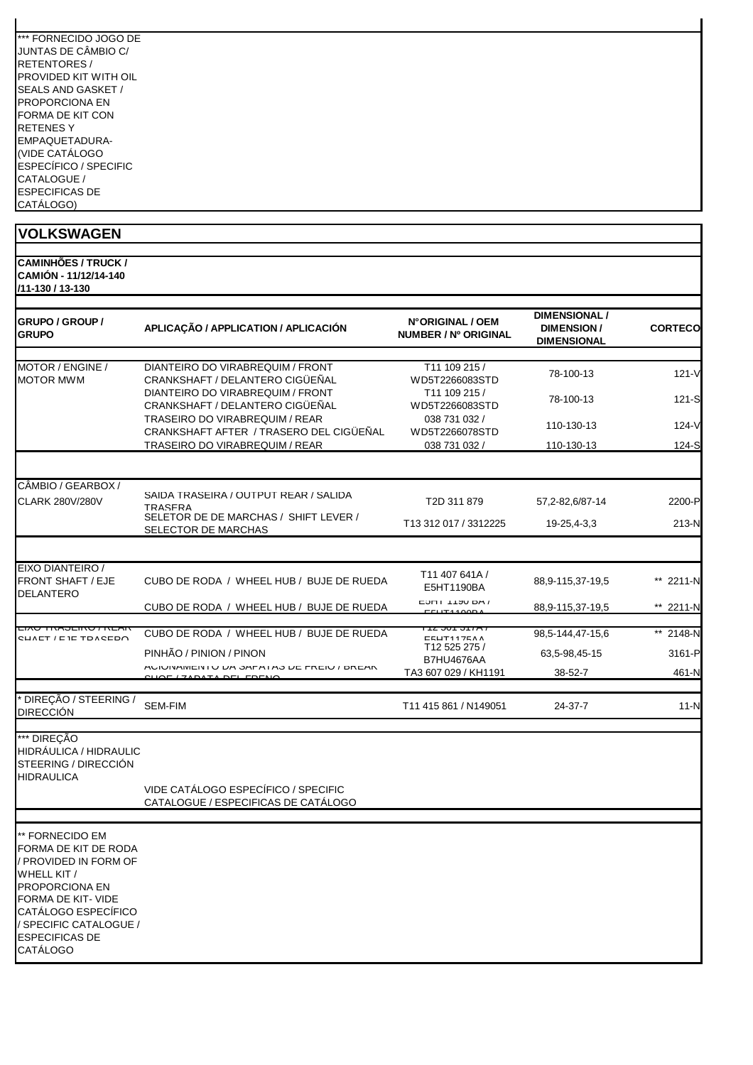| *** FORNECIDO JOGO DE        |
|------------------------------|
| JUNTAS DE CÂMBIO C/          |
| <b>RETENTORES/</b>           |
| <b>PROVIDED KIT WITH OIL</b> |
| <b>SEALS AND GASKET /</b>    |
| <b>PROPORCIONA EN</b>        |
| <b>FORMA DE KIT CON</b>      |
| <b>RETENESY</b>              |
| EMPAQUETADURA-               |
| (VIDE CATÁLOGO               |
| <b>ESPECÍFICO / SPECIFIC</b> |
| CATALOGUE /                  |
| <b>ESPECIFICAS DE</b>        |
| CATÁLOGO)                    |

#### **VOLKSWAGEN CAMINHÕES / TRUCK / CAMIÓN - 11/12/14-140 /11-130 / 13-130 GRUPO / GROUP / GRUPO APLICAÇÃO / APPLICATION / APLICACIÓN N° ORIGINAL / OEM NUMBER / Nº ORIGINAL DIMENSIONAL / DIMENSION / DIMENSIONAL CORTECO** MOTOR / ENGINE / MOTOR MWM DIANTEIRO DO VIRABREQUIM / FRONT CRANKSHAFT / DELANTERO CIGÜEÑAL T11 109 215 / WD5T2266083STD 78-100-13 121-V DIANTEIRO DO VIRABREQUIM / FRONT CRANKSHAFT / DELANTERO CIGÜEÑAL T11 109 215 / WD5T2266083STD 78-100-13 121-S TRASEIRO DO VIRABREQUIM / REAR CRANKSHAFT AFTER / TRASERO DEL CIGÜEÑAL 038 731 032 / 036 731 032 / 110-130-13 124-V<br>WD5T2266078STD 110-130-13 124-S<br>038 731 032 / 110-130-1<u>3</u> 124-S TRASEIRO DO VIRABREQUIM / REAR 038 731 032 / 110-130-13 CÂMBIO / GEARBOX / CLARK 280V/280V SAÍDA TRASEIRA / OUTPUT REAR / SALIDA ONDA TRASERA TOOTTOT REARY OALIDA T2D 311 879 57,2-82,6/87-14 2200-P SELETOR DE DE MARCHAS / SHIFT LEVER / SELETOR DE MARCHAS / SHIFT LEVER / T13 312 017 / 3312225 19-25,4-3,3 213-N<br>SELECTOR DE MARCHAS EIXO DIANTEIRO / FRONT SHAFT / EJE DELANTERO CUBO DE RODA / WHEEL HUB / BUJE DE RUEDA T11 407 641A /<br>E5HT1190BA 88,9-115,37-19,5 \*\* 2211-N CUBO DE RODA / WHEEL HUB / BUJE DE RUEDA ESTITUTIONAL 88,9-115,37-19,5 \*\* 2211-N EIXO TRASEIRO / REAR  $S = \begin{bmatrix} \text{CUBO DE RODA} & \text{VHEEL HUB} \\ \text{CUBO DE RODA} & \text{SUTA 12 501 317A} \\ \text{SUTA 12 525 275} \end{bmatrix}$ 98,5-144,47-15,6 \*\* 2148-N PINHÃO / PINION / PINON B7HU4676AA 63,5-98,45-15 3161-P ACIONAMENTO DA SAPATAS DE FREIO / BREAK FRENCO DE 174 BASSELLA DEL SAPATA DEL 188-62-7 461-N<br>QUOF / ZAPATA DEL FRENO \* DIREÇÃO / STEERING / DIRECCIÓN SEM-FIM T11 415 861 / N149051 24-37-7 11-N \*\*\* DIREÇÃO HIDRÁULICA / HIDRAULIC STEERING / DIRECCIÓN HIDRAULICA VIDE CATÁLOGO ESPECÍFICO / SPECIFIC CATALOGUE / ESPECIFICAS DE CATÁLOGO

\*\* FORNECIDO EM FORMA DE KIT DE RODA / PROVIDED IN FORM OF WHELL KIT / PROPORCIONA EN FORMA DE KIT- VIDE CATÁLOGO ESPECÍFICO / SPECIFIC CATALOGUE / ESPECIFICAS DE CATÁLOGO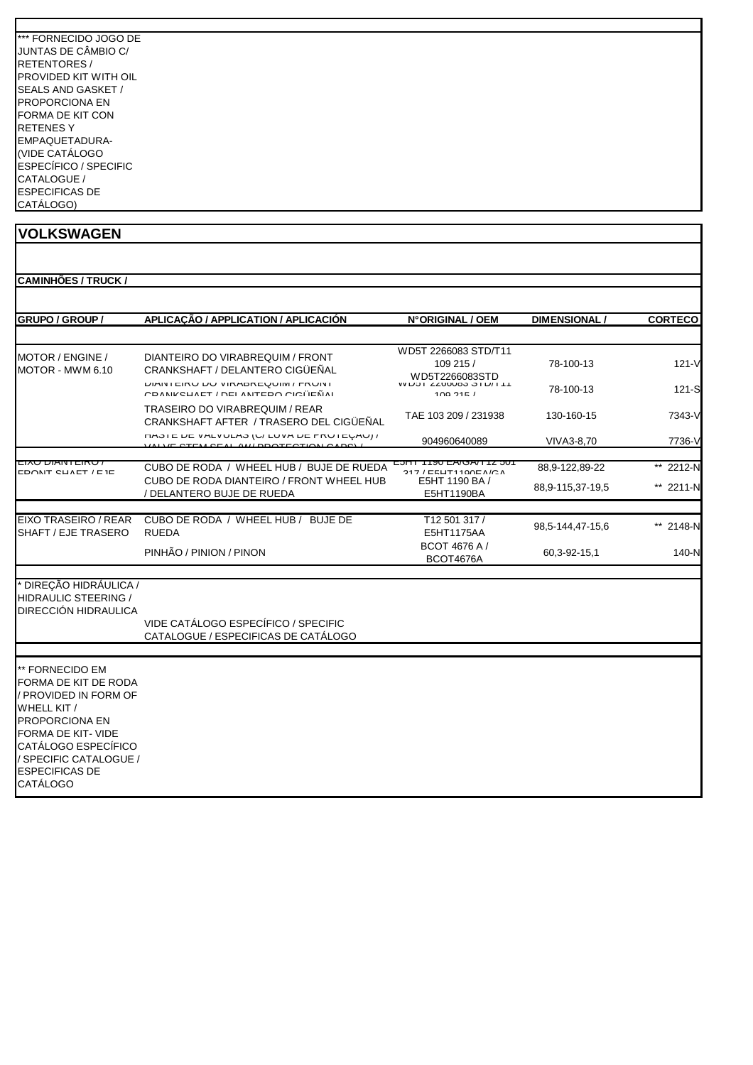| *** FORNECIDO JOGO DE     |
|---------------------------|
| JUNTAS DE CÂMBIO C/       |
| RETENTORES /              |
| PROVIDED KIT WITH OIL     |
| <b>SEALS AND GASKET /</b> |
| <b>PROPORCIONA EN</b>     |
| FORMA DE KIT CON          |
| <b>RETENESY</b>           |
| EMPAQUETADURA-            |
| (VIDE CATÁLOGO            |
| ESPECÍFICO / SPECIFIC     |
| CATALOGUE /               |
| <b>ESPECIFICAS DE</b>     |
| CATÁLOGO)                 |

| <b>GRUPO / GROUP /</b>                                               | APLICAÇÃO / APPLICATION / APLICACIÓN                                                          | N°ORIGINAL / OEM                                    | <b>DIMENSIONAL</b> | <b>CORTECO</b> |
|----------------------------------------------------------------------|-----------------------------------------------------------------------------------------------|-----------------------------------------------------|--------------------|----------------|
| MOTOR / ENGINE /                                                     | DIANTEIRO DO VIRABREQUIM / FRONT<br>CRANKSHAFT / DELANTERO CIGÜEÑAL                           | WD5T 2266083 STD/T11<br>109 215 /                   | 78-100-13          | $121 - V$      |
| MOTOR - MWM 6.10                                                     | <b>DIAIN I EIRU DU VIRADREQUIM / FRUNT</b><br>CDANIKELIAET / DEI ANITEDO CICITEÑAI            | WD5T2266083STD<br>VV LJJI ZZ00U0J JILIII<br>100.215 | 78-100-13          | $121-S$        |
|                                                                      | TRASEIRO DO VIRABREQUIM / REAR<br>CRANKSHAFT AFTER / TRASERO DEL CIGÜEÑAL                     | TAE 103 209 / 231938                                | 130-160-15         | 7343-V         |
|                                                                      | <b><i>CHOIC UC VALVULAO (U/LUVA UC FRUICUAU) /</i></b><br>VALVE STEM SEAL AM/ BROTESTION CABS | 904960640089                                        | VIVA3-8.70         | 7736-V         |
|                                                                      |                                                                                               |                                                     |                    |                |
| . טחום וואומוס טאו<br>CDONIT CUALT / E IE                            | CUBO DE RODA / WHEEL HUB / BUJE DE RUEDA                                                      | <u>LISU LAVOATTZ JUT</u><br>$947$ / EELIT4400EA/CA  | 88,9-122,89-22     | ** 2212-N      |
|                                                                      | CUBO DE RODA DIANTEIRO / FRONT WHEEL HUB<br>/ DELANTERO BUJE DE RUEDA                         | E5HT 1190 BA /<br>E5HT1190BA                        | 88,9-115,37-19,5   | ** 2211-N      |
| EIXO TRASEIRO / REAR<br>SHAFT / EJE TRASERO                          | CUBO DE RODA / WHEEL HUB / BUJE DE<br><b>RUEDA</b>                                            | T12 501 317/<br>E5HT1175AA                          | 98,5-144,47-15,6   | ** 2148-N      |
|                                                                      | PINHÃO / PINION / PINON                                                                       | BCOT 4676 A /<br>BCOT4676A                          | 60,3-92-15,1       | 140-N          |
| DIREÇÃO HIDRÁULICA /<br>HIDRAULIC STEERING /<br>DIRECCIÓN HIDRAULICA | VIDE CATÁLOGO ESPECÍFICO / SPECIFIC<br>CATALOGUE / ESPECIFICAS DE CATÁLOGO                    |                                                     |                    |                |

PROPORCIONA EN FORMA DE KIT- VIDE CATÁLOGO ESPECÍFICO / SPECIFIC CATALOGUE / ESPECIFICAS DE **CATÁLOGO**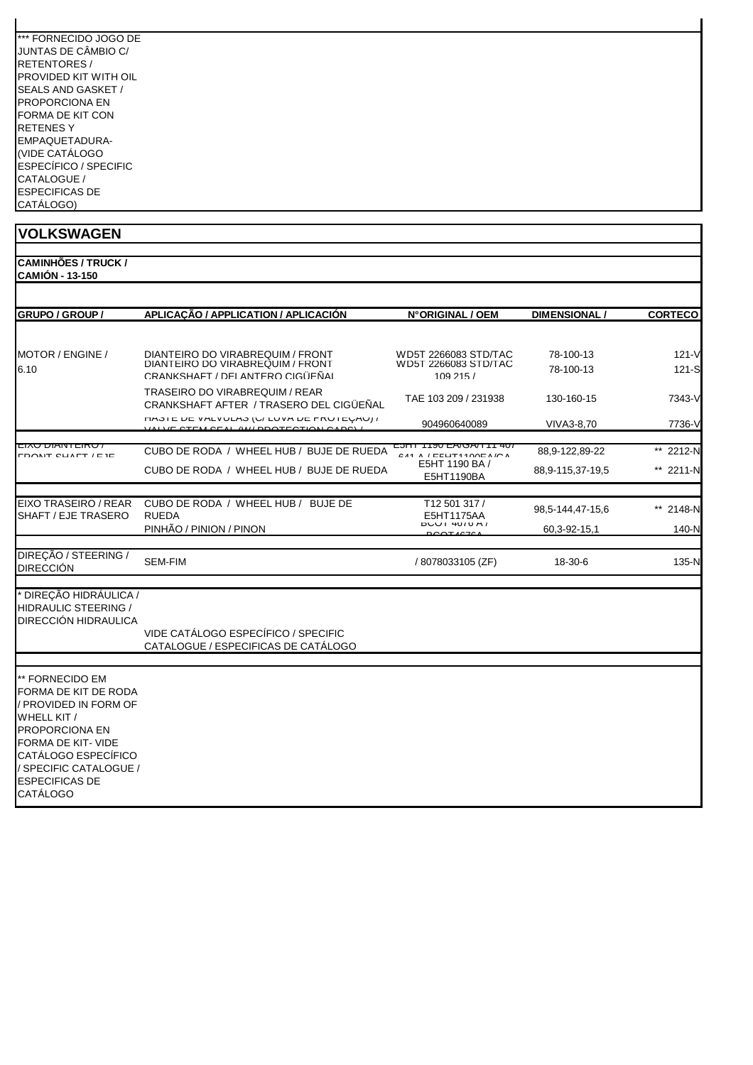| *** FORNECIDO JOGO DE |
|-----------------------|
| JUNTAS DE CÂMBIO C/   |
| <b>RETENTORES/</b>    |
| PROVIDED KIT WITH OIL |
| SEALS AND GASKET /    |
| PROPORCIONA FN        |
| FORMA DE KIT CON      |
| RETENES Y             |
| EMPAQUETADURA-        |
| (VIDE CATÁLOGO        |
| ESPECÍFICO / SPECIFIC |
| CATALOGUE /           |
| <b>ESPECIFICAS DE</b> |
| CATÁLOGO)             |

**CAMINHÕES / TRUCK / CAMIÓN - 13-150**

| GRUPO / GROUP /                                                                                                                                                                                                        | APLICAÇÃO / APPLICATION / APLICACIÓN                                                                    | N°ORIGINAL / OEM                                                                                | <b>DIMENSIONAL /</b>   | <b>CORTECO</b>     |
|------------------------------------------------------------------------------------------------------------------------------------------------------------------------------------------------------------------------|---------------------------------------------------------------------------------------------------------|-------------------------------------------------------------------------------------------------|------------------------|--------------------|
|                                                                                                                                                                                                                        |                                                                                                         |                                                                                                 |                        |                    |
| MOTOR / ENGINE /<br>6.10                                                                                                                                                                                               | DIANTEIRO DO VIRABREQUIM / FRONT<br>DIANTEIRO DO VIRABREQUIM / FRONT<br>CRANKSHAFT / DELANTERO CIGÜEÑAL | WD5T 2266083 STD/TAC<br>WD5T 2266083 STD/TAC<br>109215/                                         | 78-100-13<br>78-100-13 | $121 - V$<br>121-S |
|                                                                                                                                                                                                                        | TRASEIRO DO VIRABREQUIM / REAR<br>CRANKSHAFT AFTER / TRASERO DEL CIGÜEÑAL                               | TAE 103 209 / 231938                                                                            | 130-160-15             | 7343-V             |
|                                                                                                                                                                                                                        | HASIE DE VALVULAS (U/LUVA DE PRUIEUAU) /<br>VALVE STEM SEAL AM DROTECTION CARS                          | 904960640089                                                                                    | VIVA3-8.70             | 7736-V             |
| <b>CIAU DIANTLINU</b><br>CDONIT CUALT / E IE                                                                                                                                                                           | CUBO DE RODA / WHEEL HUB / BUJE DE RUEDA                                                                | <i>ו</i> טורו ואט <i>א</i> ם טכור וונט<br>C A 1 A 1 C E U T 1 1 O A C N / O A<br>E5HT 1190 BA / | 88,9-122,89-22         | ** 2212-N          |
|                                                                                                                                                                                                                        | CUBO DE RODA / WHEEL HUB / BUJE DE RUEDA                                                                | E5HT1190BA                                                                                      | 88,9-115,37-19,5       | ** 2211-N          |
| EIXO TRASEIRO / REAR<br>SHAFT / EJE TRASERO                                                                                                                                                                            | CUBO DE RODA / WHEEL HUB / BUJE DE<br><b>RUEDA</b>                                                      | T12 501 317 /<br>E5HT1175AA                                                                     | 98, 5-144, 47-15, 6    | ** 2148-N          |
|                                                                                                                                                                                                                        | PINHÃO / PINION / PINON                                                                                 | <b>DUUT 40/0 A/</b><br>$\sim$ $\sim$ $\sim$                                                     | 60,3-92-15,1           | 140-N              |
| DIREÇÃO / STEERING /<br><b>DIRECCIÓN</b>                                                                                                                                                                               | <b>SEM-FIM</b>                                                                                          | /8078033105 (ZF)                                                                                | 18-30-6                | 135-N              |
| <sup>.</sup> DIREÇÃO HIDRÁULICA /<br><b>HIDRAULIC STEERING /</b><br><b>DIRECCIÓN HIDRAULICA</b>                                                                                                                        | VIDE CATÁLOGO ESPECÍFICO / SPECIFIC                                                                     |                                                                                                 |                        |                    |
|                                                                                                                                                                                                                        | CATALOGUE / ESPECIFICAS DE CATÁLOGO                                                                     |                                                                                                 |                        |                    |
|                                                                                                                                                                                                                        |                                                                                                         |                                                                                                 |                        |                    |
| ** FORNECIDO EM<br>FORMA DE KIT DE RODA<br>/ PROVIDED IN FORM OF<br>WHELL KIT /<br><b>PROPORCIONA EN</b><br><b>FORMA DE KIT- VIDE</b><br><b>CATÁLOGO ESPECÍFICO</b><br>/ SPECIFIC CATALOGUE /<br><b>ESPECIFICAS DE</b> |                                                                                                         |                                                                                                 |                        |                    |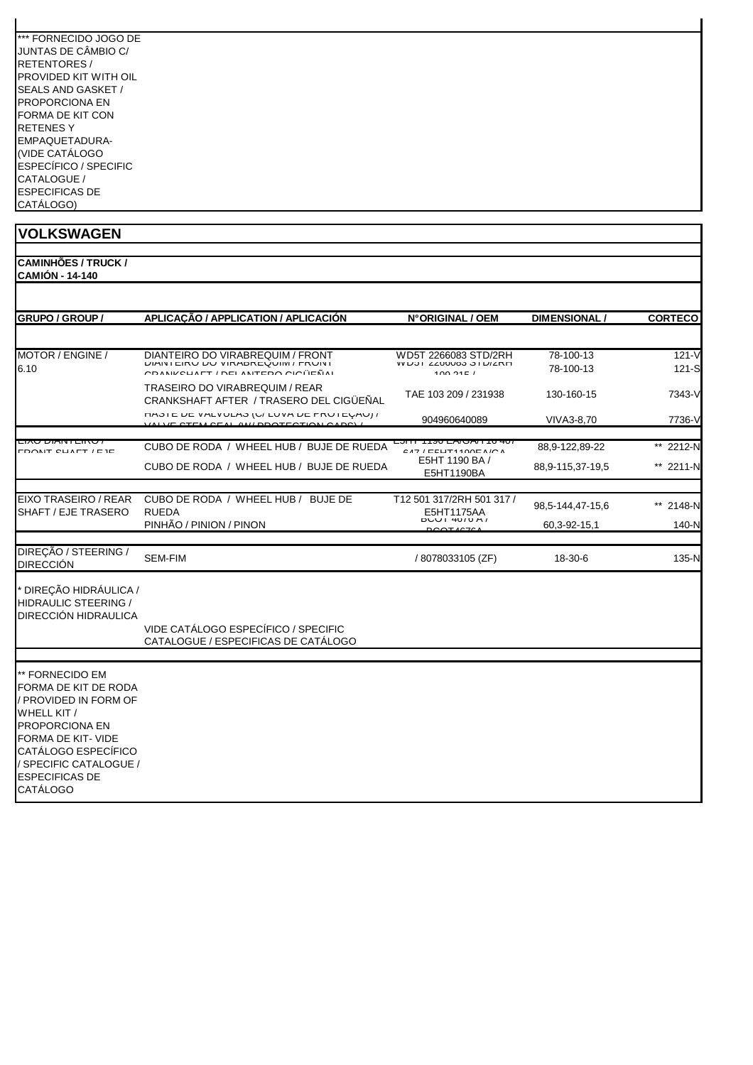**CAMINHÕES / TRUCK / CAMIÓN - 14-140 GRUPO / GROUP / APLICAÇÃO / APPLICATION / APLICACIÓN \_\_\_\_\_\_\_\_\_ N°ORIGINAL / OEM \_\_\_\_\_ DIMENSIONAL / \_\_\_\_\_ CORTECO** MOTOR / ENGINE / DIANTEIRO DO VIRABREQUIM / FRONT WD5T 2266083 STD/2RH 78-100-13 121-V 6.10 DIANTEIRO DO VIRABREQUIM / FRONT CRANKSHAFT / DELANTERO CIGÜEÑAL WD5T 2266083 STD/2RH<br>WD3T 2200003 3TD/2RH 109 215 / 78-100-13 121-S TRASEIRO DO VIRABREQUIM / REAR CRANKSHAFT AFTER / TRASERO DEL CIGÜEÑAL TAE 103 209 / 231938 130-160-15 7343-V HASTE DE VÁLVULAS (C/ LUVA DE PROTEÇÃO) / VALVE STEM SEAL (W/ PROTECTION CAPS) / 904960640089 VIVA3-8,70 7736-V EIXO DIANTEIRO / FRONT SHAFT / EJE CUBO DE RODA / WHEEL HUB / BUJE DE RUEDA E5HT 1190 EA/GA/T16 407  $\frac{647}{647}$ / EFHT1190EA/GA 88,9-122,89-22 \*\* 2212-N<br>E5HT 1190 BA / 220.0.115.07.12.5 CUBO DE RODA / WHEEL HUB / BUJE DE RUEDA E5HT 1190 BA 88,9-115,37-19,5 \*\* 2211-N EIXO TRASEIRO / REAR SHAFT / EJE TRASERO CUBO DE RODA / WHEEL HUB / BUJE DE RUEDA T12 501 317/2RH 501 317 /  $\begin{array}{lll} \text{E5H17ZKH} & 5013177 & 98,5-144,47-15,6 & & \text{**} & 2148-N \\ \text{E5H1175A} & & 98,5-144,47-15,6 & & & \text{**} & 2148-N \\ \text{E5H1175A} & & & 2283.6 & 254.6 & & & \text{**} & 2143.1 \\ \end{array}$ PINHÃO / PINION / PINON 60,3-92-15,1 140-N DIREÇÃO / STEERING / DIRECCIÓN SEM-FIM / 8078033105 (ZF) 18-30-6 135-N \* DIREÇÃO HIDRÁULICA / HIDRAULIC STEERING / DIRECCIÓN HIDRAULICA VIDE CATÁLOGO ESPECÍFICO / SPECIFIC CATALOGUE / ESPECIFICAS DE CATÁLOGO \*\* FORNECIDO EM FORMA DE KIT DE RODA / PROVIDED IN FORM OF WHELL KIT / PROPORCIONA EN FORMA DE KIT- VIDE CATÁLOGO ESPECÍFICO / SPECIFIC CATALOGUE / ESPECIFICAS DE CATÁLOGO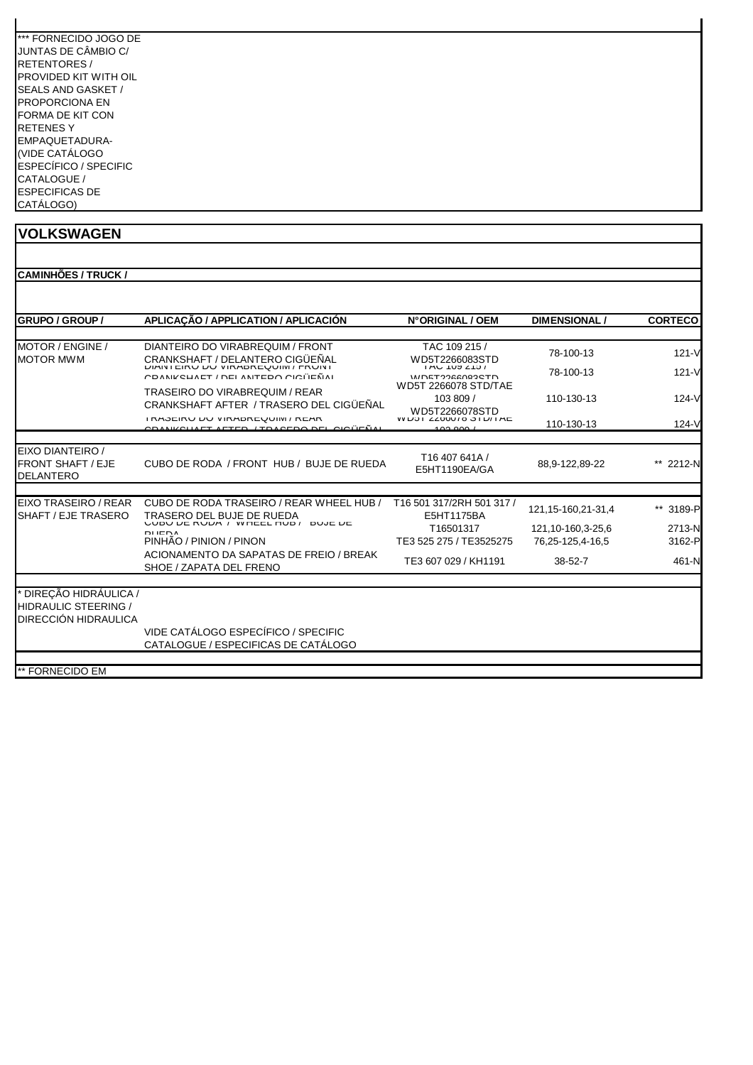| *** FORNECIDO JOGO DE |
|-----------------------|
| JUNTAS DE CÂMBIO C/   |
| <b>RETENTORES/</b>    |
| PROVIDED KIT WITH OIL |
| SEALS AND GASKET /    |
| PROPORCIONA FN        |
| FORMA DE KIT CON      |
| RETENES Y             |
| EMPAQUETADURA-        |
| (VIDE CATÁLOGO        |
| ESPECÍFICO / SPECIFIC |
| CATALOGUE /           |
| <b>ESPECIFICAS DE</b> |
| CATÁLOGO)             |

| <b>GRUPO / GROUP /</b>                                                        | APLICAÇÃO / APPLICATION / APLICACIÓN                                                  | N°ORIGINAL / OEM                                                    | <b>DIMENSIONAL</b>    | <b>CORTECO</b> |
|-------------------------------------------------------------------------------|---------------------------------------------------------------------------------------|---------------------------------------------------------------------|-----------------------|----------------|
| MOTOR / ENGINE /<br><b>MOTOR MWM</b>                                          | DIANTEIRO DO VIRABREQUIM / FRONT<br>CRANKSHAFT / DELANTERO CIGÜEÑAL                   | TAC 109 215 /<br>WD5T2266083STD<br>$1AU$ $109Z107$<br>WDET226002CTD | 78-100-13             | $121 - V$      |
|                                                                               | <b>DIAINTEINU DU VIRADREQUIIVI / FRUINT</b><br>COANIZOUAET / DEL ANTEDO OIOÜEÑAL      |                                                                     | 78-100-13             | $121 - V$      |
|                                                                               | <b>TRASEIRO DO VIRABREQUIM / REAR</b><br>CRANKSHAFT AFTER / TRASERO DEL CIGÜEÑAL      | WD5T 2266078 STD/TAE<br>103 809 /<br>WD5T2266078STD                 | 110-130-13            | $124 - V$      |
|                                                                               | I RADEIRU DU VIRADREUUIIVI / REAR<br><u>CDANIZOLIAET AETED. (TDAOEDO DEL OIOÜEÑAL</u> | <b>WUDIZZOOU/O SID/IAE</b><br>00.000                                | 110-130-13            | $124 - V$      |
| EIXO DIANTEIRO /<br><b>FRONT SHAFT / EJE</b><br><b>DELANTERO</b>              | CUBO DE RODA / FRONT HUB / BUJE DE RUEDA                                              | T16 407 641A /<br>E5HT1190EA/GA                                     | 88,9-122,89-22        | 2212-N         |
| EIXO TRASEIRO / REAR                                                          | CUBO DE RODA TRASEIRO / REAR WHEEL HUB /                                              | T16 501 317/2RH 501 317 /                                           |                       |                |
| SHAFT / EJE TRASERO                                                           | TRASERO DEL BUJE DE RUEDA                                                             | E5HT1175BA                                                          | 121, 15-160, 21-31, 4 | ** 3189-P      |
|                                                                               | <b>UUDU DE RUDA / WHEEL HUD/</b><br>DUJE DE<br><b>DIIENA</b>                          | T16501317                                                           | 121, 10-160, 3-25, 6  | 2713-N         |
|                                                                               | PINHÃO / PINION / PINON                                                               | TE3 525 275 / TE3525275                                             | 76,25-125,4-16,5      | 3162-P         |
|                                                                               | ACIONAMENTO DA SAPATAS DE FREIO / BREAK<br>SHOE / ZAPATA DEL FRENO                    | TE3 607 029 / KH1191                                                | $38 - 52 - 7$         | $461-N$        |
| ' DIRECÃO HIDRÁULICA /<br><b>HIDRAULIC STEERING /</b><br>DIRECCIÓN HIDRAULICA | VIDE CATÁLOGO ESPECÍFICO / SPECIFIC<br>CATALOGUE / ESPECIFICAS DE CATÁLOGO            |                                                                     |                       |                |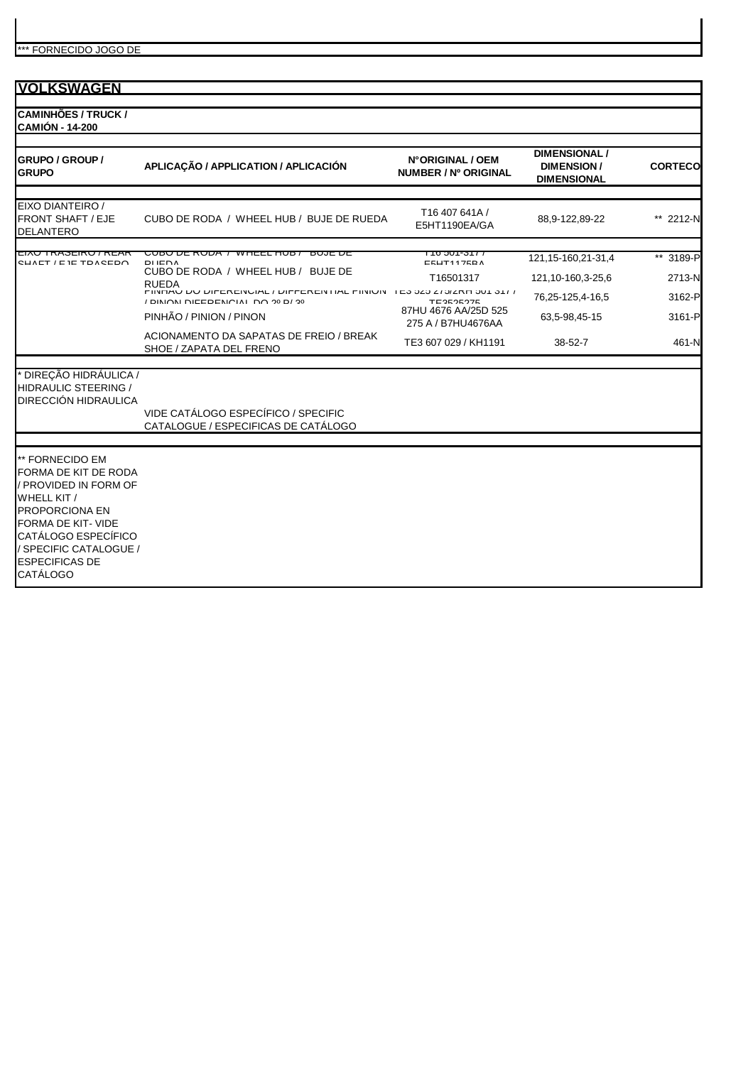| <b>VOLKSWAGEN</b>                                                                                                                                                                                                                  |                                                                                                                                                                                                                                                                                                                                            |                                                                                                                                             |                                                                                                  |                                                  |
|------------------------------------------------------------------------------------------------------------------------------------------------------------------------------------------------------------------------------------|--------------------------------------------------------------------------------------------------------------------------------------------------------------------------------------------------------------------------------------------------------------------------------------------------------------------------------------------|---------------------------------------------------------------------------------------------------------------------------------------------|--------------------------------------------------------------------------------------------------|--------------------------------------------------|
| <b>CAMINHÕES / TRUCK /</b><br><b>CAMIÓN - 14-200</b>                                                                                                                                                                               |                                                                                                                                                                                                                                                                                                                                            |                                                                                                                                             |                                                                                                  |                                                  |
| <b>GRUPO / GROUP /</b><br><b>GRUPO</b>                                                                                                                                                                                             | APLICAÇÃO / APPLICATION / APLICACIÓN                                                                                                                                                                                                                                                                                                       | N°ORIGINAL / OEM<br>NUMBER / Nº ORIGINAL                                                                                                    | <b>DIMENSIONAL /</b><br><b>DIMENSION/</b><br><b>DIMENSIONAL</b>                                  | <b>CORTECO</b>                                   |
| EIXO DIANTEIRO /<br><b>FRONT SHAFT / EJE</b><br><b>DELANTERO</b>                                                                                                                                                                   | CUBO DE RODA / WHEEL HUB / BUJE DE RUEDA                                                                                                                                                                                                                                                                                                   | T16 407 641A /<br>E5HT1190EA/GA                                                                                                             | 88,9-122,89-22                                                                                   | ** 2212-N                                        |
| LIAU TNAJLINU / NLAN<br>CUAET / E IE TOACEDO                                                                                                                                                                                       | <u>  לעטורו איז דעראט דע טעטט (</u><br><b>DUJL DL</b><br><b>DUEDA</b><br>CUBO DE RODA / WHEEL HUB / BUJE DE<br><b>RUEDA</b><br>FINERO DO DIFERENORE/ DIFFERENTIAL FINION - I E3 323 273/2RE 301 3177<br>10 INIONI DIEEDENICIAI DO 90 D/90<br>PINHÃO / PINION / PINON<br>ACIONAMENTO DA SAPATAS DE FREIO / BREAK<br>SHOE / ZAPATA DEL FRENO | <del>LIO 301-317</del><br><b>EEUT447EDA</b><br>T16501317<br>TEDEOEOTE<br>87HU 4676 AA/25D 525<br>275 A / B7HU4676AA<br>TE3 607 029 / KH1191 | 121, 15-160, 21-31, 4<br>121,10-160,3-25,6<br>76,25-125,4-16,5<br>63,5-98,45-15<br>$38 - 52 - 7$ | ** 3189-P<br>2713-N<br>3162-P<br>3161-P<br>461-N |
| <b>DIREÇÃO HIDRÁULICA /</b><br>HIDRAULIC STEERING /<br><b>DIRECCIÓN HIDRAULICA</b>                                                                                                                                                 | VIDE CATÁLOGO ESPECÍFICO / SPECIFIC<br>CATALOGUE / ESPECIFICAS DE CATÁLOGO                                                                                                                                                                                                                                                                 |                                                                                                                                             |                                                                                                  |                                                  |
| ** FORNECIDO EM<br>FORMA DE KIT DE RODA<br>/ PROVIDED IN FORM OF<br>WHELL KIT /<br><b>PROPORCIONA EN</b><br><b>FORMA DE KIT- VIDE</b><br>CATÁLOGO ESPECÍFICO<br>/ SPECIFIC CATALOGUE /<br><b>ESPECIFICAS DE</b><br><b>CATÁLOGO</b> |                                                                                                                                                                                                                                                                                                                                            |                                                                                                                                             |                                                                                                  |                                                  |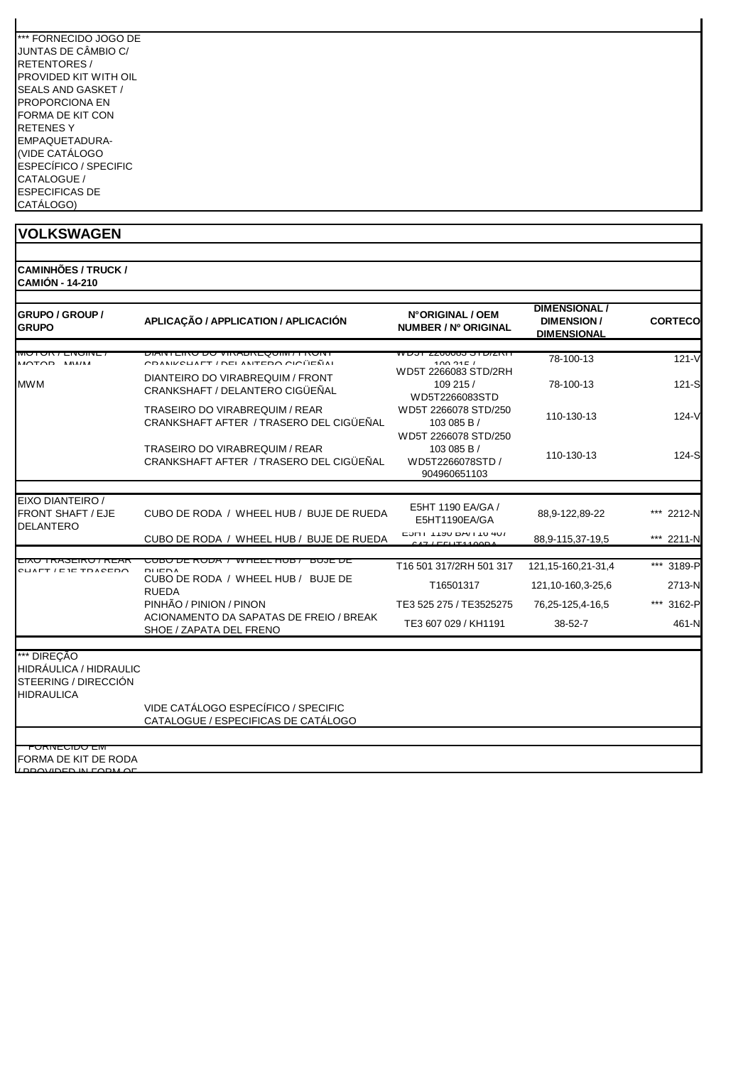| *** FORNFCIDO JOGO DF        |
|------------------------------|
| JUNTAS DE CÂMBIO C/          |
| <b>RETENTORES/</b>           |
| PROVIDED KIT WITH OIL        |
| <b>SEALS AND GASKET /</b>    |
| PROPORCIONA FN               |
| FORMA DE KIT CON             |
| <b>RETENESY</b>              |
| FMPAOUFTADURA-               |
| (VIDE CATÁLOGO               |
| <b>ESPECÍFICO / SPECIFIC</b> |
| CATALOGUE /                  |
| <b>ESPECIFICAS DE</b>        |
| CATÁLOGO)                    |

| <b>CAMINHÕES / TRUCK /</b> |
|----------------------------|
| <b>CAMIÓN - 14-210</b>     |

| <b>GRUPO / GROUP /</b><br><b>GRUPO</b>                                             | APLICAÇÃO / APPLICATION / APLICACIÓN                                             | N°ORIGINAL / OEM<br>NUMBER / Nº ORIGINAL                                | <b>DIMENSIONAL/</b><br><b>DIMENSION/</b><br><b>DIMENSIONAL</b> | <b>CORTECO</b> |
|------------------------------------------------------------------------------------|----------------------------------------------------------------------------------|-------------------------------------------------------------------------|----------------------------------------------------------------|----------------|
| MUTUN / LIVUINE<br>MOTOD MUM                                                       | ו מוסח דן ומווטצם חם האחוש יטע יטאום ומאוש<br>CRANIZOUAET / DEL ANTERO CIOLIEÑAL | ורושמוס טטטטסש ונטש<br>100.2151                                         | 78-100-13                                                      | $121 - V$      |
| <b>MWM</b>                                                                         | DIANTEIRO DO VIRABREQUIM / FRONT<br>CRANKSHAFT / DELANTERO CIGÜEÑAL              | WD5T 2266083 STD/2RH<br>109 215 /<br>WD5T2266083STD                     | 78-100-13                                                      | $121-S$        |
|                                                                                    | <b>TRASEIRO DO VIRABREQUIM / REAR</b><br>CRANKSHAFT AFTER / TRASERO DEL CIGÜEÑAL | WD5T 2266078 STD/250<br>103 085 B /                                     | 110-130-13                                                     | 124-V          |
|                                                                                    | <b>TRASEIRO DO VIRABREQUIM / REAR</b><br>CRANKSHAFT AFTER / TRASERO DEL CIGÜEÑAL | WD5T 2266078 STD/250<br>103 085 B /<br>WD5T2266078STD /<br>904960651103 | 110-130-13                                                     | 124-S          |
|                                                                                    |                                                                                  |                                                                         |                                                                |                |
| EIXO DIANTEIRO /<br><b>FRONT SHAFT / EJE</b><br><b>DELANTERO</b>                   | CUBO DE RODA / WHEEL HUB / BUJE DE RUEDA                                         | E5HT 1190 EA/GA /<br>E5HT1190EA/GA                                      | 88,9-122,89-22                                                 | 2212-N         |
|                                                                                    | CUBO DE RODA / WHEEL HUB / BUJE DE RUEDA                                         | וט <del>וי</del> טו ו ואם טיטו וחטם<br>IETIITAA                         | 88,9-115,37-19,5                                               | *** 2211-N     |
|                                                                                    |                                                                                  |                                                                         |                                                                |                |
| <u>LIAU TINAJLINU / NLAN</u><br>CLIATT / E IE TDACEDO                              | <u> זע טענדער די אשטאן דע טעטט (</u><br><del>BUJIT DE</del><br><b>DIIEDA</b>     | T16 501 317/2RH 501 317                                                 | 121, 15-160, 21-31, 4                                          | *** 3189-P     |
|                                                                                    | CUBO DE RODA / WHEEL HUB / BUJE DE<br><b>RUEDA</b>                               | T16501317                                                               | 121,10-160,3-25,6                                              | 2713-N         |
|                                                                                    | PINHÃO / PINION / PINON                                                          | TE3 525 275 / TE3525275                                                 | 76,25-125,4-16,5                                               | *** 3162-P     |
|                                                                                    | ACIONAMENTO DA SAPATAS DE FREIO / BREAK<br>SHOE / ZAPATA DEL FRENO               | TE3 607 029 / KH1191                                                    | $38 - 52 - 7$                                                  | 461-N          |
|                                                                                    |                                                                                  |                                                                         |                                                                |                |
| *** DIREÇÃO<br>HIDRÁULICA / HIDRAULIC<br>STEERING / DIRECCIÓN<br><b>HIDRAULICA</b> |                                                                                  |                                                                         |                                                                |                |
|                                                                                    | VIDE CATÁLOGO ESPECÍFICO / SPECIFIC<br>CATALOGUE / ESPECIFICAS DE CATÁLOGO       |                                                                         |                                                                |                |
|                                                                                    |                                                                                  |                                                                         |                                                                |                |
| <u>FURNECIDU EM</u><br>FORMA DE KIT DE RODA<br><b>IDDAYIDED IN FADM AF</b>         |                                                                                  |                                                                         |                                                                |                |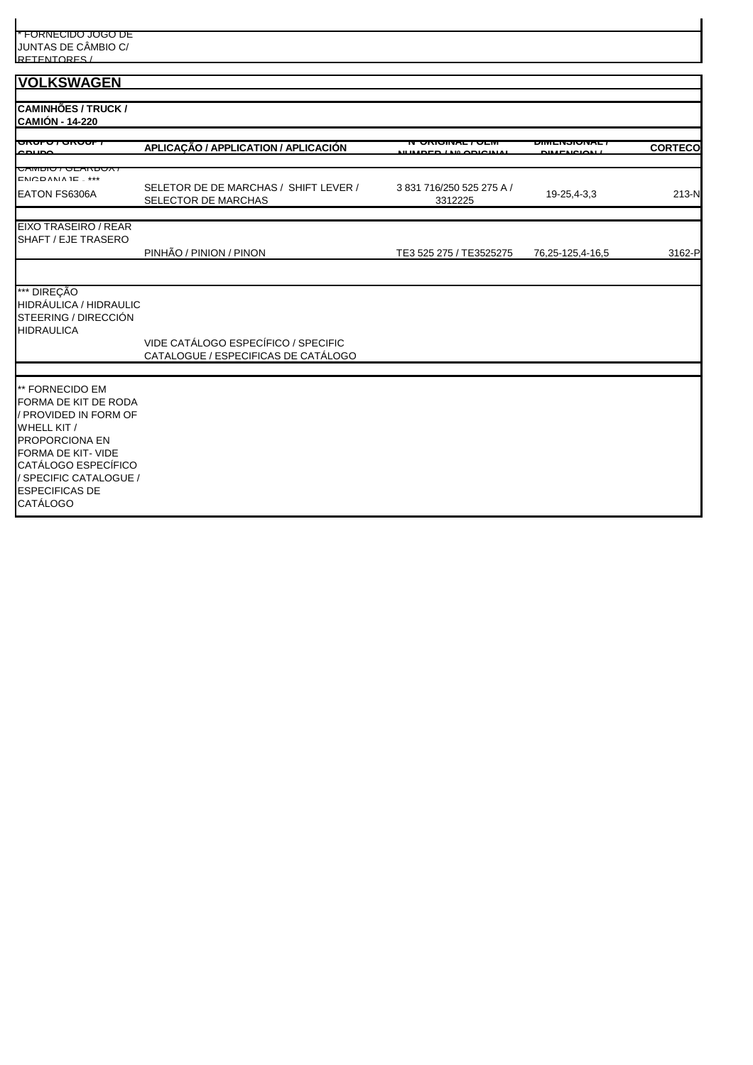| * FORNECIDO JOGO DE<br>JUNTAS DE CÂMBIO C/                                                                                                                                                                   |                                                                            |                                |                  |                |
|--------------------------------------------------------------------------------------------------------------------------------------------------------------------------------------------------------------|----------------------------------------------------------------------------|--------------------------------|------------------|----------------|
| RETENTORES /                                                                                                                                                                                                 |                                                                            |                                |                  |                |
| <b>VOLKSWAGEN</b>                                                                                                                                                                                            |                                                                            |                                |                  |                |
| <b>CAMINHÕES / TRUCK /</b><br><b>CAMIÓN - 14-220</b>                                                                                                                                                         |                                                                            |                                |                  |                |
| unuru , unuur<br>$\sim$ niin                                                                                                                                                                                 | APLICAÇÃO / APPLICATION / APLICACIÓN                                       | <del>UNUMAL/ULN</del>          | ᇭᇚᇭᇅᇄᇬᇦᇅ         | <b>CORTECO</b> |
| <del>UAIWDIU / ULAND</del><br>$EXAMPLE ***$<br>EATON FS6306A                                                                                                                                                 | SELETOR DE DE MARCHAS / SHIFT LEVER /<br>SELECTOR DE MARCHAS               | 3831716/250525275A/<br>3312225 | 19-25,4-3,3      | 213-N          |
| EIXO TRASEIRO / REAR<br>SHAFT / EJE TRASERO                                                                                                                                                                  | PINHÃO / PINION / PINON                                                    | TE3 525 275 / TE3525275        | 76,25-125,4-16,5 | 3162-P         |
| *** DIREÇÃO<br>HIDRÁULICA / HIDRAULIC<br>STEERING / DIRECCIÓN<br><b>HIDRAULICA</b>                                                                                                                           | VIDE CATÁLOGO ESPECÍFICO / SPECIFIC<br>CATALOGUE / ESPECIFICAS DE CATÁLOGO |                                |                  |                |
|                                                                                                                                                                                                              |                                                                            |                                |                  |                |
| ** FORNECIDO EM<br>FORMA DE KIT DE RODA<br>/ PROVIDED IN FORM OF<br>WHELL KIT /<br>PROPORCIONA EN<br>FORMA DE KIT-VIDE<br>CATÁLOGO ESPECÍFICO<br>/ SPECIFIC CATALOGUE /<br><b>ESPECIFICAS DE</b><br>CATÁLOGO |                                                                            |                                |                  |                |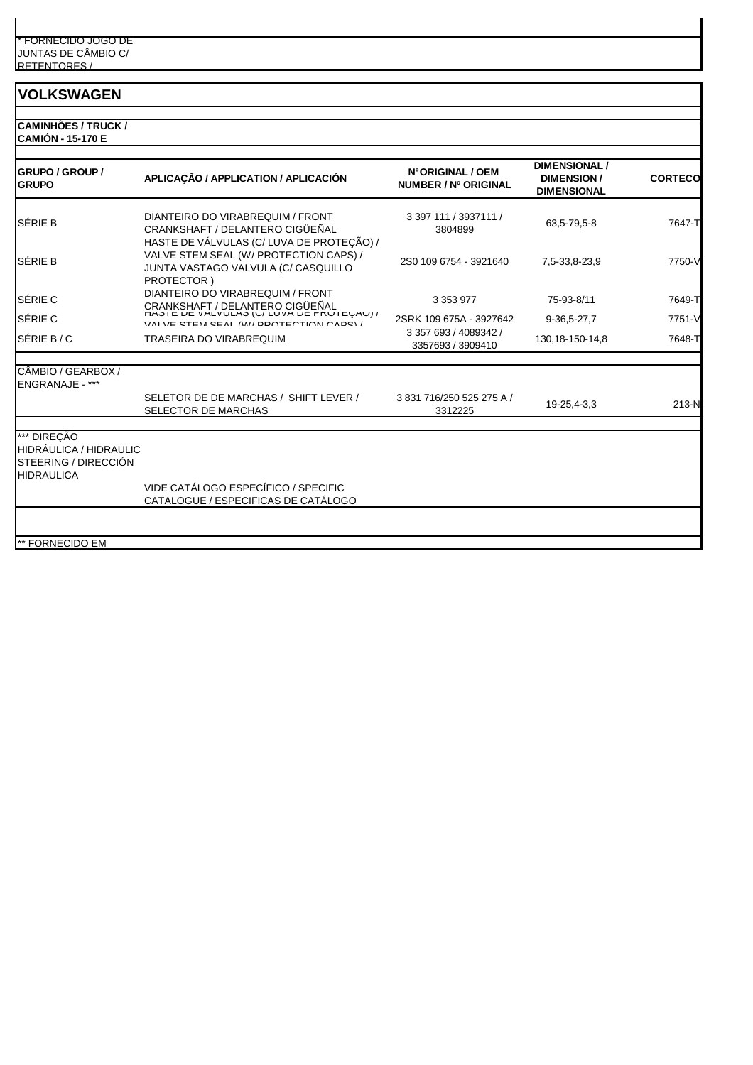**CAMINHÕES / TRUCK / CAMIÓN - 15-170 E**

| <b>GRUPO / GROUP /</b><br><b>GRUPO</b>                                                                              | APLICAÇÃO / APPLICATION / APLICACIÓN                                                                                                     | N°ORIGINAL / OEM<br>NUMBER / Nº ORIGINAL   | <b>DIMENSIONAL</b><br><b>DIMENSION/</b><br><b>DIMENSIONAL</b> | <b>CORTECO</b> |
|---------------------------------------------------------------------------------------------------------------------|------------------------------------------------------------------------------------------------------------------------------------------|--------------------------------------------|---------------------------------------------------------------|----------------|
| <b>SÉRIE B</b>                                                                                                      | DIANTEIRO DO VIRABREQUIM / FRONT<br>CRANKSHAFT / DELANTERO CIGÜEÑAL                                                                      | 3 397 111 / 3937111 /<br>3804899           | 63,5-79,5-8                                                   | 7647-T         |
| <b>SÉRIE B</b>                                                                                                      | HASTE DE VÁLVULAS (C/ LUVA DE PROTEÇÃO) /<br>VALVE STEM SEAL (W/ PROTECTION CAPS) /<br>JUNTA VASTAGO VALVULA (C/ CASQUILLO<br>PROTECTOR) | 2S0 109 6754 - 3921640                     | 7,5-33,8-23,9                                                 | 7750-V         |
| SÉRIE C                                                                                                             | DIANTEIRO DO VIRABREQUIM / FRONT                                                                                                         | 3 3 5 3 9 7 7                              | 75-93-8/11                                                    | 7649-T         |
| <b>SÉRIE C</b>                                                                                                      | CRANKSHAFT / DELANTERO CIGÜEÑAL<br>VALUE CTEM CEAL AM/DOOTECTION CADOV/                                                                  | 2SRK 109 675A - 3927642                    | 9-36,5-27,7                                                   | 7751-V         |
| SÉRIE B/C                                                                                                           | <b>TRASEIRA DO VIRABREQUIM</b>                                                                                                           | 3 357 693 / 4089342 /<br>3357693 / 3909410 | 130, 18-150-14, 8                                             | 7648-T         |
| CÂMBIO / GEARBOX /<br>ENGRANAJE - ***                                                                               | SELETOR DE DE MARCHAS / SHIFT LEVER /<br>SELECTOR DE MARCHAS                                                                             | 3831716/250525275A/<br>3312225             | 19-25,4-3,3                                                   | $213-N$        |
| *** DIREÇÃO<br><b>HIDRÁULICA / HIDRAULIC</b><br><b>STEERING / DIRECCIÓN</b><br><b>HIDRAULICA</b><br>** FORNECIDO EM | VIDE CATÁLOGO ESPECÍFICO / SPECIFIC<br>CATALOGUE / ESPECIFICAS DE CATÁLOGO                                                               |                                            |                                                               |                |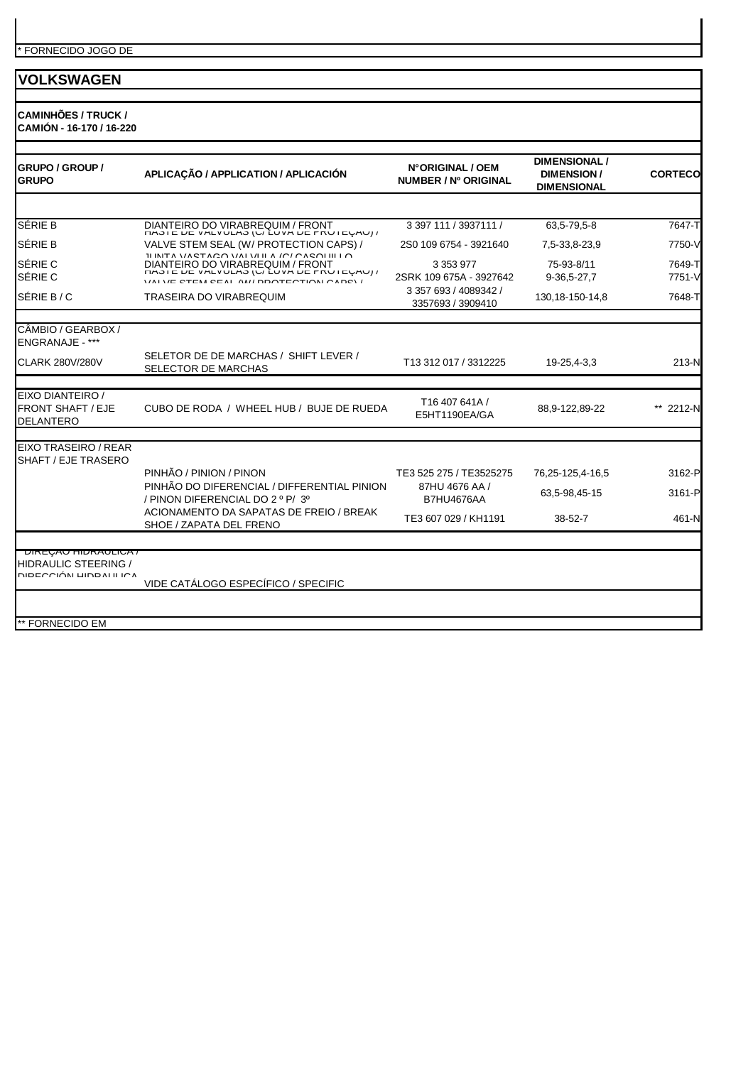**CAMINHÕES / TRUCK / CAMIÓN - 16-170 / 16-220**

| <b>GRUPO / GROUP /</b><br><b>GRUPO</b>                           | APLICAÇÃO / APPLICATION / APLICACIÓN                                                                                                                             | N°ORIGINAL / OEM<br>NUMBER / Nº ORIGINAL   | <b>DIMENSIONAL /</b><br><b>DIMENSION/</b><br><b>DIMENSIONAL</b> | <b>CORTECO</b>   |
|------------------------------------------------------------------|------------------------------------------------------------------------------------------------------------------------------------------------------------------|--------------------------------------------|-----------------------------------------------------------------|------------------|
|                                                                  |                                                                                                                                                                  |                                            |                                                                 |                  |
| <b>SÉRIE B</b>                                                   | DIANTEIRO DO VIRABREQUIM / FRONT<br><b><i>CHOIC UC VALVULAS (U/LUVA UC FRUICUAU) /</i></b>                                                                       | 3 397 111 / 3937111 /                      | 63,5-79,5-8                                                     | 7647-T           |
| <b>SÉRIE B</b>                                                   | VALVE STEM SEAL (W/ PROTECTION CAPS) /                                                                                                                           | 2S0 109 6754 - 3921640                     | 7,5-33,8-23,9                                                   | 7750-V           |
| <b>SÉRIE C</b><br>SÉRIE C                                        | ILINITA VACTACO VALVILLA IOI OACOLIILLO<br>DIANTEIRO DO VIRABREQUIM / FRONT<br>THOIC DE VALVULAO (U/LUVA DE FRUTEURU) /<br>VALUE CTEM CEAL AM/ DOOTECTION CADOV/ | 3 3 5 3 9 7 7<br>2SRK 109 675A - 3927642   | 75-93-8/11<br>9-36,5-27,7                                       | 7649-T<br>7751-V |
| SÉRIE B / C                                                      | TRASEIRA DO VIRABREQUIM                                                                                                                                          | 3 357 693 / 4089342 /<br>3357693 / 3909410 | 130, 18-150-14, 8                                               | 7648-T           |
| CÂMBIO / GEARBOX /<br>ENGRANAJE - ***                            |                                                                                                                                                                  |                                            |                                                                 |                  |
| <b>CLARK 280V/280V</b>                                           | SELETOR DE DE MARCHAS / SHIFT LEVER /<br>SELECTOR DE MARCHAS                                                                                                     | T13 312 017 / 3312225                      | 19-25,4-3,3                                                     | 213-N            |
|                                                                  |                                                                                                                                                                  |                                            |                                                                 |                  |
| EIXO DIANTEIRO /<br><b>FRONT SHAFT / EJE</b><br><b>DELANTERO</b> | CUBO DE RODA / WHEEL HUB / BUJE DE RUEDA                                                                                                                         | T16 407 641A /<br>E5HT1190EA/GA            | 88,9-122,89-22                                                  | 2212-N           |
| EIXO TRASEIRO / REAR                                             |                                                                                                                                                                  |                                            |                                                                 |                  |
| SHAFT / EJE TRASERO                                              |                                                                                                                                                                  |                                            |                                                                 |                  |
|                                                                  | PINHÃO / PINION / PINON<br>PINHÃO DO DIFERENCIAL / DIFFERENTIAL PINION                                                                                           | TE3 525 275 / TE3525275                    | 76,25-125,4-16,5                                                | 3162-P           |
|                                                                  | / PINON DIFERENCIAL DO 2 º P/ 3º                                                                                                                                 | 87HU 4676 AA /<br><b>B7HU4676AA</b>        | 63,5-98,45-15                                                   | 3161-P           |
|                                                                  | ACIONAMENTO DA SAPATAS DE FREIO / BREAK<br>SHOE / ZAPATA DEL FRENO                                                                                               | TE3 607 029 / KH1191                       | $38 - 52 - 7$                                                   | 461-N            |
| <b>DIREÇAU HIDRAULICA</b> /                                      |                                                                                                                                                                  |                                            |                                                                 |                  |
| <b>HIDRAULIC STEERING /</b><br>DIPECCIÓN HIDPALILICA             |                                                                                                                                                                  |                                            |                                                                 |                  |
|                                                                  | VIDE CATÁLOGO ESPECÍFICO / SPECIFIC                                                                                                                              |                                            |                                                                 |                  |
| ** FORNECIDO EM                                                  |                                                                                                                                                                  |                                            |                                                                 |                  |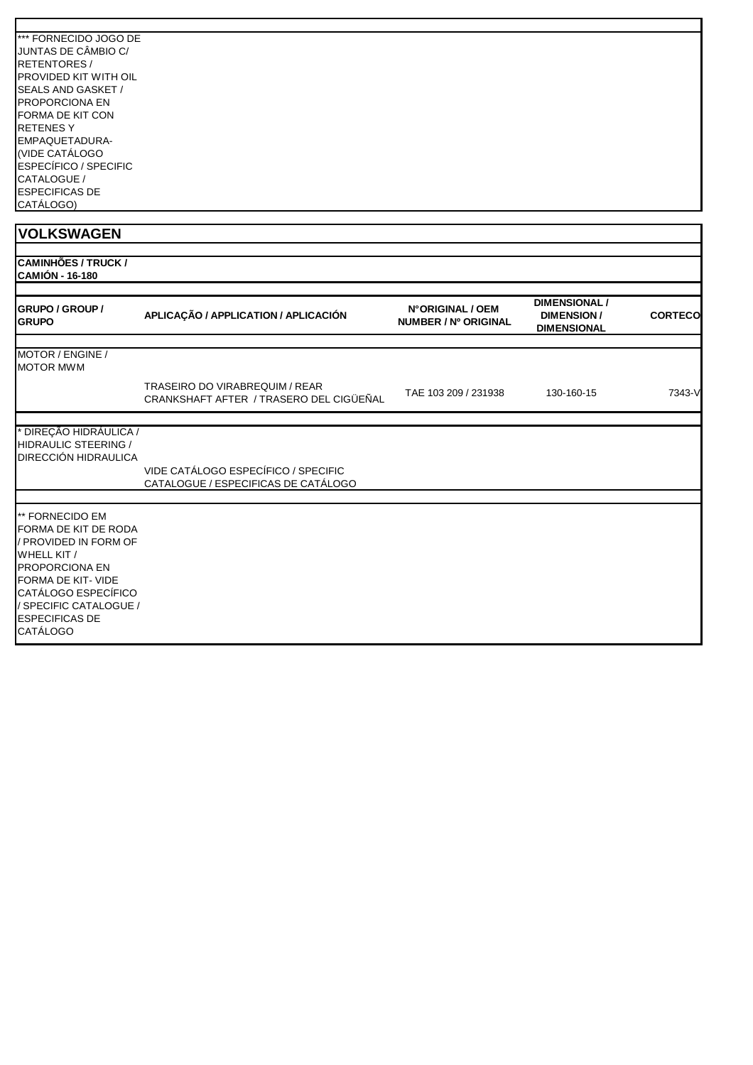| <b>I*** FORNECIDO JOGO DE</b> |  |
|-------------------------------|--|
| JUNTAS DE CÂMBIO C/           |  |
| <b>IRETENTORES /</b>          |  |
| <b>IPROVIDED KIT WITH OIL</b> |  |
| <b>SEALS AND GASKET /</b>     |  |
| <b>IPROPORCIONA EN</b>        |  |
| <b>FORMA DE KIT CON</b>       |  |
| <b>RETENESY</b>               |  |
| EMPAQUETADURA-                |  |
| (VIDE CATÁLOGO                |  |
| <b>ESPECÍFICO / SPECIFIC</b>  |  |
| <b>CATALOGUE</b>              |  |
| <b>ESPECIFICAS DE</b>         |  |
| CATÁLOGO)                     |  |

| <b>CAMINHÕES / TRUCK /</b> |
|----------------------------|
| <b>CAMIÓN - 16-180</b>     |
|                            |

| <b>GRUPO / GROUP /</b><br><b>GRUPO</b>                                                                                                                                                                                      | APLICAÇÃO / APPLICATION / APLICACIÓN                                             | N°ORIGINAL / OEM<br>NUMBER / Nº ORIGINAL | <b>DIMENSIONAL /</b><br><b>DIMENSION/</b><br><b>DIMENSIONAL</b> | <b>CORTECO</b> |
|-----------------------------------------------------------------------------------------------------------------------------------------------------------------------------------------------------------------------------|----------------------------------------------------------------------------------|------------------------------------------|-----------------------------------------------------------------|----------------|
| MOTOR / ENGINE /<br><b>MOTOR MWM</b>                                                                                                                                                                                        |                                                                                  |                                          |                                                                 |                |
|                                                                                                                                                                                                                             | <b>TRASEIRO DO VIRABREQUIM / REAR</b><br>CRANKSHAFT AFTER / TRASERO DEL CIGÜEÑAL | TAE 103 209 / 231938                     | 130-160-15                                                      | 7343-V         |
| DIREÇÃO HIDRÁULICA /<br><b>HIDRAULIC STEERING /</b><br>DIRECCIÓN HIDRAULICA                                                                                                                                                 |                                                                                  |                                          |                                                                 |                |
|                                                                                                                                                                                                                             | VIDE CATÁLOGO ESPECÍFICO / SPECIFIC<br>CATALOGUE / ESPECIFICAS DE CATÁLOGO       |                                          |                                                                 |                |
| ** FORNECIDO EM<br>FORMA DE KIT DE RODA<br>/ PROVIDED IN FORM OF<br>WHELL KIT /<br><b>PROPORCIONA EN</b><br>FORMA DE KIT- VIDE<br>CATÁLOGO ESPECÍFICO<br>/ SPECIFIC CATALOGUE /<br><b>ESPECIFICAS DE</b><br><b>CATÁLOGO</b> |                                                                                  |                                          |                                                                 |                |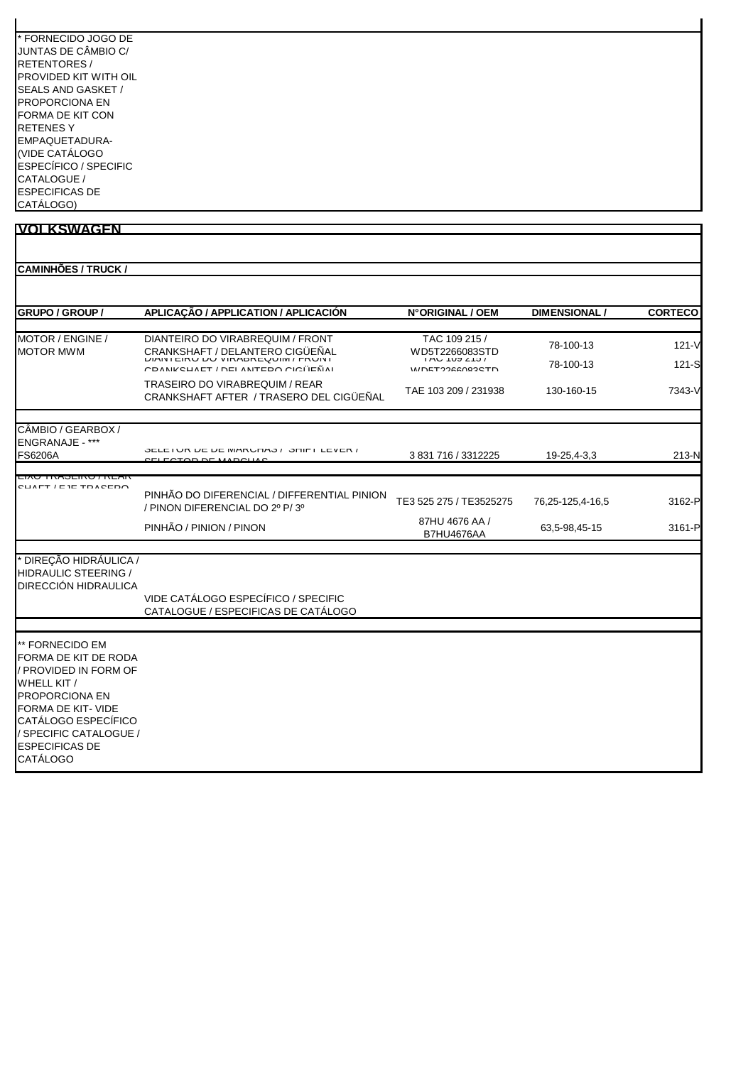| * FORNECIDO JOGO DE   |
|-----------------------|
| JUNTAS DE CÂMBIO C/   |
| RETENTORES /          |
| PROVIDED KIT WITH OIL |
| SEALS AND GASKET /    |
| PROPORCIONA FN        |
| FORMA DE KIT CON      |
| <b>RETENESY</b>       |
| EMPAQUETADURA-        |
| (VIDE CATÁLOGO        |
| ESPECÍFICO / SPECIFIC |
| CATALOGUE /           |
| <b>ESPECIFICAS DE</b> |
| CATÁLOGO)             |

| <b>CAMINHÕES / TRUCK /</b>                                                                                                                                                                                                  |                                                                                                                  |                                                                               |                        |                      |
|-----------------------------------------------------------------------------------------------------------------------------------------------------------------------------------------------------------------------------|------------------------------------------------------------------------------------------------------------------|-------------------------------------------------------------------------------|------------------------|----------------------|
| GRUPO / GROUP /                                                                                                                                                                                                             | APLICAÇÃO / APPLICATION / APLICACIÓN                                                                             | N°ORIGINAL / OEM                                                              | <b>DIMENSIONAL /</b>   | <b>CORTECO</b>       |
| MOTOR / ENGINE /<br><b>MOTOR MWM</b>                                                                                                                                                                                        | DIANTEIRO DO VIRABREQUIM / FRONT<br><b>CRANKSHAFT / DELANTERO CIGÜEÑAL</b><br>COANIZOUAET / DEL ANTEDO OIOÏIEÑAI | TAC 109 215 /<br>WD5T2266083STD<br>$1AU$ $1U3Z131$<br><b>IMIDETOOGCOOOCTD</b> | 78-100-13<br>78-100-13 | $121 - V$<br>$121-S$ |
|                                                                                                                                                                                                                             | <b>TRASEIRO DO VIRABREQUIM / REAR</b><br>CRANKSHAFT AFTER / TRASERO DEL CIGÜEÑAL                                 | TAE 103 209 / 231938                                                          | 130-160-15             | 7343-V               |
| CÂMBIO / GEARBOX /<br><b>ENGRANAJE - ***</b><br><b>FS6206A</b>                                                                                                                                                              | OELETUR DE DE MARUFIAO / OFIIFT LEVER /                                                                          | 3 831 716 / 3312225                                                           | 19-25,4-3,3            | 213-N                |
|                                                                                                                                                                                                                             | <b>COTOD DE MADOUAC</b>                                                                                          |                                                                               |                        |                      |
| <b>LIAU TNAJLINU / NLAN</b><br>CLIATT / E IE TDACEDO                                                                                                                                                                        | PINHÃO DO DIFERENCIAL / DIFFERENTIAL PINION<br>/ PINON DIFERENCIAL DO 2º P/3º                                    | TE3 525 275 / TE3525275                                                       | 76,25-125,4-16,5       | 3162-P               |
|                                                                                                                                                                                                                             | PINHÃO / PINION / PINON                                                                                          | 87HU 4676 AA /<br><b>B7HU4676AA</b>                                           | 63,5-98,45-15          | 3161-P               |
| <sup>*</sup> DIREÇÃO HIDRÁULICA /<br>HIDRAULIC STEERING /<br>DIRECCIÓN HIDRAULICA                                                                                                                                           | VIDE CATÁLOGO ESPECÍFICO / SPECIFIC<br>CATALOGUE / ESPECIFICAS DE CATÁLOGO                                       |                                                                               |                        |                      |
|                                                                                                                                                                                                                             |                                                                                                                  |                                                                               |                        |                      |
| ** FORNECIDO EM<br>FORMA DE KIT DE RODA<br>/ PROVIDED IN FORM OF<br>WHELL KIT /<br><b>PROPORCIONA EN</b><br>FORMA DE KIT- VIDE<br>CATÁLOGO ESPECÍFICO<br>/ SPECIFIC CATALOGUE /<br><b>ESPECIFICAS DE</b><br><b>CATÁLOGO</b> |                                                                                                                  |                                                                               |                        |                      |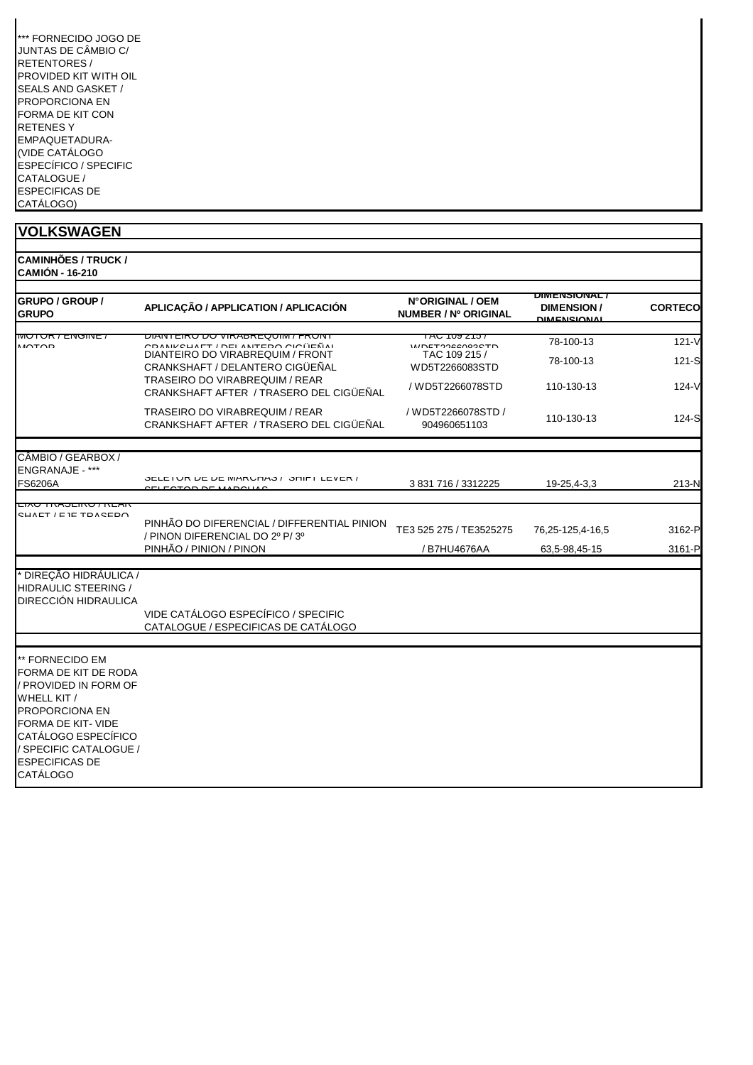| *** FORNECIDO JOGO DE |
|-----------------------|
| JUNTAS DE CÂMBIO C/   |
| RETENTORES /          |
| PROVIDED KIT WITH OIL |
| SEALS AND GASKET /    |
| PROPORCIONA FN        |
| FORMA DE KIT CON      |
| <b>RETENESY</b>       |
| EMPAQUETADURA-        |
| (VIDE CATÁLOGO        |
| ESPECÍFICO / SPECIFIC |
| CATALOGUE /           |
| <b>ESPECIFICAS DE</b> |
| CATÁLOGO)             |

/ SPECIFIC CATALOGUE / ESPECIFICAS DE CATÁLOGO

| <b>CAMINHÕES / TRUCK /</b><br><b>CAMIÓN - 16-210</b>                                                                       |                                                                                                             |                                                           |                                                                 |                |
|----------------------------------------------------------------------------------------------------------------------------|-------------------------------------------------------------------------------------------------------------|-----------------------------------------------------------|-----------------------------------------------------------------|----------------|
| <b>GRUPO / GROUP /</b><br><b>GRUPO</b>                                                                                     | APLICAÇÃO / APPLICATION / APLICACIÓN                                                                        | N°ORIGINAL / OEM<br>NUMBER / Nº ORIGINAL                  | <u>DIMENSIONAL /</u><br><b>DIMENSION/</b><br><b>DIMENCIONAL</b> | <b>CORTECO</b> |
| MUTUN / LIVUIIV                                                                                                            | <u>IEINU DU VINABNEUUIMI/ FNUN</u>                                                                          | , טוג שטו טאו                                             | 78-100-13                                                       | $121 - V$      |
| $M\cap T\cap D$                                                                                                            | ר אוואס איבו אין בפטר טופוייבע אין ק<br>DIANTEIRO DO VIRABREQUIM / FRONT<br>CRANKSHAFT / DELANTERO CIGÜEÑAL | <b>IMDETOORROOGSTD</b><br>TAC 109 215 /<br>WD5T2266083STD | 78-100-13                                                       | 121-S          |
|                                                                                                                            | <b>TRASEIRO DO VIRABREQUIM / REAR</b><br>CRANKSHAFT AFTER / TRASERO DEL CIGÜEÑAL                            | / WD5T2266078STD                                          | 110-130-13                                                      | $124-V$        |
|                                                                                                                            | <b>TRASEIRO DO VIRABREQUIM / REAR</b><br>CRANKSHAFT AFTER / TRASERO DEL CIGÜEÑAL                            | / WD5T2266078STD /<br>904960651103                        | 110-130-13                                                      | 124-S          |
|                                                                                                                            |                                                                                                             |                                                           |                                                                 |                |
| CÂMBIO / GEARBOX /<br><b>ENGRANAJE - ***</b><br><b>FS6206A</b>                                                             | / סברב ו חודוס / סמורות האו או זייר ו די די די זייר ו סמור ו זייר ו זייר ו זייר ו זייר ו זייר ו זייר        | 3 831 716 / 3312225                                       | 19-25,4-3,3                                                     | 213-N          |
|                                                                                                                            |                                                                                                             |                                                           |                                                                 |                |
| LIAU TNAJEINU / NEAN<br>CUAET / E IE TOACEDA                                                                               | PINHÃO DO DIFERENCIAL / DIFFERENTIAL PINION<br>/ PINON DIFERENCIAL DO 2º P/3º                               | TE3 525 275 / TE3525275                                   | 76,25-125,4-16,5                                                | 3162-P         |
|                                                                                                                            | PINHÃO / PINION / PINON                                                                                     | / B7HU4676AA                                              | 63,5-98,45-15                                                   | 3161-P         |
| * DIREÇÃO HIDRÁULICA /<br>HIDRAULIC STEERING /<br>DIRECCIÓN HIDRAULICA                                                     | VIDE CATÁLOGO ESPECÍFICO / SPECIFIC                                                                         |                                                           |                                                                 |                |
|                                                                                                                            | CATALOGUE / ESPECIFICAS DE CATÁLOGO                                                                         |                                                           |                                                                 |                |
| ** FORNECIDO EM                                                                                                            |                                                                                                             |                                                           |                                                                 |                |
| FORMA DE KIT DE RODA<br>/ PROVIDED IN FORM OF<br>WHELL KIT /<br>PROPORCIONA EN<br>FORMA DE KIT-VIDE<br>CATÁLOGO ESPECÍFICO |                                                                                                             |                                                           |                                                                 |                |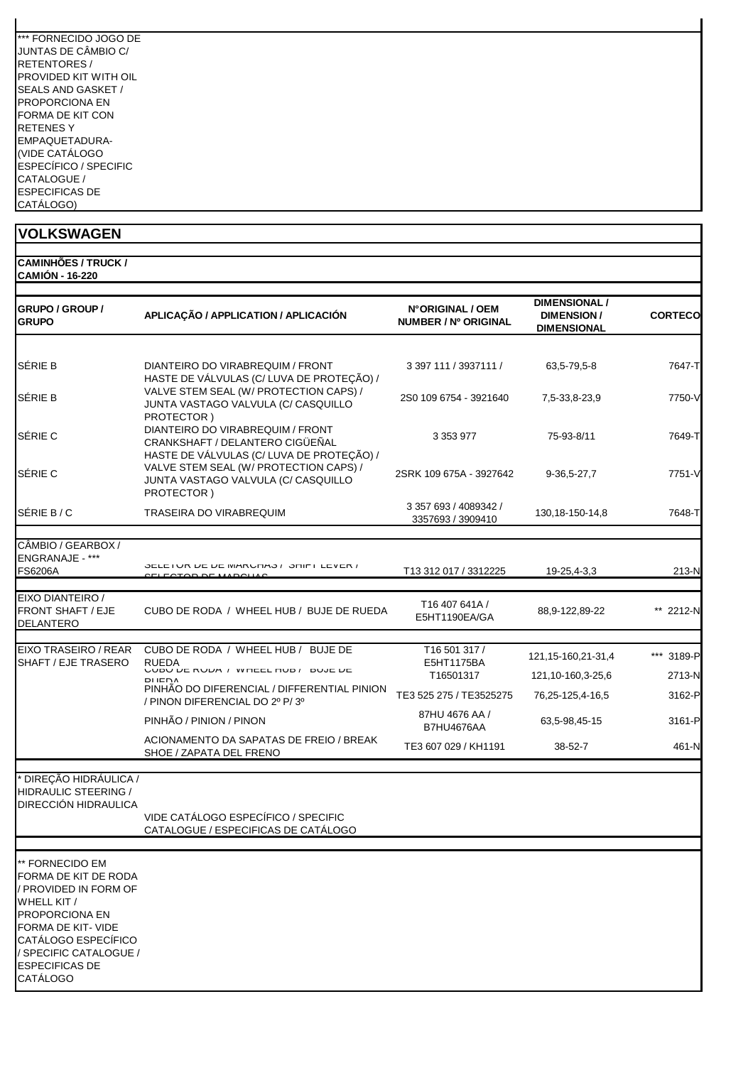| *** FORNECIDO JOGO DE        |
|------------------------------|
| JUNTAS DE CÂMBIO C/          |
| RETENTORES /                 |
| PROVIDED KIT WITH OIL        |
| SEALS AND GASKET /           |
| PROPORCIONA FN               |
| FORMA DE KIT CON             |
| <b>RETENESY</b>              |
| EMPAQUETADURA-               |
| (VIDE CATÁLOGO               |
| <b>ESPECÍFICO / SPECIFIC</b> |
| CATALOGUE /                  |
| <b>ESPECIFICAS DE</b>        |
| CATÁLOGO)                    |

| <b>VOLKSWAGEN</b>                                                                                                                                                             |                                                                                                                  |                                            |                                                                 |                  |
|-------------------------------------------------------------------------------------------------------------------------------------------------------------------------------|------------------------------------------------------------------------------------------------------------------|--------------------------------------------|-----------------------------------------------------------------|------------------|
| <b>CAMINHÕES / TRUCK /</b>                                                                                                                                                    |                                                                                                                  |                                            |                                                                 |                  |
| <b>CAMIÓN - 16-220</b><br><b>GRUPO / GROUP /</b><br><b>GRUPO</b>                                                                                                              | APLICAÇÃO / APPLICATION / APLICACIÓN                                                                             | N°ORIGINAL / OEM<br>NUMBER / Nº ORIGINAL   | <b>DIMENSIONAL /</b><br><b>DIMENSION/</b><br><b>DIMENSIONAL</b> | <b>CORTECO</b>   |
| SÉRIE B                                                                                                                                                                       | DIANTEIRO DO VIRABREQUIM / FRONT<br>HASTE DE VÁLVULAS (C/ LUVA DE PROTEÇÃO) /                                    | 3 397 111 / 3937111 /                      | 63,5-79,5-8                                                     | 7647-T           |
| SÉRIE B                                                                                                                                                                       | VALVE STEM SEAL (W/ PROTECTION CAPS) /<br>JUNTA VASTAGO VALVULA (C/ CASQUILLO<br>PROTECTOR)                      | 2S0 109 6754 - 3921640                     | 7,5-33,8-23,9                                                   | 7750-V           |
| SÉRIE C                                                                                                                                                                       | DIANTEIRO DO VIRABREQUIM / FRONT<br>CRANKSHAFT / DELANTERO CIGÜEÑAL<br>HASTE DE VÁLVULAS (C/ LUVA DE PROTEÇÃO) / | 3 3 5 3 9 7 7                              | 75-93-8/11                                                      | 7649-T           |
| SÉRIE C                                                                                                                                                                       | VALVE STEM SEAL (W/ PROTECTION CAPS) /<br>JUNTA VASTAGO VALVULA (C/ CASQUILLO<br>PROTECTOR)                      | 2SRK 109 675A - 3927642                    | $9-36,5-27,7$                                                   | 7751-V           |
| SÉRIE B/C                                                                                                                                                                     | TRASEIRA DO VIRABREQUIM                                                                                          | 3 357 693 / 4089342 /<br>3357693 / 3909410 | 130, 18-150-14, 8                                               | 7648-T           |
| CÂMBIO / GEARBOX /                                                                                                                                                            |                                                                                                                  |                                            |                                                                 |                  |
| ENGRANAJE - ***<br><b>FS6206A</b>                                                                                                                                             | JELE I UN DE DE IVIANUMO / JUIFI LEVEN /                                                                         | T13 312 017 / 3312225                      | 19-25,4-3,3                                                     | 213-N            |
| EIXO DIANTEIRO /<br><b>FRONT SHAFT / EJE</b><br>DELANTERO                                                                                                                     | CUBO DE RODA / WHEEL HUB / BUJE DE RUEDA                                                                         | T16 407 641A /<br>E5HT1190EA/GA            | 88,9-122,89-22                                                  | ** 2212-N        |
| EIXO TRASEIRO / REAR                                                                                                                                                          | CUBO DE RODA / WHEEL HUB / BUJE DE                                                                               | T16 501 317 /                              |                                                                 |                  |
| SHAFT / EJE TRASERO                                                                                                                                                           | <b>RUEDA</b><br>VUDU DE RUDA / WHEEL HUD / DUJE DE                                                               | E5HT1175BA<br>T16501317                    | 121, 15-160, 21-31, 4<br>121, 10-160, 3-25, 6                   | *** 3189-P       |
|                                                                                                                                                                               | <b>DIIENA</b><br>PINHAO DO DIFERENCIAL / DIFFERENTIAL PINION<br>/ PINON DIFERENCIAL DO 2º P/3º                   | TE3 525 275 / TE3525275                    | 76,25-125,4-16,5                                                | 2713-N<br>3162-P |
|                                                                                                                                                                               | PINHÃO / PINION / PINON                                                                                          | 87HU 4676 AA /                             | 63,5-98,45-15                                                   | 3161-P           |
|                                                                                                                                                                               | ACIONAMENTO DA SAPATAS DE FREIO / BREAK<br>SHOE / ZAPATA DEL FRENO                                               | <b>B7HU4676AA</b><br>TE3 607 029 / KH1191  | 38-52-7                                                         | 461-N            |
| DIREÇÃO HIDRÁULICA /                                                                                                                                                          |                                                                                                                  |                                            |                                                                 |                  |
| HIDRAULIC STEERING /<br>DIRECCIÓN HIDRAULICA                                                                                                                                  |                                                                                                                  |                                            |                                                                 |                  |
|                                                                                                                                                                               | VIDE CATÁLOGO ESPECÍFICO / SPECIFIC<br>CATALOGUE / ESPECIFICAS DE CATÁLOGO                                       |                                            |                                                                 |                  |
| ** FORNECIDO EM<br>FORMA DE KIT DE RODA<br><b>PROVIDED IN FORM OF</b><br>WHELL KIT /<br>PROPORCIONA EN<br>FORMA DE KIT- VIDE<br>CATÁLOGO ESPECÍFICO<br>/ SPECIFIC CATALOGUE / |                                                                                                                  |                                            |                                                                 |                  |

ESPECIFICAS DE CATÁLOGO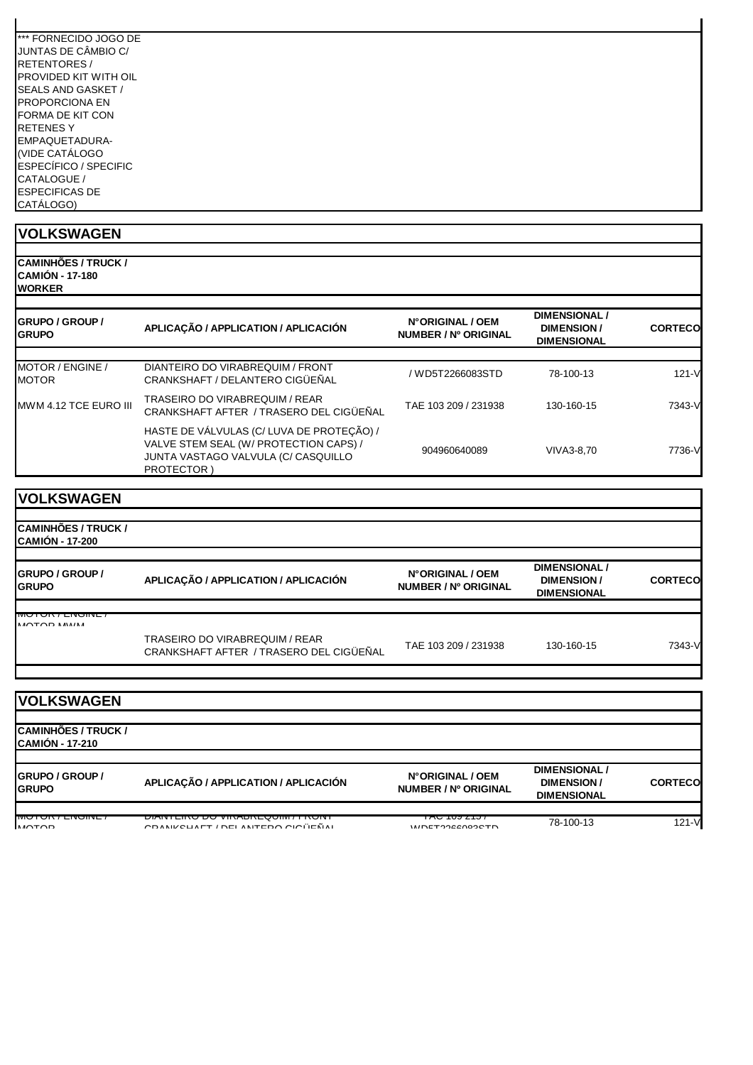| *** FORNECIDO JOGO DE        |  |
|------------------------------|--|
| JUNTAS DE CÂMBIO C/          |  |
| <b>RETENTORES /</b>          |  |
| PROVIDED KIT WITH OIL        |  |
| SEALS AND GASKET /           |  |
| PROPORCIONA EN               |  |
| FORMA DE KIT CON             |  |
| <b>RETENESY</b>              |  |
| EMPAQUETADURA-               |  |
| (VIDE CATÁLOGO               |  |
| <b>ESPECÍFICO / SPECIFIC</b> |  |
| CATALOGUE /                  |  |
| <b>ESPECIFICAS DE</b>        |  |
| CATÁLOGO)                    |  |

| <b>CAMINHÕES / TRUCK /</b><br><b>CAMIÓN - 17-180</b><br><b>IWORKER</b> |                                                                                                                                          |                                          |                                                          |                |
|------------------------------------------------------------------------|------------------------------------------------------------------------------------------------------------------------------------------|------------------------------------------|----------------------------------------------------------|----------------|
| <b>IGRUPO / GROUP /</b><br><b>I</b> GRUPO                              | APLICAÇÃO / APPLICATION / APLICACIÓN                                                                                                     | N°ORIGINAL / OEM<br>NUMBER / Nº ORIGINAL | DIMENSIONAL /<br><b>DIMENSION/</b><br><b>DIMENSIONAL</b> | <b>CORTECO</b> |
| <b>MOTOR / ENGINE /</b><br><b>MOTOR</b>                                | DIANTEIRO DO VIRABREQUIM / FRONT<br>CRANKSHAFT / DELANTERO CIGÜEÑAL                                                                      | / WD5T2266083STD                         | 78-100-13                                                | $121 - V$      |
| MWM 4.12 TCE EURO III                                                  | TRASEIRO DO VIRABREQUIM / REAR<br>CRANKSHAFT AFTER / TRASERO DEL CIGÜEÑAL                                                                | TAE 103 209 / 231938                     | 130-160-15                                               | 7343-V         |
|                                                                        | HASTE DE VÁLVULAS (C/ LUVA DE PROTEÇÃO) /<br>VALVE STEM SEAL (W/ PROTECTION CAPS) /<br>JUNTA VASTAGO VALVULA (C/ CASQUILLO<br>PROTECTOR) | 904960640089                             | VIVA3-8,70                                               | 7736-V         |

| <b>CAMINHOES / TRUCK /</b> |
|----------------------------|
| CAMIÓN - 17-200            |

| <b>CAMIÓN - 17-200</b>                 |                                                                           |                                          |                                                           |                |
|----------------------------------------|---------------------------------------------------------------------------|------------------------------------------|-----------------------------------------------------------|----------------|
| <b>GRUPO / GROUP /</b><br><b>GRUPO</b> | APLICAÇÃO / APPLICATION / APLICACIÓN                                      | N°ORIGINAL / OEM<br>NUMBER / Nº ORIGINAL | <b>DIMENSIONAL /</b><br>DIMENSION /<br><b>DIMENSIONAL</b> | <b>CORTECO</b> |
|                                        |                                                                           |                                          |                                                           |                |
| <b>MUTUR / LINUINE</b><br>MOTOD MM/M   |                                                                           |                                          |                                                           |                |
|                                        | TRASEIRO DO VIRABREQUIM / REAR<br>CRANKSHAFT AFTER / TRASERO DEL CIGÜEÑAL | TAE 103 209 / 231938                     | 130-160-15                                                | 7343-V         |

| <b>VOLKSWAGEN</b>                                     |                                                                                |                                                  |                                                          |                |
|-------------------------------------------------------|--------------------------------------------------------------------------------|--------------------------------------------------|----------------------------------------------------------|----------------|
| <b>ICAMINHÕES / TRUCK /</b><br><b>CAMIÓN - 17-210</b> |                                                                                |                                                  |                                                          |                |
| <b>IGRUPO / GROUP /</b><br><b>GRUPO</b>               | APLICAÇÃO / APPLICATION / APLICACIÓN                                           | N°ORIGINAL / OEM<br>NUMBER / Nº ORIGINAL         | DIMENSIONAL /<br><b>DIMENSION/</b><br><b>DIMENSIONAL</b> | <b>CORTECO</b> |
| <b>INIUTURY LINUINE</b><br>$M\cap T\cap D$            | <u> FRUITEINU DU VINADNEQUIMI / FRUIT</u><br>CRANIZOUAET / DEL ANTERO CIOÜEÑAL | <del>186 109 2137</del><br><b>IMDET2266092TD</b> | 78-100-13                                                | $121 - V$      |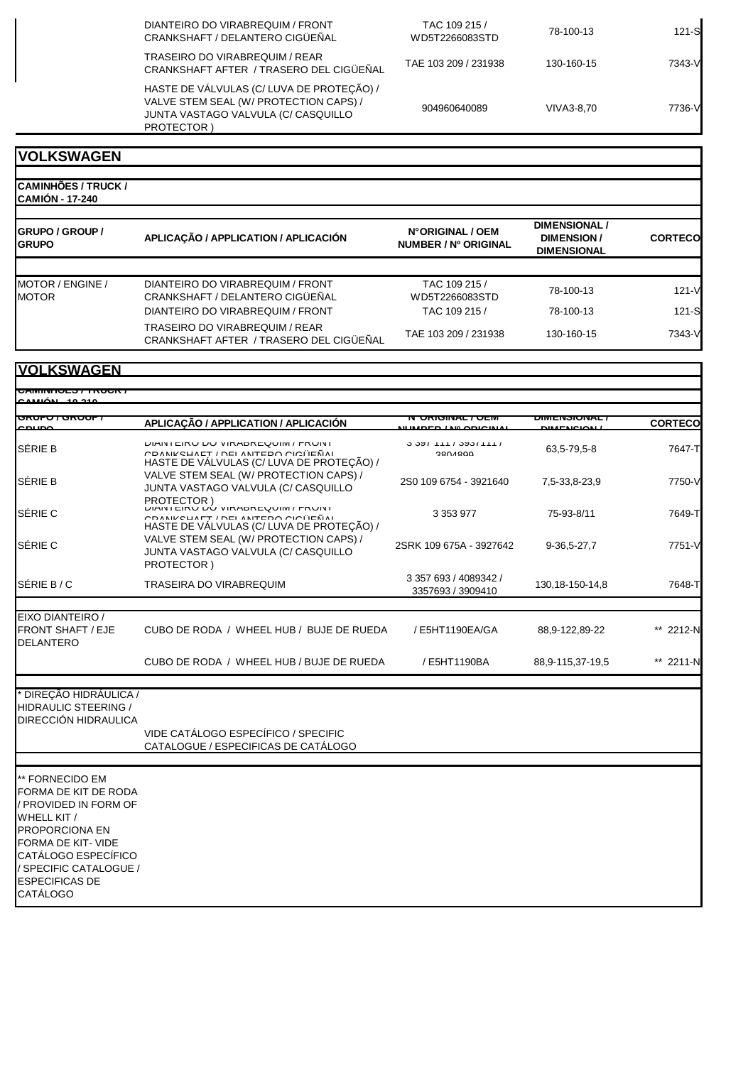| DIANTEIRO DO VIRABREQUIM / FRONT<br>CRANKSHAFT / DELANTERO CIGÜEÑAL                                                                            | TAC 109 215 /<br>WD5T2266083STD | 78-100-13  | $121-S$ |
|------------------------------------------------------------------------------------------------------------------------------------------------|---------------------------------|------------|---------|
| TRASEIRO DO VIRABREQUIM / REAR<br>CRANKSHAFT AFTER / TRASERO DEL CIGÜEÑAL                                                                      | TAE 103 209 / 231938            | 130-160-15 | 7343-V  |
| HASTE DE VÁLVULAS (C/ LUVA DE PROTEÇÃO) /<br>VALVE STEM SEAL (W/ PROTECTION CAPS) /<br>JUNTA VASTAGO VALVULA (C/ CASQUILLO<br><b>PROTECTOR</b> | 904960640089                    | VIVA3-8.70 | 7736-V  |

| CAMINHÕES / TRUCK /<br><b>ICAMIÓN - 17-240</b> |                                                                                                               |                                          |                                                                 |                 |
|------------------------------------------------|---------------------------------------------------------------------------------------------------------------|------------------------------------------|-----------------------------------------------------------------|-----------------|
| <b>IGRUPO / GROUP /</b><br><b>GRUPO</b>        | APLICAÇÃO / APPLICATION / APLICACIÓN                                                                          | N°ORIGINAL / OEM<br>NUMBER / Nº ORIGINAL | <b>DIMENSIONAL /</b><br><b>DIMENSION/</b><br><b>DIMENSIONAL</b> | <b>CORTECO</b>  |
| MOTOR / ENGINE /<br><b>MOTOR</b>               | DIANTEIRO DO VIRABREQUIM / FRONT<br>CRANKSHAFT / DELANTERO CIGÜEÑAL                                           | TAC 109 215 /<br>WD5T2266083STD          | 78-100-13                                                       | $121 - V$       |
|                                                | DIANTEIRO DO VIRABREQUIM / FRONT<br>TRASEIRO DO VIRABREQUIM / REAR<br>CRANKSHAFT AFTER / TRASERO DEL CIGÜEÑAL | TAC 109 215 /<br>TAE 103 209 / 231938    | 78-100-13<br>130-160-15                                         | 121-S<br>7343-V |

| <u>UAMINTULO / INUUN</u>                                                                                                                                                                                                    |                                                                                                                                                      |                                            |                   |                |
|-----------------------------------------------------------------------------------------------------------------------------------------------------------------------------------------------------------------------------|------------------------------------------------------------------------------------------------------------------------------------------------------|--------------------------------------------|-------------------|----------------|
| <del>unuru anuur</del>                                                                                                                                                                                                      | APLICAÇÃO / APPLICATION / APLICACIÓN                                                                                                                 | <del>UNIGINAL / ULIV</del>                 | ᄳᄳᇊᇄᇬᇅᇄ           | <b>CORTECO</b> |
| SÉRIE B                                                                                                                                                                                                                     | <b>DIAIN LEINU DU VINADREWUIM / FRUINI</b><br>COANIZOUAET / DEL ANITEDO OIOI EÑAI<br>HASTE DE VÁLVULAS (C/ LUVA DE PROTEÇÃO) /                       | <u>וווו</u> טכעוווופט ט<br>2001000         | 63,5-79,5-8       | 7647-T         |
| SÉRIE B                                                                                                                                                                                                                     | VALVE STEM SEAL (W/ PROTECTION CAPS) /<br>JUNTA VASTAGO VALVULA (C/ CASQUILLO                                                                        | 2S0 109 6754 - 3921640                     | 7,5-33,8-23,9     | 7750-V         |
| SÉRIE C                                                                                                                                                                                                                     | <b>PROTECTOR</b><br><b>DIAINTEINU DU VINADNEWUIIVI / FNUINT</b><br>CDANIKELIAET / DEI ANITEDO CICITEÑAI<br>HASTE DE VÁLVULAS (C/ LUVA DE PROTEÇÃO) / | 3 3 5 3 9 7 7                              | 75-93-8/11        | 7649-T         |
| SÉRIE C                                                                                                                                                                                                                     | VALVE STEM SEAL (W/ PROTECTION CAPS) /<br>JUNTA VASTAGO VALVULA (C/ CASQUILLO<br>PROTECTOR)                                                          | 2SRK 109 675A - 3927642                    | 9-36,5-27,7       | 7751-V         |
| SÉRIE B/C                                                                                                                                                                                                                   | <b>TRASEIRA DO VIRABREQUIM</b>                                                                                                                       | 3 357 693 / 4089342 /<br>3357693 / 3909410 | 130, 18-150-14, 8 | 7648-T         |
|                                                                                                                                                                                                                             |                                                                                                                                                      |                                            |                   |                |
| EIXO DIANTEIRO /<br><b>FRONT SHAFT / EJE</b><br><b>DELANTERO</b>                                                                                                                                                            | CUBO DE RODA / WHEEL HUB / BUJE DE RUEDA                                                                                                             | / E5HT1190EA/GA                            | 88,9-122,89-22    | ** 2212-N      |
|                                                                                                                                                                                                                             | CUBO DE RODA / WHEEL HUB / BUJE DE RUEDA                                                                                                             | / E5HT1190BA                               | 88,9-115,37-19,5  | ** 2211-N      |
| DIREÇÃO HIDRÁULICA /<br><b>HIDRAULIC STEERING /</b><br>DIRECCIÓN HIDRAULICA                                                                                                                                                 |                                                                                                                                                      |                                            |                   |                |
|                                                                                                                                                                                                                             | VIDE CATÁLOGO ESPECÍFICO / SPECIFIC<br>CATALOGUE / ESPECIFICAS DE CATÁLOGO                                                                           |                                            |                   |                |
| ** FORNECIDO EM<br>FORMA DE KIT DE RODA<br>/ PROVIDED IN FORM OF<br>WHELL KIT /<br><b>PROPORCIONA EN</b><br>FORMA DE KIT- VIDE<br>CATÁLOGO ESPECÍFICO<br>/ SPECIFIC CATALOGUE /<br><b>ESPECIFICAS DE</b><br><b>CATÁLOGO</b> |                                                                                                                                                      |                                            |                   |                |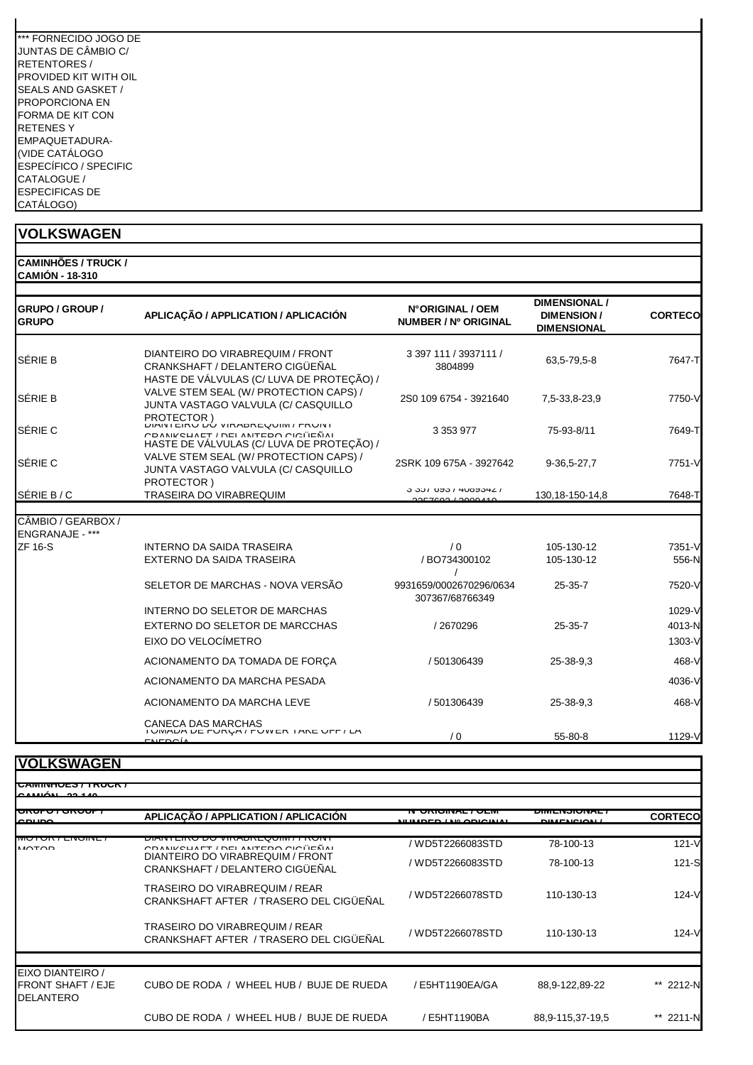| *** FORNECIDO JOGO DE |
|-----------------------|
| JUNTAS DE CÂMBIO C/   |
| <b>RETENTORES/</b>    |
| PROVIDED KIT WITH OIL |
| SEALS AND GASKET /    |
| PROPORCIONA FN        |
| FORMA DE KIT CON      |
| RETENES Y             |
| EMPAQUETADURA-        |
| (VIDE CATÁLOGO        |
| ESPECÍFICO / SPECIFIC |
| CATALOGUE /           |
| <b>ESPECIFICAS DE</b> |
| CATÁLOGO)             |

| <b>CAMINHÕES / TRUCK /</b> |
|----------------------------|
| <b>CAMIÓN - 18-310</b>     |

| GRUPO / GROUP /<br><b>GRUPO</b>       | APLICAÇÃO / APPLICATION / APLICACIÓN                                                                                                    | N°ORIGINAL / OEM<br>NUMBER / Nº ORIGINAL         | <b>DIMENSIONAL /</b><br><b>DIMENSION/</b><br><b>DIMENSIONAL</b> | <b>CORTECO</b> |
|---------------------------------------|-----------------------------------------------------------------------------------------------------------------------------------------|--------------------------------------------------|-----------------------------------------------------------------|----------------|
| <b>SÉRIE B</b>                        | DIANTEIRO DO VIRABREQUIM / FRONT<br>CRANKSHAFT / DELANTERO CIGÜEÑAL<br>HASTE DE VÁLVULAS (C/ LUVA DE PROTEÇÃO) /                        | 3 397 111 / 3937111 /<br>3804899                 | 63,5-79,5-8                                                     | 7647-T         |
| <b>SÉRIE B</b>                        | VALVE STEM SEAL (W/ PROTECTION CAPS) /<br>JUNTA VASTAGO VALVULA (C/ CASQUILLO                                                           | 2S0 109 6754 - 3921640                           | 7,5-33,8-23,9                                                   | 7750-V         |
| SÉRIE C                               | PROTECTOR)<br><b>DIAIN LEIKU DÚ VIRADREUUIM / FRUINI</b><br>CDANICUATT/DEI ANTEDO CICÜEÑNI<br>HASTE DE VÁLVULAS (C/ LUVA DE PROTEÇÃO) / | 3 3 5 3 9 7 7                                    | 75-93-8/11                                                      | 7649-T         |
| SÉRIE C                               | VALVE STEM SEAL (W/ PROTECTION CAPS) /<br>JUNTA VASTAGO VALVULA (C/ CASQUILLO<br>PROTECTOR)                                             | 2SRK 109 675A - 3927642                          | 9-36,5-27,7                                                     | 7751-V         |
| SÉRIE B / C                           | TRASEIRA DO VIRABREQUIM                                                                                                                 | <u>J JUL DAJ I ANOAJAT I</u><br>2257602 12000110 | 130, 18-150-14, 8                                               | 7648-T         |
| CÂMBIO / GEARBOX /<br>ENGRANAJE - *** |                                                                                                                                         |                                                  |                                                                 |                |
| <b>ZF 16-S</b>                        | <b>INTERNO DA SAIDA TRASEIRA</b>                                                                                                        | $\sqrt{0}$                                       | 105-130-12                                                      | 7351-V         |
|                                       | EXTERNO DA SAIDA TRASEIRA                                                                                                               | /BO734300102                                     | 105-130-12                                                      | 556-N          |
|                                       | SELETOR DE MARCHAS - NOVA VERSÃO                                                                                                        | 9931659/0002670296/0634<br>307367/68766349       | $25 - 35 - 7$                                                   | 7520-V         |
|                                       | <b>INTERNO DO SELETOR DE MARCHAS</b>                                                                                                    |                                                  |                                                                 | 1029-V         |
|                                       | EXTERNO DO SELETOR DE MARCCHAS                                                                                                          | /2670296                                         | $25 - 35 - 7$                                                   | 4013-N         |
|                                       | EIXO DO VELOCÍMETRO                                                                                                                     |                                                  |                                                                 | 1303-V         |
|                                       | ACIONAMENTO DA TOMADA DE FORÇA                                                                                                          | / 501306439                                      | 25-38-9.3                                                       | 468-V          |
|                                       | ACIONAMENTO DA MARCHA PESADA                                                                                                            |                                                  |                                                                 | 4036-V         |
|                                       | ACIONAMENTO DA MARCHA LEVE                                                                                                              | / 501306439                                      | 25-38-9.3                                                       | 468-V          |
|                                       | <b>CANECA DAS MARCHAS</b><br>I UIVIAUA DE FURUA / FUWER I ARE UFF / LA<br>$F$ MEDOÍA                                                    | /0                                               | 55-80-8                                                         | 1129-V         |

| <b>UAMINIULUT INUUNI</b>                                         |                                                                                |                                                         |                                         |                |
|------------------------------------------------------------------|--------------------------------------------------------------------------------|---------------------------------------------------------|-----------------------------------------|----------------|
| CAMPÓN 2014                                                      |                                                                                |                                                         |                                         |                |
| <del>onoro ronoor i</del><br>00100                               | APLICAÇÃO / APPLICATION / APLICACIÓN                                           | <u>IN UNIGINAL / ULIVI</u><br><u>ULIMBED / MADIOIMA</u> | <b>UINENJUNAL</b><br><b>DIMENIQUALL</b> | <b>CORTECO</b> |
| <b>IVIOTON / LIVOIIVE</b><br>MOTOD                               | <u> FRUIT LINU DU VINADREQUIM / FRUIT</u><br>CRANIZOUAET / DEL ANTERO CIOÜEÑAL | / WD5T2266083STD                                        | 78-100-13                               | $121 - V$      |
|                                                                  | DIANTEIRO DO VIRABREQUIM / FRONT<br>CRANKSHAFT / DELANTERO CIGÜEÑAL            | / WD5T2266083STD                                        | 78-100-13                               | $121 - S$      |
|                                                                  | TRASEIRO DO VIRABREQUIM / REAR<br>CRANKSHAFT AFTER / TRASERO DEL CIGUENAL      | / WD5T2266078STD                                        | 110-130-13                              | $124-V$        |
|                                                                  | TRASEIRO DO VIRABREQUIM / REAR<br>CRANKSHAFT AFTER / TRASERO DEL CIGÜENAL      | / WD5T2266078STD                                        | 110-130-13                              | $124-V$        |
|                                                                  |                                                                                |                                                         |                                         |                |
| EIXO DIANTEIRO /<br><b>FRONT SHAFT / EJE</b><br><b>DELANTERO</b> | CUBO DE RODA / WHEEL HUB / BUJE DE RUEDA                                       | E5HT1190EA/GA                                           | 88,9-122,89-22                          | 2212-N         |
|                                                                  | CUBO DE RODA / WHEEL HUB / BUJE DE RUEDA                                       | E5HT1190BA                                              | 88,9-115,37-19,5                        | 2211-N         |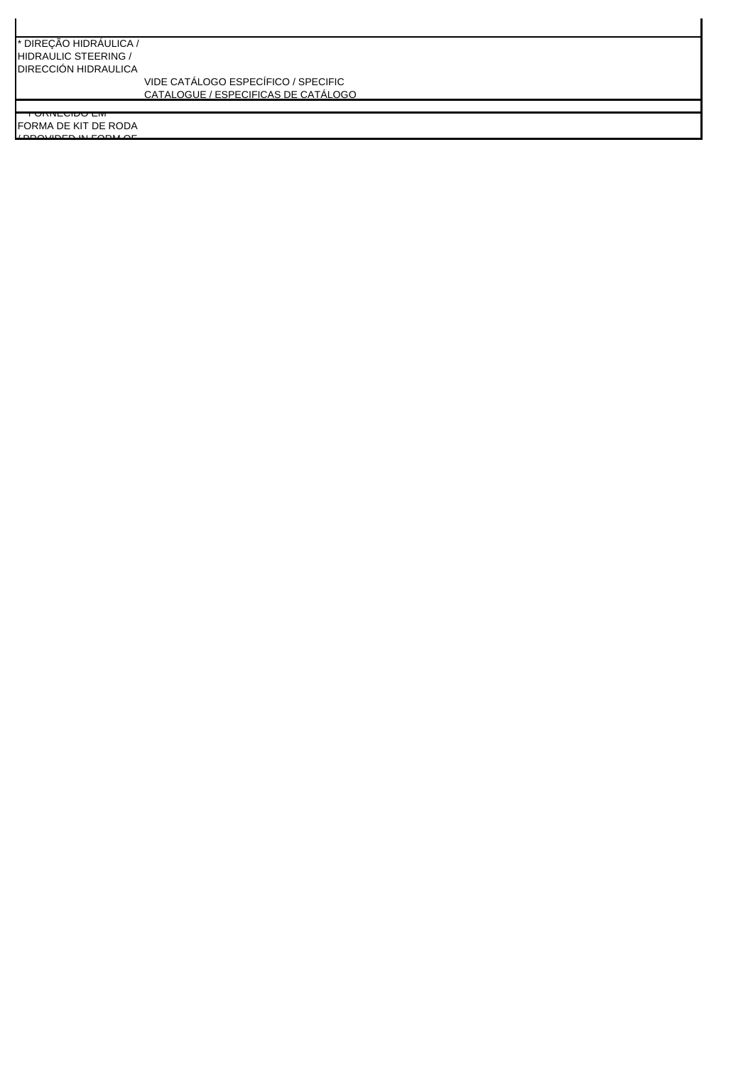#### \* DIREÇÃO HIDRÁULICA / HIDRAULIC STEERING / DIRECCIÓN HIDRAULICA

VIDE CATÁLOGO ESPECÍFICO / SPECIFIC CATALOGUE / ESPECIFICAS DE CATÁLOGO

FORMA DE KIT DE RODA / PROVIDED IN FORM OF

 $\overline{\rm conv}$  or  $\overline{\rm G}$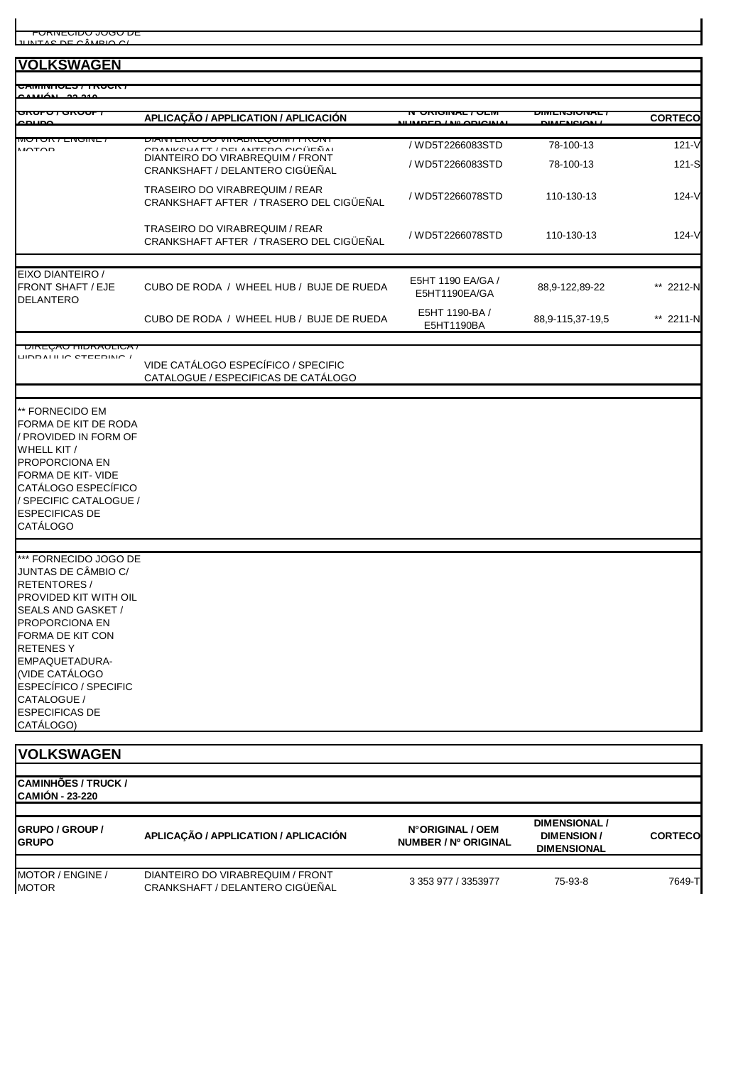**CAMINHÕES / TRUCK /** 

| ¬™™™™™™™™™<br>camán se são                                       |                                                                                |                                                 |                      |                |  |  |
|------------------------------------------------------------------|--------------------------------------------------------------------------------|-------------------------------------------------|----------------------|----------------|--|--|
| णाण<br><del>u runuun</del>                                       | APLICAÇÃO / APPLICATION / APLICACIÓN                                           | <u>IN UNIGINAL / ULIVI</u><br><u></u><br>110000 | <u> אמטוסמה ואוכ</u> | <b>CORTECO</b> |  |  |
| <b>MUTUR / LINUINE</b><br>MOTOD                                  | ו אוטא ז ואווטאַ אמאמוזי טע טאום ואואוט<br>$CDANIXCHATT$ / DEL ANTEDO OIOÜEÑAL | / WD5T2266083STD                                | 78-100-13            | $121 - V$      |  |  |
|                                                                  | DIANTEIRO DO VIRABREQUIM / FRONT<br>CRANKSHAFT / DELANTERO CIGÜEÑAL            | / WD5T2266083STD                                | 78-100-13            | 121-S          |  |  |
|                                                                  | TRASEIRO DO VIRABREQUIM / REAR<br>CRANKSHAFT AFTER / TRASERO DEL CIGÜEÑAL      | / WD5T2266078STD                                | 110-130-13           | 124-V          |  |  |
|                                                                  | TRASEIRO DO VIRABREQUIM / REAR<br>CRANKSHAFT AFTER / TRASERO DEL CIGÜEÑAL      | / WD5T2266078STD                                | 110-130-13           | 124-V          |  |  |
|                                                                  |                                                                                |                                                 |                      |                |  |  |
| EIXO DIANTEIRO /<br><b>FRONT SHAFT / EJE</b><br><b>DELANTERO</b> | CUBO DE RODA / WHEEL HUB / BUJE DE RUEDA                                       | E5HT 1190 EA/GA /<br>E5HT1190EA/GA              | 88,9-122,89-22       | ** 2212-N      |  |  |
|                                                                  | CUBO DE RODA / WHEEL HUB / BUJE DE RUEDA                                       | E5HT 1190-BA /<br>E5HT1190BA                    | 88,9-115,37-19,5     | ** 2211-N      |  |  |
| <u>UINEUAU HUNAULIUA /</u>                                       |                                                                                |                                                 |                      |                |  |  |
| LINDAI II IN CTEEDINA /                                          | VIDE CATÁLOGO ESPECÍFICO / SPECIFIC<br>CATALOGUE / ESPECIFICAS DE CATÁLOGO     |                                                 |                      |                |  |  |
| ** FORNECIDO EM                                                  |                                                                                |                                                 |                      |                |  |  |
| FORMA DE KIT DE RODA<br>/ PROVIDED IN FORM OF                    |                                                                                |                                                 |                      |                |  |  |
| WHELL KIT /<br>PROPORCIONA EN                                    |                                                                                |                                                 |                      |                |  |  |
| <b>FORMA DE KIT- VIDE</b><br>CATÁLOGO ESPECÍFICO                 |                                                                                |                                                 |                      |                |  |  |
| / SPECIFIC CATALOGUE /                                           |                                                                                |                                                 |                      |                |  |  |
| <b>ESPECIFICAS DE</b><br><b>CATÁLOGO</b>                         |                                                                                |                                                 |                      |                |  |  |
| *** FORNECIDO JOGO DE                                            |                                                                                |                                                 |                      |                |  |  |
| JUNTAS DE CÂMBIO C/<br><b>RETENTORES/</b>                        |                                                                                |                                                 |                      |                |  |  |
| PROVIDED KIT WITH OIL                                            |                                                                                |                                                 |                      |                |  |  |
| SEALS AND GASKET /<br><b>PROPORCIONA EN</b>                      |                                                                                |                                                 |                      |                |  |  |
| <b>FORMA DE KIT CON</b>                                          |                                                                                |                                                 |                      |                |  |  |
| <b>RETENESY</b><br>EMPAQUETADURA-                                |                                                                                |                                                 |                      |                |  |  |
| (VIDE CATÁLOGO                                                   |                                                                                |                                                 |                      |                |  |  |
| <b>ESPECÍFICO / SPECIFIC</b><br>CATALOGUE /                      |                                                                                |                                                 |                      |                |  |  |
| <b>ESPECIFICAS DE</b><br>CATÁLOGO)                               |                                                                                |                                                 |                      |                |  |  |
|                                                                  |                                                                                |                                                 |                      |                |  |  |
| <b>VOLKSWAGEN</b>                                                |                                                                                |                                                 |                      |                |  |  |
| <b>CAMINHÕES / TRUCK /</b><br><b>CAMIÓN - 23-220</b>             |                                                                                |                                                 |                      |                |  |  |
| <b>GRUPO / GROUP /</b>                                           |                                                                                | N°ORIGINAL / OEM                                | <b>DIMENSIONAL /</b> |                |  |  |
| CDIIDQ                                                           | APLICAÇÃO / APPLICATION / APLICACIÓN                                           | <b>UIBLOCO / NO ODICINAL</b>                    | <b>DIMENSION/</b>    | <b>CORTECO</b> |  |  |

**GRUPO**<br>**GRUPO**<br>**GRUPO NUMBER / Nº ORIGINAL DIMENSIONAL** MOTOR / ENGINE / MOTOR DIANTEIRO DO VIRABREQUIM / FRONT CRANKSHAFT / DELANTERO CIGÜEÑAL 3 353 977 / 3353977 75-93-8 7649-T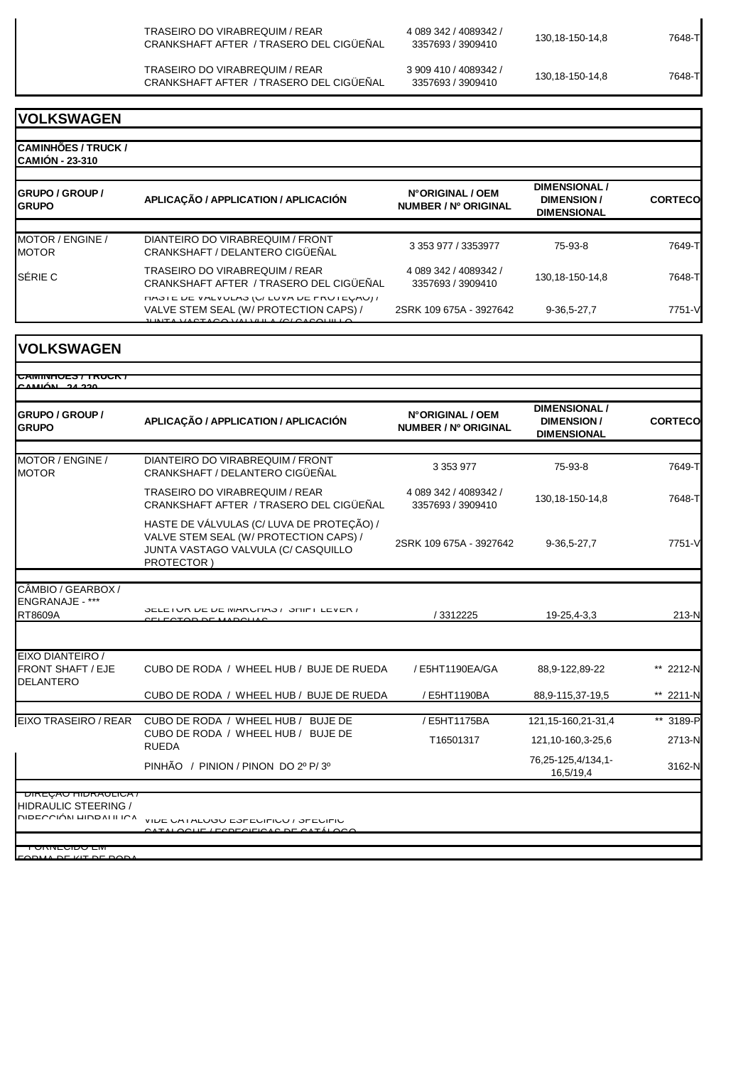TRASEIRO DO VIRABREQUIM / REAR CRANKSHAFT AFTER / TRASERO DEL CIGÜEÑAL

CRANKSHAFT AFTER / TRASERO DEL CIGÜEÑAL

TRASEIRO DO VIRABREQUIM / REAR

4 089 342 / 4089342 / 3357693 / 3909410 130,18-150-14,8 7648-T

3 909 410 / 4089342 /

3357693 / 3909410 130,18-150-14,8 7648-T

**VOLKSWAGEN**

**CAMINHÕES / TRUCK / CAMIÓN - 23-310 GRUPO / GROUP / GRUPO APLICAÇÃO / APPLICATION / APLICACIÓN N° ORIGINAL / OEM NUMBER / Nº ORIGINAL DIMENSIONAL / DIMENSION / DIMENSIONAL CORTECO** MOTOR / ENGINE / MOTOR DIANTEIRO DO VIRABREQUIM / FRONT CRANKSHAFT / DELANTERO CIGÜEÑAL 3 353 977 / 3353977 75-93-8 7649-T SÉRIE C TRASEIRO DO VIRABREQUIM / REAR<br>CONTINUES TRASEIRO DO VIRABREQUIM / REAR CRANKSHAFT AFTER / TRASERO DEL CIGÜEÑAL 4 089 342 / 4089342 / 3357693 / 3909410 130,18-150-14,8 7648-T HASTE DE VALVULAS (U/ LUVA DE FRUTEÇÃO) / VALVE STEM SEAL (W/ PROTECTION CAPS) / JUNTA VASTAGO VALVULA (C/ CASQUILLO 2SRK 109 675A - 3927642 9-36,5-27,7 7751-V

**VOLKSWAGEN**

| <b>GRUPO / GROUP /</b><br><b>GRUPO</b>                                                                                                 | APLICAÇÃO / APPLICATION / APLICACIÓN                                                                                                     | N°ORIGINAL / OEM<br>NUMBER / Nº ORIGINAL   | <b>DIMENSIONAL/</b><br><b>DIMENSION/</b><br><b>DIMENSIONAL</b> | <b>CORTECO</b>      |
|----------------------------------------------------------------------------------------------------------------------------------------|------------------------------------------------------------------------------------------------------------------------------------------|--------------------------------------------|----------------------------------------------------------------|---------------------|
| MOTOR / ENGINE /<br><b>MOTOR</b>                                                                                                       | DIANTEIRO DO VIRABREQUIM / FRONT<br>CRANKSHAFT / DELANTERO CIGÜEÑAL                                                                      | 3 3 5 3 9 7 7                              | 75-93-8                                                        | 7649-T              |
|                                                                                                                                        | <b>TRASEIRO DO VIRABREQUIM / REAR</b><br>CRANKSHAFT AFTER / TRASERO DEL CIGÜEÑAL                                                         | 4 089 342 / 4089342 /<br>3357693 / 3909410 | 130, 18-150-14, 8                                              | 7648-TI             |
|                                                                                                                                        | HASTE DE VÁLVULAS (C/ LUVA DE PROTEÇÃO) /<br>VALVE STEM SEAL (W/ PROTECTION CAPS) /<br>JUNTA VASTAGO VALVULA (C/ CASQUILLO<br>PROTECTOR) | 2SRK 109 675A - 3927642                    | 9-36,5-27,7                                                    | 7751-V              |
| CÂMBIO / GEARBOX /<br>ENGRANAJE - ***<br>RT8609A                                                                                       | OCLETUR DE DE MARUTAO / OTIFT LEVER /<br>$\sqrt{2}$                                                                                      | / 3312225                                  | 19-25,4-3,3                                                    | $213-N$             |
| EIXO DIANTEIRO /<br><b>FRONT SHAFT / EJE</b><br><b>DELANTERO</b>                                                                       | CUBO DE RODA / WHEEL HUB / BUJE DE RUEDA                                                                                                 | / E5HT1190EA/GA                            | 88,9-122,89-22                                                 | ** 2212-N           |
|                                                                                                                                        | CUBO DE RODA / WHEEL HUB / BUJE DE RUEDA                                                                                                 | / E5HT1190BA                               | 88,9-115,37-19,5                                               | ** 2211-N           |
| <b>EIXO TRASEIRO / REAR</b>                                                                                                            | CUBO DE RODA / WHEEL HUB / BUJE DE<br>CUBO DE RODA / WHEEL HUB / BUJE DE<br><b>RUEDA</b>                                                 | / E5HT1175BA<br>T16501317                  | 121, 15-160, 21-31, 4<br>121, 10-160, 3-25, 6                  | ** 3189-P<br>2713-N |
|                                                                                                                                        | PINHÃO / PINION / PINON DO 2º P/3º                                                                                                       |                                            | 76,25-125,4/134,1-<br>16,5/19,4                                | 3162-N              |
| <b>UINEYAU HIDRAULIUA</b> /<br><b>HIDRAULIC STEERING /</b><br><b>NIDECCIÓN LIINDAI II ICA</b><br><u>UNIVEUIDU LIVI</u><br>DE KE DE DOE | VIDE UA I ALUUU EOFEUIFIUU / OFEUIFIU<br>$\overline{O}$                                                                                  |                                            |                                                                |                     |